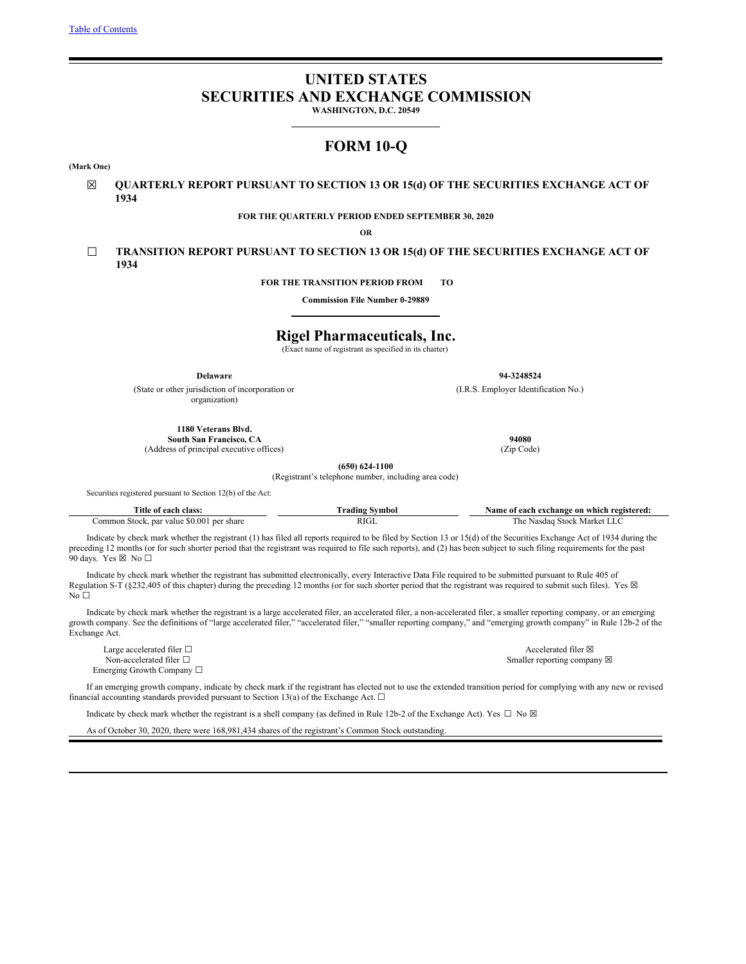# **UNITED STATES**

**SECURITIES AND EXCHANGE COMMISSION**

**WASHINGTON, D.C. 20549**

## **FORM 10-Q**

<span id="page-0-0"></span>**(Mark One)**

### **☒ QUARTERLY REPORT PURSUANT TO SECTION 13 OR 15(d) OF THE SECURITIES EXCHANGE ACT OF 1934**

#### **FOR THE QUARTERLY PERIOD ENDED SEPTEMBER 30, 2020**

**OR**

### **☐ TRANSITION REPORT PURSUANT TO SECTION 13 OR 15(d) OF THE SECURITIES EXCHANGE ACT OF 1934**

**FOR THE TRANSITION PERIOD FROM TO**

**Commission File Number 0-29889**

## **Rigel Pharmaceuticals, Inc.**

(Exact name of registrant as specified in its charter)

**Delaware 94-3248524**

(State or other jurisdiction of incorporation or (I.R.S. Employer Identification No.) organization)

**1180 Veterans Blvd.**

**South San Francisco, CA 94080**<br>ess of principal executive offices) (Zip Code) (Address of principal executive offices)

**(650) 624-1100** (Registrant's telephone number, including area code)

Securities registered pursuant to Section 12(b) of the Act:

| Title of each class:                      | Symbol<br>Frading | Name of each exchange on which registered: |
|-------------------------------------------|-------------------|--------------------------------------------|
| Common Stock, par value \$0.001 per share | RIGL              | : Nasdag Stock Market L<br>l he            |

Indicate by check mark whether the registrant (1) has filed all reports required to be filed by Section 13 or 15(d) of the Securities Exchange Act of 1934 during the preceding 12 months (or for such shorter period that the registrant was required to file such reports), and (2) has been subject to such filing requirements for the past 90 days. Yes  $\boxtimes$  No  $\square$ 

Indicate by check mark whether the registrant has submitted electronically, every Interactive Data File required to be submitted pursuant to Rule 405 of Regulation S-T (§232.405 of this chapter) during the preceding 12 months (or for such shorter period that the registrant was required to submit such files). Yes  $\boxtimes$  $No<sub>1</sub>$ 

Indicate by check mark whether the registrant is a large accelerated filer, an accelerated filer, a non-accelerated filer, a smaller reporting company, or an emerging growth company. See the definitions of "large accelerated filer," "accelerated filer," "smaller reporting company," and "emerging growth company" in Rule 12b-2 of the Exchange Act.

Large accelerated filer □ accelerated filer □ accelerated filer ⊠ Non-accelerated filer □ Smaller reporting company ⊠ Emerging Growth Company  $\Box$ 

If an emerging growth company, indicate by check mark if the registrant has elected not to use the extended transition period for complying with any new or revised financial accounting standards provided pursuant to Section 13(a) of the Exchange Act.  $\Box$ 

Indicate by check mark whether the registrant is a shell company (as defined in Rule 12b-2 of the Exchange Act). Yes  $\Box$  No  $\boxtimes$ 

As of October 30, 2020, there were 168,981,434 shares of the registrant's Common Stock outstanding.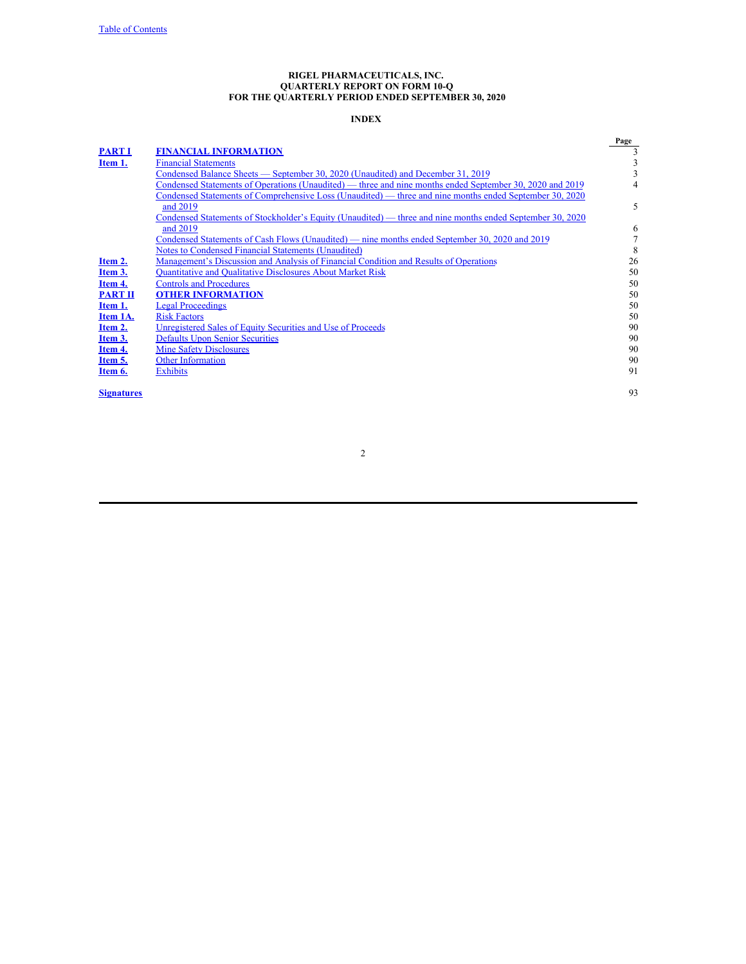#### **RIGEL PHARMACEUTICALS, INC. QUARTERLY REPORT ON FORM 10-Q FOR THE QUARTERLY PERIOD ENDED SEPTEMBER 30, 2020**

### **INDEX**

|                   |                                                                                                           | Page   |
|-------------------|-----------------------------------------------------------------------------------------------------------|--------|
| <b>PART I</b>     | <b>FINANCIAL INFORMATION</b>                                                                              | 3      |
| Item 1.           | <b>Financial Statements</b>                                                                               | 3      |
|                   | Condensed Balance Sheets — September 30, 2020 (Unaudited) and December 31, 2019                           | 3      |
|                   | Condensed Statements of Operations (Unaudited) — three and nine months ended September 30, 2020 and 2019  | 4      |
|                   | Condensed Statements of Comprehensive Loss (Unaudited) — three and nine months ended September 30, 2020   |        |
|                   | and 2019                                                                                                  | 5      |
|                   | Condensed Statements of Stockholder's Equity (Unaudited) — three and nine months ended September 30, 2020 |        |
|                   | and 2019                                                                                                  | 6      |
|                   | Condensed Statements of Cash Flows (Unaudited) — nine months ended September 30, 2020 and 2019            | $\tau$ |
|                   | Notes to Condensed Financial Statements (Unaudited)                                                       | 8      |
| Item 2.           | Management's Discussion and Analysis of Financial Condition and Results of Operations                     | 26     |
| Item 3.           | <b>Quantitative and Qualitative Disclosures About Market Risk</b>                                         | 50     |
| Item 4.           | <b>Controls and Procedures</b>                                                                            | 50     |
| <b>PART II</b>    | <b>OTHER INFORMATION</b>                                                                                  | 50     |
| Item 1.           | <b>Legal Proceedings</b>                                                                                  | 50     |
| Item 1A.          | <b>Risk Factors</b>                                                                                       | 50     |
| Item 2.           | Unregistered Sales of Equity Securities and Use of Proceeds                                               | 90     |
| Item 3.           | <b>Defaults Upon Senior Securities</b>                                                                    | 90     |
| Item 4.           | <b>Mine Safety Disclosures</b>                                                                            | 90     |
| Item 5.           | <b>Other Information</b>                                                                                  | 90     |
| Item 6.           | <b>Exhibits</b>                                                                                           | 91     |
| <b>Signatures</b> |                                                                                                           | 93     |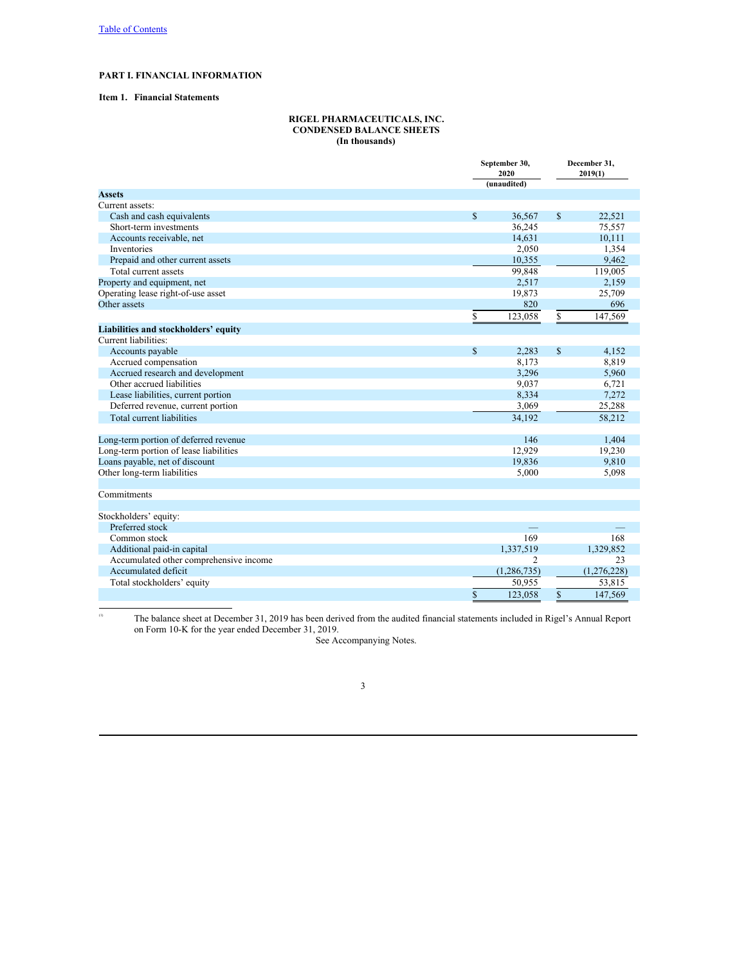## **PART I. FINANCIAL INFORMATION**

### **Item 1. Financial Statements**

#### **RIGEL PHARMACEUTICALS, INC. CONDENSED BALANCE SHEETS (In thousands)**

|                                        |              | September 30,<br>2020<br>(unaudited) |              | December 31,<br>2019(1) |
|----------------------------------------|--------------|--------------------------------------|--------------|-------------------------|
| <b>Assets</b>                          |              |                                      |              |                         |
| Current assets:                        |              |                                      |              |                         |
| Cash and cash equivalents              | \$           | 36,567                               | $\mathbb{S}$ | 22,521                  |
| Short-term investments                 |              | 36,245                               |              | 75,557                  |
| Accounts receivable, net               |              | 14,631                               |              | 10,111                  |
| Inventories                            |              | 2,050                                |              | 1,354                   |
| Prepaid and other current assets       |              | 10,355                               |              | 9,462                   |
| Total current assets                   |              | 99,848                               |              | 119,005                 |
| Property and equipment, net            |              | 2,517                                |              | 2,159                   |
| Operating lease right-of-use asset     |              | 19,873                               |              | 25,709                  |
| Other assets                           |              | 820                                  |              | 696                     |
|                                        | \$           | 123,058                              | \$           | 147,569                 |
| Liabilities and stockholders' equity   |              |                                      |              |                         |
| Current liabilities:                   |              |                                      |              |                         |
| Accounts payable                       | $\mathbb{S}$ | 2,283                                | $\mathbf S$  | 4,152                   |
| Accrued compensation                   |              | 8,173                                |              | 8,819                   |
| Accrued research and development       |              | 3,296                                |              | 5,960                   |
| Other accrued liabilities              |              | 9,037                                |              | 6,721                   |
| Lease liabilities, current portion     |              | 8,334                                |              | 7,272                   |
| Deferred revenue, current portion      |              | 3.069                                |              | 25,288                  |
| Total current liabilities              |              | 34.192                               |              | 58,212                  |
|                                        |              |                                      |              |                         |
| Long-term portion of deferred revenue  |              | 146                                  |              | 1,404                   |
| Long-term portion of lease liabilities |              | 12,929                               |              | 19,230                  |
| Loans payable, net of discount         |              | 19,836                               |              | 9.810                   |
| Other long-term liabilities            |              | 5,000                                |              | 5,098                   |
| Commitments                            |              |                                      |              |                         |
|                                        |              |                                      |              |                         |
| Stockholders' equity:                  |              |                                      |              |                         |
| Preferred stock                        |              |                                      |              |                         |
| Common stock                           |              | 169                                  |              | 168                     |
| Additional paid-in capital             |              | 1,337,519                            |              | 1,329,852               |
| Accumulated other comprehensive income |              | $\overline{c}$                       |              | 23                      |
| Accumulated deficit                    |              | (1, 286, 735)                        |              | (1,276,228)             |
| Total stockholders' equity             |              | 50,955                               |              | 53,815                  |
|                                        | $\mathbf S$  | 123,058                              | $\mathbf S$  | 147.569                 |

<sup>(1)</sup> The balance sheet at December 31, 2019 has been derived from the audited financial statements included in Rigel's Annual Report on Form 10-K for the year ended December 31, 2019.

See Accompanying Notes.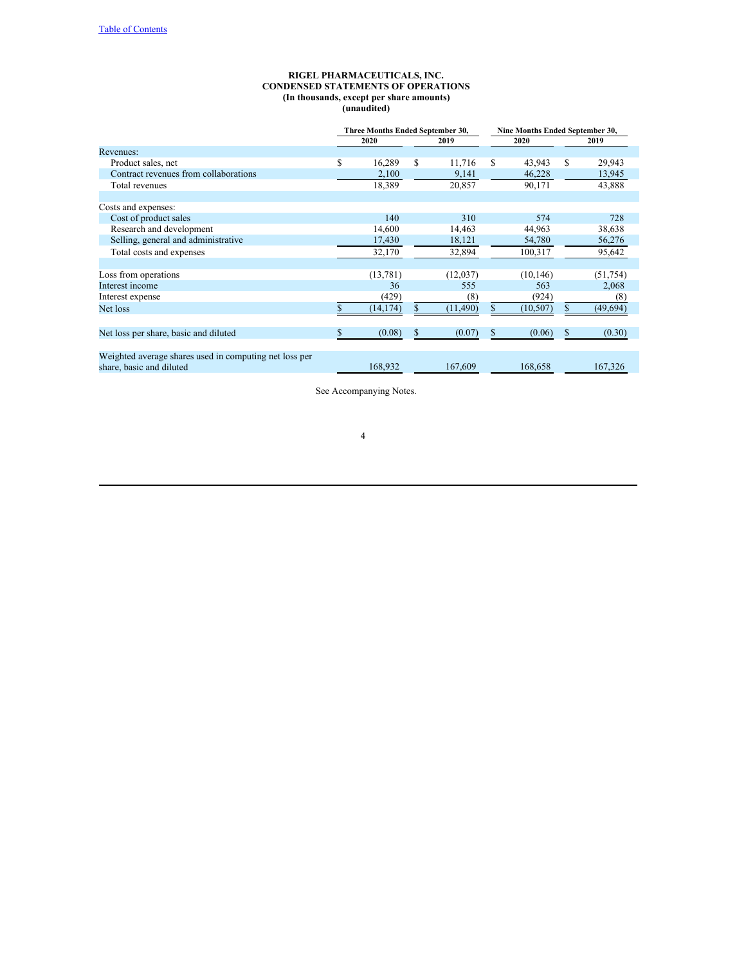#### **RIGEL PHARMACEUTICALS, INC. CONDENSED STATEMENTS OF OPERATIONS (In thousands, except per share amounts) (unaudited)**

|                                                        | Three Months Ended September 30, |           |    |           |     | Nine Months Ended September 30, |    |           |  |
|--------------------------------------------------------|----------------------------------|-----------|----|-----------|-----|---------------------------------|----|-----------|--|
|                                                        |                                  | 2020      |    | 2019      |     | 2020                            |    | 2019      |  |
| Revenues:                                              |                                  |           |    |           |     |                                 |    |           |  |
| Product sales, net                                     | \$                               | 16,289    | \$ | 11,716    | \$. | 43,943                          | \$ | 29,943    |  |
| Contract revenues from collaborations                  |                                  | 2,100     |    | 9,141     |     | 46,228                          |    | 13,945    |  |
| Total revenues                                         |                                  | 18,389    |    | 20,857    |     | 90,171                          |    | 43,888    |  |
|                                                        |                                  |           |    |           |     |                                 |    |           |  |
| Costs and expenses:                                    |                                  |           |    |           |     |                                 |    |           |  |
| Cost of product sales                                  |                                  | 140       |    | 310       |     | 574                             |    | 728       |  |
| Research and development                               |                                  | 14,600    |    | 14,463    |     | 44,963                          |    | 38,638    |  |
| Selling, general and administrative                    |                                  | 17,430    |    | 18,121    |     | 54,780                          |    | 56,276    |  |
| Total costs and expenses                               |                                  | 32,170    |    | 32,894    |     | 100,317                         |    | 95,642    |  |
|                                                        |                                  |           |    |           |     |                                 |    |           |  |
| Loss from operations                                   |                                  | (13, 781) |    | (12,037)  |     | (10, 146)                       |    | (51, 754) |  |
| Interest income                                        |                                  | 36        |    | 555       |     | 563                             |    | 2,068     |  |
| Interest expense                                       |                                  | (429)     |    | (8)       |     | (924)                           |    | (8)       |  |
| Net loss                                               |                                  | (14, 174) | \$ | (11, 490) |     | (10, 507)                       |    | (49, 694) |  |
|                                                        |                                  |           |    |           |     |                                 |    |           |  |
| Net loss per share, basic and diluted                  | \$                               | (0.08)    | \$ | (0.07)    | S   | (0.06)                          | S  | (0.30)    |  |
|                                                        |                                  |           |    |           |     |                                 |    |           |  |
| Weighted average shares used in computing net loss per |                                  |           |    |           |     |                                 |    |           |  |
| share, basic and diluted                               |                                  | 168,932   |    | 167,609   |     | 168,658                         |    | 167,326   |  |

See Accompanying Notes.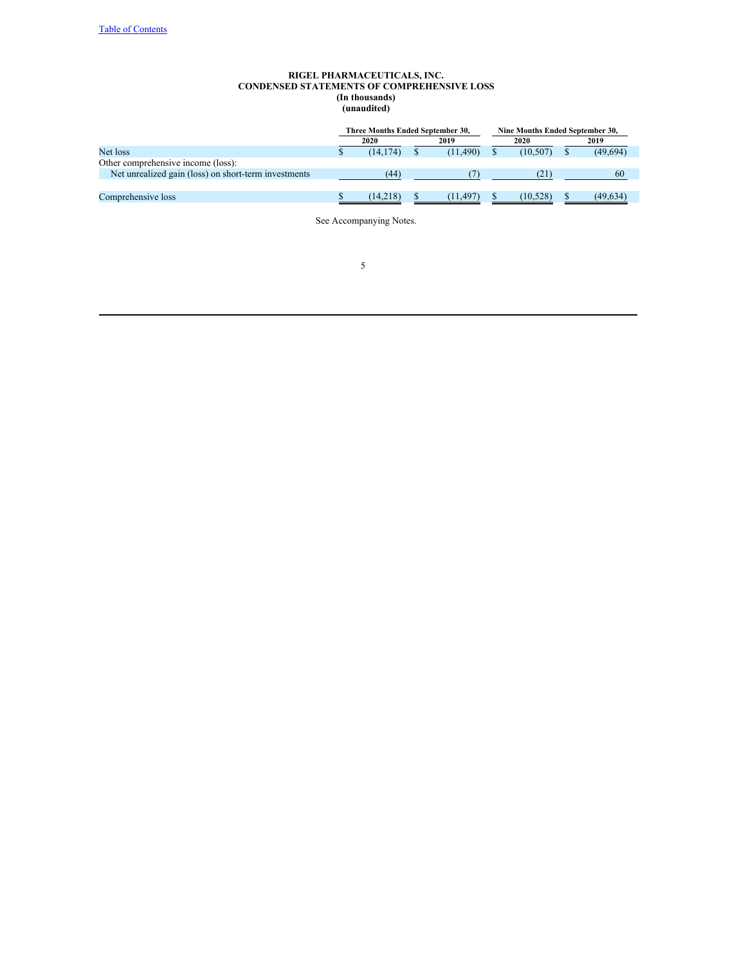### **RIGEL PHARMACEUTICALS, INC. CONDENSED STATEMENTS OF COMPREHENSIVE LOSS (In thousands) (unaudited)**

|                                                      | Three Months Ended September 30, |          | Nine Months Ended September 30, |  |           |
|------------------------------------------------------|----------------------------------|----------|---------------------------------|--|-----------|
|                                                      | 2020                             | 2019     | 2020                            |  | 2019      |
| Net loss                                             | (14, 174)                        | (11.490) | (10.507)                        |  | (49, 694) |
| Other comprehensive income (loss):                   |                                  |          |                                 |  |           |
| Net unrealized gain (loss) on short-term investments | (44)                             |          | (21)                            |  | 60        |
|                                                      |                                  |          |                                 |  |           |
| Comprehensive loss                                   | (14.218)                         | (11.497) | (10.528)                        |  | (49, 634) |
|                                                      |                                  |          |                                 |  |           |

See Accompanying Notes.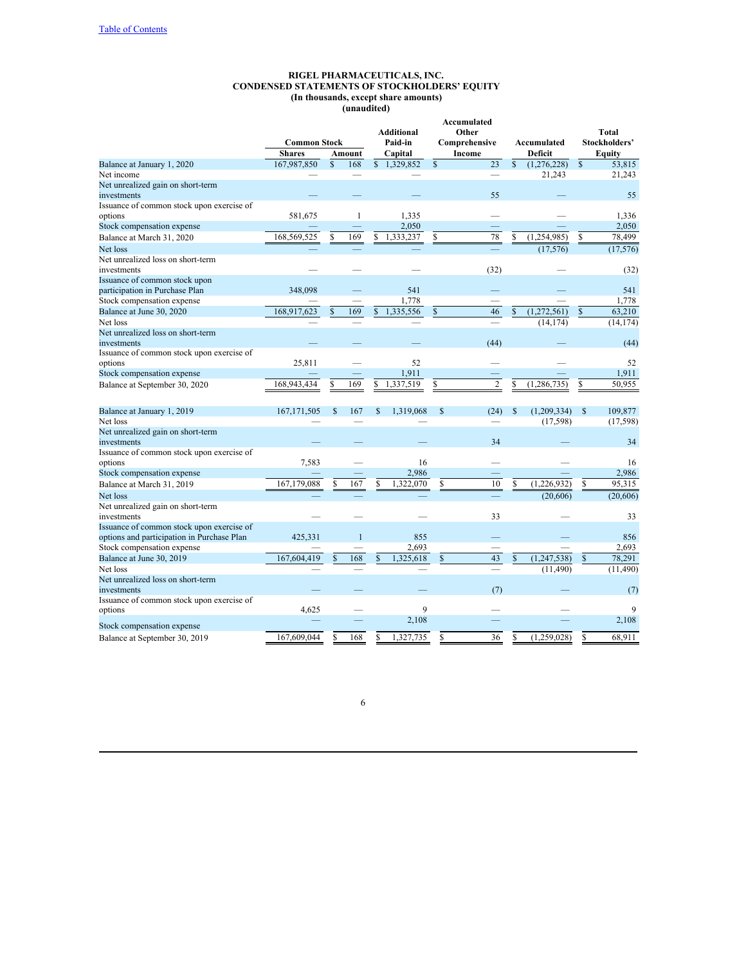#### **RIGEL PHARMACEUTICALS, INC. CONDENSED STATEMENTS OF STOCKHOLDERS' EQUITY (In thousands, except share amounts) (unaudited)**

|                                            | <b>Common Stock</b> |                |                   |              | <b>Additional</b><br>Paid-in |                         | Accumulated<br>Other<br>Comprehensive | Accumulated  |               |                | Total<br>Stockholders' |
|--------------------------------------------|---------------------|----------------|-------------------|--------------|------------------------------|-------------------------|---------------------------------------|--------------|---------------|----------------|------------------------|
|                                            | <b>Shares</b>       |                | Amount            |              | Capital                      |                         | Income                                |              | Deficit       |                | Equity                 |
| Balance at January 1, 2020                 | 167,987,850         | $\overline{s}$ | 168               | $\mathbb{S}$ | 1,329,852                    | $\overline{\mathbb{S}}$ | 23                                    | \$           | (1,276,228)   | $\overline{s}$ | 53,815                 |
| Net income                                 |                     |                |                   |              |                              |                         |                                       |              | 21,243        |                | 21,243                 |
| Net unrealized gain on short-term          |                     |                |                   |              |                              |                         |                                       |              |               |                |                        |
| investments                                |                     |                |                   |              |                              |                         | 55                                    |              |               |                | 55                     |
| Issuance of common stock upon exercise of  |                     |                |                   |              |                              |                         |                                       |              |               |                |                        |
| options                                    | 581,675             |                | 1                 |              | 1.335                        |                         |                                       |              |               |                | 1.336                  |
| Stock compensation expense                 |                     |                |                   |              | 2,050                        |                         |                                       |              |               |                | 2,050                  |
| Balance at March 31, 2020                  | 168,569,525         | S              | 169               | S            | 1,333,237                    | \$                      | 78                                    | $\mathbf S$  | (1,254,985)   | \$.            | 78.499                 |
| Net loss                                   |                     |                |                   |              |                              |                         |                                       |              | (17, 576)     |                | (17,576)               |
| Net unrealized loss on short-term          |                     |                |                   |              |                              |                         |                                       |              |               |                |                        |
| investments                                |                     |                |                   |              |                              |                         | (32)                                  |              |               |                | (32)                   |
| Issuance of common stock upon              |                     |                |                   |              |                              |                         |                                       |              |               |                |                        |
| participation in Purchase Plan             | 348,098             |                |                   |              | 541                          |                         |                                       |              |               |                | 541                    |
| Stock compensation expense                 |                     |                |                   |              | 1,778                        |                         |                                       |              |               |                | 1,778                  |
| Balance at June 30, 2020                   | 168,917,623         | \$             | 169               | \$           | 1,335,556                    | \$                      | 46                                    | \$           | (1,272,561)   | $\mathbb{S}$   | 63,210                 |
| Net loss                                   |                     |                |                   |              |                              |                         |                                       |              | (14, 174)     |                | (14, 174)              |
| Net unrealized loss on short-term          |                     |                |                   |              |                              |                         |                                       |              |               |                |                        |
| investments                                |                     |                |                   |              |                              |                         | (44)                                  |              |               |                | (44)                   |
| Issuance of common stock upon exercise of  |                     |                |                   |              |                              |                         |                                       |              |               |                |                        |
| options                                    | 25,811              |                |                   |              | 52                           |                         |                                       |              |               |                | 52                     |
| Stock compensation expense                 |                     |                |                   |              | 1,911                        |                         |                                       |              |               |                | 1,911                  |
| Balance at September 30, 2020              | 168,943,434         | \$             | 169               |              | 1,337,519                    | \$                      | $\overline{c}$                        | \$           | (1, 286, 735) | \$             | 50,955                 |
|                                            |                     |                |                   |              |                              |                         |                                       |              |               |                |                        |
| Balance at January 1, 2019                 | 167, 171, 505       | <sup>\$</sup>  | 167               | \$           | 1.319.068                    | S                       | (24)                                  | S            | (1,209,334)   | S              | 109,877                |
| Net loss                                   |                     |                |                   |              |                              |                         |                                       |              | (17, 598)     |                | (17, 598)              |
| Net unrealized gain on short-term          |                     |                |                   |              |                              |                         |                                       |              |               |                |                        |
| investments                                |                     |                |                   |              |                              |                         | 34                                    |              |               |                | 34                     |
| Issuance of common stock upon exercise of  |                     |                |                   |              |                              |                         |                                       |              |               |                |                        |
| options                                    | 7,583               |                |                   |              | 16                           |                         |                                       |              |               |                | 16                     |
| Stock compensation expense                 |                     |                | $\qquad \qquad -$ |              | 2,986                        |                         | $\frac{1}{2}$                         |              |               |                | 2,986                  |
| Balance at March 31, 2019                  | 167,179,088         | S              | 167               | \$           | 1,322,070                    | \$                      | 10                                    | \$           | (1, 226, 932) | \$             | 95,315                 |
| Net loss                                   |                     |                |                   |              |                              |                         |                                       |              | (20, 606)     |                | (20, 606)              |
| Net unrealized gain on short-term          |                     |                |                   |              |                              |                         |                                       |              |               |                |                        |
| investments                                |                     |                |                   |              |                              |                         | 33                                    |              |               |                | 33                     |
| Issuance of common stock upon exercise of  |                     |                |                   |              |                              |                         |                                       |              |               |                |                        |
| options and participation in Purchase Plan | 425,331             |                | $\mathbf{1}$      |              | 855                          |                         |                                       |              |               |                | 856                    |
| Stock compensation expense                 |                     |                |                   |              | 2,693                        |                         |                                       |              |               |                | 2,693                  |
| Balance at June 30, 2019                   | 167,604,419         | \$             | 168               | \$           | 1,325,618                    | \$                      | 43                                    | $\mathbb{S}$ | (1, 247, 538) | $\mathbb{S}$   | 78,291                 |
| Net loss                                   |                     |                |                   |              |                              |                         |                                       |              | (11, 490)     |                | (11, 490)              |
| Net unrealized loss on short-term          |                     |                |                   |              |                              |                         |                                       |              |               |                |                        |
| investments                                |                     |                |                   |              |                              |                         | (7)                                   |              |               |                | (7)                    |
| Issuance of common stock upon exercise of  |                     |                |                   |              |                              |                         |                                       |              |               |                |                        |
| options                                    | 4,625               |                |                   |              | 9                            |                         |                                       |              |               |                | 9                      |
|                                            |                     |                |                   |              | 2,108                        |                         |                                       |              |               |                | 2,108                  |
| Stock compensation expense                 |                     |                |                   |              |                              |                         |                                       |              |               |                |                        |
| Balance at September 30, 2019              | 167,609,044         | S              | 168               | \$           | 1,327,735                    | \$                      | 36                                    | \$           | (1,259,028)   | Ŝ              | 68,911                 |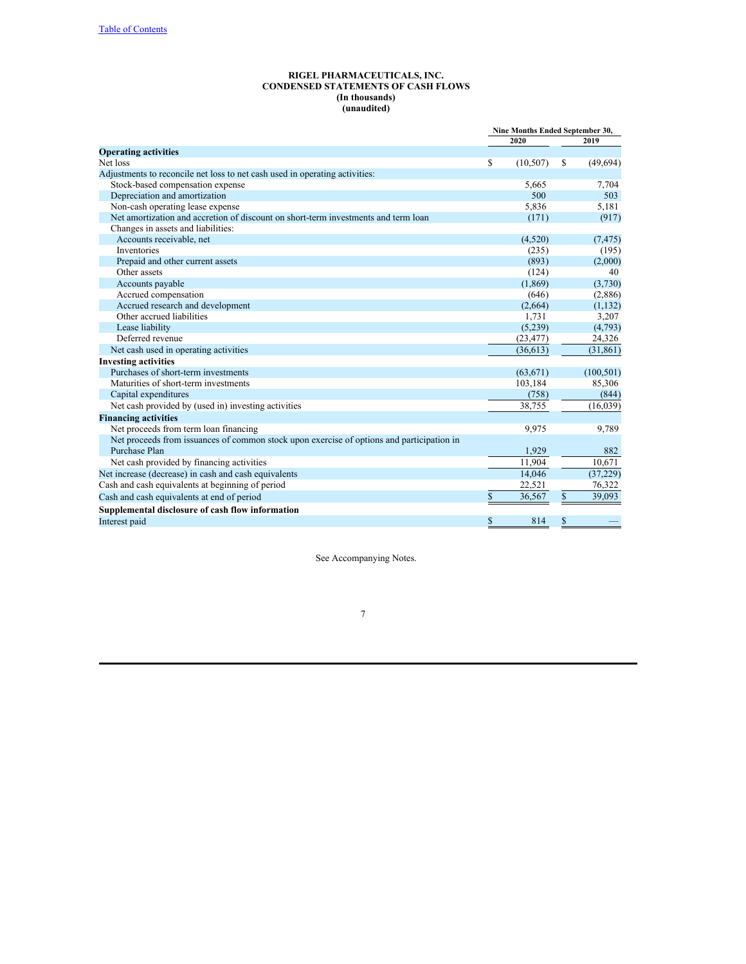#### **RIGEL PHARMACEUTICALS, INC. CONDENSED STATEMENTS OF CASH FLOWS (In thousands) (unaudited)**

|                                                                                           |    | Nine Months Ended September 30, |    |            |
|-------------------------------------------------------------------------------------------|----|---------------------------------|----|------------|
|                                                                                           |    | 2020                            |    | 2019       |
| <b>Operating activities</b>                                                               |    |                                 |    |            |
| Net loss                                                                                  | S  | (10, 507)                       | \$ | (49,694)   |
| Adjustments to reconcile net loss to net cash used in operating activities:               |    |                                 |    |            |
| Stock-based compensation expense                                                          |    | 5,665                           |    | 7,704      |
| Depreciation and amortization                                                             |    | 500                             |    | 503        |
| Non-cash operating lease expense                                                          |    | 5,836                           |    | 5,181      |
| Net amortization and accretion of discount on short-term investments and term loan        |    | (171)                           |    | (917)      |
| Changes in assets and liabilities:                                                        |    |                                 |    |            |
| Accounts receivable, net                                                                  |    | (4,520)                         |    | (7, 475)   |
| Inventories                                                                               |    | (235)                           |    | (195)      |
| Prepaid and other current assets                                                          |    | (893)                           |    | (2,000)    |
| Other assets                                                                              |    | (124)                           |    | 40         |
| Accounts payable                                                                          |    | (1,869)                         |    | (3,730)    |
| Accrued compensation                                                                      |    | (646)                           |    | (2,886)    |
| Accrued research and development                                                          |    | (2,664)                         |    | (1, 132)   |
| Other accrued liabilities                                                                 |    | 1,731                           |    | 3,207      |
| Lease liability                                                                           |    | (5,239)                         |    | (4,793)    |
| Deferred revenue                                                                          |    | (23, 477)                       |    | 24,326     |
| Net cash used in operating activities                                                     |    | (36, 613)                       |    | (31, 861)  |
| <b>Investing activities</b>                                                               |    |                                 |    |            |
| Purchases of short-term investments                                                       |    | (63, 671)                       |    | (100, 501) |
| Maturities of short-term investments                                                      |    | 103,184                         |    | 85,306     |
| Capital expenditures                                                                      |    | (758)                           |    | (844)      |
| Net cash provided by (used in) investing activities                                       |    | 38,755                          |    | (16,039)   |
| <b>Financing activities</b>                                                               |    |                                 |    |            |
| Net proceeds from term loan financing                                                     |    | 9,975                           |    | 9,789      |
| Net proceeds from issuances of common stock upon exercise of options and participation in |    |                                 |    |            |
| Purchase Plan                                                                             |    | 1,929                           |    | 882        |
| Net cash provided by financing activities                                                 |    | 11,904                          |    | 10,671     |
| Net increase (decrease) in cash and cash equivalents                                      |    | 14,046                          |    | (37,229)   |
| Cash and cash equivalents at beginning of period                                          |    | 22,521                          |    | 76,322     |
| Cash and cash equivalents at end of period                                                | \$ | 36,567                          | \$ | 39,093     |
| Supplemental disclosure of cash flow information                                          |    |                                 |    |            |
| Interest paid                                                                             | S  | 814                             | \$ |            |
|                                                                                           |    |                                 |    |            |

See Accompanying Notes.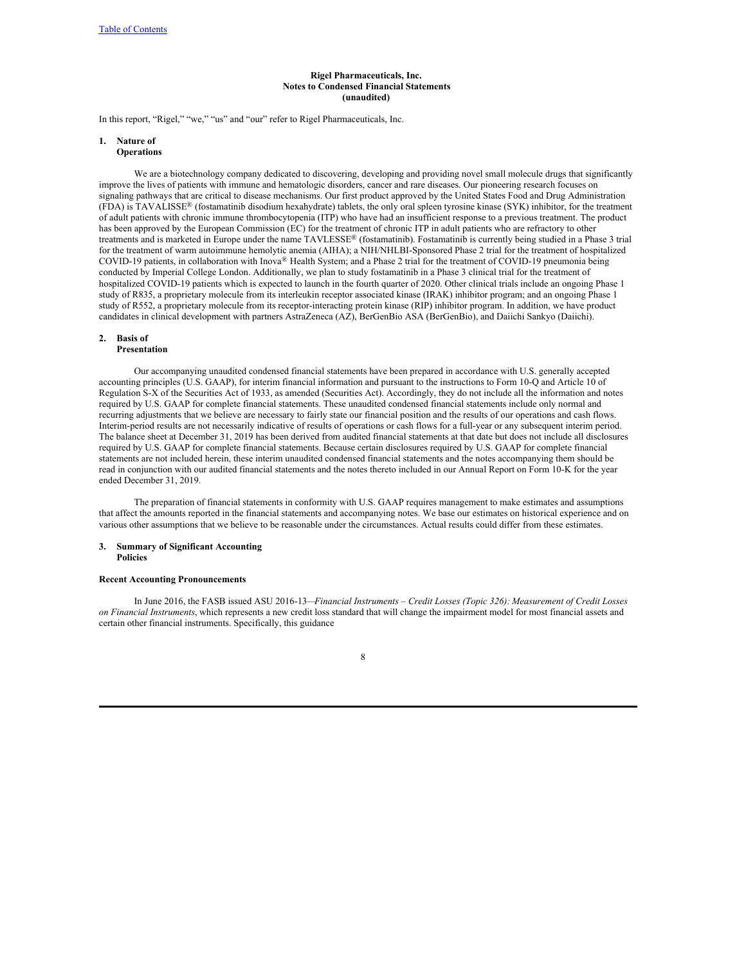#### **Rigel Pharmaceuticals, Inc. Notes to Condensed Financial Statements (unaudited)**

In this report, "Rigel," "we," "us" and "our" refer to Rigel Pharmaceuticals, Inc.

#### **1. Nature of Operations**

We are a biotechnology company dedicated to discovering, developing and providing novel small molecule drugs that significantly improve the lives of patients with immune and hematologic disorders, cancer and rare diseases. Our pioneering research focuses on signaling pathways that are critical to disease mechanisms. Our first product approved by the United States Food and Drug Administration (FDA) is TAVALISSE ® (fostamatinib disodium hexahydrate) tablets, the only oral spleen tyrosine kinase (SYK) inhibitor, for the treatment of adult patients with chronic immune thrombocytopenia (ITP) who have had an insufficient response to a previous treatment. The product has been approved by the European Commission (EC) for the treatment of chronic ITP in adult patients who are refractory to other treatments and is marketed in Europe under the name TAVLESSE® (fostamatinib). Fostamatinib is currently being studied in a Phase 3 trial for the treatment of warm autoimmune hemolytic anemia (AIHA); a NIH/NHLBI-Sponsored Phase 2 trial for the treatment of hospitalized COVID-19 patients, in collaboration with Inova® Health System; and a Phase 2 trial for the treatment of COVID-19 pneumonia being conducted by Imperial College London. Additionally, we plan to study fostamatinib in a Phase 3 clinical trial for the treatment of hospitalized COVID-19 patients which is expected to launch in the fourth quarter of 2020. Other clinical trials include an ongoing Phase 1 study of R835, a proprietary molecule from its interleukin receptor associated kinase (IRAK) inhibitor program; and an ongoing Phase 1 study of R552, a proprietary molecule from its receptor-interacting protein kinase (RIP) inhibitor program. In addition, we have product candidates in clinical development with partners AstraZeneca (AZ), BerGenBio ASA (BerGenBio), and Daiichi Sankyo (Daiichi).

### **2. Basis of**

### **Presentation**

Our accompanying unaudited condensed financial statements have been prepared in accordance with U.S. generally accepted accounting principles (U.S. GAAP), for interim financial information and pursuant to the instructions to Form 10-Q and Article 10 of Regulation S-X of the Securities Act of 1933, as amended (Securities Act). Accordingly, they do not include all the information and notes required by U.S. GAAP for complete financial statements. These unaudited condensed financial statements include only normal and recurring adjustments that we believe are necessary to fairly state our financial position and the results of our operations and cash flows. Interim-period results are not necessarily indicative of results of operations or cash flows for a full-year or any subsequent interim period. The balance sheet at December 31, 2019 has been derived from audited financial statements at that date but does not include all disclosures required by U.S. GAAP for complete financial statements. Because certain disclosures required by U.S. GAAP for complete financial statements are not included herein, these interim unaudited condensed financial statements and the notes accompanying them should be read in conjunction with our audited financial statements and the notes thereto included in our Annual Report on Form 10-K for the year ended December 31, 2019.

The preparation of financial statements in conformity with U.S. GAAP requires management to make estimates and assumptions that affect the amounts reported in the financial statements and accompanying notes. We base our estimates on historical experience and on various other assumptions that we believe to be reasonable under the circumstances. Actual results could differ from these estimates.

#### **3. Summary of Significant Accounting Policies**

#### **Recent Accounting Pronouncements**

In June 2016, the FASB issued ASU 2016-13—*Financial Instruments – Credit Losses (Topic 326): Measurement of Credit Losses on Financial Instruments*, which represents a new credit loss standard that will change the impairment model for most financial assets and certain other financial instruments. Specifically, this guidance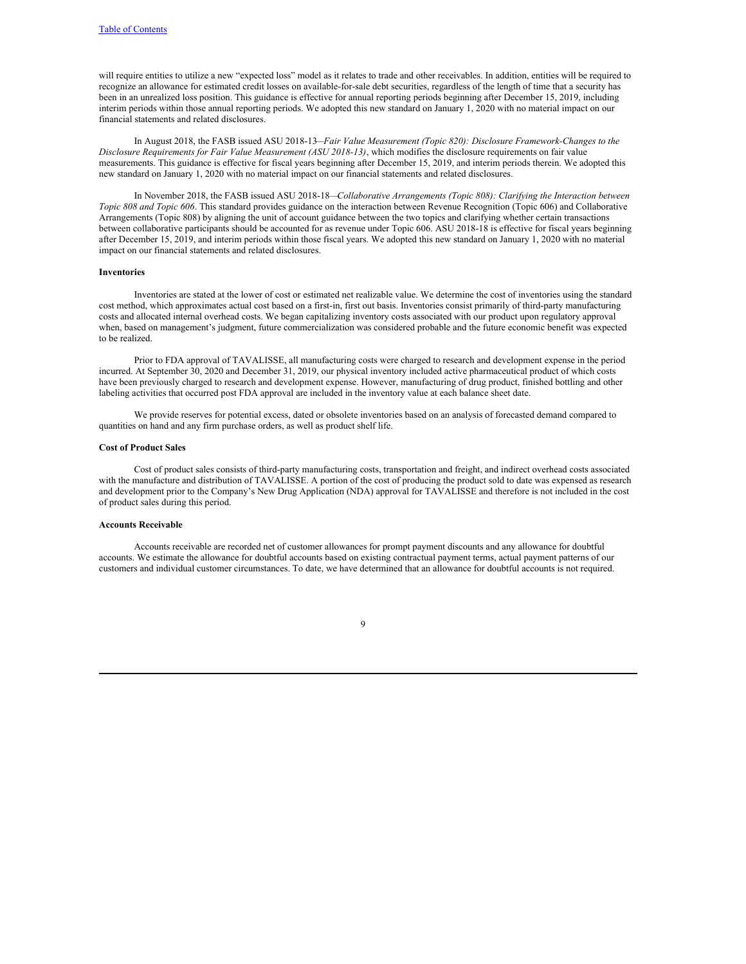will require entities to utilize a new "expected loss" model as it relates to trade and other receivables. In addition, entities will be required to recognize an allowance for estimated credit losses on available-for-sale debt securities, regardless of the length of time that a security has been in an unrealized loss position. This guidance is effective for annual reporting periods beginning after December 15, 2019, including interim periods within those annual reporting periods. We adopted this new standard on January 1, 2020 with no material impact on our financial statements and related disclosures.

In August 2018, the FASB issued ASU 2018-13*—Fair Value Measurement (Topic 820): Disclosure Framework-Changes to the Disclosure Requirements for Fair Value Measurement (ASU 2018-13)*, which modifies the disclosure requirements on fair value measurements. This guidance is effective for fiscal years beginning after December 15, 2019, and interim periods therein. We adopted this new standard on January 1, 2020 with no material impact on our financial statements and related disclosures.

In November 2018, the FASB issued ASU 2018-18—*Collaborative Arrangements (Topic 808): Clarifying the Interaction between Topic 808 and Topic 606*. This standard provides guidance on the interaction between Revenue Recognition (Topic 606) and Collaborative Arrangements (Topic 808) by aligning the unit of account guidance between the two topics and clarifying whether certain transactions between collaborative participants should be accounted for as revenue under Topic 606. ASU 2018-18 is effective for fiscal years beginning after December 15, 2019, and interim periods within those fiscal years. We adopted this new standard on January 1, 2020 with no material impact on our financial statements and related disclosures.

### **Inventories**

Inventories are stated at the lower of cost or estimated net realizable value. We determine the cost of inventories using the standard cost method, which approximates actual cost based on a first-in, first out basis. Inventories consist primarily of third-party manufacturing costs and allocated internal overhead costs. We began capitalizing inventory costs associated with our product upon regulatory approval when, based on management's judgment, future commercialization was considered probable and the future economic benefit was expected to be realized.

Prior to FDA approval of TAVALISSE, all manufacturing costs were charged to research and development expense in the period incurred. At September 30, 2020 and December 31, 2019, our physical inventory included active pharmaceutical product of which costs have been previously charged to research and development expense. However, manufacturing of drug product, finished bottling and other labeling activities that occurred post FDA approval are included in the inventory value at each balance sheet date.

We provide reserves for potential excess, dated or obsolete inventories based on an analysis of forecasted demand compared to quantities on hand and any firm purchase orders, as well as product shelf life.

#### **Cost of Product Sales**

Cost of product sales consists of third-party manufacturing costs, transportation and freight, and indirect overhead costs associated with the manufacture and distribution of TAVALISSE. A portion of the cost of producing the product sold to date was expensed as research and development prior to the Company's New Drug Application (NDA) approval for TAVALISSE and therefore is not included in the cost of product sales during this period.

### **Accounts Receivable**

Accounts receivable are recorded net of customer allowances for prompt payment discounts and any allowance for doubtful accounts. We estimate the allowance for doubtful accounts based on existing contractual payment terms, actual payment patterns of our customers and individual customer circumstances. To date, we have determined that an allowance for doubtful accounts is not required.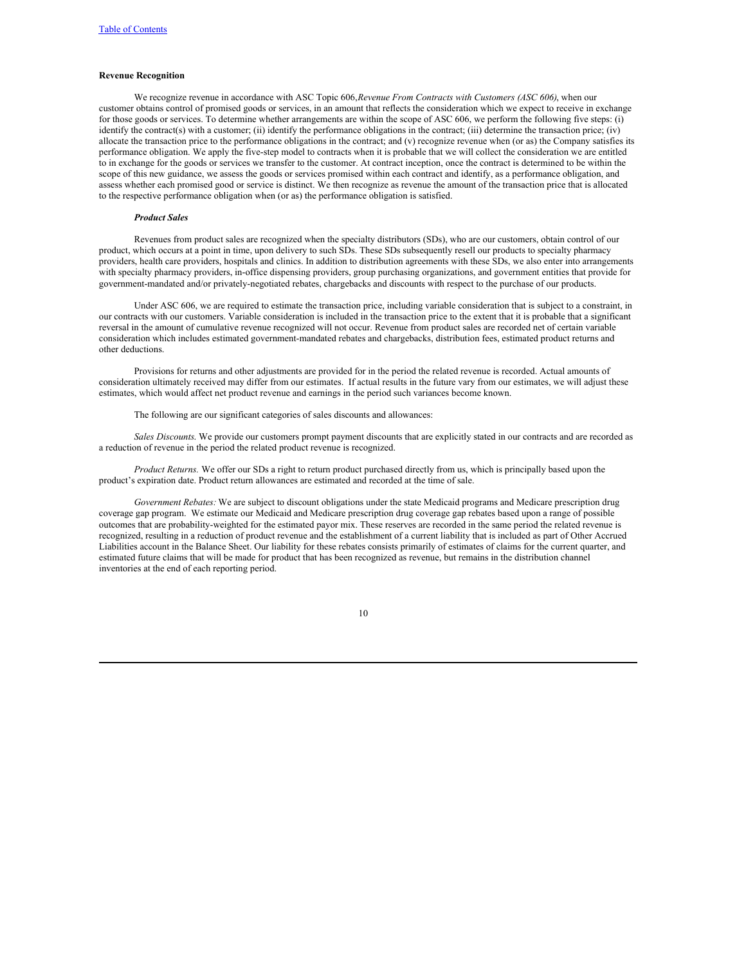#### **Revenue Recognition**

We recognize revenue in accordance with ASC Topic 606,*Revenue From Contracts with Customers (ASC 606)*, when our customer obtains control of promised goods or services, in an amount that reflects the consideration which we expect to receive in exchange for those goods or services. To determine whether arrangements are within the scope of ASC 606, we perform the following five steps: (i) identify the contract(s) with a customer; (ii) identify the performance obligations in the contract; (iii) determine the transaction price; (iv) allocate the transaction price to the performance obligations in the contract; and (v) recognize revenue when (or as) the Company satisfies its performance obligation. We apply the five-step model to contracts when it is probable that we will collect the consideration we are entitled to in exchange for the goods or services we transfer to the customer. At contract inception, once the contract is determined to be within the scope of this new guidance, we assess the goods or services promised within each contract and identify, as a performance obligation, and assess whether each promised good or service is distinct. We then recognize as revenue the amount of the transaction price that is allocated to the respective performance obligation when (or as) the performance obligation is satisfied.

#### *Product Sales*

Revenues from product sales are recognized when the specialty distributors (SDs), who are our customers, obtain control of our product, which occurs at a point in time, upon delivery to such SDs. These SDs subsequently resell our products to specialty pharmacy providers, health care providers, hospitals and clinics. In addition to distribution agreements with these SDs, we also enter into arrangements with specialty pharmacy providers, in-office dispensing providers, group purchasing organizations, and government entities that provide for government-mandated and/or privately-negotiated rebates, chargebacks and discounts with respect to the purchase of our products.

Under ASC 606, we are required to estimate the transaction price, including variable consideration that is subject to a constraint, in our contracts with our customers. Variable consideration is included in the transaction price to the extent that it is probable that a significant reversal in the amount of cumulative revenue recognized will not occur. Revenue from product sales are recorded net of certain variable consideration which includes estimated government-mandated rebates and chargebacks, distribution fees, estimated product returns and other deductions.

Provisions for returns and other adjustments are provided for in the period the related revenue is recorded. Actual amounts of consideration ultimately received may differ from our estimates. If actual results in the future vary from our estimates, we will adjust these estimates, which would affect net product revenue and earnings in the period such variances become known.

The following are our significant categories of sales discounts and allowances:

*Sales Discounts*. We provide our customers prompt payment discounts that are explicitly stated in our contracts and are recorded as a reduction of revenue in the period the related product revenue is recognized.

*Product Returns.* We offer our SDs a right to return product purchased directly from us, which is principally based upon the product's expiration date. Product return allowances are estimated and recorded at the time of sale.

*Government Rebates:* We are subject to discount obligations under the state Medicaid programs and Medicare prescription drug coverage gap program. We estimate our Medicaid and Medicare prescription drug coverage gap rebates based upon a range of possible outcomes that are probability-weighted for the estimated payor mix. These reserves are recorded in the same period the related revenue is recognized, resulting in a reduction of product revenue and the establishment of a current liability that is included as part of Other Accrued Liabilities account in the Balance Sheet. Our liability for these rebates consists primarily of estimates of claims for the current quarter, and estimated future claims that will be made for product that has been recognized as revenue, but remains in the distribution channel inventories at the end of each reporting period.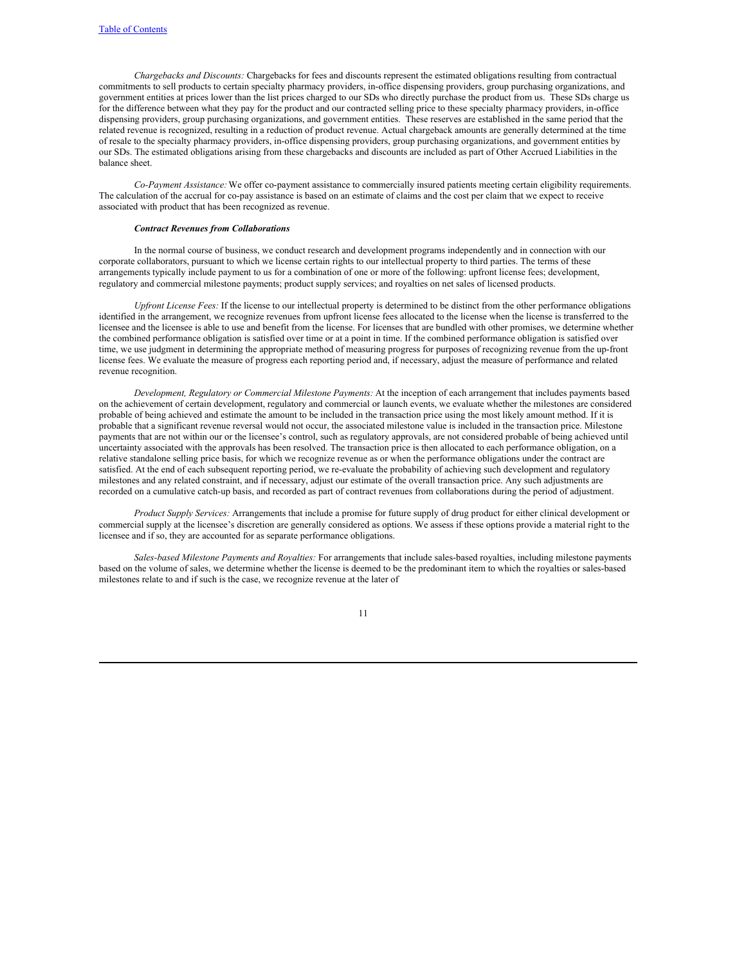*Chargebacks and Discounts:* Chargebacks for fees and discounts represent the estimated obligations resulting from contractual commitments to sell products to certain specialty pharmacy providers, in-office dispensing providers, group purchasing organizations, and government entities at prices lower than the list prices charged to our SDs who directly purchase the product from us. These SDs charge us for the difference between what they pay for the product and our contracted selling price to these specialty pharmacy providers, in-office dispensing providers, group purchasing organizations, and government entities. These reserves are established in the same period that the related revenue is recognized, resulting in a reduction of product revenue. Actual chargeback amounts are generally determined at the time of resale to the specialty pharmacy providers, in-office dispensing providers, group purchasing organizations, and government entities by our SDs. The estimated obligations arising from these chargebacks and discounts are included as part of Other Accrued Liabilities in the balance sheet.

*Co-Payment Assistance:*We offer co-payment assistance to commercially insured patients meeting certain eligibility requirements. The calculation of the accrual for co-pay assistance is based on an estimate of claims and the cost per claim that we expect to receive associated with product that has been recognized as revenue.

#### *Contract Revenues from Collaborations*

In the normal course of business, we conduct research and development programs independently and in connection with our corporate collaborators, pursuant to which we license certain rights to our intellectual property to third parties. The terms of these arrangements typically include payment to us for a combination of one or more of the following: upfront license fees; development, regulatory and commercial milestone payments; product supply services; and royalties on net sales of licensed products.

*Upfront License Fees:* If the license to our intellectual property is determined to be distinct from the other performance obligations identified in the arrangement, we recognize revenues from upfront license fees allocated to the license when the license is transferred to the licensee and the licensee is able to use and benefit from the license. For licenses that are bundled with other promises, we determine whether the combined performance obligation is satisfied over time or at a point in time. If the combined performance obligation is satisfied over time, we use judgment in determining the appropriate method of measuring progress for purposes of recognizing revenue from the up-front license fees. We evaluate the measure of progress each reporting period and, if necessary, adjust the measure of performance and related revenue recognition.

*Development, Regulatory or Commercial Milestone Payments:* At the inception of each arrangement that includes payments based on the achievement of certain development, regulatory and commercial or launch events, we evaluate whether the milestones are considered probable of being achieved and estimate the amount to be included in the transaction price using the most likely amount method. If it is probable that a significant revenue reversal would not occur, the associated milestone value is included in the transaction price. Milestone payments that are not within our or the licensee's control, such as regulatory approvals, are not considered probable of being achieved until uncertainty associated with the approvals has been resolved. The transaction price is then allocated to each performance obligation, on a relative standalone selling price basis, for which we recognize revenue as or when the performance obligations under the contract are satisfied. At the end of each subsequent reporting period, we re-evaluate the probability of achieving such development and regulatory milestones and any related constraint, and if necessary, adjust our estimate of the overall transaction price. Any such adjustments are recorded on a cumulative catch-up basis, and recorded as part of contract revenues from collaborations during the period of adjustment.

*Product Supply Services:* Arrangements that include a promise for future supply of drug product for either clinical development or commercial supply at the licensee's discretion are generally considered as options. We assess if these options provide a material right to the licensee and if so, they are accounted for as separate performance obligations.

*Sales-based Milestone Payments and Royalties:* For arrangements that include sales-based royalties, including milestone payments based on the volume of sales, we determine whether the license is deemed to be the predominant item to which the royalties or sales-based milestones relate to and if such is the case, we recognize revenue at the later of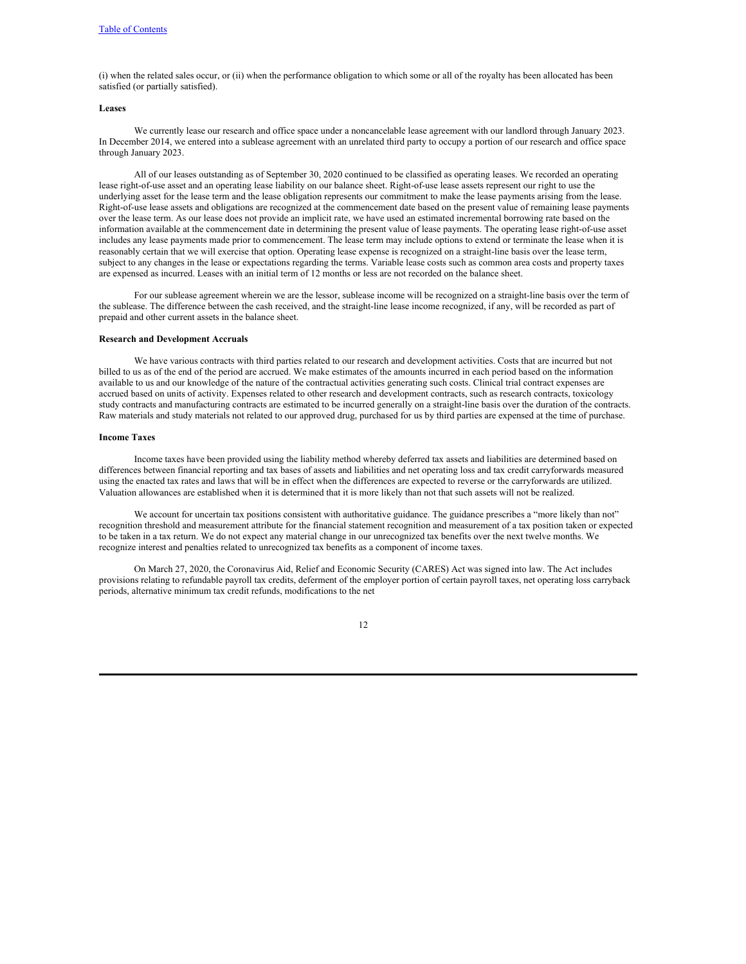(i) when the related sales occur, or (ii) when the performance obligation to which some or all of the royalty has been allocated has been satisfied (or partially satisfied).

#### **Leases**

We currently lease our research and office space under a noncancelable lease agreement with our landlord through January 2023. In December 2014, we entered into a sublease agreement with an unrelated third party to occupy a portion of our research and office space through January 2023.

All of our leases outstanding as of September 30, 2020 continued to be classified as operating leases. We recorded an operating lease right-of-use asset and an operating lease liability on our balance sheet. Right-of-use lease assets represent our right to use the underlying asset for the lease term and the lease obligation represents our commitment to make the lease payments arising from the lease. Right-of-use lease assets and obligations are recognized at the commencement date based on the present value of remaining lease payments over the lease term. As our lease does not provide an implicit rate, we have used an estimated incremental borrowing rate based on the information available at the commencement date in determining the present value of lease payments. The operating lease right-of-use asset includes any lease payments made prior to commencement. The lease term may include options to extend or terminate the lease when it is reasonably certain that we will exercise that option. Operating lease expense is recognized on a straight-line basis over the lease term, subject to any changes in the lease or expectations regarding the terms. Variable lease costs such as common area costs and property taxes are expensed as incurred. Leases with an initial term of 12 months or less are not recorded on the balance sheet.

For our sublease agreement wherein we are the lessor, sublease income will be recognized on a straight-line basis over the term of the sublease. The difference between the cash received, and the straight-line lease income recognized, if any, will be recorded as part of prepaid and other current assets in the balance sheet.

### **Research and Development Accruals**

We have various contracts with third parties related to our research and development activities. Costs that are incurred but not billed to us as of the end of the period are accrued. We make estimates of the amounts incurred in each period based on the information available to us and our knowledge of the nature of the contractual activities generating such costs. Clinical trial contract expenses are accrued based on units of activity. Expenses related to other research and development contracts, such as research contracts, toxicology study contracts and manufacturing contracts are estimated to be incurred generally on a straight-line basis over the duration of the contracts. Raw materials and study materials not related to our approved drug, purchased for us by third parties are expensed at the time of purchase.

#### **Income Taxes**

Income taxes have been provided using the liability method whereby deferred tax assets and liabilities are determined based on differences between financial reporting and tax bases of assets and liabilities and net operating loss and tax credit carryforwards measured using the enacted tax rates and laws that will be in effect when the differences are expected to reverse or the carryforwards are utilized. Valuation allowances are established when it is determined that it is more likely than not that such assets will not be realized.

We account for uncertain tax positions consistent with authoritative guidance. The guidance prescribes a "more likely than not" recognition threshold and measurement attribute for the financial statement recognition and measurement of a tax position taken or expected to be taken in a tax return. We do not expect any material change in our unrecognized tax benefits over the next twelve months. We recognize interest and penalties related to unrecognized tax benefits as a component of income taxes.

On March 27, 2020, the Coronavirus Aid, Relief and Economic Security (CARES) Act was signed into law. The Act includes provisions relating to refundable payroll tax credits, deferment of the employer portion of certain payroll taxes, net operating loss carryback periods, alternative minimum tax credit refunds, modifications to the net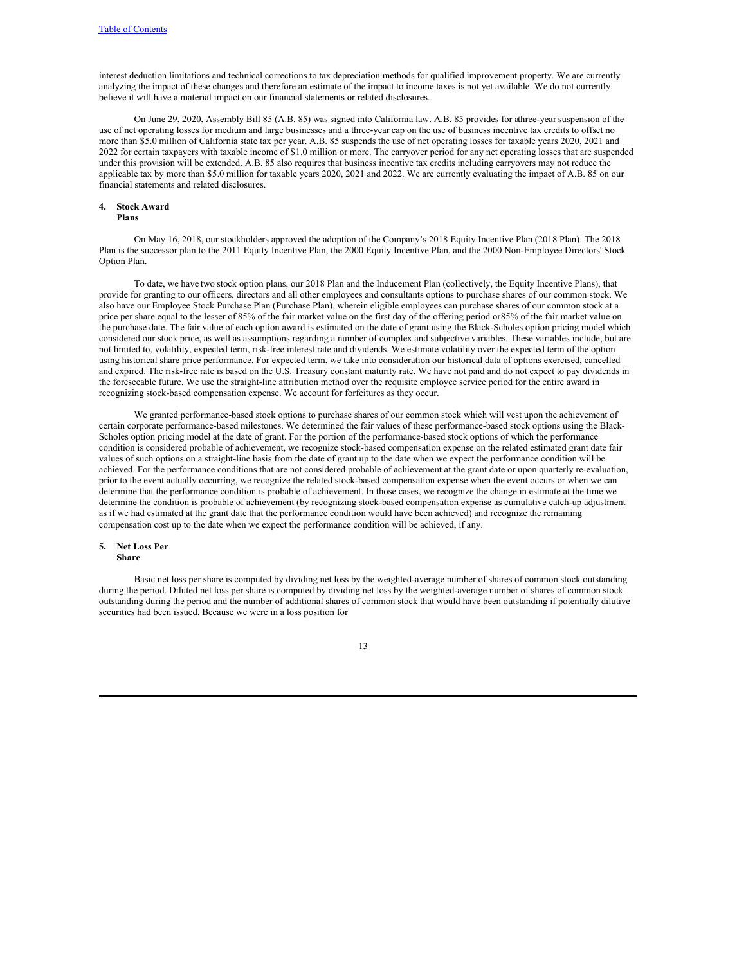interest deduction limitations and technical corrections to tax depreciation methods for qualified improvement property. We are currently analyzing the impact of these changes and therefore an estimate of the impact to income taxes is not yet available. We do not currently believe it will have a material impact on our financial statements or related disclosures.

On June 29, 2020, Assembly Bill 85 (A.B. 85) was signed into California law. A.B. 85 provides for athree-year suspension of the use of net operating losses for medium and large businesses and a three-year cap on the use of business incentive tax credits to offset no more than \$5.0 million of California state tax per year. A.B. 85 suspends the use of net operating losses for taxable years 2020, 2021 and 2022 for certain taxpayers with taxable income of \$1.0 million or more. The carryover period for any net operating losses that are suspended under this provision will be extended. A.B. 85 also requires that business incentive tax credits including carryovers may not reduce the applicable tax by more than \$5.0 million for taxable years 2020, 2021 and 2022. We are currently evaluating the impact of A.B. 85 on our financial statements and related disclosures.

### **4. Stock Award**

**Plans**

On May 16, 2018, our stockholders approved the adoption of the Company's 2018 Equity Incentive Plan (2018 Plan). The 2018 Plan is the successor plan to the 2011 Equity Incentive Plan, the 2000 Equity Incentive Plan, and the 2000 Non-Employee Directors' Stock Option Plan.

To date, we have two stock option plans, our 2018 Plan and the Inducement Plan (collectively, the Equity Incentive Plans), that provide for granting to our officers, directors and all other employees and consultants options to purchase shares of our common stock. We also have our Employee Stock Purchase Plan (Purchase Plan), wherein eligible employees can purchase shares of our common stock at a price per share equal to the lesser of 85% of the fair market value on the first day of the offering period or85% of the fair market value on the purchase date. The fair value of each option award is estimated on the date of grant using the Black-Scholes option pricing model which considered our stock price, as well as assumptions regarding a number of complex and subjective variables. These variables include, but are not limited to, volatility, expected term, risk-free interest rate and dividends. We estimate volatility over the expected term of the option using historical share price performance. For expected term, we take into consideration our historical data of options exercised, cancelled and expired. The risk-free rate is based on the U.S. Treasury constant maturity rate. We have not paid and do not expect to pay dividends in the foreseeable future. We use the straight-line attribution method over the requisite employee service period for the entire award in recognizing stock-based compensation expense. We account for forfeitures as they occur.

We granted performance-based stock options to purchase shares of our common stock which will vest upon the achievement of certain corporate performance-based milestones. We determined the fair values of these performance-based stock options using the Black-Scholes option pricing model at the date of grant. For the portion of the performance-based stock options of which the performance condition is considered probable of achievement, we recognize stock-based compensation expense on the related estimated grant date fair values of such options on a straight-line basis from the date of grant up to the date when we expect the performance condition will be achieved. For the performance conditions that are not considered probable of achievement at the grant date or upon quarterly re-evaluation, prior to the event actually occurring, we recognize the related stock-based compensation expense when the event occurs or when we can determine that the performance condition is probable of achievement. In those cases, we recognize the change in estimate at the time we determine the condition is probable of achievement (by recognizing stock-based compensation expense as cumulative catch-up adjustment as if we had estimated at the grant date that the performance condition would have been achieved) and recognize the remaining compensation cost up to the date when we expect the performance condition will be achieved, if any.

## **5. Net Loss Per**

**Share**

Basic net loss per share is computed by dividing net loss by the weighted-average number of shares of common stock outstanding during the period. Diluted net loss per share is computed by dividing net loss by the weighted-average number of shares of common stock outstanding during the period and the number of additional shares of common stock that would have been outstanding if potentially dilutive securities had been issued. Because we were in a loss position for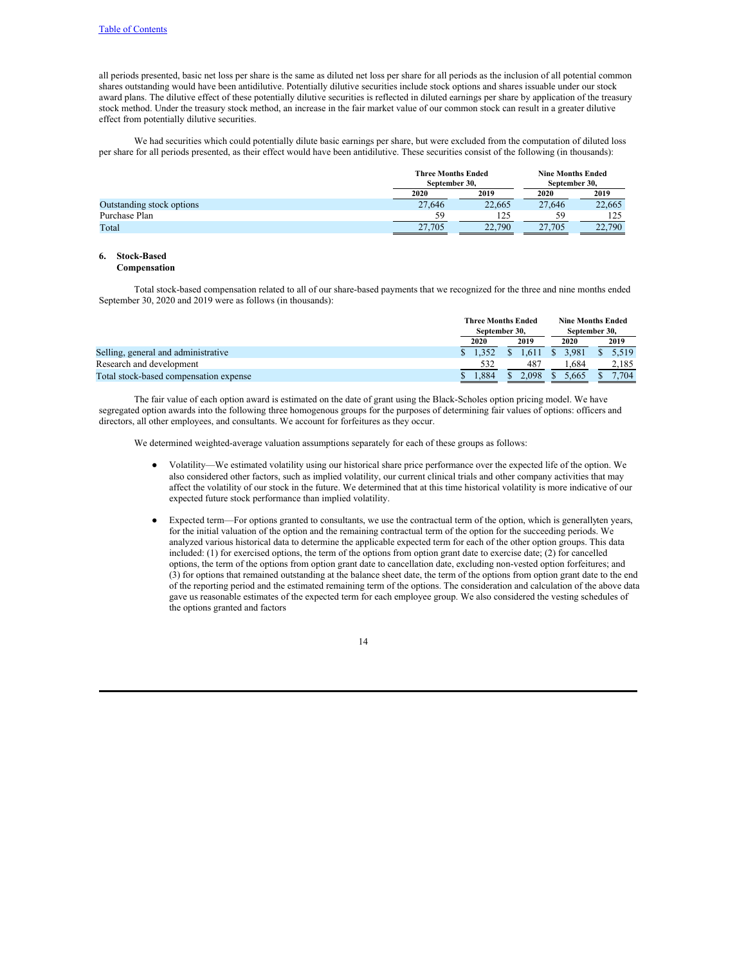all periods presented, basic net loss per share is the same as diluted net loss per share for all periods as the inclusion of all potential common shares outstanding would have been antidilutive. Potentially dilutive securities include stock options and shares issuable under our stock award plans. The dilutive effect of these potentially dilutive securities is reflected in diluted earnings per share by application of the treasury stock method. Under the treasury stock method, an increase in the fair market value of our common stock can result in a greater dilutive effect from potentially dilutive securities.

We had securities which could potentially dilute basic earnings per share, but were excluded from the computation of diluted loss per share for all periods presented, as their effect would have been antidilutive. These securities consist of the following (in thousands):

|                           | <b>Three Months Ended</b><br>September 30. |        | <b>Nine Months Ended</b><br>September 30. |        |
|---------------------------|--------------------------------------------|--------|-------------------------------------------|--------|
|                           | 2020                                       | 2019   | 2020                                      | 2019   |
| Outstanding stock options | 27,646                                     | 22,665 | 27.646                                    | 22,665 |
| Purchase Plan             | 59                                         | 125    | 59                                        | 125    |
| Total                     | 27.705                                     | 22,790 | 27,705                                    | 22.790 |

#### **6. Stock-Based Compensation**

Total stock-based compensation related to all of our share-based payments that we recognized for the three and nine months ended September 30, 2020 and 2019 were as follows (in thousands):

|                                        | <b>Three Months Ended</b> |  |       |               | <b>Nine Months Ended</b> |  |         |  |
|----------------------------------------|---------------------------|--|-------|---------------|--------------------------|--|---------|--|
|                                        | September 30.             |  |       | September 30. |                          |  |         |  |
|                                        | 2020                      |  | 2019  |               | <b>2020</b>              |  | 2019    |  |
| Selling, general and administrative    | $\frac{1.352}{ }$         |  | 1.611 | <sup>S</sup>  | 3.981                    |  | \$5.519 |  |
| Research and development               | 532                       |  | 487   |               | .684                     |  | 2.185   |  |
| Total stock-based compensation expense | 1.884                     |  | 2.098 |               | 5.665                    |  | .704    |  |

The fair value of each option award is estimated on the date of grant using the Black-Scholes option pricing model. We have segregated option awards into the following three homogenous groups for the purposes of determining fair values of options: officers and directors, all other employees, and consultants. We account for forfeitures as they occur.

We determined weighted-average valuation assumptions separately for each of these groups as follows:

- Volatility—We estimated volatility using our historical share price performance over the expected life of the option. We also considered other factors, such as implied volatility, our current clinical trials and other company activities that may affect the volatility of our stock in the future. We determined that at this time historical volatility is more indicative of our expected future stock performance than implied volatility.
- Expected term—For options granted to consultants, we use the contractual term of the option, which is generallyten years, for the initial valuation of the option and the remaining contractual term of the option for the succeeding periods. We analyzed various historical data to determine the applicable expected term for each of the other option groups. This data included: (1) for exercised options, the term of the options from option grant date to exercise date; (2) for cancelled options, the term of the options from option grant date to cancellation date, excluding non-vested option forfeitures; and (3) for options that remained outstanding at the balance sheet date, the term of the options from option grant date to the end of the reporting period and the estimated remaining term of the options. The consideration and calculation of the above data gave us reasonable estimates of the expected term for each employee group. We also considered the vesting schedules of the options granted and factors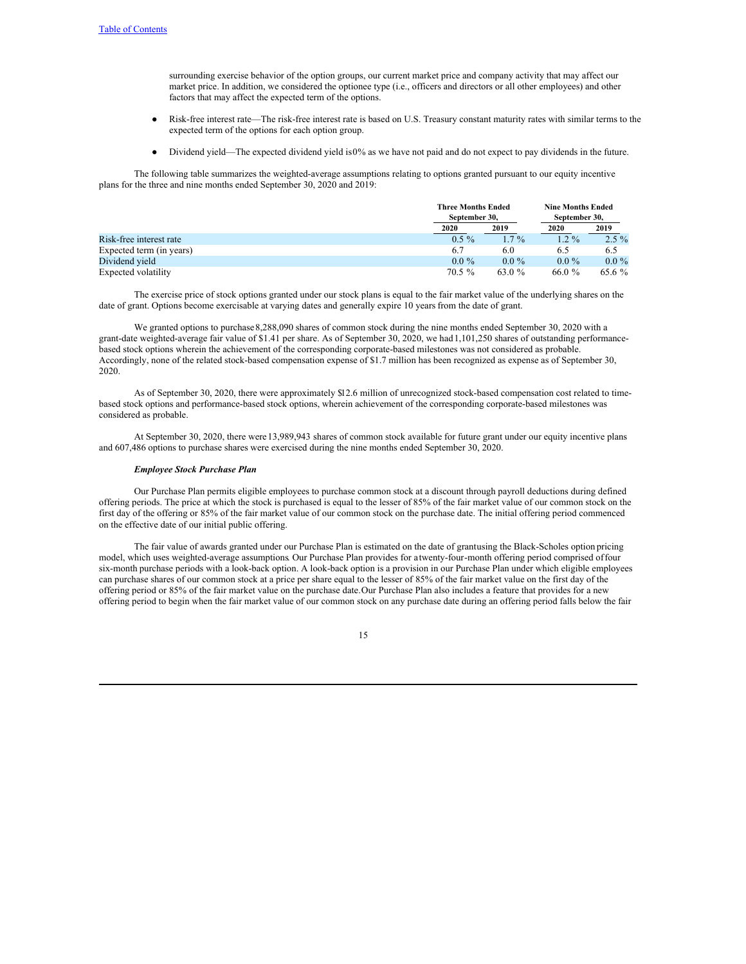surrounding exercise behavior of the option groups, our current market price and company activity that may affect our market price. In addition, we considered the optionee type (i.e., officers and directors or all other employees) and other factors that may affect the expected term of the options.

- Risk-free interest rate—The risk-free interest rate is based on U.S. Treasury constant maturity rates with similar terms to the expected term of the options for each option group.
- Dividend yield—The expected dividend yield is0% as we have not paid and do not expect to pay dividends in the future.

The following table summarizes the weighted-average assumptions relating to options granted pursuant to our equity incentive plans for the three and nine months ended September 30, 2020 and 2019:

|                          | <b>Three Months Ended</b><br>September 30, |         | <b>Nine Months Ended</b><br>September 30, |         |
|--------------------------|--------------------------------------------|---------|-------------------------------------------|---------|
|                          | 2020                                       | 2019    | 2020                                      | 2019    |
| Risk-free interest rate  | $0.5\%$                                    | $1.7\%$ | $1.2 \%$                                  | $2.5\%$ |
| Expected term (in years) | 6.7                                        | 6.0     | 6.5                                       | 6.5     |
| Dividend yield           | $0.0\%$                                    | $0.0\%$ | $0.0\%$                                   | $0.0\%$ |
| Expected volatility      | 70.5 %                                     | 63.0 %  | 66.0 %                                    | 65.6 %  |

The exercise price of stock options granted under our stock plans is equal to the fair market value of the underlying shares on the date of grant. Options become exercisable at varying dates and generally expire 10 years from the date of grant.

We granted options to purchase 8,288,090 shares of common stock during the nine months ended September 30, 2020 with a grant-date weighted-average fair value of \$1.41 per share. As of September 30, 2020, we had1,101,250 shares of outstanding performancebased stock options wherein the achievement of the corresponding corporate-based milestones was not considered as probable. Accordingly, none of the related stock-based compensation expense of \$1.7 million has been recognized as expense as of September 30, 2020.

As of September 30, 2020, there were approximately \$12.6 million of unrecognized stock-based compensation cost related to timebased stock options and performance-based stock options, wherein achievement of the corresponding corporate-based milestones was considered as probable.

At September 30, 2020, there were13,989,943 shares of common stock available for future grant under our equity incentive plans and 607,486 options to purchase shares were exercised during the nine months ended September 30, 2020.

### *Employee Stock Purchase Plan*

Our Purchase Plan permits eligible employees to purchase common stock at a discount through payroll deductions during defined offering periods. The price at which the stock is purchased is equal to the lesser of 85% of the fair market value of our common stock on the first day of the offering or 85% of the fair market value of our common stock on the purchase date. The initial offering period commenced on the effective date of our initial public offering.

The fair value of awards granted under our Purchase Plan is estimated on the date of grantusing the Black-Scholes option pricing model, which uses weighted-average assumptions. Our Purchase Plan provides for a twenty-four-month offering period comprised offour six-month purchase periods with a look-back option. A look-back option is a provision in our Purchase Plan under which eligible employees can purchase shares of our common stock at a price per share equal to the lesser of 85% of the fair market value on the first day of the offering period or 85% of the fair market value on the purchase date.Our Purchase Plan also includes a feature that provides for a new offering period to begin when the fair market value of our common stock on any purchase date during an offering period falls below the fair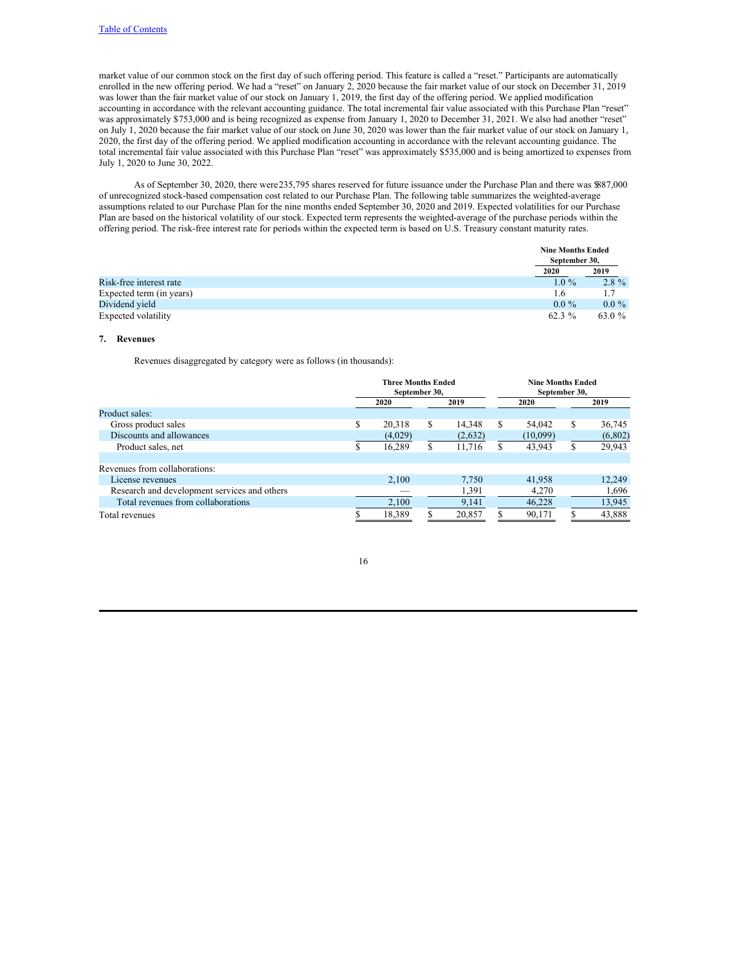market value of our common stock on the first day of such offering period. This feature is called a "reset." Participants are automatically enrolled in the new offering period. We had a "reset" on January 2, 2020 because the fair market value of our stock on December 31, 2019 was lower than the fair market value of our stock on January 1, 2019, the first day of the offering period. We applied modification accounting in accordance with the relevant accounting guidance. The total incremental fair value associated with this Purchase Plan "reset" was approximately \$753,000 and is being recognized as expense from January 1, 2020 to December 31, 2021. We also had another "reset" on July 1, 2020 because the fair market value of our stock on June 30, 2020 was lower than the fair market value of our stock on January 1, 2020, the first day of the offering period. We applied modification accounting in accordance with the relevant accounting guidance. The total incremental fair value associated with this Purchase Plan "reset" was approximately \$535,000 and is being amortized to expenses from July 1, 2020 to June 30, 2022.

As of September 30, 2020, there were235,795 shares reserved for future issuance under the Purchase Plan and there was \$887,000 of unrecognized stock-based compensation cost related to our Purchase Plan. The following table summarizes the weighted-average assumptions related to our Purchase Plan for the nine months ended September 30, 2020 and 2019. Expected volatilities for our Purchase Plan are based on the historical volatility of our stock. Expected term represents the weighted-average of the purchase periods within the offering period. The risk-free interest rate for periods within the expected term is based on U.S. Treasury constant maturity rates.

|                          | <b>Nine Months Ended</b> |         |
|--------------------------|--------------------------|---------|
|                          | September 30,            |         |
|                          | 2020                     | 2019    |
| Risk-free interest rate  | $1.0\%$                  | $2.8\%$ |
| Expected term (in years) | 1.6                      | 1.7     |
| Dividend yield           | $0.0\%$                  | $0.0\%$ |
| Expected volatility      | 62.3 %                   | 63.0 %  |

### **7. Revenues**

Revenues disaggregated by category were as follows (in thousands):

|                                              | <b>Three Months Ended</b><br>September 30. |    |         |   |          | <b>Nine Months Ended</b><br>September 30. |         |  |  |
|----------------------------------------------|--------------------------------------------|----|---------|---|----------|-------------------------------------------|---------|--|--|
|                                              | 2020                                       |    | 2019    |   | 2020     |                                           | 2019    |  |  |
| Product sales:                               |                                            |    |         |   |          |                                           |         |  |  |
| Gross product sales                          | \$<br>20.318                               | S  | 14.348  | S | 54,042   | S                                         | 36,745  |  |  |
| Discounts and allowances                     | (4,029)                                    |    | (2,632) |   | (10,099) |                                           | (6,802) |  |  |
| Product sales, net                           | \$<br>16,289                               | \$ | 11,716  | S | 43,943   | S                                         | 29,943  |  |  |
|                                              |                                            |    |         |   |          |                                           |         |  |  |
| Revenues from collaborations:                |                                            |    |         |   |          |                                           |         |  |  |
| License revenues                             | 2.100                                      |    | 7.750   |   | 41.958   |                                           | 12.249  |  |  |
| Research and development services and others |                                            |    | 1,391   |   | 4,270    |                                           | 1,696   |  |  |
| Total revenues from collaborations           | 2,100                                      |    | 9,141   |   | 46,228   |                                           | 13,945  |  |  |
| Total revenues                               | 18,389                                     |    | 20,857  |   | 90,171   |                                           | 43,888  |  |  |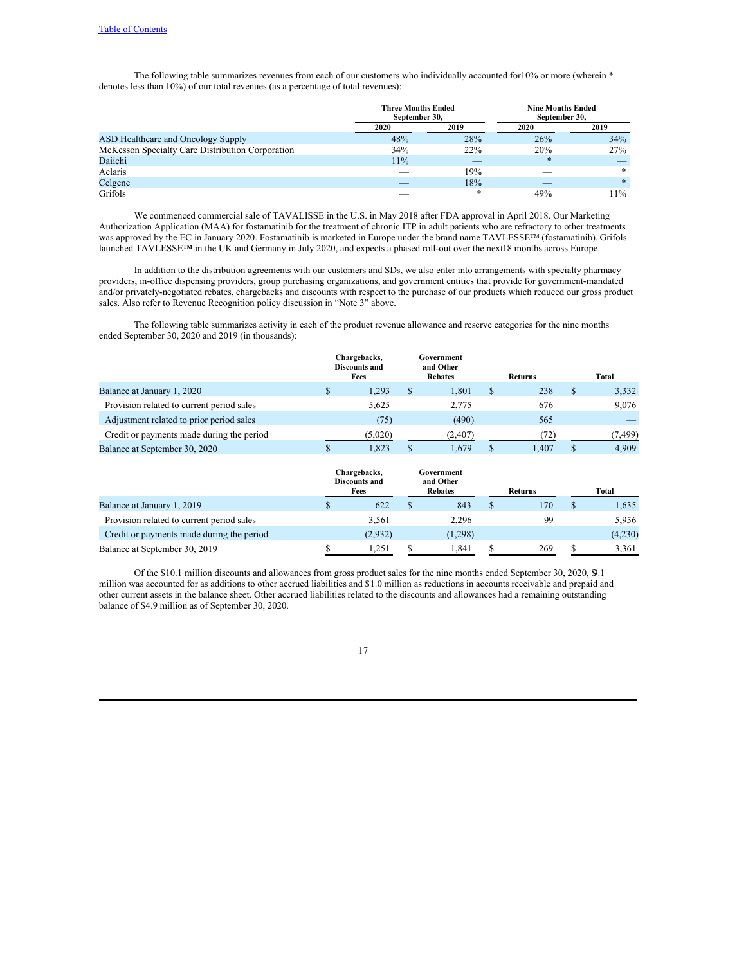The following table summarizes revenues from each of our customers who individually accounted for10% or more (wherein \* denotes less than 10%) of our total revenues (as a percentage of total revenues):

|                                                  | <b>Three Months Ended</b><br>September 30, |      | <b>Nine Months Ended</b><br>September 30, |        |
|--------------------------------------------------|--------------------------------------------|------|-------------------------------------------|--------|
|                                                  | 2020                                       | 2019 | 2020                                      | 2019   |
| ASD Healthcare and Oncology Supply               | 48%                                        | 28%  | 26%                                       | 34%    |
| McKesson Specialty Care Distribution Corporation | 34%                                        | 22%  | 20%                                       | 27%    |
| Daiichi                                          | 11%                                        |      | $\ast$                                    |        |
| Aclaris                                          | _                                          | 19%  | $\overline{\phantom{a}}$                  | $\ast$ |
| Celgene                                          |                                            | 18%  |                                           | $*$    |
| Grifols                                          |                                            | *    | 49%                                       | 11%    |

We commenced commercial sale of TAVALISSE in the U.S. in May 2018 after FDA approval in April 2018. Our Marketing Authorization Application (MAA) for fostamatinib for the treatment of chronic ITP in adult patients who are refractory to other treatments was approved by the EC in January 2020. Fostamatinib is marketed in Europe under the brand name TAVLESSE™ (fostamatinib). Grifols launched TAVLESSE™ in the UK and Germany in July 2020, and expects a phased roll-out over the next18 months across Europe.

In addition to the distribution agreements with our customers and SDs, we also enter into arrangements with specialty pharmacy providers, in-office dispensing providers, group purchasing organizations, and government entities that provide for government-mandated and/or privately-negotiated rebates, chargebacks and discounts with respect to the purchase of our products which reduced our gross product sales. Also refer to Revenue Recognition policy discussion in "Note 3" above.

The following table summarizes activity in each of the product revenue allowance and reserve categories for the nine months ended September 30, 2020 and 2019 (in thousands):

|                                           | Chargebacks,<br><b>Discounts and</b><br>Fees |  | Government<br>and Other<br><b>Rebates</b> |    |       |         |  |  |  |  | Returns | Total |
|-------------------------------------------|----------------------------------------------|--|-------------------------------------------|----|-------|---------|--|--|--|--|---------|-------|
| Balance at January 1, 2020                | 1.293                                        |  | 1.801                                     | \$ | 238   | 3,332   |  |  |  |  |         |       |
| Provision related to current period sales | 5.625                                        |  | 2,775                                     |    | 676   | 9,076   |  |  |  |  |         |       |
| Adjustment related to prior period sales  | (75)                                         |  | (490)                                     |    | 565   |         |  |  |  |  |         |       |
| Credit or payments made during the period | (5,020)                                      |  | (2, 407)                                  |    | (72)  | (7,499) |  |  |  |  |         |       |
| Balance at September 30, 2020             | 1,823                                        |  | 1,679                                     |    | 1.407 | 4.909   |  |  |  |  |         |       |

|                                           | Chargebacks,<br><b>Discounts and</b><br>Fees | Government<br>and Other<br><b>Rebates</b> |         |   | <b>Returns</b> | Total |         |  |
|-------------------------------------------|----------------------------------------------|-------------------------------------------|---------|---|----------------|-------|---------|--|
| Balance at January 1, 2019                | 622                                          |                                           | 843     | S | 170            |       | 1,635   |  |
| Provision related to current period sales | 3.561                                        |                                           | 2.296   |   | 99             |       | 5.956   |  |
| Credit or payments made during the period | (2,932)                                      |                                           | (1,298) |   |                |       | (4,230) |  |
| Balance at September 30, 2019             | 1.251                                        |                                           | 1.841   |   | 269            |       | 3,361   |  |

Of the \$10.1 million discounts and allowances from gross product sales for the nine months ended September 30, 2020, \$9.1 million was accounted for as additions to other accrued liabilities and \$1.0 million as reductions in accounts receivable and prepaid and other current assets in the balance sheet. Other accrued liabilities related to the discounts and allowances had a remaining outstanding balance of \$4.9 million as of September 30, 2020.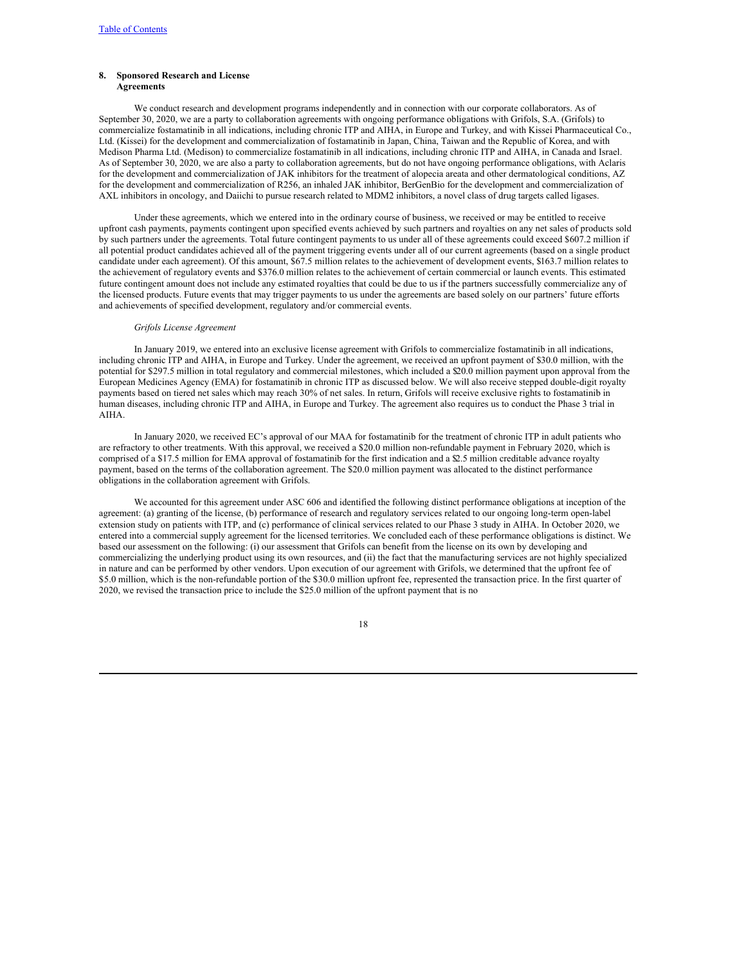#### **8. Sponsored Research and License Agreements**

We conduct research and development programs independently and in connection with our corporate collaborators. As of September 30, 2020, we are a party to collaboration agreements with ongoing performance obligations with Grifols, S.A. (Grifols) to commercialize fostamatinib in all indications, including chronic ITP and AIHA, in Europe and Turkey, and with Kissei Pharmaceutical Co., Ltd. (Kissei) for the development and commercialization of fostamatinib in Japan, China, Taiwan and the Republic of Korea, and with Medison Pharma Ltd. (Medison) to commercialize fostamatinib in all indications, including chronic ITP and AIHA, in Canada and Israel. As of September 30, 2020, we are also a party to collaboration agreements, but do not have ongoing performance obligations, with Aclaris for the development and commercialization of JAK inhibitors for the treatment of alopecia areata and other dermatological conditions, AZ for the development and commercialization of R256, an inhaled JAK inhibitor, BerGenBio for the development and commercialization of AXL inhibitors in oncology, and Daiichi to pursue research related to MDM2 inhibitors, a novel class of drug targets called ligases.

Under these agreements, which we entered into in the ordinary course of business, we received or may be entitled to receive upfront cash payments, payments contingent upon specified events achieved by such partners and royalties on any net sales of products sold by such partners under the agreements. Total future contingent payments to us under all of these agreements could exceed \$607.2 million if all potential product candidates achieved all of the payment triggering events under all of our current agreements (based on a single product candidate under each agreement). Of this amount, \$67.5 million relates to the achievement of development events, \$163.7 million relates to the achievement of regulatory events and \$376.0 million relates to the achievement of certain commercial or launch events. This estimated future contingent amount does not include any estimated royalties that could be due to us if the partners successfully commercialize any of the licensed products. Future events that may trigger payments to us under the agreements are based solely on our partners' future efforts and achievements of specified development, regulatory and/or commercial events.

#### *Grifols License Agreement*

In January 2019, we entered into an exclusive license agreement with Grifols to commercialize fostamatinib in all indications, including chronic ITP and AIHA, in Europe and Turkey. Under the agreement, we received an upfront payment of \$30.0 million, with the potential for \$297.5 million in total regulatory and commercial milestones, which included a \$20.0 million payment upon approval from the European Medicines Agency (EMA) for fostamatinib in chronic ITP as discussed below. We will also receive stepped double-digit royalty payments based on tiered net sales which may reach 30% of net sales. In return, Grifols will receive exclusive rights to fostamatinib in human diseases, including chronic ITP and AIHA, in Europe and Turkey. The agreement also requires us to conduct the Phase 3 trial in AIHA.

In January 2020, we received EC's approval of our MAA for fostamatinib for the treatment of chronic ITP in adult patients who are refractory to other treatments. With this approval, we received a \$20.0 million non-refundable payment in February 2020, which is comprised of a \$17.5 million for EMA approval of fostamatinib for the first indication and a \$2.5 million creditable advance royalty payment, based on the terms of the collaboration agreement. The \$20.0 million payment was allocated to the distinct performance obligations in the collaboration agreement with Grifols.

We accounted for this agreement under ASC 606 and identified the following distinct performance obligations at inception of the agreement: (a) granting of the license, (b) performance of research and regulatory services related to our ongoing long-term open-label extension study on patients with ITP, and (c) performance of clinical services related to our Phase 3 study in AIHA. In October 2020, we entered into a commercial supply agreement for the licensed territories. We concluded each of these performance obligations is distinct. We based our assessment on the following: (i) our assessment that Grifols can benefit from the license on its own by developing and commercializing the underlying product using its own resources, and (ii) the fact that the manufacturing services are not highly specialized in nature and can be performed by other vendors. Upon execution of our agreement with Grifols, we determined that the upfront fee of \$5.0 million, which is the non-refundable portion of the \$30.0 million upfront fee, represented the transaction price. In the first quarter of 2020, we revised the transaction price to include the \$25.0 million of the upfront payment that is no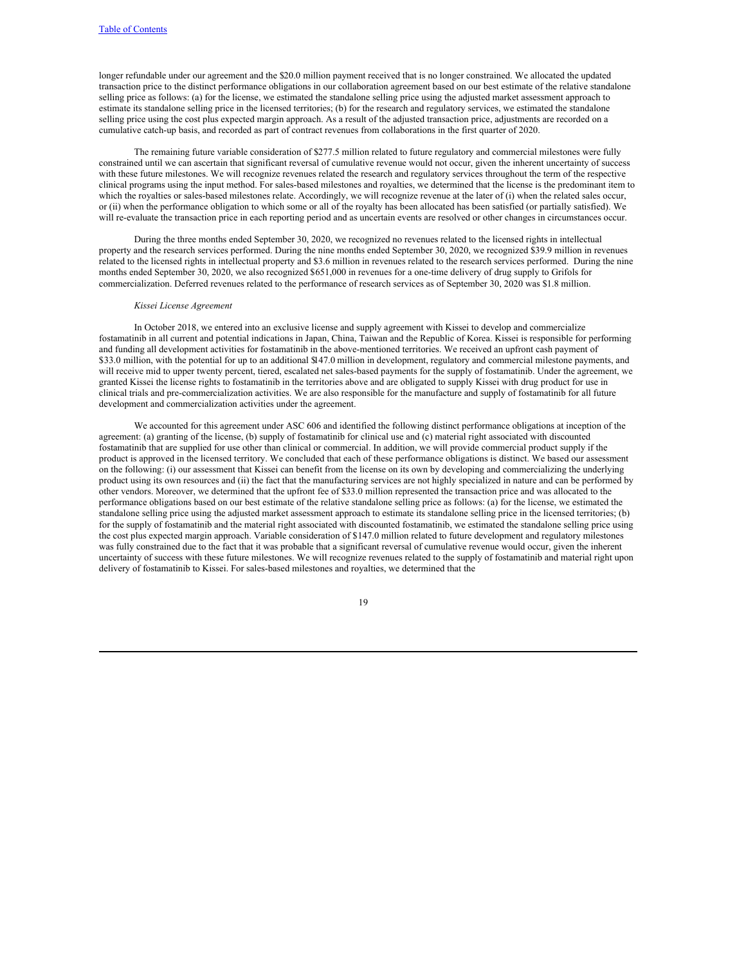longer refundable under our agreement and the \$20.0 million payment received that is no longer constrained. We allocated the updated transaction price to the distinct performance obligations in our collaboration agreement based on our best estimate of the relative standalone selling price as follows: (a) for the license, we estimated the standalone selling price using the adjusted market assessment approach to estimate its standalone selling price in the licensed territories; (b) for the research and regulatory services, we estimated the standalone selling price using the cost plus expected margin approach. As a result of the adjusted transaction price, adjustments are recorded on a cumulative catch-up basis, and recorded as part of contract revenues from collaborations in the first quarter of 2020.

The remaining future variable consideration of \$277.5 million related to future regulatory and commercial milestones were fully constrained until we can ascertain that significant reversal of cumulative revenue would not occur, given the inherent uncertainty of success with these future milestones. We will recognize revenues related the research and regulatory services throughout the term of the respective clinical programs using the input method. For sales-based milestones and royalties, we determined that the license is the predominant item to which the royalties or sales-based milestones relate. Accordingly, we will recognize revenue at the later of (i) when the related sales occur, or (ii) when the performance obligation to which some or all of the royalty has been allocated has been satisfied (or partially satisfied). We will re-evaluate the transaction price in each reporting period and as uncertain events are resolved or other changes in circumstances occur.

During the three months ended September 30, 2020, we recognized no revenues related to the licensed rights in intellectual property and the research services performed. During the nine months ended September 30, 2020, we recognized \$39.9 million in revenues related to the licensed rights in intellectual property and \$3.6 million in revenues related to the research services performed. During the nine months ended September 30, 2020, we also recognized \$651,000 in revenues for a one-time delivery of drug supply to Grifols for commercialization. Deferred revenues related to the performance of research services as of September 30, 2020 was \$1.8 million.

#### *Kissei License Agreement*

In October 2018, we entered into an exclusive license and supply agreement with Kissei to develop and commercialize fostamatinib in all current and potential indications in Japan, China, Taiwan and the Republic of Korea. Kissei is responsible for performing and funding all development activities for fostamatinib in the above-mentioned territories. We received an upfront cash payment of \$33.0 million, with the potential for up to an additional \$147.0 million in development, regulatory and commercial milestone payments, and will receive mid to upper twenty percent, tiered, escalated net sales-based payments for the supply of fostamatinib. Under the agreement, we granted Kissei the license rights to fostamatinib in the territories above and are obligated to supply Kissei with drug product for use in clinical trials and pre-commercialization activities. We are also responsible for the manufacture and supply of fostamatinib for all future development and commercialization activities under the agreement.

We accounted for this agreement under ASC 606 and identified the following distinct performance obligations at inception of the agreement: (a) granting of the license, (b) supply of fostamatinib for clinical use and (c) material right associated with discounted fostamatinib that are supplied for use other than clinical or commercial. In addition, we will provide commercial product supply if the product is approved in the licensed territory. We concluded that each of these performance obligations is distinct. We based our assessment on the following: (i) our assessment that Kissei can benefit from the license on its own by developing and commercializing the underlying product using its own resources and (ii) the fact that the manufacturing services are not highly specialized in nature and can be performed by other vendors. Moreover, we determined that the upfront fee of \$33.0 million represented the transaction price and was allocated to the performance obligations based on our best estimate of the relative standalone selling price as follows: (a) for the license, we estimated the standalone selling price using the adjusted market assessment approach to estimate its standalone selling price in the licensed territories; (b) for the supply of fostamatinib and the material right associated with discounted fostamatinib, we estimated the standalone selling price using the cost plus expected margin approach. Variable consideration of \$147.0 million related to future development and regulatory milestones was fully constrained due to the fact that it was probable that a significant reversal of cumulative revenue would occur, given the inherent uncertainty of success with these future milestones. We will recognize revenues related to the supply of fostamatinib and material right upon delivery of fostamatinib to Kissei. For sales-based milestones and royalties, we determined that the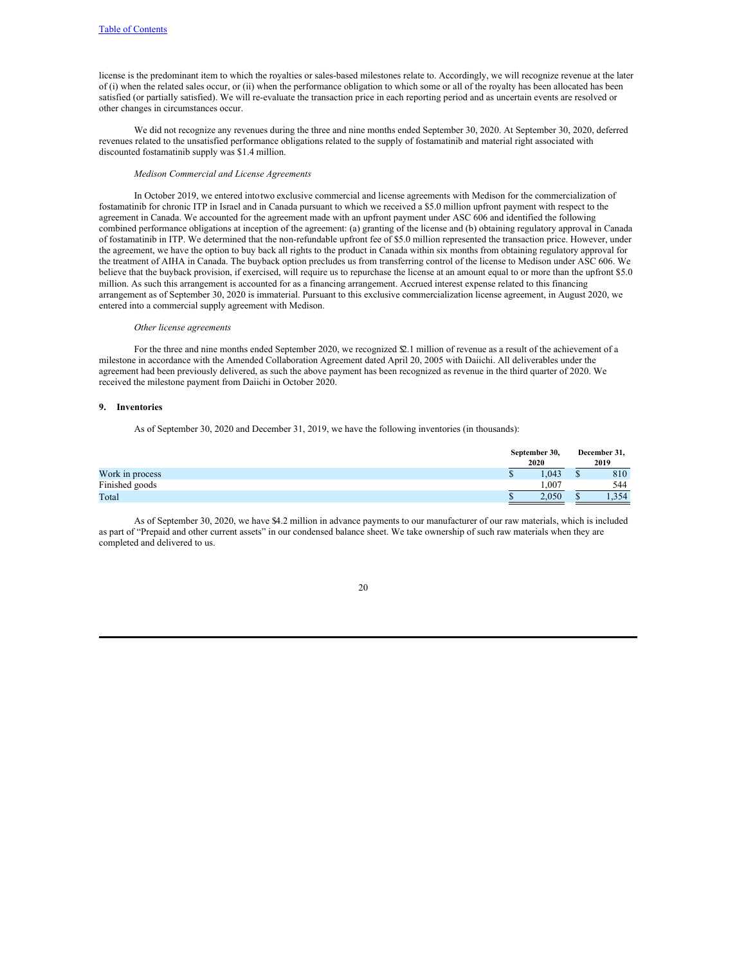license is the predominant item to which the royalties or sales-based milestones relate to. Accordingly, we will recognize revenue at the later of (i) when the related sales occur, or (ii) when the performance obligation to which some or all of the royalty has been allocated has been satisfied (or partially satisfied). We will re-evaluate the transaction price in each reporting period and as uncertain events are resolved or other changes in circumstances occur.

We did not recognize any revenues during the three and nine months ended September 30, 2020. At September 30, 2020, deferred revenues related to the unsatisfied performance obligations related to the supply of fostamatinib and material right associated with discounted fostamatinib supply was \$1.4 million.

### *Medison Commercial and License Agreements*

In October 2019, we entered intotwo exclusive commercial and license agreements with Medison for the commercialization of fostamatinib for chronic ITP in Israel and in Canada pursuant to which we received a \$5.0 million upfront payment with respect to the agreement in Canada. We accounted for the agreement made with an upfront payment under ASC 606 and identified the following combined performance obligations at inception of the agreement: (a) granting of the license and (b) obtaining regulatory approval in Canada of fostamatinib in ITP. We determined that the non-refundable upfront fee of \$5.0 million represented the transaction price. However, under the agreement, we have the option to buy back all rights to the product in Canada within six months from obtaining regulatory approval for the treatment of AIHA in Canada. The buyback option precludes us from transferring control of the license to Medison under ASC 606. We believe that the buyback provision, if exercised, will require us to repurchase the license at an amount equal to or more than the upfront \$5.0 million. As such this arrangement is accounted for as a financing arrangement. Accrued interest expense related to this financing arrangement as of September 30, 2020 is immaterial. Pursuant to this exclusive commercialization license agreement, in August 2020, we entered into a commercial supply agreement with Medison.

### *Other license agreements*

For the three and nine months ended September 2020, we recognized \$2.1 million of revenue as a result of the achievement of a milestone in accordance with the Amended Collaboration Agreement dated April 20, 2005 with Daiichi. All deliverables under the agreement had been previously delivered, as such the above payment has been recognized as revenue in the third quarter of 2020. We received the milestone payment from Daiichi in October 2020.

### **9. Inventories**

As of September 30, 2020 and December 31, 2019, we have the following inventories (in thousands):

|                 | September 30,<br>2020 | December 31,<br>2019 |  |  |
|-----------------|-----------------------|----------------------|--|--|
| Work in process | .043                  | 810                  |  |  |
| Finished goods  | .007                  | 544                  |  |  |
| Total           | 2.050                 | .354                 |  |  |

As of September 30, 2020, we have \$4.2 million in advance payments to our manufacturer of our raw materials, which is included as part of "Prepaid and other current assets" in our condensed balance sheet. We take ownership of such raw materials when they are completed and delivered to us.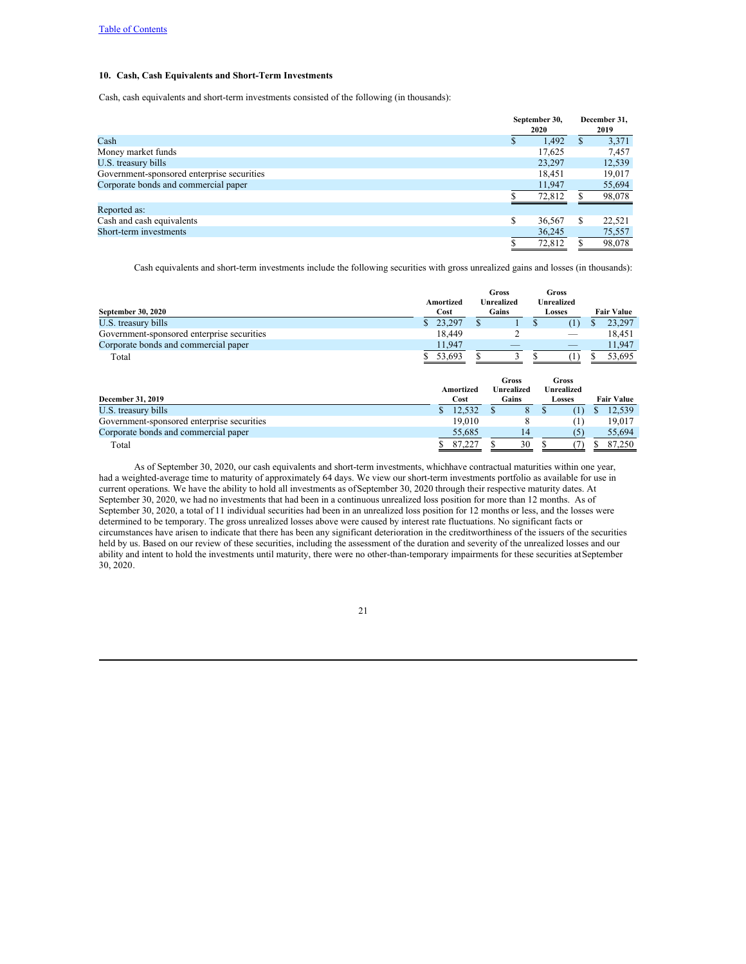### **10. Cash, Cash Equivalents and Short-Term Investments**

Cash, cash equivalents and short-term investments consisted of the following (in thousands):

|                                            |   | September 30,<br>2020 |   | December 31,<br>2019 |
|--------------------------------------------|---|-----------------------|---|----------------------|
| Cash                                       | S | 1.492                 | S | 3,371                |
| Money market funds                         |   | 17.625                |   | 7,457                |
| U.S. treasury bills                        |   | 23,297                |   | 12,539               |
| Government-sponsored enterprise securities |   | 18,451                |   | 19,017               |
| Corporate bonds and commercial paper       |   | 11,947                |   | 55,694               |
|                                            |   | 72,812                |   | 98,078               |
| Reported as:                               |   |                       |   |                      |
| Cash and cash equivalents                  | S | 36,567                | S | 22,521               |
| Short-term investments                     |   | 36,245                |   | 75,557               |
|                                            |   | 72,812                |   | 98,078               |

Cash equivalents and short-term investments include the following securities with gross unrealized gains and losses (in thousands):

|                                            |           | Gross      | Gross            |    |                   |
|--------------------------------------------|-----------|------------|------------------|----|-------------------|
|                                            | Amortized | Unrealized | Unrealized       |    |                   |
| <b>September 30, 2020</b>                  | Cost      | Gains      | <b>Losses</b>    |    | <b>Fair Value</b> |
| U.S. treasury bills                        | \$23,297  |            | $\left(1\right)$ | ۰D | 23,297            |
| Government-sponsored enterprise securities | 18.449    |            | __               |    | 18,451            |
| Corporate bonds and commercial paper       | 11,947    | __         | _                |    | 11,947            |
| Total                                      | 53,693    |            |                  |    | 53.695            |
|                                            |           |            |                  |    |                   |
|                                            |           | Gross      | Gross<br>.       |    |                   |

|                                            | Amortized | Unrealized | Unrealized |                   |
|--------------------------------------------|-----------|------------|------------|-------------------|
| December 31, 2019                          | Cost      | Gains      | Losses     | <b>Fair Value</b> |
| U.S. treasury bills                        |           |            |            | 12.539            |
| Government-sponsored enterprise securities | 19.010    |            | (1)        | 19.017            |
| Corporate bonds and commercial paper       | 55,685    | 14         |            | 55.694            |
| Total                                      | 87        | 30         |            | 87.250            |

As of September 30, 2020, our cash equivalents and short-term investments, whichhave contractual maturities within one year, had a weighted-average time to maturity of approximately 64 days. We view our short-term investments portfolio as available for use in current operations. We have the ability to hold all investments as ofSeptember 30, 2020 through their respective maturity dates. At September 30, 2020, we had no investments that had been in a continuous unrealized loss position for more than 12 months. As of September 30, 2020, a total of 11 individual securities had been in an unrealized loss position for 12 months or less, and the losses were determined to be temporary. The gross unrealized losses above were caused by interest rate fluctuations. No significant facts or circumstances have arisen to indicate that there has been any significant deterioration in the creditworthiness of the issuers of the securities held by us. Based on our review of these securities, including the assessment of the duration and severity of the unrealized losses and our ability and intent to hold the investments until maturity, there were no other-than-temporary impairments for these securities atSeptember 30, 2020.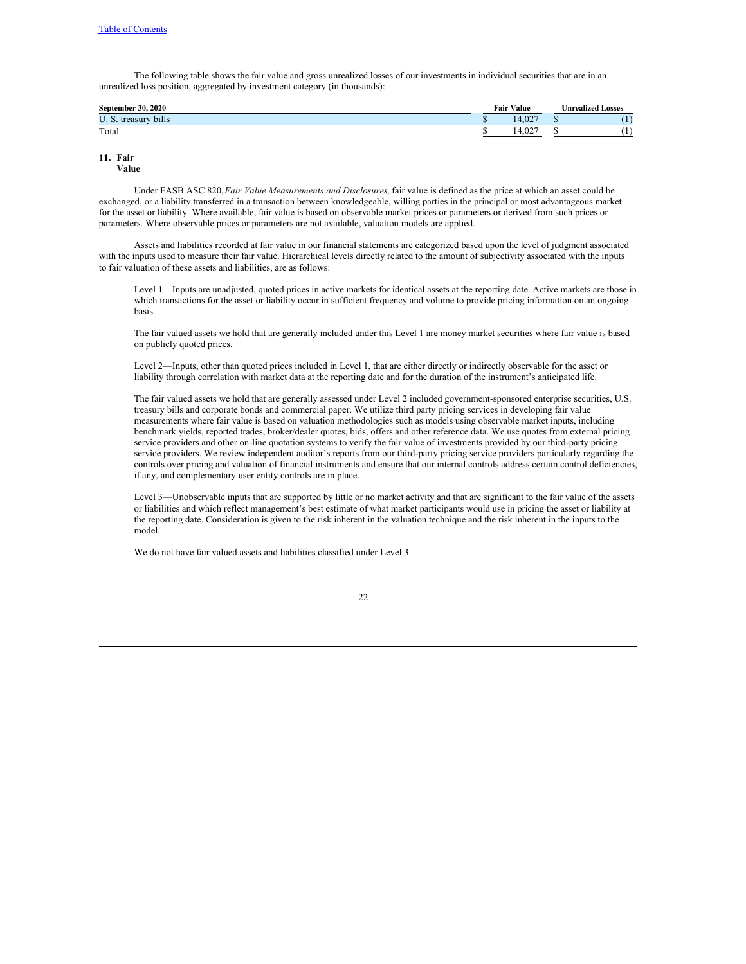The following table shows the fair value and gross unrealized losses of our investments in individual securities that are in an unrealized loss position, aggregated by investment category (in thousands):

| September 30, 2020   | <b>Fair Value</b> |    | <b>Unrealized Losses</b> |  |  |
|----------------------|-------------------|----|--------------------------|--|--|
| U. S. treasury bills | 14.027            | пD | $\mathbf{r}$             |  |  |
| Total                | 14.027            | .  | $\mathbf{r}$             |  |  |

#### **11. Fair Value**

Under FASB ASC 820,*Fair Value Measurements and Disclosures*, fair value is defined as the price at which an asset could be exchanged, or a liability transferred in a transaction between knowledgeable, willing parties in the principal or most advantageous market for the asset or liability. Where available, fair value is based on observable market prices or parameters or derived from such prices or parameters. Where observable prices or parameters are not available, valuation models are applied.

Assets and liabilities recorded at fair value in our financial statements are categorized based upon the level of judgment associated with the inputs used to measure their fair value. Hierarchical levels directly related to the amount of subjectivity associated with the inputs to fair valuation of these assets and liabilities, are as follows:

Level 1—Inputs are unadjusted, quoted prices in active markets for identical assets at the reporting date. Active markets are those in which transactions for the asset or liability occur in sufficient frequency and volume to provide pricing information on an ongoing basis.

The fair valued assets we hold that are generally included under this Level 1 are money market securities where fair value is based on publicly quoted prices.

Level 2—Inputs, other than quoted prices included in Level 1, that are either directly or indirectly observable for the asset or liability through correlation with market data at the reporting date and for the duration of the instrument's anticipated life.

The fair valued assets we hold that are generally assessed under Level 2 included government-sponsored enterprise securities, U.S. treasury bills and corporate bonds and commercial paper. We utilize third party pricing services in developing fair value measurements where fair value is based on valuation methodologies such as models using observable market inputs, including benchmark yields, reported trades, broker/dealer quotes, bids, offers and other reference data. We use quotes from external pricing service providers and other on-line quotation systems to verify the fair value of investments provided by our third-party pricing service providers. We review independent auditor's reports from our third-party pricing service providers particularly regarding the controls over pricing and valuation of financial instruments and ensure that our internal controls address certain control deficiencies, if any, and complementary user entity controls are in place.

Level 3—Unobservable inputs that are supported by little or no market activity and that are significant to the fair value of the assets or liabilities and which reflect management's best estimate of what market participants would use in pricing the asset or liability at the reporting date. Consideration is given to the risk inherent in the valuation technique and the risk inherent in the inputs to the model.

We do not have fair valued assets and liabilities classified under Level 3.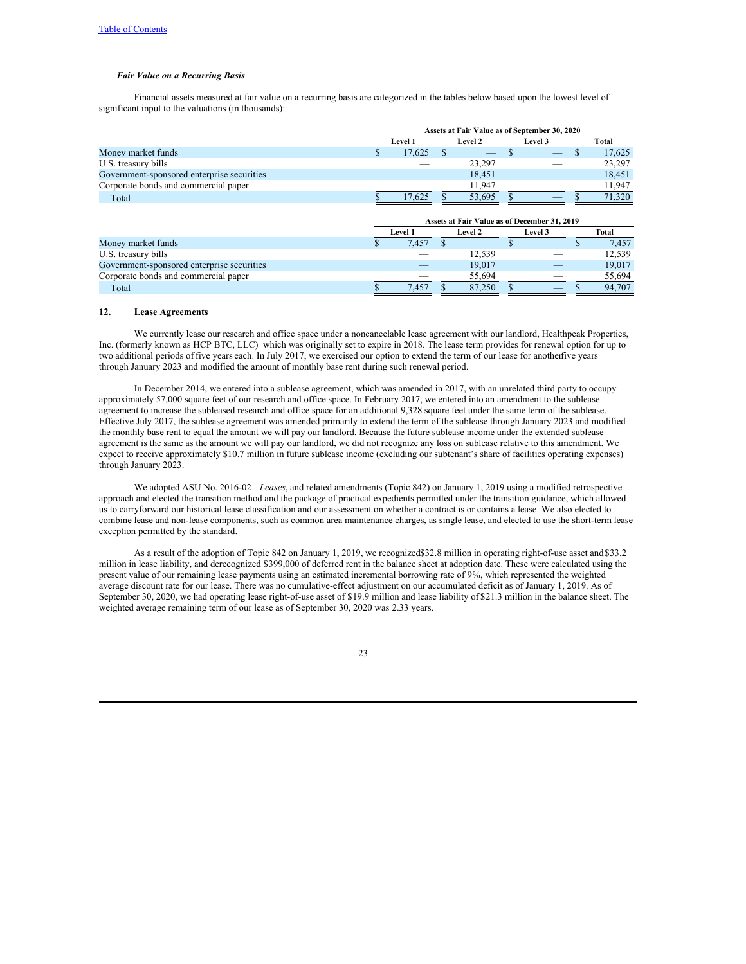#### *Fair Value on a Recurring Basis*

Financial assets measured at fair value on a recurring basis are categorized in the tables below based upon the lowest level of significant input to the valuations (in thousands):

|                                            | Assets at Fair Value as of September 30, 2020 |        |  |                          |  |                          |  |                |  |       |
|--------------------------------------------|-----------------------------------------------|--------|--|--------------------------|--|--------------------------|--|----------------|--|-------|
|                                            | Level 1                                       |        |  | Level 2                  |  |                          |  | <b>Level 3</b> |  | Total |
| Money market funds                         |                                               | 17.625 |  | $\overline{\phantom{a}}$ |  | $-$                      |  | 17,625         |  |       |
| U.S. treasury bills                        |                                               |        |  | 23,297                   |  | -                        |  | 23,297         |  |       |
| Government-sponsored enterprise securities |                                               |        |  | 18,451                   |  |                          |  | 18,451         |  |       |
| Corporate bonds and commercial paper       |                                               |        |  | 11.947                   |  | $\overline{\phantom{a}}$ |  | 11.947         |  |       |
| Total                                      |                                               | 17.625 |  | 53.695                   |  | _                        |  | 71.320         |  |       |

|                                            | Assets at Fair Value as of December 31, 2019 |  |                |  |         |  |        |  |  |  |
|--------------------------------------------|----------------------------------------------|--|----------------|--|---------|--|--------|--|--|--|
|                                            | <b>Level 1</b>                               |  | <b>Level 2</b> |  | Level 3 |  | Total  |  |  |  |
| Money market funds                         | 7.457                                        |  |                |  |         |  | 7.457  |  |  |  |
| U.S. treasury bills                        |                                              |  | 12.539         |  |         |  | 12,539 |  |  |  |
| Government-sponsored enterprise securities |                                              |  | 19.017         |  |         |  | 19.017 |  |  |  |
| Corporate bonds and commercial paper       |                                              |  | 55,694         |  |         |  | 55.694 |  |  |  |
| Total                                      | 7.457                                        |  | 87,250         |  |         |  | 94.707 |  |  |  |

### **12. Lease Agreements**

We currently lease our research and office space under a noncancelable lease agreement with our landlord, Healthpeak Properties, Inc. (formerly known as HCP BTC, LLC) which was originally set to expire in 2018. The lease term provides for renewal option for up to two additional periods of five years each. In July 2017, we exercised our option to extend the term of our lease for anotherfive years through January 2023 and modified the amount of monthly base rent during such renewal period.

In December 2014, we entered into a sublease agreement, which was amended in 2017, with an unrelated third party to occupy approximately 57,000 square feet of our research and office space. In February 2017, we entered into an amendment to the sublease agreement to increase the subleased research and office space for an additional 9,328 square feet under the same term of the sublease. Effective July 2017, the sublease agreement was amended primarily to extend the term of the sublease through January 2023 and modified the monthly base rent to equal the amount we will pay our landlord. Because the future sublease income under the extended sublease agreement is the same as the amount we will pay our landlord, we did not recognize any loss on sublease relative to this amendment. We expect to receive approximately \$10.7 million in future sublease income (excluding our subtenant's share of facilities operating expenses) through January 2023.

We adopted ASU No. 2016-02 –*Leases*, and related amendments (Topic 842) on January 1, 2019 using a modified retrospective approach and elected the transition method and the package of practical expedients permitted under the transition guidance, which allowed us to carryforward our historical lease classification and our assessment on whether a contract is or contains a lease. We also elected to combine lease and non-lease components, such as common area maintenance charges, as single lease, and elected to use the short-term lease exception permitted by the standard.

As a result of the adoption of Topic 842 on January 1, 2019, we recognized\$32.8 million in operating right-of-use asset and\$33.2 million in lease liability, and derecognized \$399,000 of deferred rent in the balance sheet at adoption date. These were calculated using the present value of our remaining lease payments using an estimated incremental borrowing rate of 9%, which represented the weighted average discount rate for our lease. There was no cumulative-effect adjustment on our accumulated deficit as of January 1, 2019. As of September 30, 2020, we had operating lease right-of-use asset of \$19.9 million and lease liability of \$21.3 million in the balance sheet. The weighted average remaining term of our lease as of September 30, 2020 was 2.33 years.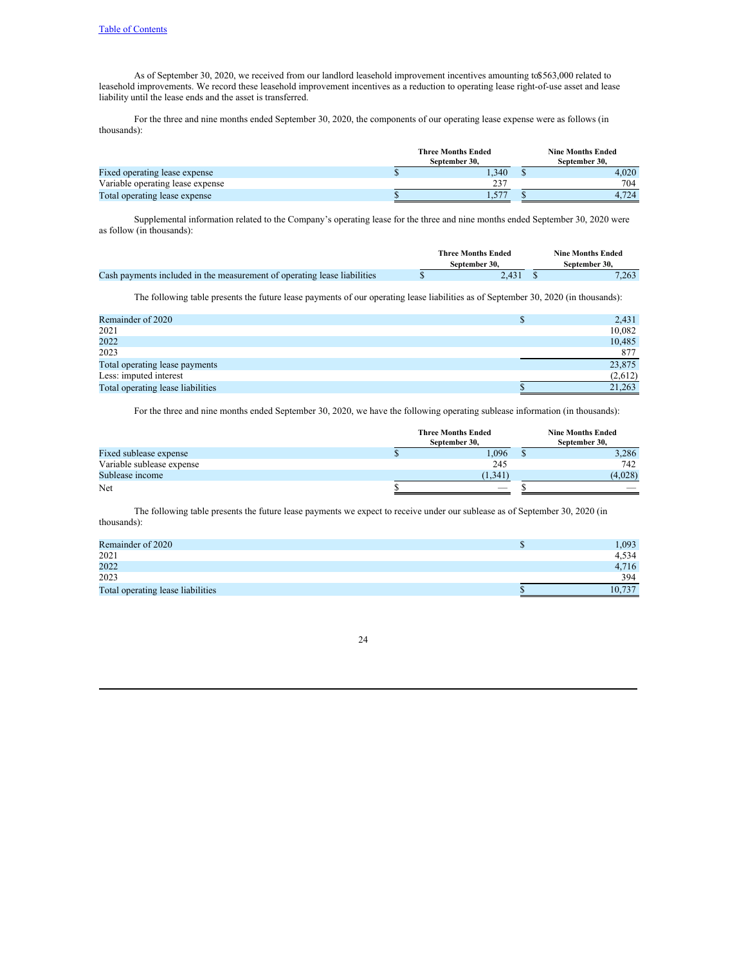As of September 30, 2020, we received from our landlord leasehold improvement incentives amounting to\$563,000 related to leasehold improvements. We record these leasehold improvement incentives as a reduction to operating lease right-of-use asset and lease liability until the lease ends and the asset is transferred.

For the three and nine months ended September 30, 2020, the components of our operating lease expense were as follows (in thousands):

|                                  | <b>Three Months Ended</b><br>September 30. | <b>Nine Months Ended</b><br>September 30. |  |  |  |  |
|----------------------------------|--------------------------------------------|-------------------------------------------|--|--|--|--|
| Fixed operating lease expense    | 1.340                                      | 4.020                                     |  |  |  |  |
| Variable operating lease expense | - 237                                      | 704                                       |  |  |  |  |
| Total operating lease expense    |                                            | 4.724                                     |  |  |  |  |

Supplemental information related to the Company's operating lease for the three and nine months ended September 30, 2020 were as follow (in thousands):

|                                                                          | <b>Three Months Ended</b> | <b>Nine Months Ended</b> |
|--------------------------------------------------------------------------|---------------------------|--------------------------|
|                                                                          | September 30.             | September 30.            |
| Cash payments included in the measurement of operating lease liabilities |                           | 7.263                    |

The following table presents the future lease payments of our operating lease liabilities as of September 30, 2020 (in thousands):

| Remainder of 2020                 | 2.431   |
|-----------------------------------|---------|
| 2021                              | 10,082  |
| 2022                              | 10,485  |
| 2023                              | 877     |
| Total operating lease payments    | 23,875  |
| Less: imputed interest            | (2,612) |
| Total operating lease liabilities | 21,263  |

For the three and nine months ended September 30, 2020, we have the following operating sublease information (in thousands):

|                           | <b>Three Months Ended</b><br>September 30. | <b>Nine Months Ended</b><br>September 30. |
|---------------------------|--------------------------------------------|-------------------------------------------|
| Fixed sublease expense    | 1.096                                      | 3,286                                     |
| Variable sublease expense | 245                                        | 742                                       |
| Sublease income           | (1.341)                                    | (4.028)                                   |
| Net                       | _                                          |                                           |

The following table presents the future lease payments we expect to receive under our sublease as of September 30, 2020 (in thousands):

| Remainder of 2020                 | пD | .093   |
|-----------------------------------|----|--------|
| 2021                              |    | 4.534  |
| 2022                              |    | 4.716  |
| 2023                              |    | 394    |
| Total operating lease liabilities |    | 10.737 |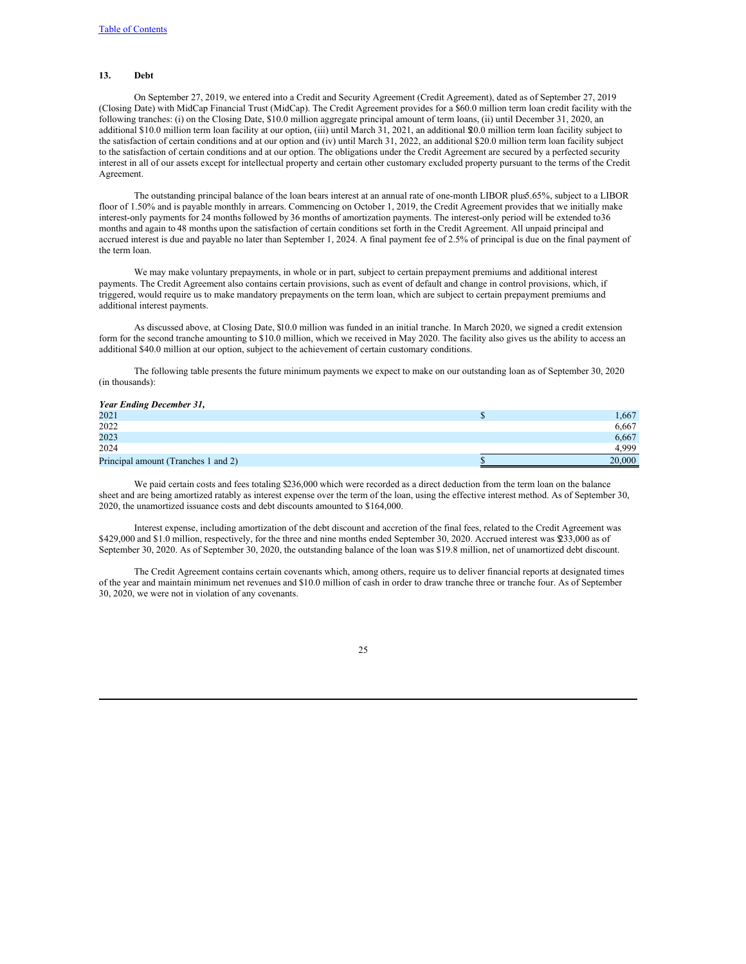### **13. Debt**

On September 27, 2019, we entered into a Credit and Security Agreement (Credit Agreement), dated as of September 27, 2019 (Closing Date) with MidCap Financial Trust (MidCap). The Credit Agreement provides for a \$60.0 million term loan credit facility with the following tranches: (i) on the Closing Date, \$10.0 million aggregate principal amount of term loans, (ii) until December 31, 2020, an additional \$10.0 million term loan facility at our option, (iii) until March 31, 2021, an additional \$20.0 million term loan facility subject to the satisfaction of certain conditions and at our option and (iv) until March 31, 2022, an additional \$20.0 million term loan facility subject to the satisfaction of certain conditions and at our option. The obligations under the Credit Agreement are secured by a perfected security interest in all of our assets except for intellectual property and certain other customary excluded property pursuant to the terms of the Credit Agreement.

The outstanding principal balance of the loan bears interest at an annual rate of one-month LIBOR plus5.65%, subject to a LIBOR floor of 1.50% and is payable monthly in arrears. Commencing on October 1, 2019, the Credit Agreement provides that we initially make interest-only payments for 24 months followed by 36 months of amortization payments. The interest-only period will be extended to36 months and again to 48 months upon the satisfaction of certain conditions set forth in the Credit Agreement. All unpaid principal and accrued interest is due and payable no later than September 1, 2024. A final payment fee of 2.5% of principal is due on the final payment of the term loan.

We may make voluntary prepayments, in whole or in part, subject to certain prepayment premiums and additional interest payments. The Credit Agreement also contains certain provisions, such as event of default and change in control provisions, which, if triggered, would require us to make mandatory prepayments on the term loan, which are subject to certain prepayment premiums and additional interest payments.

As discussed above, at Closing Date, \$10.0 million was funded in an initial tranche. In March 2020, we signed a credit extension form for the second tranche amounting to \$10.0 million, which we received in May 2020. The facility also gives us the ability to access an additional \$40.0 million at our option, subject to the achievement of certain customary conditions.

The following table presents the future minimum payments we expect to make on our outstanding loan as of September 30, 2020 (in thousands):

| <b>Year Ending December 31,</b>     |        |
|-------------------------------------|--------|
| 2021                                | 1,667  |
| 2022                                | 6,667  |
| 2023                                | 6,667  |
| 2024                                | 4.999  |
| Principal amount (Tranches 1 and 2) | 20,000 |

We paid certain costs and fees totaling \$236,000 which were recorded as a direct deduction from the term loan on the balance sheet and are being amortized ratably as interest expense over the term of the loan, using the effective interest method. As of September 30, 2020, the unamortized issuance costs and debt discounts amounted to \$164,000.

Interest expense, including amortization of the debt discount and accretion of the final fees, related to the Credit Agreement was \$429,000 and \$1.0 million, respectively, for the three and nine months ended September 30, 2020. Accrued interest was \$233,000 as of September 30, 2020. As of September 30, 2020, the outstanding balance of the loan was \$19.8 million, net of unamortized debt discount.

The Credit Agreement contains certain covenants which, among others, require us to deliver financial reports at designated times of the year and maintain minimum net revenues and \$10.0 million of cash in order to draw tranche three or tranche four. As of September 30, 2020, we were not in violation of any covenants.

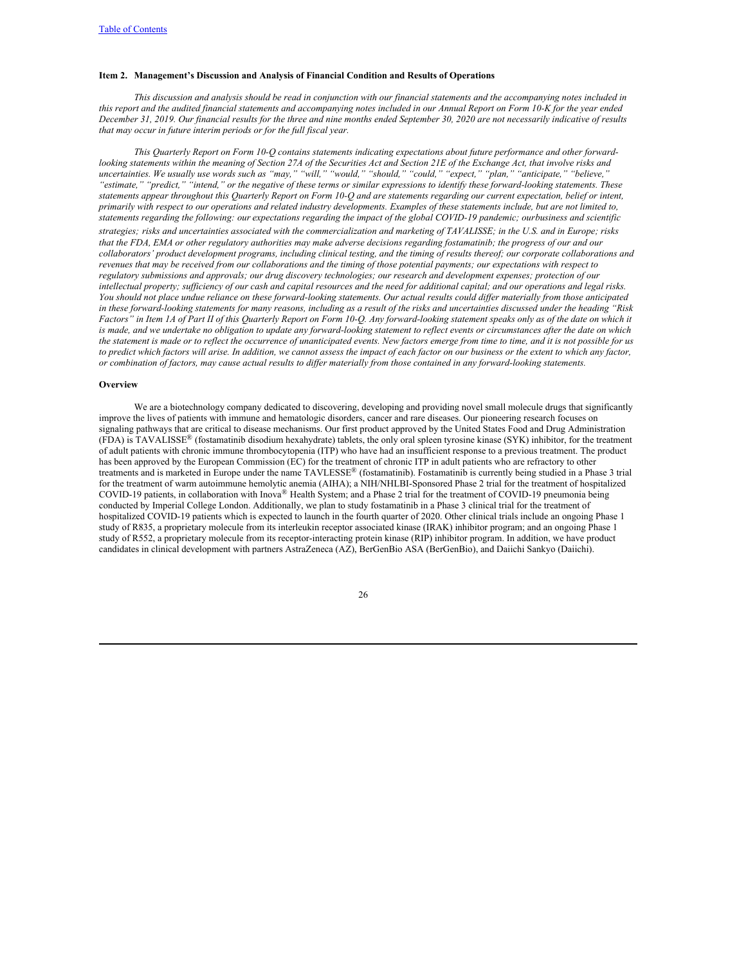#### **Item 2. Management's Discussion and Analysis of Financial Condition and Results of Operations**

This discussion and analysis should be read in conjunction with our financial statements and the accompanying notes included in this report and the audited financial statements and accompanying notes included in our Annual Report on Form 10-K for the year ended December 31, 2019. Our financial results for the three and nine months ended September 30, 2020 are not necessarily indicative of results *that may occur in future interim periods or for the full fiscal year.*

This Quarterly Report on Form 10-Q contains statements indicating expectations about future performance and other forwardlooking statements within the meaning of Section 27A of the Securities Act and Section 21E of the Exchange Act, that involve risks and uncertainties. We usually use words such as "may," "will," "would," "should," "could," "expect," "plan," "anticipate," "believe," "estimate," "predict," "intend," or the negative of these terms or similar expressions to identify these forward-looking statements. These statements appear throughout this Quarterly Report on Form 10-Q and are statements regarding our current expectation, belief or intent, primarily with respect to our operations and related industry developments. Examples of these statements include, but are not limited to, statements regarding the following: our expectations regarding the impact of the global COVID-19 pandemic; ourbusiness and scientific strategies; risks and uncertainties associated with the commercialization and marketing of TAVALISSE; in the U.S. and in Europe; risks that the FDA, EMA or other regulatory authorities may make adverse decisions regarding fostamatinib; the progress of our and our collaborators' product development programs, including clinical testing, and the timing of results thereof; our corporate collaborations and revenues that may be received from our collaborations and the timing of those potential payments; our expectations with respect to regulatory submissions and approvals; our drug discovery technologies; our research and development expenses; protection of our intellectual property; sufficiency of our cash and capital resources and the need for additional capital; and our operations and legal risks. You should not place undue reliance on these forward-looking statements. Our actual results could differ materially from those anticipated in these forward-looking statements for many reasons, including as a result of the risks and uncertainties discussed under the heading "Risk Factors" in Item 1A of Part II of this Quarterly Report on Form 10-Q. Any forward-looking statement speaks only as of the date on which it is made, and we undertake no obligation to update any forward-looking statement to reflect events or circumstances after the date on which the statement is made or to reflect the occurrence of unanticipated events. New factors emerge from time to time, and it is not possible for us to predict which factors will arise. In addition, we cannot assess the impact of each factor on our business or the extent to which any factor, or combination of factors, may cause actual results to differ materially from those contained in any forward-looking statements.

#### **Overview**

We are a biotechnology company dedicated to discovering, developing and providing novel small molecule drugs that significantly improve the lives of patients with immune and hematologic disorders, cancer and rare diseases. Our pioneering research focuses on signaling pathways that are critical to disease mechanisms. Our first product approved by the United States Food and Drug Administration (FDA) is TAVALISSE ® (fostamatinib disodium hexahydrate) tablets, the only oral spleen tyrosine kinase (SYK) inhibitor, for the treatment of adult patients with chronic immune thrombocytopenia (ITP) who have had an insufficient response to a previous treatment. The product has been approved by the European Commission (EC) for the treatment of chronic ITP in adult patients who are refractory to other treatments and is marketed in Europe under the name TAVLESSE® (fostamatinib). Fostamatinib is currently being studied in a Phase 3 trial for the treatment of warm autoimmune hemolytic anemia (AIHA); a NIH/NHLBI-Sponsored Phase 2 trial for the treatment of hospitalized COVID-19 patients, in collaboration with Inova® Health System; and a Phase 2 trial for the treatment of COVID-19 pneumonia being conducted by Imperial College London. Additionally, we plan to study fostamatinib in a Phase 3 clinical trial for the treatment of hospitalized COVID-19 patients which is expected to launch in the fourth quarter of 2020. Other clinical trials include an ongoing Phase 1 study of R835, a proprietary molecule from its interleukin receptor associated kinase (IRAK) inhibitor program; and an ongoing Phase 1 study of R552, a proprietary molecule from its receptor-interacting protein kinase (RIP) inhibitor program. In addition, we have product candidates in clinical development with partners AstraZeneca (AZ), BerGenBio ASA (BerGenBio), and Daiichi Sankyo (Daiichi).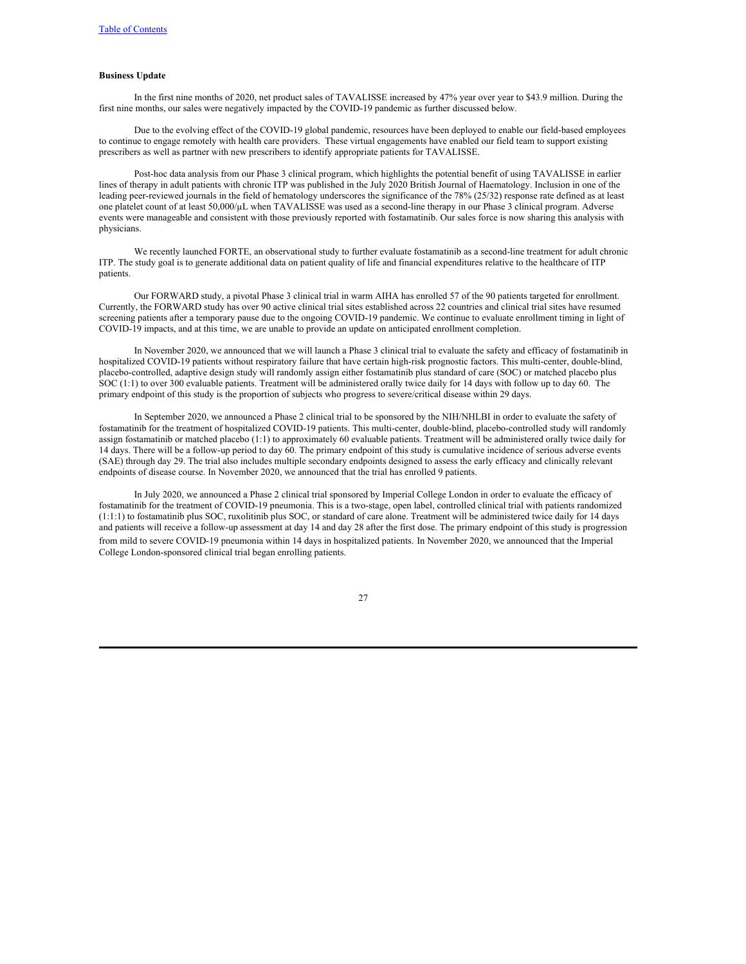#### **Business Update**

In the first nine months of 2020, net product sales of TAVALISSE increased by 47% year over year to \$43.9 million. During the first nine months, our sales were negatively impacted by the COVID-19 pandemic as further discussed below.

Due to the evolving effect of the COVID-19 global pandemic, resources have been deployed to enable our field-based employees to continue to engage remotely with health care providers. These virtual engagements have enabled our field team to support existing prescribers as well as partner with new prescribers to identify appropriate patients for TAVALISSE.

Post-hoc data analysis from our Phase 3 clinical program, which highlights the potential benefit of using TAVALISSE in earlier lines of therapy in adult patients with chronic ITP was published in the July 2020 British Journal of Haematology. Inclusion in one of the leading peer-reviewed journals in the field of hematology underscores the significance of the 78% (25/32) response rate defined as at least one platelet count of at least 50,000/µL when TAVALISSE was used as a second-line therapy in our Phase 3 clinical program. Adverse events were manageable and consistent with those previously reported with fostamatinib. Our sales force is now sharing this analysis with physicians.

We recently launched FORTE, an observational study to further evaluate fostamatinib as a second-line treatment for adult chronic ITP. The study goal is to generate additional data on patient quality of life and financial expenditures relative to the healthcare of ITP patients.

Our FORWARD study, a pivotal Phase 3 clinical trial in warm AIHA has enrolled 57 of the 90 patients targeted for enrollment. Currently, the FORWARD study has over 90 active clinical trial sites established across 22 countries and clinical trial sites have resumed screening patients after a temporary pause due to the ongoing COVID-19 pandemic. We continue to evaluate enrollment timing in light of COVID-19 impacts, and at this time, we are unable to provide an update on anticipated enrollment completion.

In November 2020, we announced that we will launch a Phase 3 clinical trial to evaluate the safety and efficacy of fostamatinib in hospitalized COVID-19 patients without respiratory failure that have certain high-risk prognostic factors. This multi-center, double-blind, placebo-controlled, adaptive design study will randomly assign either fostamatinib plus standard of care (SOC) or matched placebo plus SOC (1:1) to over 300 evaluable patients. Treatment will be administered orally twice daily for 14 days with follow up to day 60. The primary endpoint of this study is the proportion of subjects who progress to severe/critical disease within 29 days.

In September 2020, we announced a Phase 2 clinical trial to be sponsored by the NIH/NHLBI in order to evaluate the safety of fostamatinib for the treatment of hospitalized COVID-19 patients. This multi-center, double-blind, placebo-controlled study will randomly assign fostamatinib or matched placebo (1:1) to approximately 60 evaluable patients. Treatment will be administered orally twice daily for 14 days. There will be a follow-up period to day 60. The primary endpoint of this study is cumulative incidence of serious adverse events (SAE) through day 29. The trial also includes multiple secondary endpoints designed to assess the early efficacy and clinically relevant endpoints of disease course. In November 2020, we announced that the trial has enrolled 9 patients.

In July 2020, we announced a Phase 2 clinical trial sponsored by Imperial College London in order to evaluate the efficacy of fostamatinib for the treatment of COVID-19 pneumonia. This is a two-stage, open label, controlled clinical trial with patients randomized (1:1:1) to fostamatinib plus SOC, ruxolitinib plus SOC, or standard of care alone. Treatment will be administered twice daily for 14 days and patients will receive a follow-up assessment at day 14 and day 28 after the first dose. The primary endpoint of this study is progression from mild to severe COVID-19 pneumonia within 14 days in hospitalized patients. In November 2020, we announced that the Imperial College London-sponsored clinical trial began enrolling patients.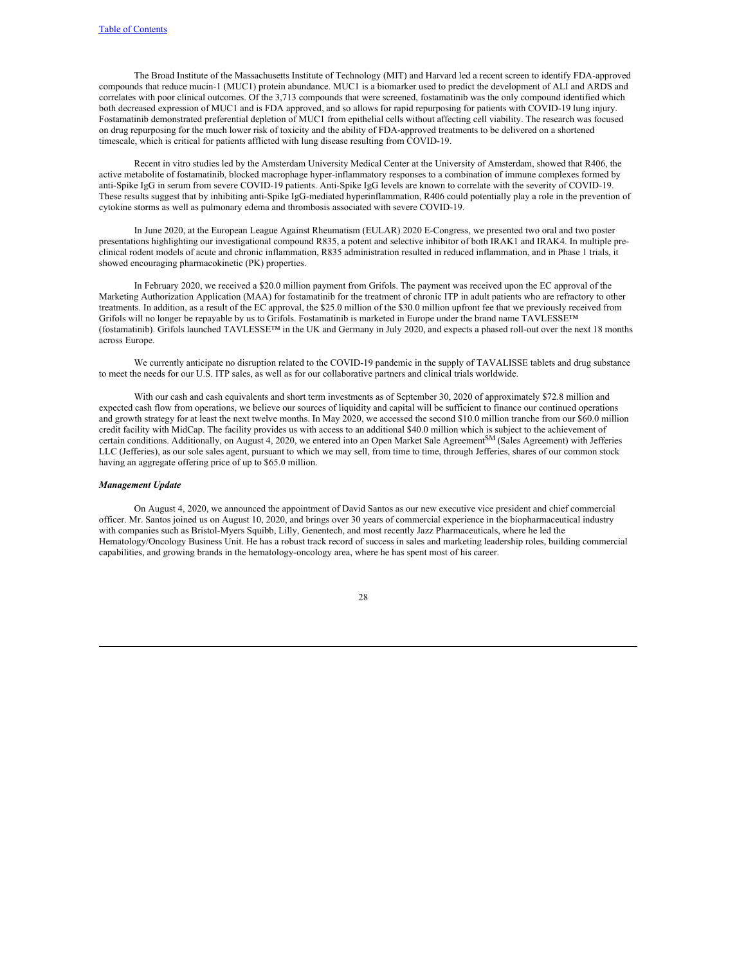The Broad Institute of the Massachusetts Institute of Technology (MIT) and Harvard led a recent screen to identify FDA-approved compounds that reduce mucin-1 (MUC1) protein abundance. MUC1 is a biomarker used to predict the development of ALI and ARDS and correlates with poor clinical outcomes. Of the 3,713 compounds that were screened, fostamatinib was the only compound identified which both decreased expression of MUC1 and is FDA approved, and so allows for rapid repurposing for patients with COVID-19 lung injury. Fostamatinib demonstrated preferential depletion of MUC1 from epithelial cells without affecting cell viability. The research was focused on drug repurposing for the much lower risk of toxicity and the ability of FDA-approved treatments to be delivered on a shortened timescale, which is critical for patients afflicted with lung disease resulting from COVID-19.

Recent in vitro studies led by the Amsterdam University Medical Center at the University of Amsterdam, showed that R406, the active metabolite of fostamatinib, blocked macrophage hyper-inflammatory responses to a combination of immune complexes formed by anti-Spike IgG in serum from severe COVID-19 patients. Anti-Spike IgG levels are known to correlate with the severity of COVID-19. These results suggest that by inhibiting anti-Spike IgG-mediated hyperinflammation, R406 could potentially play a role in the prevention of cytokine storms as well as pulmonary edema and thrombosis associated with severe COVID-19.

In June 2020, at the European League Against Rheumatism (EULAR) 2020 E-Congress, we presented two oral and two poster presentations highlighting our investigational compound R835, a potent and selective inhibitor of both IRAK1 and IRAK4. In multiple preclinical rodent models of acute and chronic inflammation, R835 administration resulted in reduced inflammation, and in Phase 1 trials, it showed encouraging pharmacokinetic (PK) properties.

In February 2020, we received a \$20.0 million payment from Grifols. The payment was received upon the EC approval of the Marketing Authorization Application (MAA) for fostamatinib for the treatment of chronic ITP in adult patients who are refractory to other treatments. In addition, as a result of the EC approval, the \$25.0 million of the \$30.0 million upfront fee that we previously received from Grifols will no longer be repayable by us to Grifols. Fostamatinib is marketed in Europe under the brand name TAVLESSE™ (fostamatinib). Grifols launched TAVLESSE™ in the UK and Germany in July 2020, and expects a phased roll-out over the next 18 months across Europe.

We currently anticipate no disruption related to the COVID-19 pandemic in the supply of TAVALISSE tablets and drug substance to meet the needs for our U.S. ITP sales, as well as for our collaborative partners and clinical trials worldwide.

With our cash and cash equivalents and short term investments as of September 30, 2020 of approximately \$72.8 million and expected cash flow from operations, we believe our sources of liquidity and capital will be sufficient to finance our continued operations and growth strategy for at least the next twelve months. In May 2020, we accessed the second \$10.0 million tranche from our \$60.0 million credit facility with MidCap. The facility provides us with access to an additional \$40.0 million which is subject to the achievement of certain conditions. Additionally, on August 4, 2020, we entered into an Open Market Sale Agreement<sup>SM</sup> (Sales Agreement) with Jefferies LLC (Jefferies), as our sole sales agent, pursuant to which we may sell, from time to time, through Jefferies, shares of our common stock having an aggregate offering price of up to \$65.0 million.

#### *Management Update*

On August 4, 2020, we announced the appointment of David Santos as our new executive vice president and chief commercial officer. Mr. Santos joined us on August 10, 2020, and brings over 30 years of commercial experience in the biopharmaceutical industry with companies such as Bristol-Myers Squibb, Lilly, Genentech, and most recently Jazz Pharmaceuticals, where he led the Hematology/Oncology Business Unit. He has a robust track record of success in sales and marketing leadership roles, building commercial capabilities, and growing brands in the hematology-oncology area, where he has spent most of his career.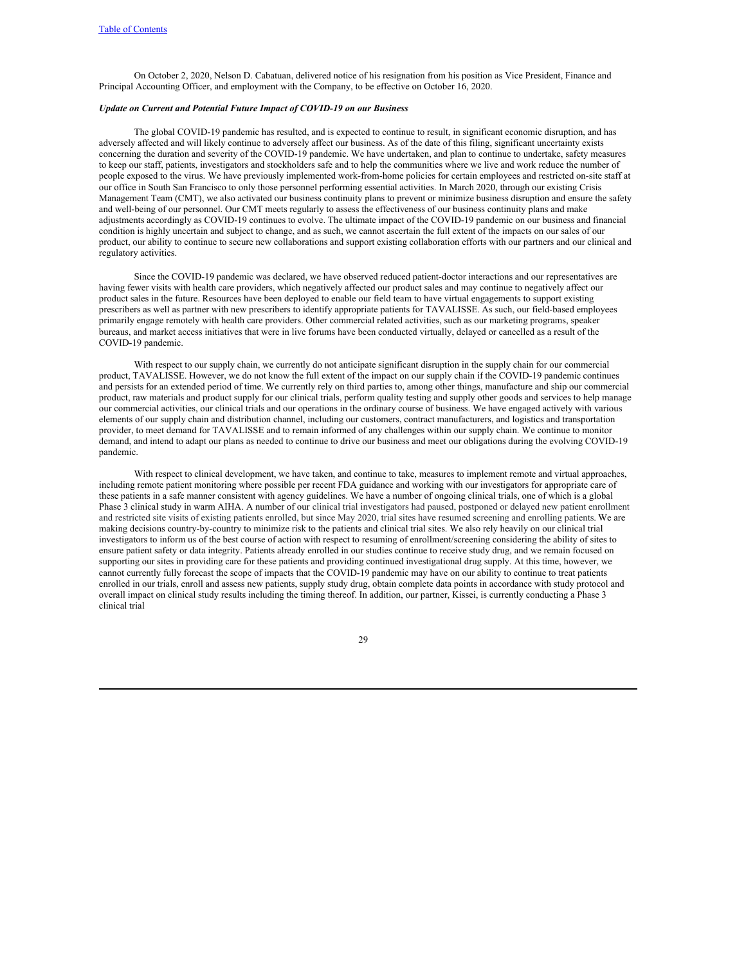On October 2, 2020, Nelson D. Cabatuan, delivered notice of his resignation from his position as Vice President, Finance and Principal Accounting Officer, and employment with the Company, to be effective on October 16, 2020.

#### *Update on Current and Potential Future Impact of COVID-19 on our Business*

The global COVID-19 pandemic has resulted, and is expected to continue to result, in significant economic disruption, and has adversely affected and will likely continue to adversely affect our business. As of the date of this filing, significant uncertainty exists concerning the duration and severity of the COVID-19 pandemic. We have undertaken, and plan to continue to undertake, safety measures to keep our staff, patients, investigators and stockholders safe and to help the communities where we live and work reduce the number of people exposed to the virus. We have previously implemented work-from-home policies for certain employees and restricted on-site staff at our office in South San Francisco to only those personnel performing essential activities. In March 2020, through our existing Crisis Management Team (CMT), we also activated our business continuity plans to prevent or minimize business disruption and ensure the safety and well-being of our personnel. Our CMT meets regularly to assess the effectiveness of our business continuity plans and make adjustments accordingly as COVID-19 continues to evolve. The ultimate impact of the COVID-19 pandemic on our business and financial condition is highly uncertain and subject to change, and as such, we cannot ascertain the full extent of the impacts on our sales of our product, our ability to continue to secure new collaborations and support existing collaboration efforts with our partners and our clinical and regulatory activities.

Since the COVID-19 pandemic was declared, we have observed reduced patient-doctor interactions and our representatives are having fewer visits with health care providers, which negatively affected our product sales and may continue to negatively affect our product sales in the future. Resources have been deployed to enable our field team to have virtual engagements to support existing prescribers as well as partner with new prescribers to identify appropriate patients for TAVALISSE. As such, our field-based employees primarily engage remotely with health care providers. Other commercial related activities, such as our marketing programs, speaker bureaus, and market access initiatives that were in live forums have been conducted virtually, delayed or cancelled as a result of the COVID-19 pandemic.

With respect to our supply chain, we currently do not anticipate significant disruption in the supply chain for our commercial product, TAVALISSE. However, we do not know the full extent of the impact on our supply chain if the COVID-19 pandemic continues and persists for an extended period of time. We currently rely on third parties to, among other things, manufacture and ship our commercial product, raw materials and product supply for our clinical trials, perform quality testing and supply other goods and services to help manage our commercial activities, our clinical trials and our operations in the ordinary course of business. We have engaged actively with various elements of our supply chain and distribution channel, including our customers, contract manufacturers, and logistics and transportation provider, to meet demand for TAVALISSE and to remain informed of any challenges within our supply chain. We continue to monitor demand, and intend to adapt our plans as needed to continue to drive our business and meet our obligations during the evolving COVID-19 pandemic.

With respect to clinical development, we have taken, and continue to take, measures to implement remote and virtual approaches, including remote patient monitoring where possible per recent FDA guidance and working with our investigators for appropriate care of these patients in a safe manner consistent with agency guidelines. We have a number of ongoing clinical trials, one of which is a global Phase 3 clinical study in warm AIHA. A number of our clinical trial investigators had paused, postponed or delayed new patient enrollment and restricted site visits of existing patients enrolled, but since May 2020, trial sites have resumed screening and enrolling patients. We are making decisions country-by-country to minimize risk to the patients and clinical trial sites. We also rely heavily on our clinical trial investigators to inform us of the best course of action with respect to resuming of enrollment/screening considering the ability of sites to ensure patient safety or data integrity. Patients already enrolled in our studies continue to receive study drug, and we remain focused on supporting our sites in providing care for these patients and providing continued investigational drug supply. At this time, however, we cannot currently fully forecast the scope of impacts that the COVID-19 pandemic may have on our ability to continue to treat patients enrolled in our trials, enroll and assess new patients, supply study drug, obtain complete data points in accordance with study protocol and overall impact on clinical study results including the timing thereof. In addition, our partner, Kissei, is currently conducting a Phase 3 clinical trial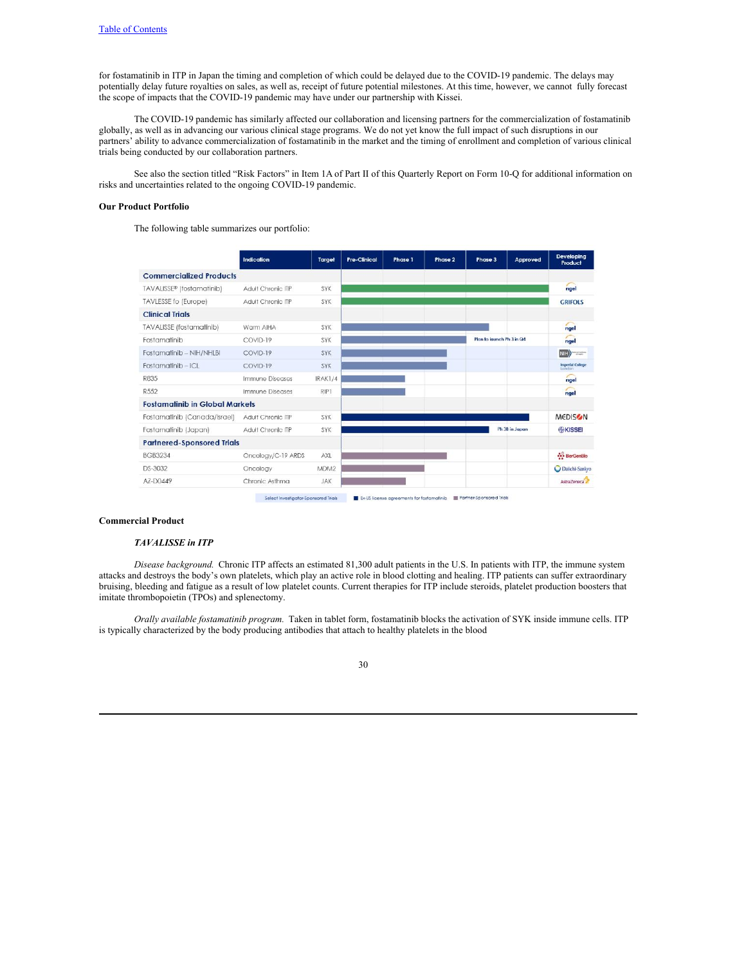for fostamatinib in ITP in Japan the timing and completion of which could be delayed due to the COVID-19 pandemic. The delays may potentially delay future royalties on sales, as well as, receipt of future potential milestones. At this time, however, we cannot fully forecast the scope of impacts that the COVID-19 pandemic may have under our partnership with Kissei.

The COVID-19 pandemic has similarly affected our collaboration and licensing partners for the commercialization of fostamatinib globally, as well as in advancing our various clinical stage programs. We do not yet know the full impact of such disruptions in our partners' ability to advance commercialization of fostamatinib in the market and the timing of enrollment and completion of various clinical trials being conducted by our collaboration partners.

See also the section titled "Risk Factors" in Item 1A of Part II of this Quarterly Report on Form 10-Q for additional information on risks and uncertainties related to the ongoing COVID-19 pandemic.

#### **Our Product Portfolio**

The following table summarizes our portfolio:



### **Commercial Product**

### *TAVALISSE in ITP*

*Disease background.* Chronic ITP affects an estimated 81,300 adult patients in the U.S. In patients with ITP, the immune system attacks and destroys the body's own platelets, which play an active role in blood clotting and healing. ITP patients can suffer extraordinary bruising, bleeding and fatigue as a result of low platelet counts. Current therapies for ITP include steroids, platelet production boosters that imitate thrombopoietin (TPOs) and splenectomy.

*Orally available fostamatinib program.* Taken in tablet form, fostamatinib blocks the activation of SYK inside immune cells. ITP is typically characterized by the body producing antibodies that attach to healthy platelets in the blood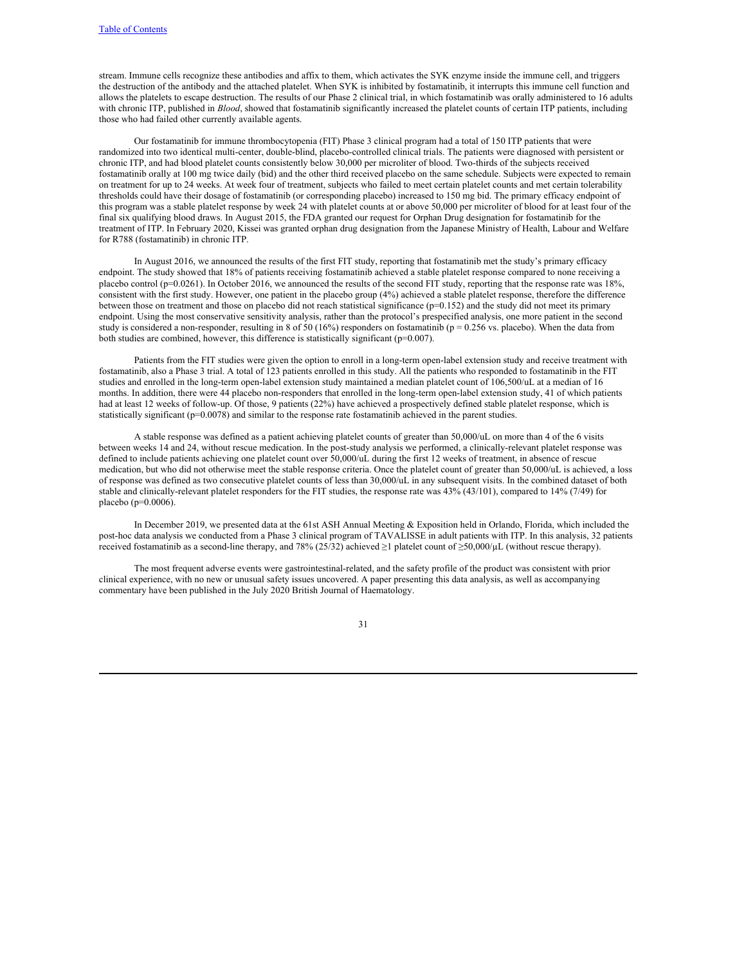stream. Immune cells recognize these antibodies and affix to them, which activates the SYK enzyme inside the immune cell, and triggers the destruction of the antibody and the attached platelet. When SYK is inhibited by fostamatinib, it interrupts this immune cell function and allows the platelets to escape destruction. The results of our Phase 2 clinical trial, in which fostamatinib was orally administered to 16 adults with chronic ITP, published in *Blood*, showed that fostamatinib significantly increased the platelet counts of certain ITP patients, including those who had failed other currently available agents.

Our fostamatinib for immune thrombocytopenia (FIT) Phase 3 clinical program had a total of 150 ITP patients that were randomized into two identical multi-center, double-blind, placebo-controlled clinical trials. The patients were diagnosed with persistent or chronic ITP, and had blood platelet counts consistently below 30,000 per microliter of blood. Two-thirds of the subjects received fostamatinib orally at 100 mg twice daily (bid) and the other third received placebo on the same schedule. Subjects were expected to remain on treatment for up to 24 weeks. At week four of treatment, subjects who failed to meet certain platelet counts and met certain tolerability thresholds could have their dosage of fostamatinib (or corresponding placebo) increased to 150 mg bid. The primary efficacy endpoint of this program was a stable platelet response by week 24 with platelet counts at or above 50,000 per microliter of blood for at least four of the final six qualifying blood draws. In August 2015, the FDA granted our request for Orphan Drug designation for fostamatinib for the treatment of ITP. In February 2020, Kissei was granted orphan drug designation from the Japanese Ministry of Health, Labour and Welfare for R788 (fostamatinib) in chronic ITP.

In August 2016, we announced the results of the first FIT study, reporting that fostamatinib met the study's primary efficacy endpoint. The study showed that 18% of patients receiving fostamatinib achieved a stable platelet response compared to none receiving a placebo control (p=0.0261). In October 2016, we announced the results of the second FIT study, reporting that the response rate was 18%, consistent with the first study. However, one patient in the placebo group (4%) achieved a stable platelet response, therefore the difference between those on treatment and those on placebo did not reach statistical significance (p=0.152) and the study did not meet its primary endpoint. Using the most conservative sensitivity analysis, rather than the protocol's prespecified analysis, one more patient in the second study is considered a non-responder, resulting in 8 of 50 (16%) responders on fostamatinib ( $p = 0.256$  vs. placebo). When the data from both studies are combined, however, this difference is statistically significant ( $p=0.007$ ).

Patients from the FIT studies were given the option to enroll in a long-term open-label extension study and receive treatment with fostamatinib, also a Phase 3 trial. A total of 123 patients enrolled in this study. All the patients who responded to fostamatinib in the FIT studies and enrolled in the long-term open-label extension study maintained a median platelet count of 106,500/uL at a median of 16 months. In addition, there were 44 placebo non-responders that enrolled in the long-term open-label extension study, 41 of which patients had at least 12 weeks of follow-up. Of those, 9 patients (22%) have achieved a prospectively defined stable platelet response, which is statistically significant ( $p=0.0078$ ) and similar to the response rate fostamatinib achieved in the parent studies.

A stable response was defined as a patient achieving platelet counts of greater than 50,000/uL on more than 4 of the 6 visits between weeks 14 and 24, without rescue medication. In the post-study analysis we performed, a clinically-relevant platelet response was defined to include patients achieving one platelet count over 50,000/uL during the first 12 weeks of treatment, in absence of rescue medication, but who did not otherwise meet the stable response criteria. Once the platelet count of greater than 50,000/uL is achieved, a loss of response was defined as two consecutive platelet counts of less than 30,000/uL in any subsequent visits. In the combined dataset of both stable and clinically-relevant platelet responders for the FIT studies, the response rate was 43% (43/101), compared to 14% (7/49) for placebo (p=0.0006).

In December 2019, we presented data at the 61st ASH Annual Meeting & Exposition held in Orlando, Florida, which included the post-hoc data analysis we conducted from a Phase 3 clinical program of TAVALISSE in adult patients with ITP. In this analysis, 32 patients received fostamatinib as a second-line therapy, and 78% (25/32) achieved  $\geq$ 1 platelet count of  $\geq$ 50,000/ $\mu$ L (without rescue therapy).

The most frequent adverse events were gastrointestinal-related, and the safety profile of the product was consistent with prior clinical experience, with no new or unusual safety issues uncovered. A paper presenting this data analysis, as well as accompanying commentary have been published in the July 2020 British Journal of Haematology.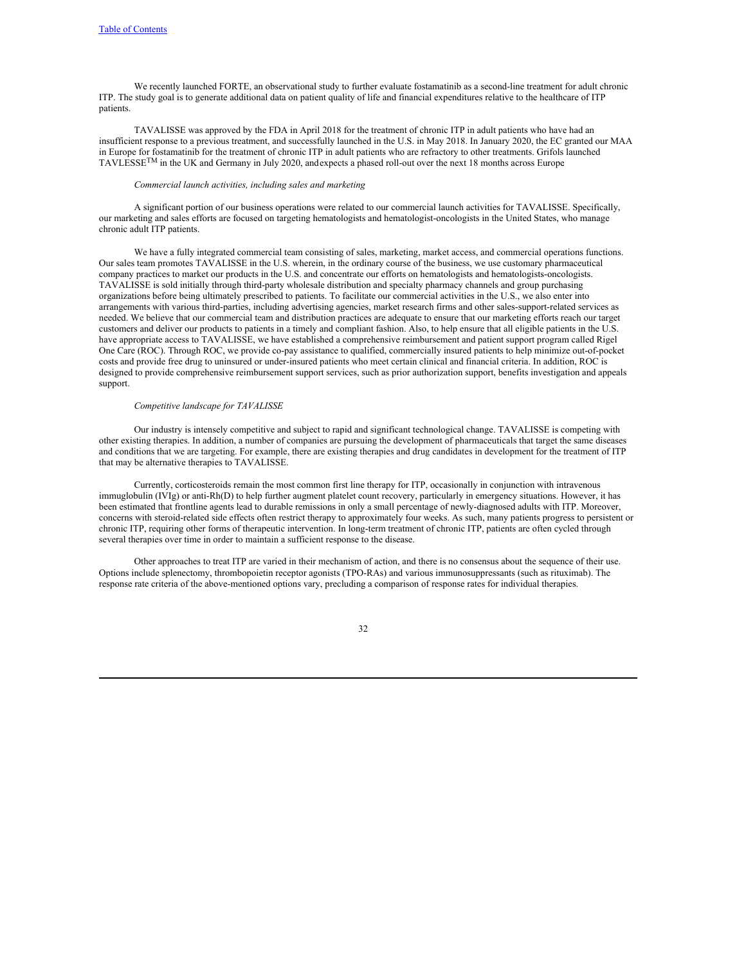We recently launched FORTE, an observational study to further evaluate fostamatinib as a second-line treatment for adult chronic ITP. The study goal is to generate additional data on patient quality of life and financial expenditures relative to the healthcare of ITP patients.

TAVALISSE was approved by the FDA in April 2018 for the treatment of chronic ITP in adult patients who have had an insufficient response to a previous treatment, and successfully launched in the U.S. in May 2018. In January 2020, the EC granted our MAA in Europe for fostamatinib for the treatment of chronic ITP in adult patients who are refractory to other treatments. Grifols launched TAVLESSE TM in the UK and Germany in July 2020, andexpects a phased roll-out over the next 18 months across Europe.

#### *Commercial launch activities, including sales and marketing*

A significant portion of our business operations were related to our commercial launch activities for TAVALISSE. Specifically, our marketing and sales efforts are focused on targeting hematologists and hematologist-oncologists in the United States, who manage chronic adult ITP patients.

We have a fully integrated commercial team consisting of sales, marketing, market access, and commercial operations functions. Our sales team promotes TAVALISSE in the U.S. wherein, in the ordinary course of the business, we use customary pharmaceutical company practices to market our products in the U.S. and concentrate our efforts on hematologists and hematologists-oncologists. TAVALISSE is sold initially through third-party wholesale distribution and specialty pharmacy channels and group purchasing organizations before being ultimately prescribed to patients. To facilitate our commercial activities in the U.S., we also enter into arrangements with various third-parties, including advertising agencies, market research firms and other sales-support-related services as needed. We believe that our commercial team and distribution practices are adequate to ensure that our marketing efforts reach our target customers and deliver our products to patients in a timely and compliant fashion. Also, to help ensure that all eligible patients in the U.S. have appropriate access to TAVALISSE, we have established a comprehensive reimbursement and patient support program called Rigel One Care (ROC). Through ROC, we provide co-pay assistance to qualified, commercially insured patients to help minimize out-of-pocket costs and provide free drug to uninsured or under-insured patients who meet certain clinical and financial criteria. In addition, ROC is designed to provide comprehensive reimbursement support services, such as prior authorization support, benefits investigation and appeals support.

### *Competitive landscape for TAVALISSE*

Our industry is intensely competitive and subject to rapid and significant technological change. TAVALISSE is competing with other existing therapies. In addition, a number of companies are pursuing the development of pharmaceuticals that target the same diseases and conditions that we are targeting. For example, there are existing therapies and drug candidates in development for the treatment of ITP that may be alternative therapies to TAVALISSE.

Currently, corticosteroids remain the most common first line therapy for ITP, occasionally in conjunction with intravenous immuglobulin (IVIg) or anti-Rh(D) to help further augment platelet count recovery, particularly in emergency situations. However, it has been estimated that frontline agents lead to durable remissions in only a small percentage of newly-diagnosed adults with ITP. Moreover, concerns with steroid-related side effects often restrict therapy to approximately four weeks. As such, many patients progress to persistent or chronic ITP, requiring other forms of therapeutic intervention. In long-term treatment of chronic ITP, patients are often cycled through several therapies over time in order to maintain a sufficient response to the disease.

Other approaches to treat ITP are varied in their mechanism of action, and there is no consensus about the sequence of their use. Options include splenectomy, thrombopoietin receptor agonists (TPO-RAs) and various immunosuppressants (such as rituximab). The response rate criteria of the above-mentioned options vary, precluding a comparison of response rates for individual therapies.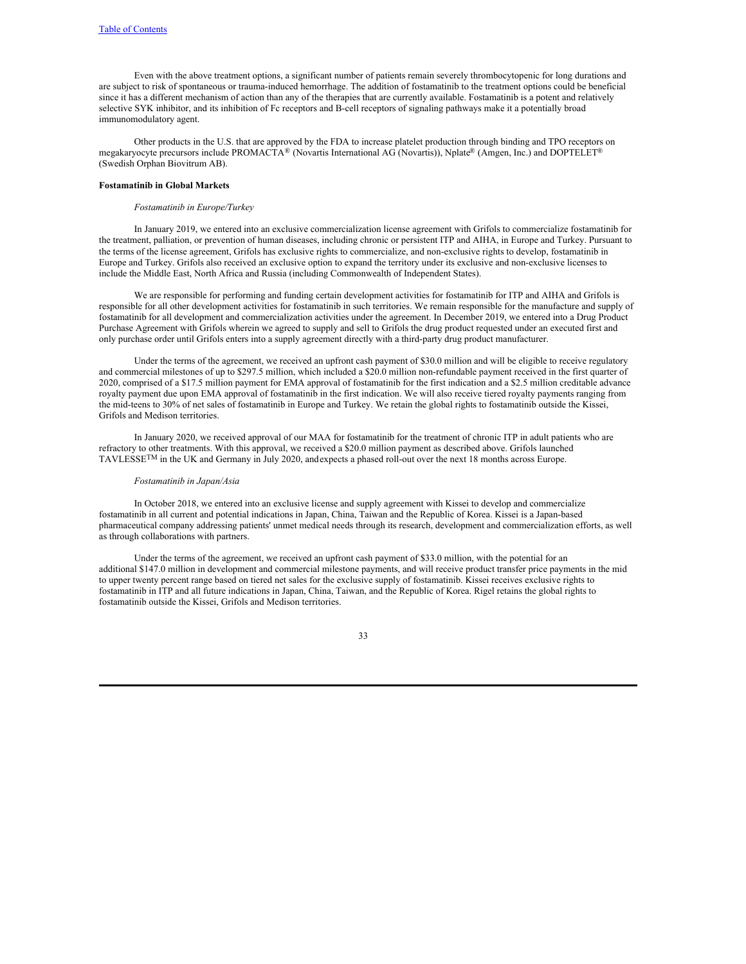Even with the above treatment options, a significant number of patients remain severely thrombocytopenic for long durations and are subject to risk of spontaneous or trauma-induced hemorrhage. The addition of fostamatinib to the treatment options could be beneficial since it has a different mechanism of action than any of the therapies that are currently available. Fostamatinib is a potent and relatively selective SYK inhibitor, and its inhibition of Fc receptors and B-cell receptors of signaling pathways make it a potentially broad immunomodulatory agent.

Other products in the U.S. that are approved by the FDA to increase platelet production through binding and TPO receptors on megakaryocyte precursors include PROMACTA® (Novartis International AG (Novartis)), Nplate® (Amgen, Inc.) and DOPTELET<sup>®</sup> (Swedish Orphan Biovitrum AB).

#### **Fostamatinib in Global Markets**

#### *Fostamatinib in Europe/Turkey*

In January 2019, we entered into an exclusive commercialization license agreement with Grifols to commercialize fostamatinib for the treatment, palliation, or prevention of human diseases, including chronic or persistent ITP and AIHA, in Europe and Turkey. Pursuant to the terms of the license agreement, Grifols has exclusive rights to commercialize, and non-exclusive rights to develop, fostamatinib in Europe and Turkey. Grifols also received an exclusive option to expand the territory under its exclusive and non-exclusive licenses to include the Middle East, North Africa and Russia (including Commonwealth of Independent States).

We are responsible for performing and funding certain development activities for fostamatinib for ITP and AIHA and Grifols is responsible for all other development activities for fostamatinib in such territories. We remain responsible for the manufacture and supply of fostamatinib for all development and commercialization activities under the agreement. In December 2019, we entered into a Drug Product Purchase Agreement with Grifols wherein we agreed to supply and sell to Grifols the drug product requested under an executed first and only purchase order until Grifols enters into a supply agreement directly with a third-party drug product manufacturer.

Under the terms of the agreement, we received an upfront cash payment of \$30.0 million and will be eligible to receive regulatory and commercial milestones of up to \$297.5 million, which included a \$20.0 million non-refundable payment received in the first quarter of 2020, comprised of a \$17.5 million payment for EMA approval of fostamatinib for the first indication and a \$2.5 million creditable advance royalty payment due upon EMA approval of fostamatinib in the first indication. We will also receive tiered royalty payments ranging from the mid-teens to 30% of net sales of fostamatinib in Europe and Turkey. We retain the global rights to fostamatinib outside the Kissei, Grifols and Medison territories.

In January 2020, we received approval of our MAA for fostamatinib for the treatment of chronic ITP in adult patients who are refractory to other treatments. With this approval, we received a \$20.0 million payment as described above. Grifols launched  $TAVLESSE^{TM}$  in the UK and Germany in July 2020, and expects a phased roll-out over the next 18 months across Europe.

#### *Fostamatinib in Japan/Asia*

In October 2018, we entered into an exclusive license and supply agreement with Kissei to develop and commercialize fostamatinib in all current and potential indications in Japan, China, Taiwan and the Republic of Korea. Kissei is a Japan-based pharmaceutical company addressing patients' unmet medical needs through its research, development and commercialization efforts, as well as through collaborations with partners.

Under the terms of the agreement, we received an upfront cash payment of \$33.0 million, with the potential for an additional \$147.0 million in development and commercial milestone payments, and will receive product transfer price payments in the mid to upper twenty percent range based on tiered net sales for the exclusive supply of fostamatinib. Kissei receives exclusive rights to fostamatinib in ITP and all future indications in Japan, China, Taiwan, and the Republic of Korea. Rigel retains the global rights to fostamatinib outside the Kissei, Grifols and Medison territories.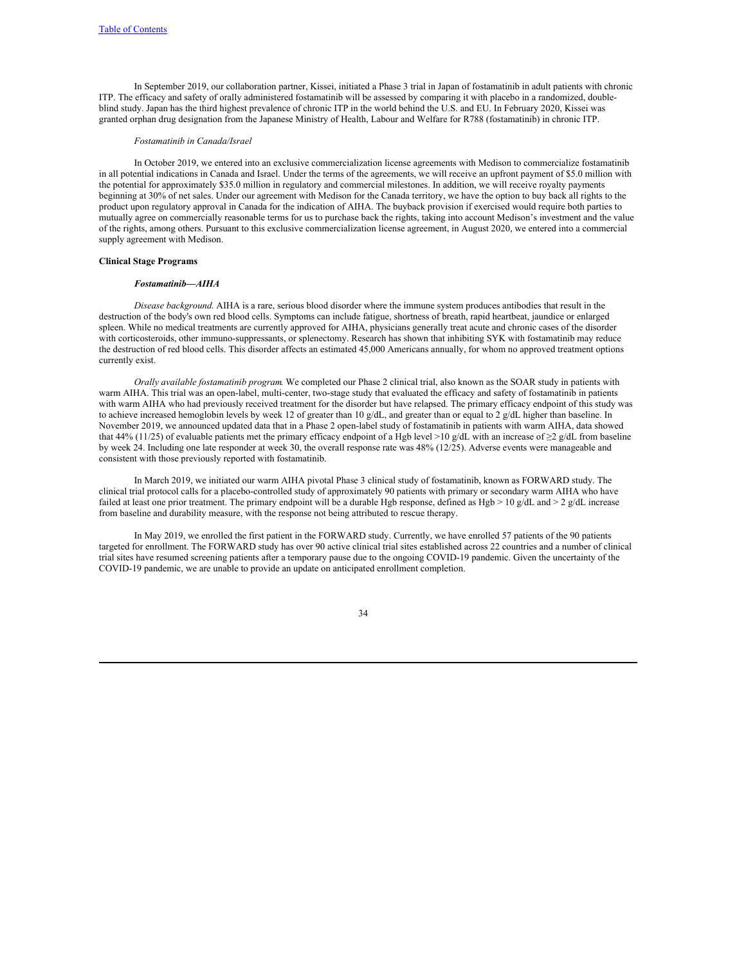In September 2019, our collaboration partner, Kissei, initiated a Phase 3 trial in Japan of fostamatinib in adult patients with chronic ITP. The efficacy and safety of orally administered fostamatinib will be assessed by comparing it with placebo in a randomized, doubleblind study. Japan has the third highest prevalence of chronic ITP in the world behind the U.S. and EU. In February 2020, Kissei was granted orphan drug designation from the Japanese Ministry of Health, Labour and Welfare for R788 (fostamatinib) in chronic ITP.

#### *Fostamatinib in Canada/Israel*

In October 2019, we entered into an exclusive commercialization license agreements with Medison to commercialize fostamatinib in all potential indications in Canada and Israel. Under the terms of the agreements, we will receive an upfront payment of \$5.0 million with the potential for approximately \$35.0 million in regulatory and commercial milestones. In addition, we will receive royalty payments beginning at 30% of net sales. Under our agreement with Medison for the Canada territory, we have the option to buy back all rights to the product upon regulatory approval in Canada for the indication of AIHA. The buyback provision if exercised would require both parties to mutually agree on commercially reasonable terms for us to purchase back the rights, taking into account Medison's investment and the value of the rights, among others. Pursuant to this exclusive commercialization license agreement, in August 2020, we entered into a commercial supply agreement with Medison.

#### **Clinical Stage Programs**

### *Fostamatinib—AIHA*

*Disease background*. AIHA is a rare, serious blood disorder where the immune system produces antibodies that result in the destruction of the body's own red blood cells. Symptoms can include fatigue, shortness of breath, rapid heartbeat, jaundice or enlarged spleen. While no medical treatments are currently approved for AIHA, physicians generally treat acute and chronic cases of the disorder with corticosteroids, other immuno-suppressants, or splenectomy. Research has shown that inhibiting SYK with fostamatinib may reduce the destruction of red blood cells. This disorder affects an estimated 45,000 Americans annually, for whom no approved treatment options currently exist.

*Orally available fostamatinib program*. We completed our Phase 2 clinical trial, also known as the SOAR study in patients with warm AIHA. This trial was an open-label, multi-center, two-stage study that evaluated the efficacy and safety of fostamatinib in patients with warm AIHA who had previously received treatment for the disorder but have relapsed. The primary efficacy endpoint of this study was to achieve increased hemoglobin levels by week 12 of greater than 10 g/dL, and greater than or equal to 2 g/dL higher than baseline. In November 2019, we announced updated data that in a Phase 2 open-label study of fostamatinib in patients with warm AIHA, data showed that 44% (11/25) of evaluable patients met the primary efficacy endpoint of a Hgb level >10 g/dL with an increase of  $\geq$  g/dL from baseline by week 24. Including one late responder at week 30, the overall response rate was 48% (12/25). Adverse events were manageable and consistent with those previously reported with fostamatinib.

In March 2019, we initiated our warm AIHA pivotal Phase 3 clinical study of fostamatinib, known as FORWARD study. The clinical trial protocol calls for a placebo-controlled study of approximately 90 patients with primary or secondary warm AIHA who have failed at least one prior treatment. The primary endpoint will be a durable Hgb response, defined as Hgb > 10 g/dL and > 2 g/dL increase from baseline and durability measure, with the response not being attributed to rescue therapy.

In May 2019, we enrolled the first patient in the FORWARD study. Currently, we have enrolled 57 patients of the 90 patients targeted for enrollment. The FORWARD study has over 90 active clinical trial sites established across 22 countries and a number of clinical trial sites have resumed screening patients after a temporary pause due to the ongoing COVID-19 pandemic. Given the uncertainty of the COVID-19 pandemic, we are unable to provide an update on anticipated enrollment completion.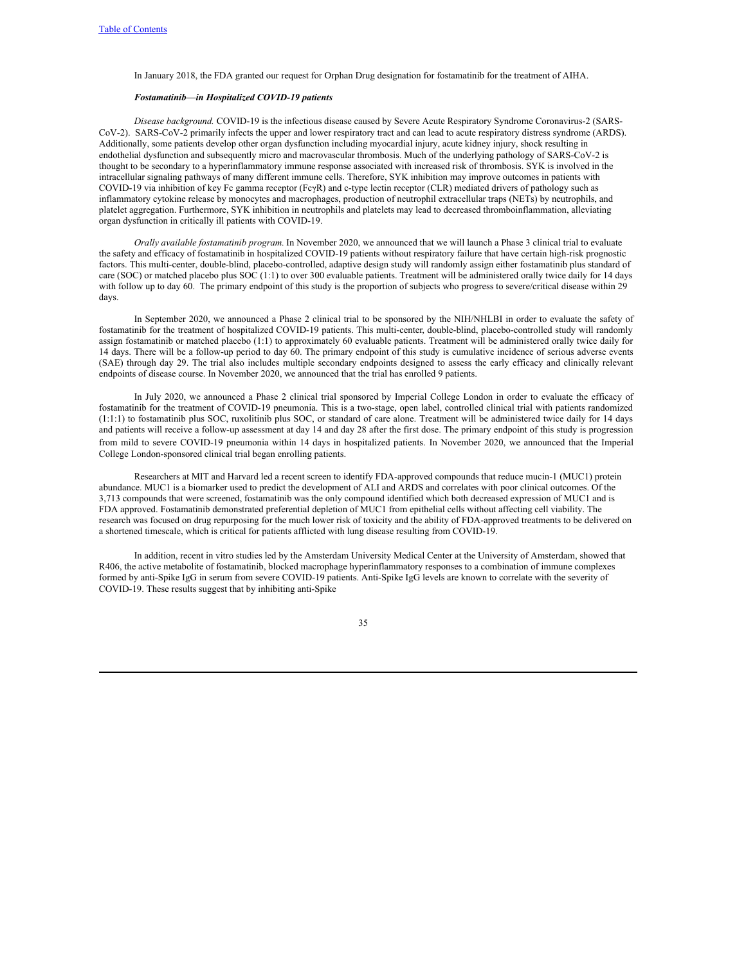In January 2018, the FDA granted our request for Orphan Drug designation for fostamatinib for the treatment of AIHA.

#### *Fostamatinib—in Hospitalized COVID-19 patients*

*Disease background.* COVID-19 is the infectious disease caused by Severe Acute Respiratory Syndrome Coronavirus-2 (SARS-CoV-2). SARS-CoV-2 primarily infects the upper and lower respiratory tract and can lead to acute respiratory distress syndrome (ARDS). Additionally, some patients develop other organ dysfunction including myocardial injury, acute kidney injury, shock resulting in endothelial dysfunction and subsequently micro and macrovascular thrombosis. Much of the underlying pathology of SARS-CoV-2 is thought to be secondary to a hyperinflammatory immune response associated with increased risk of thrombosis. SYK is involved in the intracellular signaling pathways of many different immune cells. Therefore, SYK inhibition may improve outcomes in patients with COVID-19 via inhibition of key Fc gamma receptor (FcγR) and c-type lectin receptor (CLR) mediated drivers of pathology such as inflammatory cytokine release by monocytes and macrophages, production of neutrophil extracellular traps (NETs) by neutrophils, and platelet aggregation. Furthermore, SYK inhibition in neutrophils and platelets may lead to decreased thromboinflammation, alleviating organ dysfunction in critically ill patients with COVID-19.

*Orally available fostamatinib program.* In November 2020, we announced that we will launch a Phase 3 clinical trial to evaluate the safety and efficacy of fostamatinib in hospitalized COVID-19 patients without respiratory failure that have certain high-risk prognostic factors. This multi-center, double-blind, placebo-controlled, adaptive design study will randomly assign either fostamatinib plus standard of care (SOC) or matched placebo plus SOC (1:1) to over 300 evaluable patients. Treatment will be administered orally twice daily for 14 days with follow up to day 60. The primary endpoint of this study is the proportion of subjects who progress to severe/critical disease within 29 days.

In September 2020, we announced a Phase 2 clinical trial to be sponsored by the NIH/NHLBI in order to evaluate the safety of fostamatinib for the treatment of hospitalized COVID-19 patients. This multi-center, double-blind, placebo-controlled study will randomly assign fostamatinib or matched placebo (1:1) to approximately 60 evaluable patients. Treatment will be administered orally twice daily for 14 days. There will be a follow-up period to day 60. The primary endpoint of this study is cumulative incidence of serious adverse events (SAE) through day 29. The trial also includes multiple secondary endpoints designed to assess the early efficacy and clinically relevant endpoints of disease course. In November 2020, we announced that the trial has enrolled 9 patients.

In July 2020, we announced a Phase 2 clinical trial sponsored by Imperial College London in order to evaluate the efficacy of fostamatinib for the treatment of COVID-19 pneumonia. This is a two-stage, open label, controlled clinical trial with patients randomized (1:1:1) to fostamatinib plus SOC, ruxolitinib plus SOC, or standard of care alone. Treatment will be administered twice daily for 14 days and patients will receive a follow-up assessment at day 14 and day 28 after the first dose. The primary endpoint of this study is progression from mild to severe COVID-19 pneumonia within 14 days in hospitalized patients. In November 2020, we announced that the Imperial College London-sponsored clinical trial began enrolling patients.

Researchers at MIT and Harvard led a recent screen to identify FDA-approved compounds that reduce mucin-1 (MUC1) protein abundance. MUC1 is a biomarker used to predict the development of ALI and ARDS and correlates with poor clinical outcomes. Of the 3,713 compounds that were screened, fostamatinib was the only compound identified which both decreased expression of MUC1 and is FDA approved. Fostamatinib demonstrated preferential depletion of MUC1 from epithelial cells without affecting cell viability. The research was focused on drug repurposing for the much lower risk of toxicity and the ability of FDA-approved treatments to be delivered on a shortened timescale, which is critical for patients afflicted with lung disease resulting from COVID-19.

In addition, recent in vitro studies led by the Amsterdam University Medical Center at the University of Amsterdam, showed that R406, the active metabolite of fostamatinib, blocked macrophage hyperinflammatory responses to a combination of immune complexes formed by anti-Spike IgG in serum from severe COVID-19 patients. Anti-Spike IgG levels are known to correlate with the severity of COVID-19. These results suggest that by inhibiting anti-Spike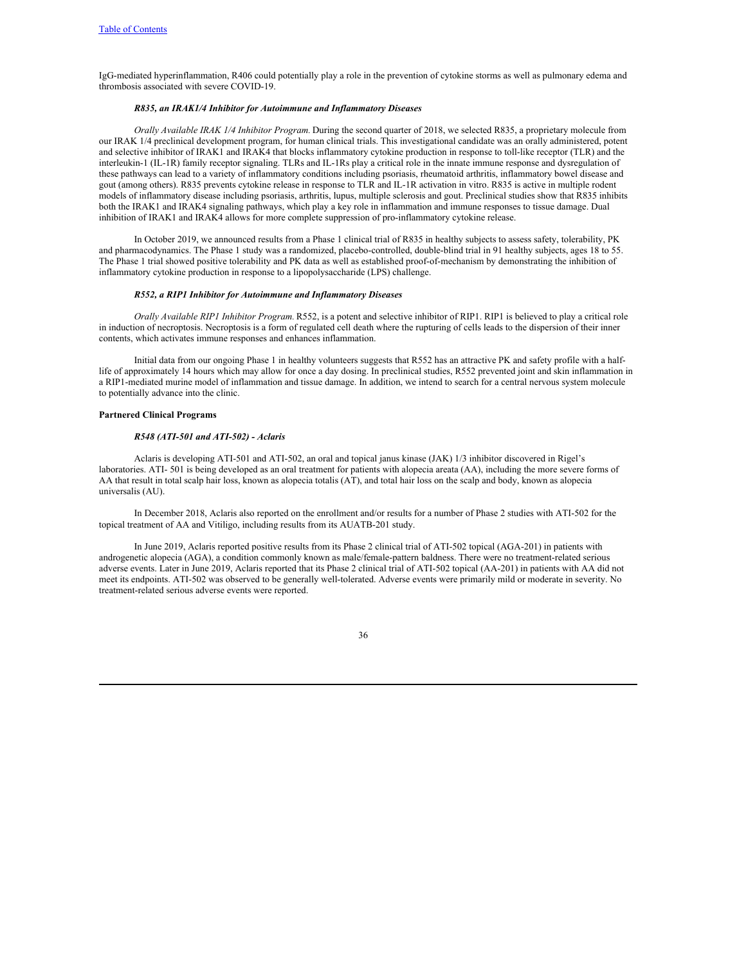IgG-mediated hyperinflammation, R406 could potentially play a role in the prevention of cytokine storms as well as pulmonary edema and thrombosis associated with severe COVID-19.

### *R835, an IRAK1/4 Inhibitor for Autoimmune and Inflammatory Diseases*

*Orally Available IRAK 1/4 Inhibitor Program.* During the second quarter of 2018, we selected R835, a proprietary molecule from our IRAK 1/4 preclinical development program, for human clinical trials. This investigational candidate was an orally administered, potent and selective inhibitor of IRAK1 and IRAK4 that blocks inflammatory cytokine production in response to toll-like receptor (TLR) and the interleukin-1 (IL-1R) family receptor signaling. TLRs and IL-1Rs play a critical role in the innate immune response and dysregulation of these pathways can lead to a variety of inflammatory conditions including psoriasis, rheumatoid arthritis, inflammatory bowel disease and gout (among others). R835 prevents cytokine release in response to TLR and IL-1R activation in vitro. R835 is active in multiple rodent models of inflammatory disease including psoriasis, arthritis, lupus, multiple sclerosis and gout. Preclinical studies show that R835 inhibits both the IRAK1 and IRAK4 signaling pathways, which play a key role in inflammation and immune responses to tissue damage. Dual inhibition of IRAK1 and IRAK4 allows for more complete suppression of pro-inflammatory cytokine release.

In October 2019, we announced results from a Phase 1 clinical trial of R835 in healthy subjects to assess safety, tolerability, PK and pharmacodynamics. The Phase 1 study was a randomized, placebo-controlled, double-blind trial in 91 healthy subjects, ages 18 to 55. The Phase 1 trial showed positive tolerability and PK data as well as established proof-of-mechanism by demonstrating the inhibition of inflammatory cytokine production in response to a lipopolysaccharide (LPS) challenge.

#### *R552, a RIP1 Inhibitor for Autoimmune and Inflammatory Diseases*

*Orally Available RIP1 Inhibitor Program.* R552, is a potent and selective inhibitor of RIP1. RIP1 is believed to play a critical role in induction of necroptosis. Necroptosis is a form of regulated cell death where the rupturing of cells leads to the dispersion of their inner contents, which activates immune responses and enhances inflammation.

Initial data from our ongoing Phase 1 in healthy volunteers suggests that R552 has an attractive PK and safety profile with a halflife of approximately 14 hours which may allow for once a day dosing. In preclinical studies, R552 prevented joint and skin inflammation in a RIP1-mediated murine model of inflammation and tissue damage. In addition, we intend to search for a central nervous system molecule to potentially advance into the clinic.

### **Partnered Clinical Programs**

### *R548 (ATI-501 and ATI-502) - Aclaris*

Aclaris is developing ATI-501 and ATI-502, an oral and topical janus kinase (JAK) 1/3 inhibitor discovered in Rigel's laboratories. ATI- 501 is being developed as an oral treatment for patients with alopecia areata (AA), including the more severe forms of AA that result in total scalp hair loss, known as alopecia totalis (AT), and total hair loss on the scalp and body, known as alopecia universalis (AU).

In December 2018, Aclaris also reported on the enrollment and/or results for a number of Phase 2 studies with ATI-502 for the topical treatment of AA and Vitiligo, including results from its AUATB-201 study.

In June 2019, Aclaris reported positive results from its Phase 2 clinical trial of ATI-502 topical (AGA-201) in patients with androgenetic alopecia (AGA), a condition commonly known as male/female-pattern baldness. There were no treatment-related serious adverse events. Later in June 2019, Aclaris reported that its Phase 2 clinical trial of ATI-502 topical (AA-201) in patients with AA did not meet its endpoints. ATI-502 was observed to be generally well-tolerated. Adverse events were primarily mild or moderate in severity. No treatment-related serious adverse events were reported.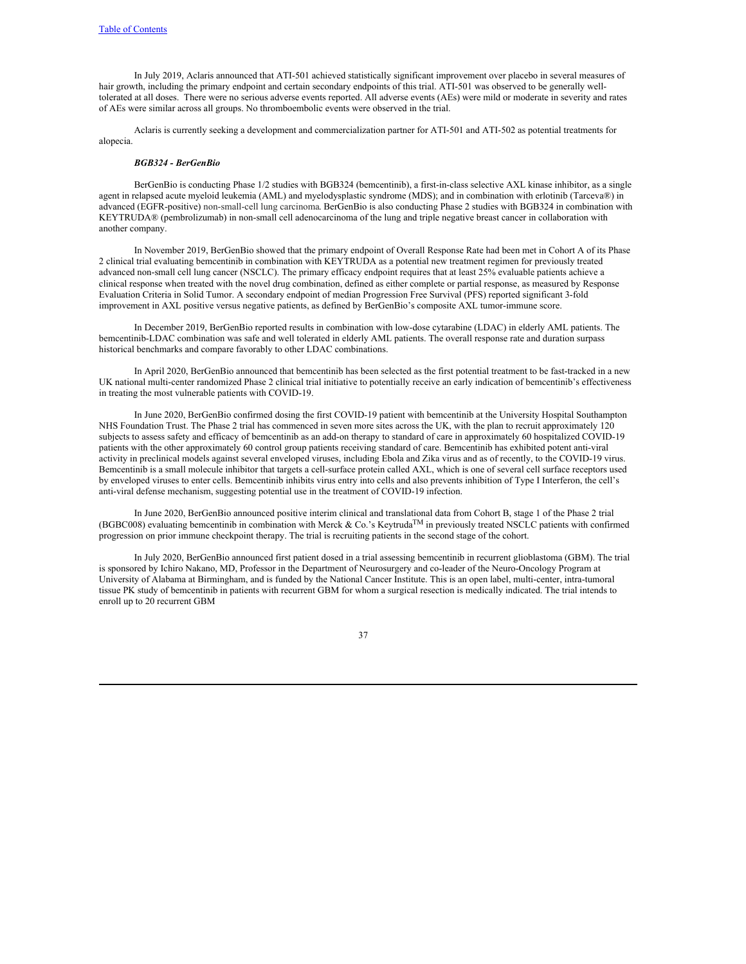In July 2019, Aclaris announced that ATI-501 achieved statistically significant improvement over placebo in several measures of hair growth, including the primary endpoint and certain secondary endpoints of this trial. ATI-501 was observed to be generally welltolerated at all doses. There were no serious adverse events reported. All adverse events (AEs) were mild or moderate in severity and rates of AEs were similar across all groups. No thromboembolic events were observed in the trial.

Aclaris is currently seeking a development and commercialization partner for ATI-501 and ATI-502 as potential treatments for alopecia.

#### *BGB324 - BerGenBio*

BerGenBio is conducting Phase 1/2 studies with BGB324 (bemcentinib), a first-in-class selective AXL kinase inhibitor, as a single agent in relapsed acute myeloid leukemia (AML) and myelodysplastic syndrome (MDS); and in combination with erlotinib (Tarceva®) in advanced (EGFR-positive) non-small-cell lung carcinoma. BerGenBio is also conducting Phase 2 studies with BGB324 in combination with KEYTRUDA® (pembrolizumab) in non-small cell adenocarcinoma of the lung and triple negative breast cancer in collaboration with another company.

In November 2019, BerGenBio showed that the primary endpoint of Overall Response Rate had been met in Cohort A of its Phase 2 clinical trial evaluating bemcentinib in combination with KEYTRUDA as a potential new treatment regimen for previously treated advanced non-small cell lung cancer (NSCLC). The primary efficacy endpoint requires that at least 25% evaluable patients achieve a clinical response when treated with the novel drug combination, defined as either complete or partial response, as measured by Response Evaluation Criteria in Solid Tumor. A secondary endpoint of median Progression Free Survival (PFS) reported significant 3-fold improvement in AXL positive versus negative patients, as defined by BerGenBio's composite AXL tumor-immune score.

In December 2019, BerGenBio reported results in combination with low-dose cytarabine (LDAC) in elderly AML patients. The bemcentinib-LDAC combination was safe and well tolerated in elderly AML patients. The overall response rate and duration surpass historical benchmarks and compare favorably to other LDAC combinations.

In April 2020, BerGenBio announced that bemcentinib has been selected as the first potential treatment to be fast-tracked in a new UK national multi-center randomized Phase 2 clinical trial initiative to potentially receive an early indication of bemcentinib's effectiveness in treating the most vulnerable patients with COVID-19.

In June 2020, BerGenBio confirmed dosing the first COVID-19 patient with bemcentinib at the University Hospital Southampton NHS Foundation Trust. The Phase 2 trial has commenced in seven more sites across the UK, with the plan to recruit approximately 120 subjects to assess safety and efficacy of bemcentinib as an add-on therapy to standard of care in approximately 60 hospitalized COVID-19 patients with the other approximately 60 control group patients receiving standard of care. Bemcentinib has exhibited potent anti-viral activity in preclinical models against several enveloped viruses, including Ebola and Zika virus and as of recently, to the COVID-19 virus. Bemcentinib is a small molecule inhibitor that targets a cell-surface protein called AXL, which is one of several cell surface receptors used by enveloped viruses to enter cells. Bemcentinib inhibits virus entry into cells and also prevents inhibition of Type I Interferon, the cell's anti-viral defense mechanism, suggesting potential use in the treatment of COVID-19 infection.

In June 2020, BerGenBio announced positive interim clinical and translational data from Cohort B, stage 1 of the Phase 2 trial (BGBC008) evaluating bemcentinib in combination with Merck & Co.'s KeytrudaTM in previously treated NSCLC patients with confirmed progression on prior immune checkpoint therapy. The trial is recruiting patients in the second stage of the cohort.

In July 2020, BerGenBio announced first patient dosed in a trial assessing bemcentinib in recurrent glioblastoma (GBM). The trial is sponsored by Ichiro Nakano, MD, Professor in the Department of Neurosurgery and co-leader of the Neuro-Oncology Program at University of Alabama at Birmingham, and is funded by the National Cancer Institute. This is an open label, multi-center, intra-tumoral tissue PK study of bemcentinib in patients with recurrent GBM for whom a surgical resection is medically indicated. The trial intends to enroll up to 20 recurrent GBM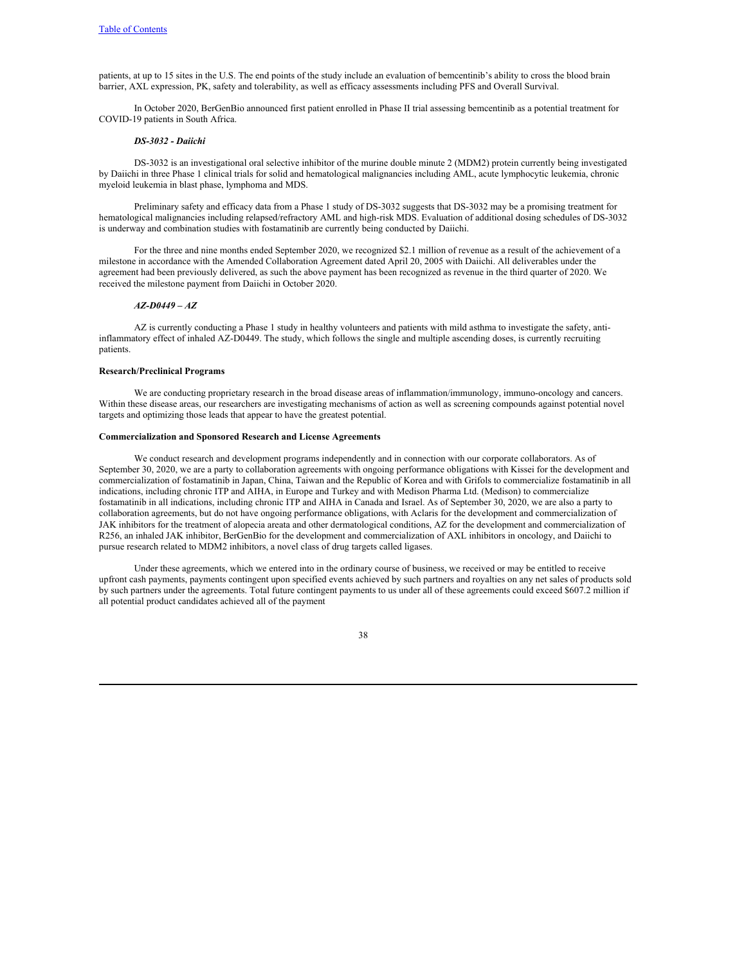patients, at up to 15 sites in the U.S. The end points of the study include an evaluation of bemcentinib's ability to cross the blood brain barrier, AXL expression, PK, safety and tolerability, as well as efficacy assessments including PFS and Overall Survival.

In October 2020, BerGenBio announced first patient enrolled in Phase II trial assessing bemcentinib as a potential treatment for COVID-19 patients in South Africa.

### *DS-3032 - Daiichi*

DS-3032 is an investigational oral selective inhibitor of the murine double minute 2 (MDM2) protein currently being investigated by Daiichi in three Phase 1 clinical trials for solid and hematological malignancies including AML, acute lymphocytic leukemia, chronic myeloid leukemia in blast phase, lymphoma and MDS.

Preliminary safety and efficacy data from a Phase 1 study of DS-3032 suggests that DS-3032 may be a promising treatment for hematological malignancies including relapsed/refractory AML and high-risk MDS. Evaluation of additional dosing schedules of DS-3032 is underway and combination studies with fostamatinib are currently being conducted by Daiichi.

For the three and nine months ended September 2020, we recognized \$2.1 million of revenue as a result of the achievement of a milestone in accordance with the Amended Collaboration Agreement dated April 20, 2005 with Daiichi. All deliverables under the agreement had been previously delivered, as such the above payment has been recognized as revenue in the third quarter of 2020. We received the milestone payment from Daiichi in October 2020.

#### *AZ-D0449 – AZ*

AZ is currently conducting a Phase 1 study in healthy volunteers and patients with mild asthma to investigate the safety, antiinflammatory effect of inhaled AZ-D0449. The study, which follows the single and multiple ascending doses, is currently recruiting patients.

#### **Research/Preclinical Programs**

We are conducting proprietary research in the broad disease areas of inflammation/immunology, immuno-oncology and cancers. Within these disease areas, our researchers are investigating mechanisms of action as well as screening compounds against potential novel targets and optimizing those leads that appear to have the greatest potential.

### **Commercialization and Sponsored Research and License Agreements**

We conduct research and development programs independently and in connection with our corporate collaborators. As of September 30, 2020, we are a party to collaboration agreements with ongoing performance obligations with Kissei for the development and commercialization of fostamatinib in Japan, China, Taiwan and the Republic of Korea and with Grifols to commercialize fostamatinib in all indications, including chronic ITP and AIHA, in Europe and Turkey and with Medison Pharma Ltd. (Medison) to commercialize fostamatinib in all indications, including chronic ITP and AIHA in Canada and Israel. As of September 30, 2020, we are also a party to collaboration agreements, but do not have ongoing performance obligations, with Aclaris for the development and commercialization of JAK inhibitors for the treatment of alopecia areata and other dermatological conditions, AZ for the development and commercialization of R256, an inhaled JAK inhibitor, BerGenBio for the development and commercialization of AXL inhibitors in oncology, and Daiichi to pursue research related to MDM2 inhibitors, a novel class of drug targets called ligases.

Under these agreements, which we entered into in the ordinary course of business, we received or may be entitled to receive upfront cash payments, payments contingent upon specified events achieved by such partners and royalties on any net sales of products sold by such partners under the agreements. Total future contingent payments to us under all of these agreements could exceed \$607.2 million if all potential product candidates achieved all of the payment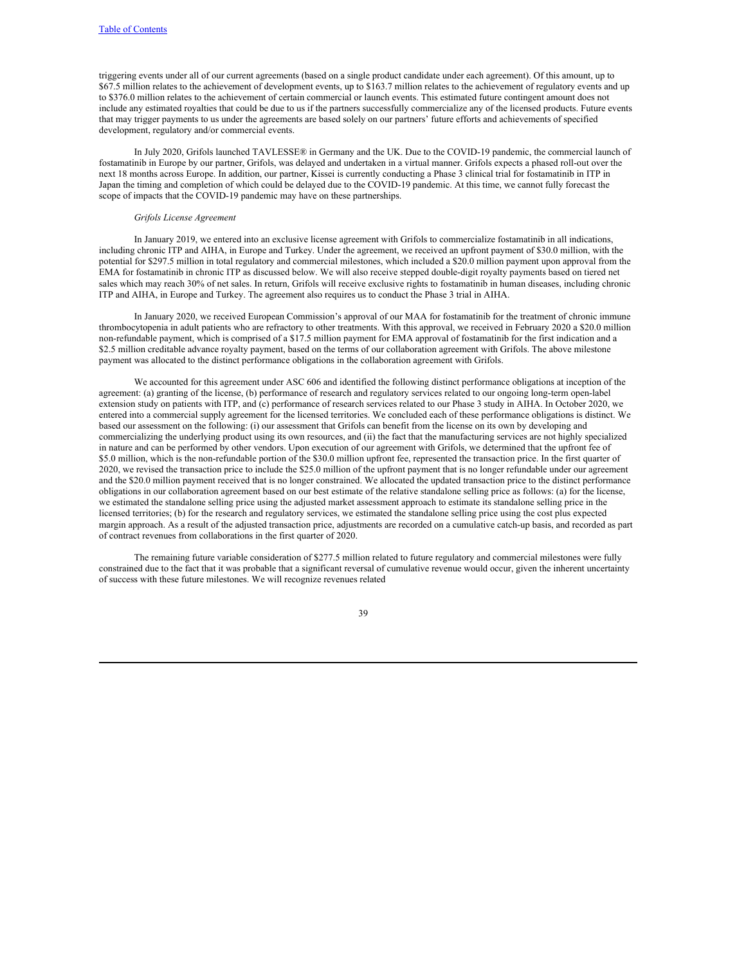triggering events under all of our current agreements (based on a single product candidate under each agreement). Of this amount, up to \$67.5 million relates to the achievement of development events, up to \$163.7 million relates to the achievement of regulatory events and up to \$376.0 million relates to the achievement of certain commercial or launch events. This estimated future contingent amount does not include any estimated royalties that could be due to us if the partners successfully commercialize any of the licensed products. Future events that may trigger payments to us under the agreements are based solely on our partners' future efforts and achievements of specified development, regulatory and/or commercial events.

In July 2020, Grifols launched TAVLESSE® in Germany and the UK. Due to the COVID-19 pandemic, the commercial launch of fostamatinib in Europe by our partner, Grifols, was delayed and undertaken in a virtual manner. Grifols expects a phased roll-out over the next 18 months across Europe. In addition, our partner, Kissei is currently conducting a Phase 3 clinical trial for fostamatinib in ITP in Japan the timing and completion of which could be delayed due to the COVID-19 pandemic. At this time, we cannot fully forecast the scope of impacts that the COVID-19 pandemic may have on these partnerships.

#### *Grifols License Agreement*

In January 2019, we entered into an exclusive license agreement with Grifols to commercialize fostamatinib in all indications, including chronic ITP and AIHA, in Europe and Turkey. Under the agreement, we received an upfront payment of \$30.0 million, with the potential for \$297.5 million in total regulatory and commercial milestones, which included a \$20.0 million payment upon approval from the EMA for fostamatinib in chronic ITP as discussed below. We will also receive stepped double-digit royalty payments based on tiered net sales which may reach 30% of net sales. In return, Grifols will receive exclusive rights to fostamatinib in human diseases, including chronic ITP and AIHA, in Europe and Turkey. The agreement also requires us to conduct the Phase 3 trial in AIHA.

In January 2020, we received European Commission's approval of our MAA for fostamatinib for the treatment of chronic immune thrombocytopenia in adult patients who are refractory to other treatments. With this approval, we received in February 2020 a \$20.0 million non-refundable payment, which is comprised of a \$17.5 million payment for EMA approval of fostamatinib for the first indication and a \$2.5 million creditable advance royalty payment, based on the terms of our collaboration agreement with Grifols. The above milestone payment was allocated to the distinct performance obligations in the collaboration agreement with Grifols.

We accounted for this agreement under ASC 606 and identified the following distinct performance obligations at inception of the agreement: (a) granting of the license, (b) performance of research and regulatory services related to our ongoing long-term open-label extension study on patients with ITP, and (c) performance of research services related to our Phase 3 study in AIHA. In October 2020, we entered into a commercial supply agreement for the licensed territories. We concluded each of these performance obligations is distinct. We based our assessment on the following: (i) our assessment that Grifols can benefit from the license on its own by developing and commercializing the underlying product using its own resources, and (ii) the fact that the manufacturing services are not highly specialized in nature and can be performed by other vendors. Upon execution of our agreement with Grifols, we determined that the upfront fee of \$5.0 million, which is the non-refundable portion of the \$30.0 million upfront fee, represented the transaction price. In the first quarter of 2020, we revised the transaction price to include the \$25.0 million of the upfront payment that is no longer refundable under our agreement and the \$20.0 million payment received that is no longer constrained. We allocated the updated transaction price to the distinct performance obligations in our collaboration agreement based on our best estimate of the relative standalone selling price as follows: (a) for the license, we estimated the standalone selling price using the adjusted market assessment approach to estimate its standalone selling price in the licensed territories; (b) for the research and regulatory services, we estimated the standalone selling price using the cost plus expected margin approach. As a result of the adjusted transaction price, adjustments are recorded on a cumulative catch-up basis, and recorded as part of contract revenues from collaborations in the first quarter of 2020.

The remaining future variable consideration of \$277.5 million related to future regulatory and commercial milestones were fully constrained due to the fact that it was probable that a significant reversal of cumulative revenue would occur, given the inherent uncertainty of success with these future milestones. We will recognize revenues related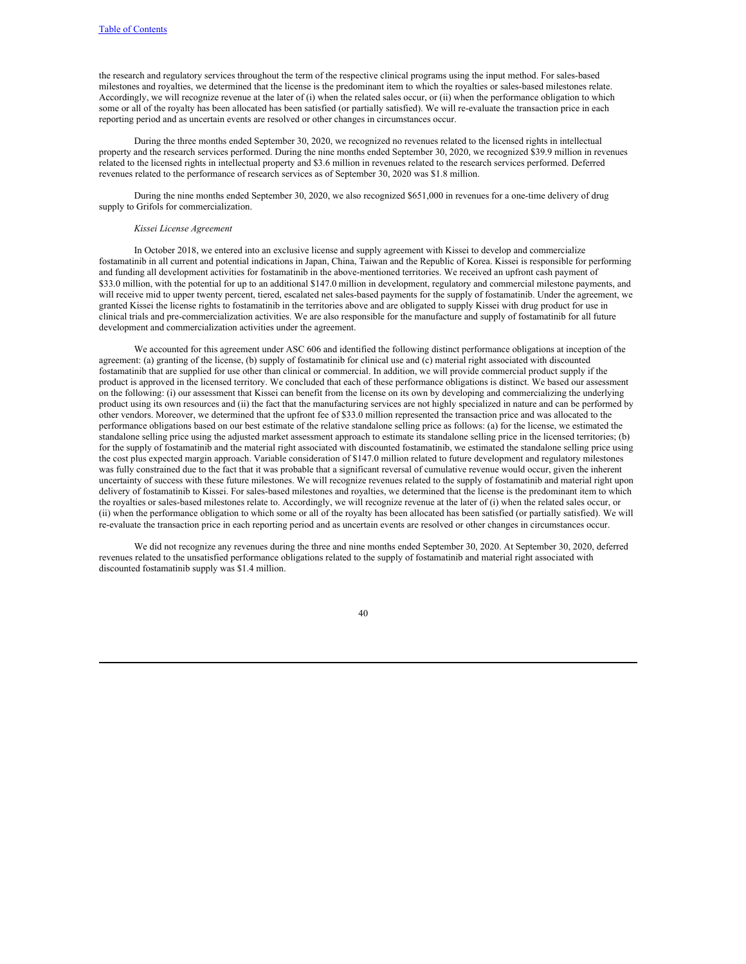the research and regulatory services throughout the term of the respective clinical programs using the input method. For sales-based milestones and royalties, we determined that the license is the predominant item to which the royalties or sales-based milestones relate. Accordingly, we will recognize revenue at the later of (i) when the related sales occur, or (ii) when the performance obligation to which some or all of the royalty has been allocated has been satisfied (or partially satisfied). We will re-evaluate the transaction price in each reporting period and as uncertain events are resolved or other changes in circumstances occur.

During the three months ended September 30, 2020, we recognized no revenues related to the licensed rights in intellectual property and the research services performed. During the nine months ended September 30, 2020, we recognized \$39.9 million in revenues related to the licensed rights in intellectual property and \$3.6 million in revenues related to the research services performed. Deferred revenues related to the performance of research services as of September 30, 2020 was \$1.8 million.

During the nine months ended September 30, 2020, we also recognized \$651,000 in revenues for a one-time delivery of drug supply to Grifols for commercialization.

#### *Kissei License Agreement*

In October 2018, we entered into an exclusive license and supply agreement with Kissei to develop and commercialize fostamatinib in all current and potential indications in Japan, China, Taiwan and the Republic of Korea. Kissei is responsible for performing and funding all development activities for fostamatinib in the above-mentioned territories. We received an upfront cash payment of \$33.0 million, with the potential for up to an additional \$147.0 million in development, regulatory and commercial milestone payments, and will receive mid to upper twenty percent, tiered, escalated net sales-based payments for the supply of fostamatinib. Under the agreement, we granted Kissei the license rights to fostamatinib in the territories above and are obligated to supply Kissei with drug product for use in clinical trials and pre-commercialization activities. We are also responsible for the manufacture and supply of fostamatinib for all future development and commercialization activities under the agreement.

We accounted for this agreement under ASC 606 and identified the following distinct performance obligations at inception of the agreement: (a) granting of the license, (b) supply of fostamatinib for clinical use and (c) material right associated with discounted fostamatinib that are supplied for use other than clinical or commercial. In addition, we will provide commercial product supply if the product is approved in the licensed territory. We concluded that each of these performance obligations is distinct. We based our assessment on the following: (i) our assessment that Kissei can benefit from the license on its own by developing and commercializing the underlying product using its own resources and (ii) the fact that the manufacturing services are not highly specialized in nature and can be performed by other vendors. Moreover, we determined that the upfront fee of \$33.0 million represented the transaction price and was allocated to the performance obligations based on our best estimate of the relative standalone selling price as follows: (a) for the license, we estimated the standalone selling price using the adjusted market assessment approach to estimate its standalone selling price in the licensed territories; (b) for the supply of fostamatinib and the material right associated with discounted fostamatinib, we estimated the standalone selling price using the cost plus expected margin approach. Variable consideration of \$147.0 million related to future development and regulatory milestones was fully constrained due to the fact that it was probable that a significant reversal of cumulative revenue would occur, given the inherent uncertainty of success with these future milestones. We will recognize revenues related to the supply of fostamatinib and material right upon delivery of fostamatinib to Kissei. For sales-based milestones and royalties, we determined that the license is the predominant item to which the royalties or sales-based milestones relate to. Accordingly, we will recognize revenue at the later of (i) when the related sales occur, or (ii) when the performance obligation to which some or all of the royalty has been allocated has been satisfied (or partially satisfied). We will re-evaluate the transaction price in each reporting period and as uncertain events are resolved or other changes in circumstances occur.

We did not recognize any revenues during the three and nine months ended September 30, 2020. At September 30, 2020, deferred revenues related to the unsatisfied performance obligations related to the supply of fostamatinib and material right associated with discounted fostamatinib supply was \$1.4 million.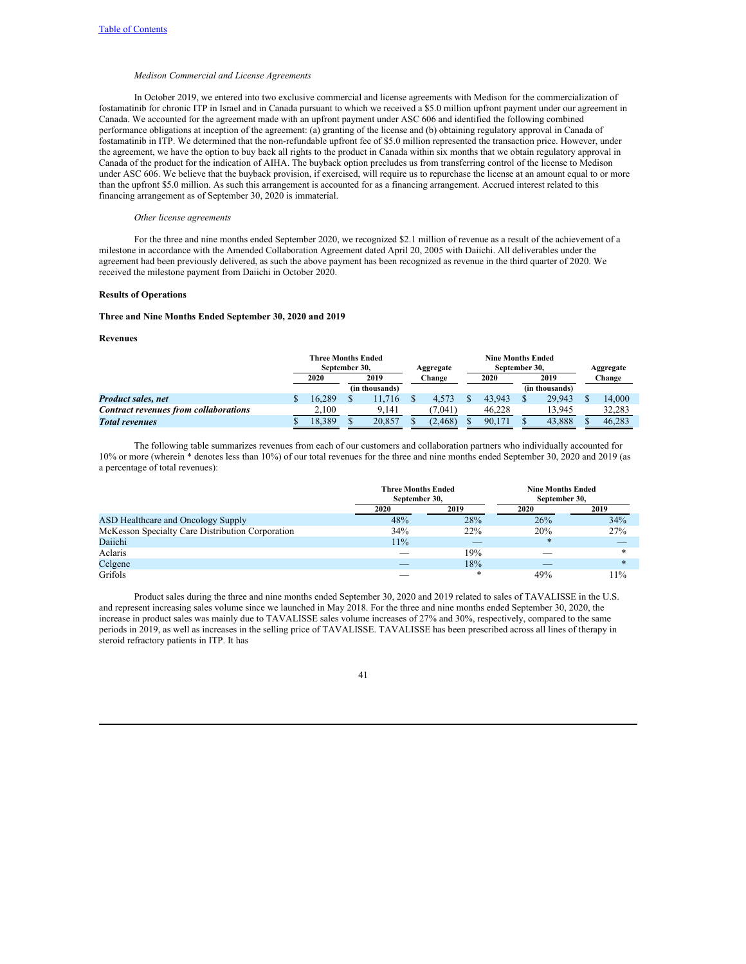#### *Medison Commercial and License Agreements*

In October 2019, we entered into two exclusive commercial and license agreements with Medison for the commercialization of fostamatinib for chronic ITP in Israel and in Canada pursuant to which we received a \$5.0 million upfront payment under our agreement in Canada. We accounted for the agreement made with an upfront payment under ASC 606 and identified the following combined performance obligations at inception of the agreement: (a) granting of the license and (b) obtaining regulatory approval in Canada of fostamatinib in ITP. We determined that the non-refundable upfront fee of \$5.0 million represented the transaction price. However, under the agreement, we have the option to buy back all rights to the product in Canada within six months that we obtain regulatory approval in Canada of the product for the indication of AIHA. The buyback option precludes us from transferring control of the license to Medison under ASC 606. We believe that the buyback provision, if exercised, will require us to repurchase the license at an amount equal to or more than the upfront \$5.0 million. As such this arrangement is accounted for as a financing arrangement. Accrued interest related to this financing arrangement as of September 30, 2020 is immaterial.

#### *Other license agreements*

For the three and nine months ended September 2020, we recognized \$2.1 million of revenue as a result of the achievement of a milestone in accordance with the Amended Collaboration Agreement dated April 20, 2005 with Daiichi. All deliverables under the agreement had been previously delivered, as such the above payment has been recognized as revenue in the third quarter of 2020. We received the milestone payment from Daiichi in October 2020.

#### **Results of Operations**

#### **Three and Nine Months Ended September 30, 2020 and 2019**

#### **Revenues**

|                                       | <b>Three Months Ended</b><br>September 30. |  |                                | Aggregate |          | <b>Nine Months Ended</b><br>September 30. |        |        |                | Aggregate |        |
|---------------------------------------|--------------------------------------------|--|--------------------------------|-----------|----------|-------------------------------------------|--------|--------|----------------|-----------|--------|
|                                       | 2020                                       |  | 2019<br>2019<br>2020<br>Change |           |          |                                           |        | Change |                |           |        |
|                                       |                                            |  | (in thousands)                 |           |          |                                           |        |        | (in thousands) |           |        |
| <b>Product sales, net</b>             | 16.289                                     |  | 11.716                         |           | 4.573    |                                           | 43.943 |        | 29.943         |           | 14.000 |
| Contract revenues from collaborations | 2.100                                      |  | 9.141                          |           | (7.041)  |                                           | 46.228 |        | 13.945         |           | 32.283 |
| <b>Total revenues</b>                 | 18.389                                     |  | 20,857                         |           | (2, 468) |                                           | 90.171 |        | 43.888         |           | 46.283 |

The following table summarizes revenues from each of our customers and collaboration partners who individually accounted for 10% or more (wherein \* denotes less than 10%) of our total revenues for the three and nine months ended September 30, 2020 and 2019 (as a percentage of total revenues):

|                                                  | <b>Three Months Ended</b><br>September 30, |      | <b>Nine Months Ended</b><br>September 30, |      |
|--------------------------------------------------|--------------------------------------------|------|-------------------------------------------|------|
|                                                  | 2020                                       | 2019 | 2020                                      | 2019 |
| ASD Healthcare and Oncology Supply               | 48%                                        | 28%  | 26%                                       | 34%  |
| McKesson Specialty Care Distribution Corporation | 34%                                        | 22%  | 20%                                       | 27%  |
| Daiichi                                          | 11%                                        | $-$  | $\ast$                                    |      |
| Aclaris                                          | __                                         | 19%  | ___                                       | *    |
| Celgene                                          |                                            | 18%  | _                                         | $*$  |
| Grifols                                          |                                            | *    | 49%                                       | 11%  |

Product sales during the three and nine months ended September 30, 2020 and 2019 related to sales of TAVALISSE in the U.S. and represent increasing sales volume since we launched in May 2018. For the three and nine months ended September 30, 2020, the increase in product sales was mainly due to TAVALISSE sales volume increases of 27% and 30%, respectively, compared to the same periods in 2019, as well as increases in the selling price of TAVALISSE. TAVALISSE has been prescribed across all lines of therapy in steroid refractory patients in ITP. It has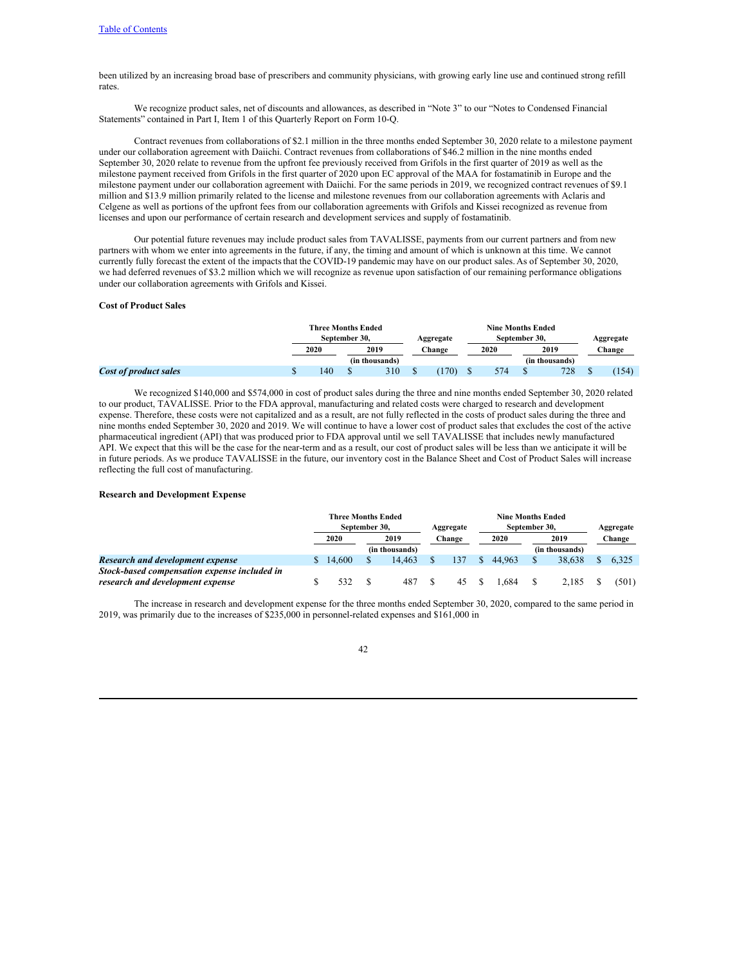been utilized by an increasing broad base of prescribers and community physicians, with growing early line use and continued strong refill rates.

We recognize product sales, net of discounts and allowances, as described in "Note 3" to our "Notes to Condensed Financial Statements" contained in Part I, Item 1 of this Quarterly Report on Form 10-Q.

Contract revenues from collaborations of \$2.1 million in the three months ended September 30, 2020 relate to a milestone payment under our collaboration agreement with Daiichi. Contract revenues from collaborations of \$46.2 million in the nine months ended September 30, 2020 relate to revenue from the upfront fee previously received from Grifols in the first quarter of 2019 as well as the milestone payment received from Grifols in the first quarter of 2020 upon EC approval of the MAA for fostamatinib in Europe and the milestone payment under our collaboration agreement with Daiichi. For the same periods in 2019, we recognized contract revenues of \$9.1 million and \$13.9 million primarily related to the license and milestone revenues from our collaboration agreements with Aclaris and Celgene as well as portions of the upfront fees from our collaboration agreements with Grifols and Kissei recognized as revenue from licenses and upon our performance of certain research and development services and supply of fostamatinib.

Our potential future revenues may include product sales from TAVALISSE, payments from our current partners and from new partners with whom we enter into agreements in the future, if any, the timing and amount of which is unknown at this time. We cannot currently fully forecast the extent of the impactsthat the COVID-19 pandemic may have on our product sales.As of September 30, 2020, we had deferred revenues of \$3.2 million which we will recognize as revenue upon satisfaction of our remaining performance obligations under our collaboration agreements with Grifols and Kissei.

#### **Cost of Product Sales**

|                              | <b>Three Months Ended</b> |  |                |  |           |               | <b>Nine Months Ended</b> |  |                |           |        |  |
|------------------------------|---------------------------|--|----------------|--|-----------|---------------|--------------------------|--|----------------|-----------|--------|--|
|                              | September 30.             |  |                |  | Aggregate | September 30. |                          |  |                | Aggregate |        |  |
|                              | 2020                      |  | 2019           |  | Change    |               | 2020                     |  | 2019           |           | Change |  |
|                              |                           |  | (in thousands) |  |           |               |                          |  | (in thousands) |           |        |  |
| <b>Cost of product sales</b> | 140                       |  | 310            |  | 170)      |               | 574                      |  | 728            |           | 154)   |  |

We recognized \$140,000 and \$574,000 in cost of product sales during the three and nine months ended September 30, 2020 related to our product, TAVALISSE. Prior to the FDA approval, manufacturing and related costs were charged to research and development expense. Therefore, these costs were not capitalized and as a result, are not fully reflected in the costs of product sales during the three and nine months ended September 30, 2020 and 2019. We will continue to have a lower cost of product sales that excludes the cost of the active pharmaceutical ingredient (API) that was produced prior to FDA approval until we sell TAVALISSE that includes newly manufactured API. We expect that this will be the case for the near-term and as a result, our cost of product sales will be less than we anticipate it will be in future periods. As we produce TAVALISSE in the future, our inventory cost in the Balance Sheet and Cost of Product Sales will increase reflecting the full cost of manufacturing.

## **Research and Development Expense**

|                                              | <b>Three Months Ended</b> |  |                |  |           | <b>Nine Months Ended</b> |        |               |                |  |           |  |
|----------------------------------------------|---------------------------|--|----------------|--|-----------|--------------------------|--------|---------------|----------------|--|-----------|--|
|                                              | September 30.             |  |                |  | Aggregate |                          |        | September 30. |                |  | Aggregate |  |
|                                              | 2020                      |  | 2019           |  | Change    |                          | 2020   |               | 2019           |  | Change    |  |
|                                              |                           |  | (in thousands) |  |           |                          |        |               | (in thousands) |  |           |  |
| Research and development expense             | 14.600                    |  | 14.463         |  | 137       |                          | 44.963 |               | 38.638         |  | 6.325     |  |
| Stock-based compensation expense included in |                           |  |                |  |           |                          |        |               |                |  |           |  |
| research and development expense             | 532                       |  | 487            |  |           |                          | .684   |               | 2.185          |  | (501)     |  |

The increase in research and development expense for the three months ended September 30, 2020, compared to the same period in 2019, was primarily due to the increases of \$235,000 in personnel-related expenses and \$161,000 in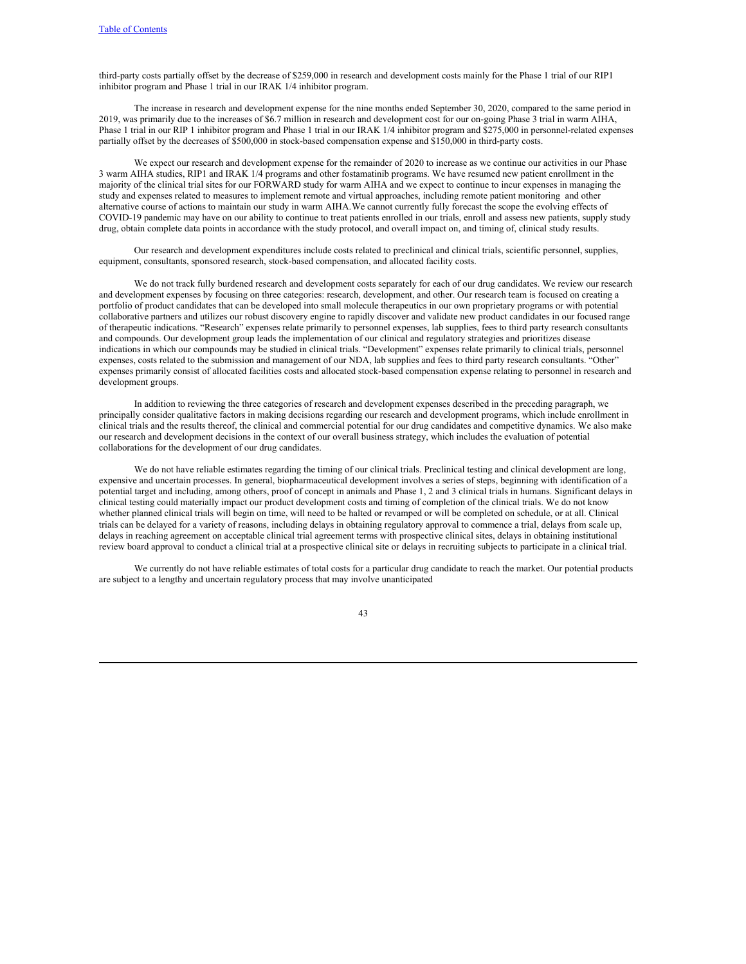third-party costs partially offset by the decrease of \$259,000 in research and development costs mainly for the Phase 1 trial of our RIP1 inhibitor program and Phase 1 trial in our IRAK 1/4 inhibitor program.

The increase in research and development expense for the nine months ended September 30, 2020, compared to the same period in 2019, was primarily due to the increases of \$6.7 million in research and development cost for our on-going Phase 3 trial in warm AIHA, Phase 1 trial in our RIP 1 inhibitor program and Phase 1 trial in our IRAK 1/4 inhibitor program and \$275,000 in personnel-related expenses partially offset by the decreases of \$500,000 in stock-based compensation expense and \$150,000 in third-party costs.

We expect our research and development expense for the remainder of 2020 to increase as we continue our activities in our Phase 3 warm AIHA studies, RIP1 and IRAK 1/4 programs and other fostamatinib programs. We have resumed new patient enrollment in the majority of the clinical trial sites for our FORWARD study for warm AIHA and we expect to continue to incur expenses in managing the study and expenses related to measures to implement remote and virtual approaches, including remote patient monitoring and other alternative course of actions to maintain our study in warm AIHA.We cannot currently fully forecast the scope the evolving effects of COVID-19 pandemic may have on our ability to continue to treat patients enrolled in our trials, enroll and assess new patients, supply study drug, obtain complete data points in accordance with the study protocol, and overall impact on, and timing of, clinical study results.

Our research and development expenditures include costs related to preclinical and clinical trials, scientific personnel, supplies, equipment, consultants, sponsored research, stock-based compensation, and allocated facility costs.

We do not track fully burdened research and development costs separately for each of our drug candidates. We review our research and development expenses by focusing on three categories: research, development, and other. Our research team is focused on creating a portfolio of product candidates that can be developed into small molecule therapeutics in our own proprietary programs or with potential collaborative partners and utilizes our robust discovery engine to rapidly discover and validate new product candidates in our focused range of therapeutic indications. "Research" expenses relate primarily to personnel expenses, lab supplies, fees to third party research consultants and compounds. Our development group leads the implementation of our clinical and regulatory strategies and prioritizes disease indications in which our compounds may be studied in clinical trials. "Development" expenses relate primarily to clinical trials, personnel expenses, costs related to the submission and management of our NDA, lab supplies and fees to third party research consultants. "Other" expenses primarily consist of allocated facilities costs and allocated stock-based compensation expense relating to personnel in research and development groups.

In addition to reviewing the three categories of research and development expenses described in the preceding paragraph, we principally consider qualitative factors in making decisions regarding our research and development programs, which include enrollment in clinical trials and the results thereof, the clinical and commercial potential for our drug candidates and competitive dynamics. We also make our research and development decisions in the context of our overall business strategy, which includes the evaluation of potential collaborations for the development of our drug candidates.

We do not have reliable estimates regarding the timing of our clinical trials. Preclinical testing and clinical development are long, expensive and uncertain processes. In general, biopharmaceutical development involves a series of steps, beginning with identification of a potential target and including, among others, proof of concept in animals and Phase 1, 2 and 3 clinical trials in humans. Significant delays in clinical testing could materially impact our product development costs and timing of completion of the clinical trials. We do not know whether planned clinical trials will begin on time, will need to be halted or revamped or will be completed on schedule, or at all. Clinical trials can be delayed for a variety of reasons, including delays in obtaining regulatory approval to commence a trial, delays from scale up, delays in reaching agreement on acceptable clinical trial agreement terms with prospective clinical sites, delays in obtaining institutional review board approval to conduct a clinical trial at a prospective clinical site or delays in recruiting subjects to participate in a clinical trial.

We currently do not have reliable estimates of total costs for a particular drug candidate to reach the market. Our potential products are subject to a lengthy and uncertain regulatory process that may involve unanticipated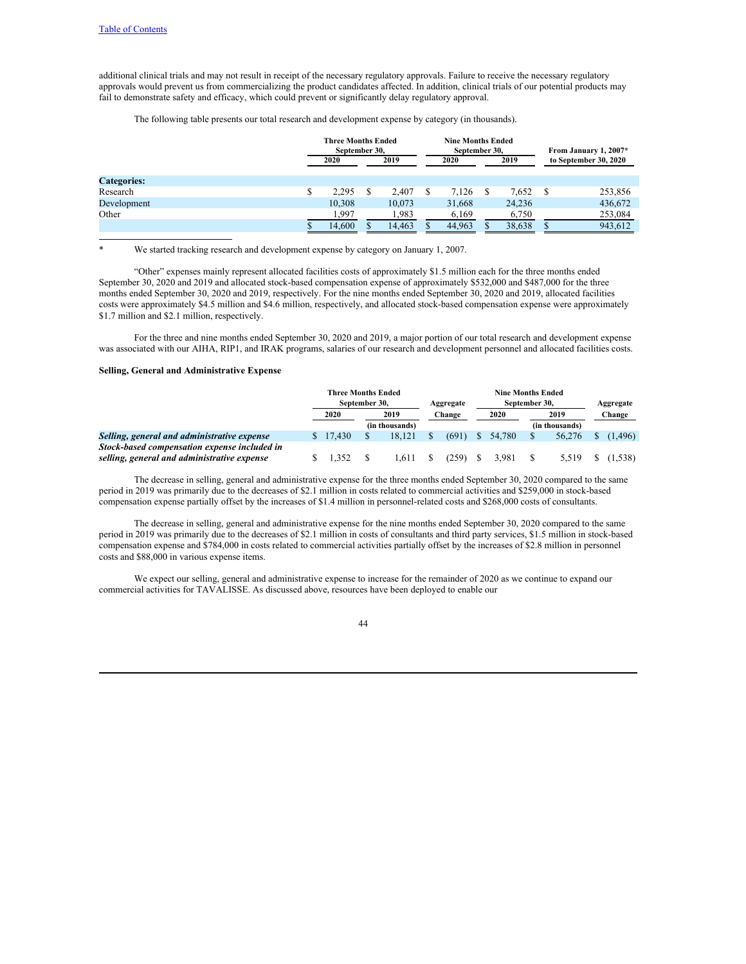additional clinical trials and may not result in receipt of the necessary regulatory approvals. Failure to receive the necessary regulatory approvals would prevent us from commercializing the product candidates affected. In addition, clinical trials of our potential products may fail to demonstrate safety and efficacy, which could prevent or significantly delay regulatory approval.

The following table presents our total research and development expense by category (in thousands).

|                    |      | <b>Three Months Ended</b><br>September 30, |      |        | <b>Nine Months Ended</b><br>September 30. |        |  | From January 1, 2007* |                       |         |
|--------------------|------|--------------------------------------------|------|--------|-------------------------------------------|--------|--|-----------------------|-----------------------|---------|
|                    | 2020 |                                            | 2019 | 2020   |                                           | 2019   |  |                       | to September 30, 2020 |         |
| <b>Categories:</b> |      |                                            |      |        |                                           |        |  |                       |                       |         |
| Research           |      | 2.295                                      |      | 2.407  |                                           | 7.126  |  | 7.652                 |                       | 253,856 |
| Development        |      | 10,308                                     |      | 10.073 |                                           | 31,668 |  | 24.236                |                       | 436,672 |
| Other              |      | 1.997                                      |      | 1,983  |                                           | 6,169  |  | 6.750                 |                       | 253,084 |
|                    |      | 14,600                                     |      | 14.463 |                                           | 44,963 |  | 38,638                |                       | 943,612 |

We started tracking research and development expense by category on January 1, 2007.

"Other" expenses mainly represent allocated facilities costs of approximately \$1.5 million each for the three months ended September 30, 2020 and 2019 and allocated stock-based compensation expense of approximately \$532,000 and \$487,000 for the three months ended September 30, 2020 and 2019, respectively. For the nine months ended September 30, 2020 and 2019, allocated facilities costs were approximately \$4.5 million and \$4.6 million, respectively, and allocated stock-based compensation expense were approximately \$1.7 million and \$2.1 million, respectively.

For the three and nine months ended September 30, 2020 and 2019, a major portion of our total research and development expense was associated with our AIHA, RIP1, and IRAK programs, salaries of our research and development personnel and allocated facilities costs.

# **Selling, General and Administrative Expense**

|                                              | <b>Three Months Ended</b><br>September 30. |  |                   |  | Aggregate | <b>Nine Months Ended</b> | September 30. |                | Aggregate |         |
|----------------------------------------------|--------------------------------------------|--|-------------------|--|-----------|--------------------------|---------------|----------------|-----------|---------|
|                                              | 2020                                       |  | 2019              |  | Change    | 2020                     |               | 2019           |           | Change  |
|                                              |                                            |  | (in thousands)    |  |           |                          |               | (in thousands) |           |         |
| Selling, general and administrative expense  | \$17.430                                   |  | 18.121            |  | (691)     | 54.780                   |               | 56,276         |           | (1.496) |
| Stock-based compensation expense included in |                                            |  |                   |  |           |                          |               |                |           |         |
| selling, general and administrative expense  | .352                                       |  | 1.61 <sub>1</sub> |  | (259)     | 3.981                    |               | 5.519          |           | 1.538)  |

The decrease in selling, general and administrative expense for the three months ended September 30, 2020 compared to the same period in 2019 was primarily due to the decreases of \$2.1 million in costs related to commercial activities and \$259,000 in stock-based compensation expense partially offset by the increases of \$1.4 million in personnel-related costs and \$268,000 costs of consultants.

The decrease in selling, general and administrative expense for the nine months ended September 30, 2020 compared to the same period in 2019 was primarily due to the decreases of \$2.1 million in costs of consultants and third party services, \$1.5 million in stock-based compensation expense and \$784,000 in costs related to commercial activities partially offset by the increases of \$2.8 million in personnel costs and \$88,000 in various expense items.

We expect our selling, general and administrative expense to increase for the remainder of 2020 as we continue to expand our commercial activities for TAVALISSE. As discussed above, resources have been deployed to enable our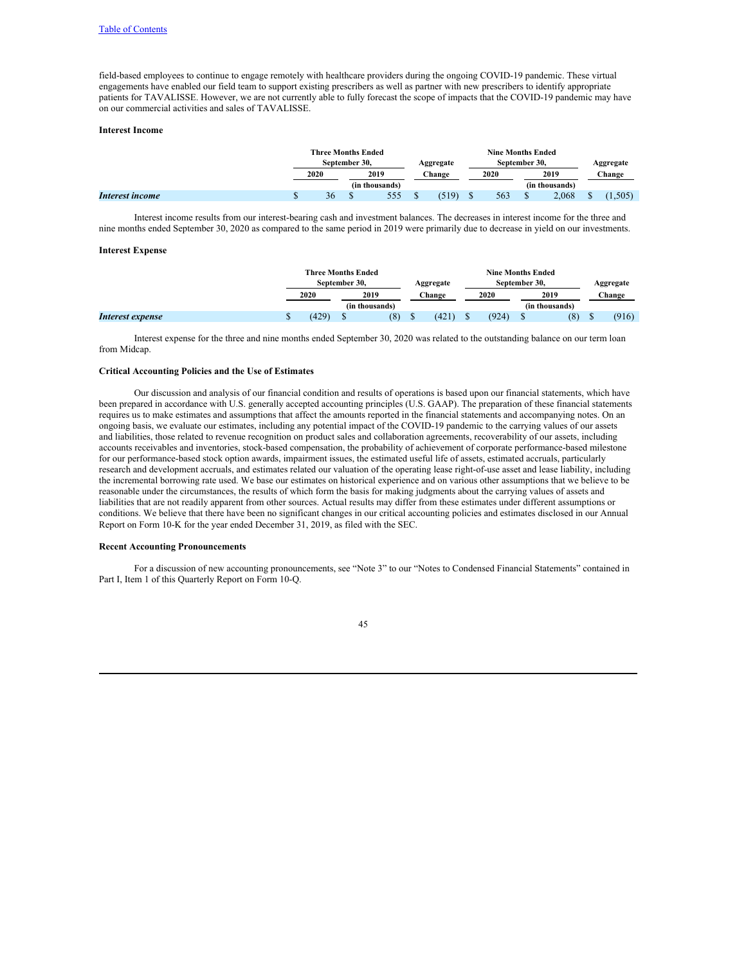field-based employees to continue to engage remotely with healthcare providers during the ongoing COVID-19 pandemic. These virtual engagements have enabled our field team to support existing prescribers as well as partner with new prescribers to identify appropriate patients for TAVALISSE. However, we are not currently able to fully forecast the scope of impacts that the COVID-19 pandemic may have on our commercial activities and sales of TAVALISSE.

#### **Interest Income**

|                 | <b>Three Months Ended</b><br>September 30. |    |                |     | Aggregate      |  | <b>Nine Months Ended</b><br>September 30. |                |        | Aggregate |  |
|-----------------|--------------------------------------------|----|----------------|-----|----------------|--|-------------------------------------------|----------------|--------|-----------|--|
|                 | 2020                                       |    | 2019           |     | 2020<br>Change |  |                                           | 2019           | Change |           |  |
|                 |                                            |    | (in thousands) |     |                |  |                                           | (in thousands) |        |           |  |
| Interest income | ۰D                                         | 36 |                | 555 | (519)          |  | 563                                       | 2.068          |        | 1,505     |  |

Interest income results from our interest-bearing cash and investment balances. The decreases in interest income for the three and nine months ended September 30, 2020 as compared to the same period in 2019 were primarily due to decrease in yield on our investments.

#### **Interest Expense**

|                  | <b>Three Months Ended</b> |               |                |  |               | <b>Nine Months Ended</b> |                |               |
|------------------|---------------------------|---------------|----------------|--|---------------|--------------------------|----------------|---------------|
|                  |                           | September 30. |                |  | Aggregate     | September 30.            |                | Aggregate     |
|                  | 2020                      |               | 2019           |  | <b>Change</b> | 2020                     | 2019           | <b>Change</b> |
|                  |                           |               | (in thousands) |  |               |                          | (in thousands) |               |
| Interest expense | (429)                     | ሐ             | (8)            |  | (421)         | (924)                    | (8)            | (916)         |
|                  |                           |               |                |  |               |                          |                |               |

Interest expense for the three and nine months ended September 30, 2020 was related to the outstanding balance on our term loan from Midcap.

#### **Critical Accounting Policies and the Use of Estimates**

Our discussion and analysis of our financial condition and results of operations is based upon our financial statements, which have been prepared in accordance with U.S. generally accepted accounting principles (U.S. GAAP). The preparation of these financial statements requires us to make estimates and assumptions that affect the amounts reported in the financial statements and accompanying notes. On an ongoing basis, we evaluate our estimates, including any potential impact of the COVID-19 pandemic to the carrying values of our assets and liabilities, those related to revenue recognition on product sales and collaboration agreements, recoverability of our assets, including accounts receivables and inventories, stock-based compensation, the probability of achievement of corporate performance-based milestone for our performance-based stock option awards, impairment issues, the estimated useful life of assets, estimated accruals, particularly research and development accruals, and estimates related our valuation of the operating lease right-of-use asset and lease liability, including the incremental borrowing rate used. We base our estimates on historical experience and on various other assumptions that we believe to be reasonable under the circumstances, the results of which form the basis for making judgments about the carrying values of assets and liabilities that are not readily apparent from other sources. Actual results may differ from these estimates under different assumptions or conditions. We believe that there have been no significant changes in our critical accounting policies and estimates disclosed in our Annual Report on Form 10-K for the year ended December 31, 2019, as filed with the SEC.

## **Recent Accounting Pronouncements**

For a discussion of new accounting pronouncements, see "Note 3" to our "Notes to Condensed Financial Statements" contained in Part I, Item 1 of this Quarterly Report on Form 10-Q.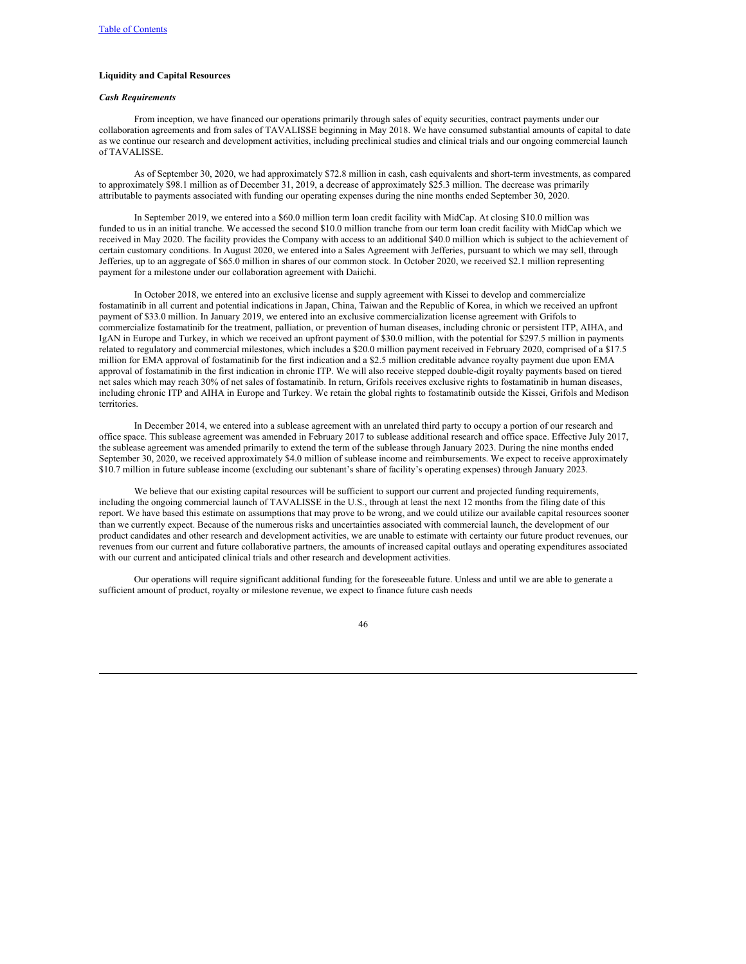### **Liquidity and Capital Resources**

## *Cash Requirements*

From inception, we have financed our operations primarily through sales of equity securities, contract payments under our collaboration agreements and from sales of TAVALISSE beginning in May 2018. We have consumed substantial amounts of capital to date as we continue our research and development activities, including preclinical studies and clinical trials and our ongoing commercial launch of TAVALISSE.

As of September 30, 2020, we had approximately \$72.8 million in cash, cash equivalents and short-term investments, as compared to approximately \$98.1 million as of December 31, 2019, a decrease of approximately \$25.3 million. The decrease was primarily attributable to payments associated with funding our operating expenses during the nine months ended September 30, 2020.

In September 2019, we entered into a \$60.0 million term loan credit facility with MidCap. At closing,\$10.0 million was funded to us in an initial tranche. We accessed the second \$10.0 million tranche from our term loan credit facility with MidCap which we received in May 2020. The facility provides the Company with access to an additional \$40.0 million which is subject to the achievement of certain customary conditions. In August 2020, we entered into a Sales Agreement with Jefferies, pursuant to which we may sell, through Jefferies, up to an aggregate of \$65.0 million in shares of our common stock. In October 2020, we received \$2.1 million representing payment for a milestone under our collaboration agreement with Daiichi.

In October 2018, we entered into an exclusive license and supply agreement with Kissei to develop and commercialize fostamatinib in all current and potential indications in Japan, China, Taiwan and the Republic of Korea, in which we received an upfront payment of \$33.0 million. In January 2019, we entered into an exclusive commercialization license agreement with Grifols to commercialize fostamatinib for the treatment, palliation, or prevention of human diseases, including chronic or persistent ITP, AIHA, and IgAN in Europe and Turkey, in which we received an upfront payment of \$30.0 million, with the potential for \$297.5 million in payments related to regulatory and commercial milestones, which includes a \$20.0 million payment received in February 2020, comprised of a \$17.5 million for EMA approval of fostamatinib for the first indication and a \$2.5 million creditable advance royalty payment due upon EMA approval of fostamatinib in the first indication in chronic ITP. We will also receive stepped double-digit royalty payments based on tiered net sales which may reach 30% of net sales of fostamatinib. In return, Grifols receives exclusive rights to fostamatinib in human diseases, including chronic ITP and AIHA in Europe and Turkey. We retain the global rights to fostamatinib outside the Kissei, Grifols and Medison territories.

In December 2014, we entered into a sublease agreement with an unrelated third party to occupy a portion of our research and office space. This sublease agreement was amended in February 2017 to sublease additional research and office space. Effective July 2017, the sublease agreement was amended primarily to extend the term of the sublease through January 2023. During the nine months ended September 30, 2020, we received approximately \$4.0 million of sublease income and reimbursements. We expect to receive approximately \$10.7 million in future sublease income (excluding our subtenant's share of facility's operating expenses) through January 2023.

We believe that our existing capital resources will be sufficient to support our current and projected funding requirements, including the ongoing commercial launch of TAVALISSE in the U.S., through at least the next 12 months from the filing date of this report. We have based this estimate on assumptions that may prove to be wrong, and we could utilize our available capital resources sooner than we currently expect. Because of the numerous risks and uncertainties associated with commercial launch, the development of our product candidates and other research and development activities, we are unable to estimate with certainty our future product revenues, our revenues from our current and future collaborative partners, the amounts of increased capital outlays and operating expenditures associated with our current and anticipated clinical trials and other research and development activities.

Our operations will require significant additional funding for the foreseeable future. Unless and until we are able to generate a sufficient amount of product, royalty or milestone revenue, we expect to finance future cash needs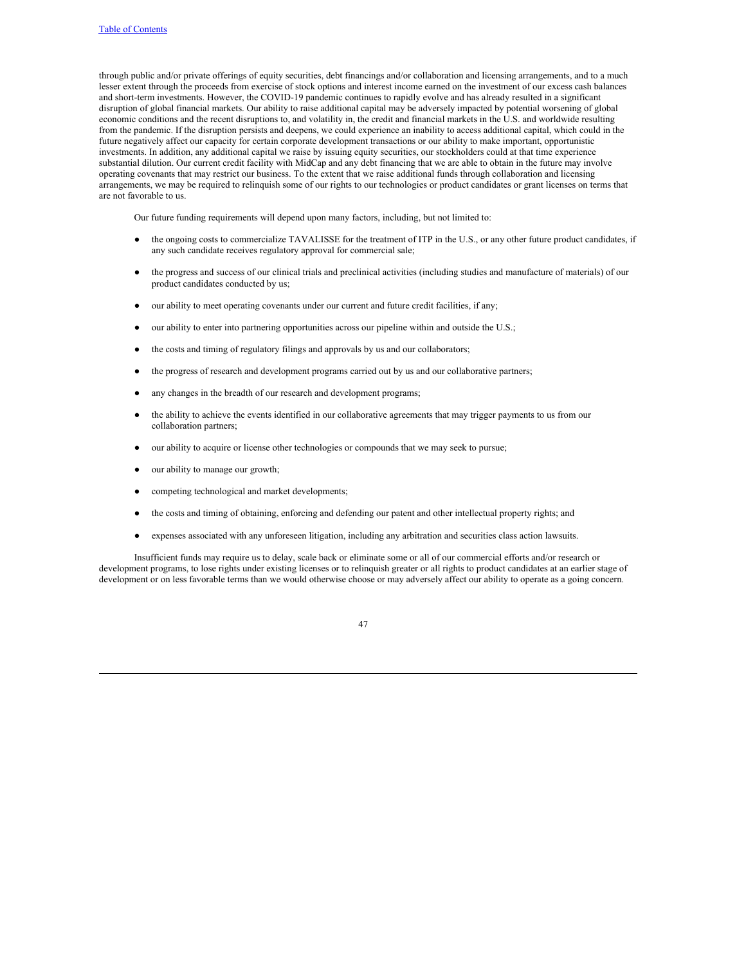through public and/or private offerings of equity securities, debt financings and/or collaboration and licensing arrangements, and to a much lesser extent through the proceeds from exercise of stock options and interest income earned on the investment of our excess cash balances and short-term investments. However, the COVID-19 pandemic continues to rapidly evolve and has already resulted in a significant disruption of global financial markets. Our ability to raise additional capital may be adversely impacted by potential worsening of global economic conditions and the recent disruptions to, and volatility in, the credit and financial markets in the U.S. and worldwide resulting from the pandemic. If the disruption persists and deepens, we could experience an inability to access additional capital, which could in the future negatively affect our capacity for certain corporate development transactions or our ability to make important, opportunistic investments. In addition, any additional capital we raise by issuing equity securities, our stockholders could at that time experience substantial dilution. Our current credit facility with MidCap and any debt financing that we are able to obtain in the future may involve operating covenants that may restrict our business. To the extent that we raise additional funds through collaboration and licensing arrangements, we may be required to relinquish some of our rights to our technologies or product candidates or grant licenses on terms that are not favorable to us.

Our future funding requirements will depend upon many factors, including, but not limited to:

- the ongoing costs to commercialize TAVALISSE for the treatment of ITP in the U.S., or any other future product candidates, if any such candidate receives regulatory approval for commercial sale;
- the progress and success of our clinical trials and preclinical activities (including studies and manufacture of materials) of our product candidates conducted by us;
- our ability to meet operating covenants under our current and future credit facilities, if any;
- our ability to enter into partnering opportunities across our pipeline within and outside the U.S.;
- the costs and timing of regulatory filings and approvals by us and our collaborators;
- the progress of research and development programs carried out by us and our collaborative partners;
- any changes in the breadth of our research and development programs;
- the ability to achieve the events identified in our collaborative agreements that may trigger payments to us from our collaboration partners;
- our ability to acquire or license other technologies or compounds that we may seek to pursue;
- our ability to manage our growth;
- competing technological and market developments;
- the costs and timing of obtaining, enforcing and defending our patent and other intellectual property rights; and
- expenses associated with any unforeseen litigation, including any arbitration and securities class action lawsuits.

Insufficient funds may require us to delay, scale back or eliminate some or all of our commercial efforts and/or research or development programs, to lose rights under existing licenses or to relinquish greater or all rights to product candidates at an earlier stage of development or on less favorable terms than we would otherwise choose or may adversely affect our ability to operate as a going concern.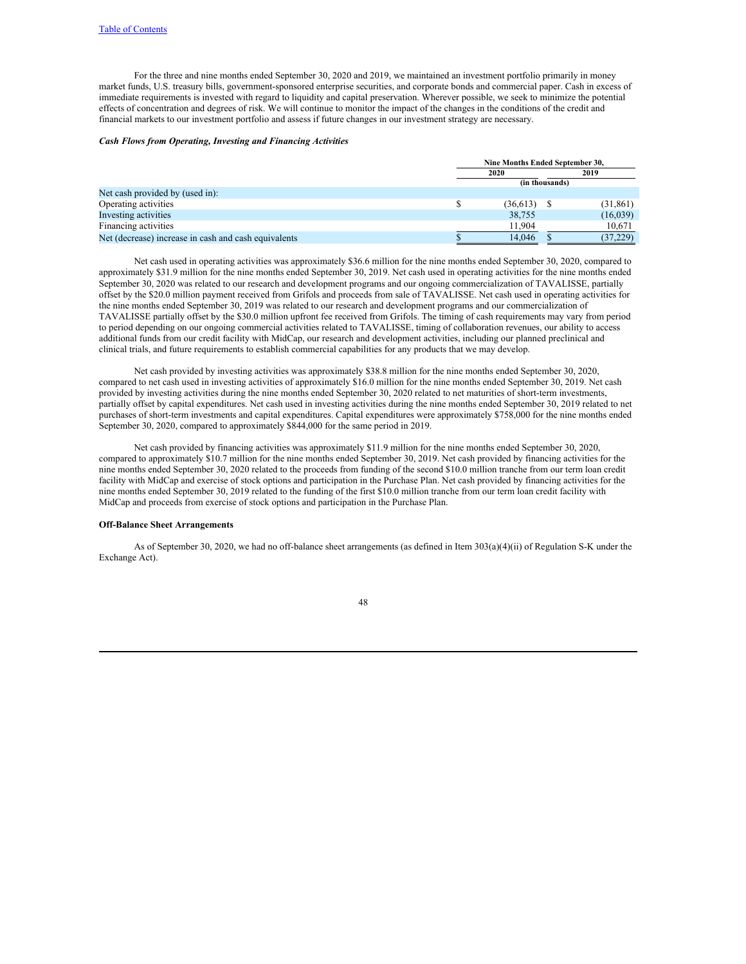For the three and nine months ended September 30, 2020 and 2019, we maintained an investment portfolio primarily in money market funds, U.S. treasury bills, government-sponsored enterprise securities, and corporate bonds and commercial paper. Cash in excess of immediate requirements is invested with regard to liquidity and capital preservation. Wherever possible, we seek to minimize the potential effects of concentration and degrees of risk. We will continue to monitor the impact of the changes in the conditions of the credit and financial markets to our investment portfolio and assess if future changes in our investment strategy are necessary.

#### *Cash Flows from Operating, Investing and Financing Activities*

|                                                      | Nine Months Ended September 30, |                |           |  |  |  |  |  |  |
|------------------------------------------------------|---------------------------------|----------------|-----------|--|--|--|--|--|--|
|                                                      | 2020                            |                | 2019      |  |  |  |  |  |  |
|                                                      |                                 | (in thousands) |           |  |  |  |  |  |  |
| Net cash provided by (used in):                      |                                 |                |           |  |  |  |  |  |  |
| Operating activities                                 | (36, 613)                       |                | (31,861)  |  |  |  |  |  |  |
| Investing activities                                 | 38,755                          |                | (16, 039) |  |  |  |  |  |  |
| Financing activities                                 | 11.904                          |                | 10,671    |  |  |  |  |  |  |
| Net (decrease) increase in cash and cash equivalents | 14.046                          |                | (37,229)  |  |  |  |  |  |  |

Net cash used in operating activities was approximately \$36.6 million for the nine months ended September 30, 2020, compared to approximately \$31.9 million for the nine months ended September 30, 2019. Net cash used in operating activities for the nine months ended September 30, 2020 was related to our research and development programs and our ongoing commercialization of TAVALISSE, partially offset by the \$20.0 million payment received from Grifols and proceeds from sale of TAVALISSE. Net cash used in operating activities for the nine months ended September 30, 2019 was related to our research and development programs and our commercialization of TAVALISSE partially offset by the \$30.0 million upfront fee received from Grifols. The timing of cash requirements may vary from period to period depending on our ongoing commercial activities related to TAVALISSE, timing of collaboration revenues, our ability to access additional funds from our credit facility with MidCap, our research and development activities, including our planned preclinical and clinical trials, and future requirements to establish commercial capabilities for any products that we may develop.

Net cash provided by investing activities was approximately \$38.8 million for the nine months ended September 30, 2020, compared to net cash used in investing activities of approximately \$16.0 million for the nine months ended September 30, 2019. Net cash provided by investing activities during the nine months ended September 30, 2020 related to net maturities of short-term investments, partially offset by capital expenditures. Net cash used in investing activities during the nine months ended September 30, 2019 related to net purchases of short-term investments and capital expenditures. Capital expenditures were approximately \$758,000 for the nine months ended September 30, 2020, compared to approximately \$844,000 for the same period in 2019.

Net cash provided by financing activities was approximately \$11.9 million for the nine months ended September 30, 2020, compared to approximately \$10.7 million for the nine months ended September 30, 2019. Net cash provided by financing activities for the nine months ended September 30, 2020 related to the proceeds from funding of the second \$10.0 million tranche from our term loan credit facility with MidCap and exercise of stock options and participation in the Purchase Plan. Net cash provided by financing activities for the nine months ended September 30, 2019 related to the funding of the first \$10.0 million tranche from our term loan credit facility with MidCap and proceeds from exercise of stock options and participation in the Purchase Plan.

### **Off-Balance Sheet Arrangements**

As of September 30, 2020, we had no off-balance sheet arrangements (as defined in Item 303(a)(4)(ii) of Regulation S-K under the Exchange Act).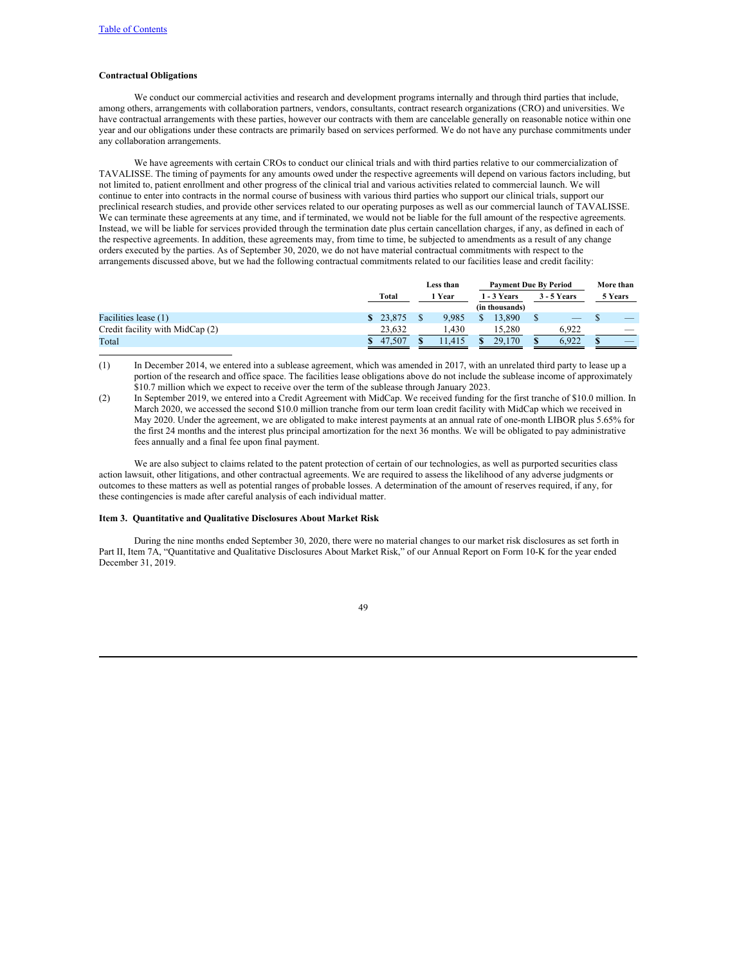#### **Contractual Obligations**

We conduct our commercial activities and research and development programs internally and through third parties that include, among others, arrangements with collaboration partners, vendors, consultants, contract research organizations (CRO) and universities. We have contractual arrangements with these parties, however our contracts with them are cancelable generally on reasonable notice within one year and our obligations under these contracts are primarily based on services performed. We do not have any purchase commitments under any collaboration arrangements.

We have agreements with certain CROs to conduct our clinical trials and with third parties relative to our commercialization of TAVALISSE. The timing of payments for any amounts owed under the respective agreements will depend on various factors including, but not limited to, patient enrollment and other progress of the clinical trial and various activities related to commercial launch. We will continue to enter into contracts in the normal course of business with various third parties who support our clinical trials, support our preclinical research studies, and provide other services related to our operating purposes as well as our commercial launch of TAVALISSE. We can terminate these agreements at any time, and if terminated, we would not be liable for the full amount of the respective agreements. Instead, we will be liable for services provided through the termination date plus certain cancellation charges, if any, as defined in each of the respective agreements. In addition, these agreements may, from time to time, be subjected to amendments as a result of any change orders executed by the parties. As of September 30, 2020, we do not have material contractual commitments with respect to the arrangements discussed above, but we had the following contractual commitments related to our facilities lease and credit facility:

|                                 |       |           |        | Less than |             | <b>Payment Due By Period</b> |               |       | More than |
|---------------------------------|-------|-----------|--------|-----------|-------------|------------------------------|---------------|-------|-----------|
|                                 | Total |           | 1 Year |           | 1 - 3 Years |                              | $3 - 5$ Years |       | 5 Years   |
|                                 |       |           |        |           |             | (in thousands)               |               |       |           |
| Facilities lease (1)            |       | \$ 23,875 |        | 9.985     |             | 13.890                       |               |       |           |
| Credit facility with MidCap (2) |       | 23.632    |        | .430      |             | 15.280                       |               | 6.922 |           |
| Total                           |       | 47,507    |        | 11.415    |             | 29.170                       |               | 6.922 |           |

(1) In December 2014, we entered into a sublease agreement, which was amended in 2017, with an unrelated third party to lease up a portion of the research and office space. The facilities lease obligations above do not include the sublease income of approximately \$10.7 million which we expect to receive over the term of the sublease through January 2023.

(2) In September 2019, we entered into a Credit Agreement with MidCap. We received funding for the first tranche of \$10.0 million. In March 2020, we accessed the second \$10.0 million tranche from our term loan credit facility with MidCap which we received in May 2020. Under the agreement, we are obligated to make interest payments at an annual rate of one-month LIBOR plus 5.65% for the first 24 months and the interest plus principal amortization for the next 36 months. We will be obligated to pay administrative fees annually and a final fee upon final payment.

We are also subject to claims related to the patent protection of certain of our technologies, as well as purported securities class action lawsuit, other litigations, and other contractual agreements. We are required to assess the likelihood of any adverse judgments or outcomes to these matters as well as potential ranges of probable losses. A determination of the amount of reserves required, if any, for these contingencies is made after careful analysis of each individual matter.

# **Item 3. Quantitative and Qualitative Disclosures About Market Risk**

During the nine months ended September 30, 2020, there were no material changes to our market risk disclosures as set forth in Part II, Item 7A, "Quantitative and Qualitative Disclosures About Market Risk," of our Annual Report on Form 10-K for the year ended December 31, 2019.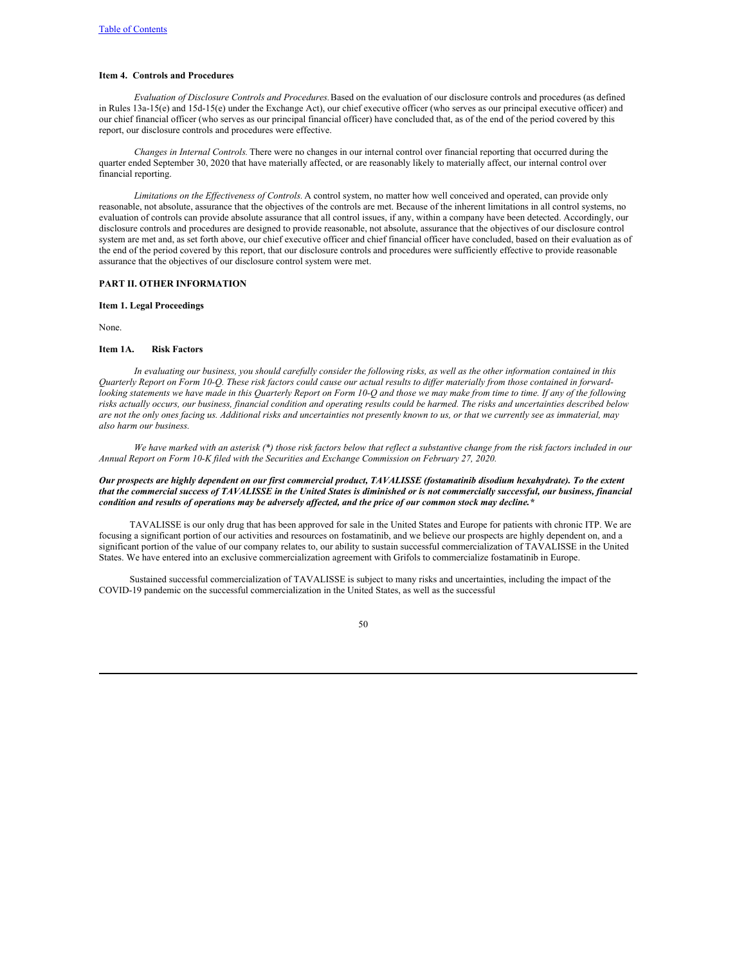### **Item 4. Controls and Procedures**

*Evaluation of Disclosure Controls and Procedures.*Based on the evaluation of our disclosure controls and procedures (as defined in Rules 13a-15(e) and 15d-15(e) under the Exchange Act), our chief executive officer (who serves as our principal executive officer) and our chief financial officer (who serves as our principal financial officer) have concluded that, as of the end of the period covered by this report, our disclosure controls and procedures were effective.

*Changes in Internal Controls.* There were no changes in our internal control over financial reporting that occurred during the quarter ended September 30, 2020 that have materially affected, or are reasonably likely to materially affect, our internal control over financial reporting.

*Limitations on the Ef ectiveness of Controls.* A control system, no matter how well conceived and operated, can provide only reasonable, not absolute, assurance that the objectives of the controls are met. Because of the inherent limitations in all control systems, no evaluation of controls can provide absolute assurance that all control issues, if any, within a company have been detected. Accordingly, our disclosure controls and procedures are designed to provide reasonable, not absolute, assurance that the objectives of our disclosure control system are met and, as set forth above, our chief executive officer and chief financial officer have concluded, based on their evaluation as of the end of the period covered by this report, that our disclosure controls and procedures were sufficiently effective to provide reasonable assurance that the objectives of our disclosure control system were met.

### **PART II. OTHER INFORMATION**

### **Item 1. Legal Proceedings**

None.

### **Item 1A. Risk Factors**

In evaluating our business, you should carefully consider the following risks, as well as the other information contained in this Quarterly Report on Form 10-Q. These risk factors could cause our actual results to differ materially from those contained in forwardlooking statements we have made in this Quarterly Report on Form 10-Q and those we may make from time to time. If any of the following risks actually occurs, our business, financial condition and operating results could be harmed. The risks and uncertainties described below are not the only ones facing us. Additional risks and uncertainties not presently known to us, or that we currently see as immaterial, may *also harm our business.*

We have marked with an asterisk (\*) those risk factors below that reflect a substantive change from the risk factors included in our *Annual Report on Form 10-K filed with the Securities and Exchange Commission on February 27, 2020.*

## Our prospects are highly dependent on our first commercial product, TAVALISSE (fostamatinib disodium hexahydrate). To the extent that the commercial success of TAVALISSE in the United States is diminished or is not commercially successful, our business, financial condition and results of operations may be adversely affected, and the price of our common stock may decline.\*

TAVALISSE is our only drug that has been approved for sale in the United States and Europe for patients with chronic ITP. We are focusing a significant portion of our activities and resources on fostamatinib, and we believe our prospects are highly dependent on, and a significant portion of the value of our company relates to, our ability to sustain successful commercialization of TAVALISSE in the United States. We have entered into an exclusive commercialization agreement with Grifols to commercialize fostamatinib in Europe.

Sustained successful commercialization of TAVALISSE is subject to many risks and uncertainties, including the impact of the COVID-19 pandemic on the successful commercialization in the United States, as well as the successful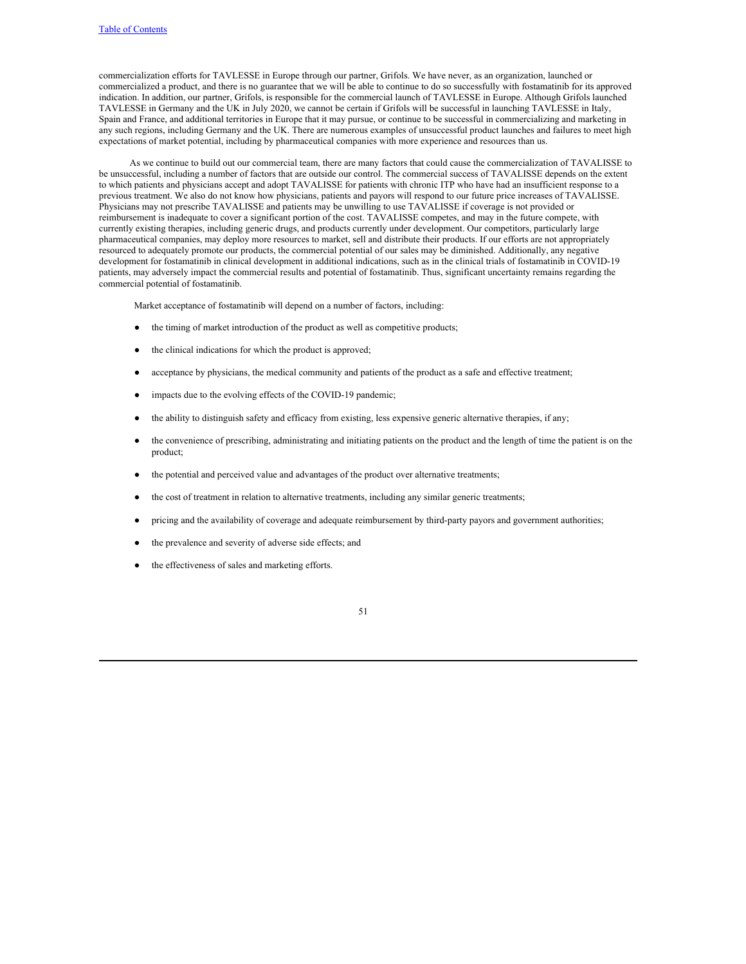commercialization efforts for TAVLESSE in Europe through our partner, Grifols. We have never, as an organization, launched or commercialized a product, and there is no guarantee that we will be able to continue to do so successfully with fostamatinib for its approved indication. In addition, our partner, Grifols, is responsible for the commercial launch of TAVLESSE in Europe. Although Grifols launched TAVLESSE in Germany and the UK in July 2020, we cannot be certain if Grifols will be successful in launching TAVLESSE in Italy, Spain and France, and additional territories in Europe that it may pursue, or continue to be successful in commercializing and marketing in any such regions, including Germany and the UK. There are numerous examples of unsuccessful product launches and failures to meet high expectations of market potential, including by pharmaceutical companies with more experience and resources than us.

As we continue to build out our commercial team, there are many factors that could cause the commercialization of TAVALISSE to be unsuccessful, including a number of factors that are outside our control. The commercial success of TAVALISSE depends on the extent to which patients and physicians accept and adopt TAVALISSE for patients with chronic ITP who have had an insufficient response to a previous treatment. We also do not know how physicians, patients and payors will respond to our future price increases of TAVALISSE. Physicians may not prescribe TAVALISSE and patients may be unwilling to use TAVALISSE if coverage is not provided or reimbursement is inadequate to cover a significant portion of the cost. TAVALISSE competes, and may in the future compete, with currently existing therapies, including generic drugs, and products currently under development. Our competitors, particularly large pharmaceutical companies, may deploy more resources to market, sell and distribute their products. If our efforts are not appropriately resourced to adequately promote our products, the commercial potential of our sales may be diminished. Additionally, any negative development for fostamatinib in clinical development in additional indications, such as in the clinical trials of fostamatinib in COVID-19 patients, may adversely impact the commercial results and potential of fostamatinib. Thus, significant uncertainty remains regarding the commercial potential of fostamatinib.

Market acceptance of fostamatinib will depend on a number of factors, including:

- the timing of market introduction of the product as well as competitive products;
- the clinical indications for which the product is approved;
- acceptance by physicians, the medical community and patients of the product as a safe and effective treatment;
- impacts due to the evolving effects of the COVID-19 pandemic;
- the ability to distinguish safety and efficacy from existing, less expensive generic alternative therapies, if any;
- the convenience of prescribing, administrating and initiating patients on the product and the length of time the patient is on the product;
- the potential and perceived value and advantages of the product over alternative treatments;
- the cost of treatment in relation to alternative treatments, including any similar generic treatments;
- pricing and the availability of coverage and adequate reimbursement by third-party payors and government authorities;
- the prevalence and severity of adverse side effects; and
- the effectiveness of sales and marketing efforts.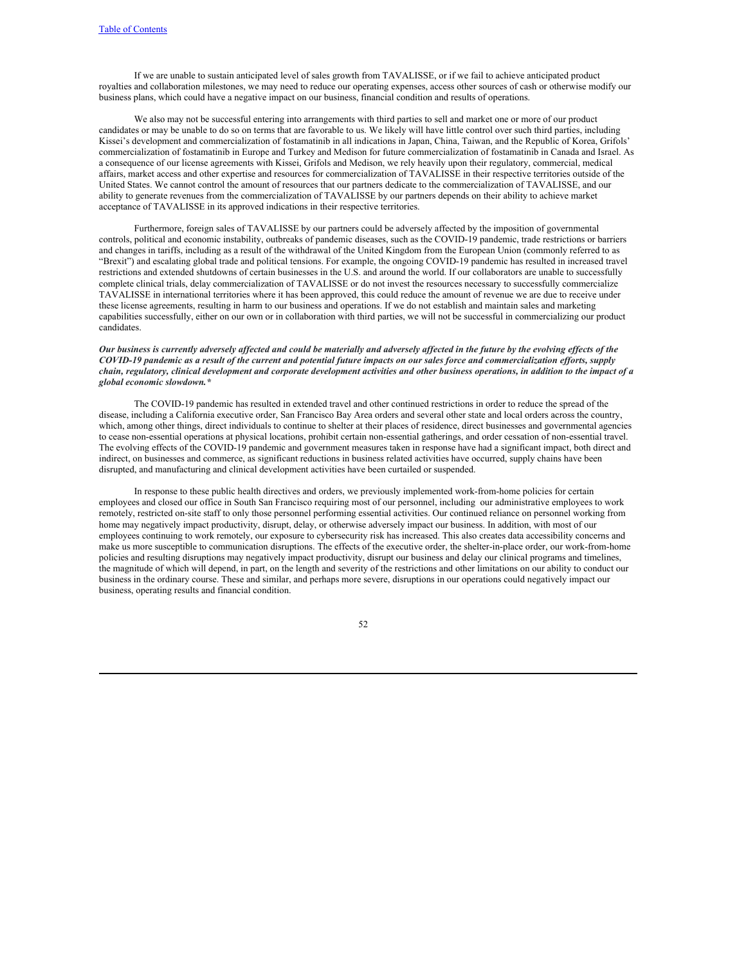If we are unable to sustain anticipated level of sales growth from TAVALISSE, or if we fail to achieve anticipated product royalties and collaboration milestones, we may need to reduce our operating expenses, access other sources of cash or otherwise modify our business plans, which could have a negative impact on our business, financial condition and results of operations.

We also may not be successful entering into arrangements with third parties to sell and market one or more of our product candidates or may be unable to do so on terms that are favorable to us. We likely will have little control over such third parties, including Kissei's development and commercialization of fostamatinib in all indications in Japan, China, Taiwan, and the Republic of Korea, Grifols' commercialization of fostamatinib in Europe and Turkey and Medison for future commercialization of fostamatinib in Canada and Israel. As a consequence of our license agreements with Kissei, Grifols and Medison, we rely heavily upon their regulatory, commercial, medical affairs, market access and other expertise and resources for commercialization of TAVALISSE in their respective territories outside of the United States. We cannot control the amount of resources that our partners dedicate to the commercialization of TAVALISSE, and our ability to generate revenues from the commercialization of TAVALISSE by our partners depends on their ability to achieve market acceptance of TAVALISSE in its approved indications in their respective territories.

Furthermore, foreign sales of TAVALISSE by our partners could be adversely affected by the imposition of governmental controls, political and economic instability, outbreaks of pandemic diseases, such as the COVID-19 pandemic, trade restrictions or barriers and changes in tariffs, including as a result of the withdrawal of the United Kingdom from the European Union (commonly referred to as "Brexit") and escalating global trade and political tensions. For example, the ongoing COVID-19 pandemic has resulted in increased travel restrictions and extended shutdowns of certain businesses in the U.S. and around the world. If our collaborators are unable to successfully complete clinical trials, delay commercialization of TAVALISSE or do not invest the resources necessary to successfully commercialize TAVALISSE in international territories where it has been approved, this could reduce the amount of revenue we are due to receive under these license agreements, resulting in harm to our business and operations. If we do not establish and maintain sales and marketing capabilities successfully, either on our own or in collaboration with third parties, we will not be successful in commercializing our product candidates.

### Our business is currently adversely affected and could be materially and adversely affected in the future by the evolving effects of the COVID-19 pandemic as a result of the current and potential future impacts on our sales force and commercialization efforts, supply chain, regulatory, clinical development and corporate development activities and other business operations, in addition to the impact of a *global economic slowdown.\**

The COVID-19 pandemic has resulted in extended travel and other continued restrictions in order to reduce the spread of the disease, including a California executive order, San Francisco Bay Area orders and several other state and local orders across the country, which, among other things, direct individuals to continue to shelter at their places of residence, direct businesses and governmental agencies to cease non-essential operations at physical locations, prohibit certain non-essential gatherings, and order cessation of non-essential travel. The evolving effects of the COVID-19 pandemic and government measures taken in response have had a significant impact, both direct and indirect, on businesses and commerce, as significant reductions in business related activities have occurred, supply chains have been disrupted, and manufacturing and clinical development activities have been curtailed or suspended.

In response to these public health directives and orders, we previously implemented work-from-home policies for certain employees and closed our office in South San Francisco requiring most of our personnel, including our administrative employees to work remotely, restricted on-site staff to only those personnel performing essential activities. Our continued reliance on personnel working from home may negatively impact productivity, disrupt, delay, or otherwise adversely impact our business. In addition, with most of our employees continuing to work remotely, our exposure to cybersecurity risk has increased. This also creates data accessibility concerns and make us more susceptible to communication disruptions. The effects of the executive order, the shelter-in-place order, our work-from-home policies and resulting disruptions may negatively impact productivity, disrupt our business and delay our clinical programs and timelines, the magnitude of which will depend, in part, on the length and severity of the restrictions and other limitations on our ability to conduct our business in the ordinary course. These and similar, and perhaps more severe, disruptions in our operations could negatively impact our business, operating results and financial condition.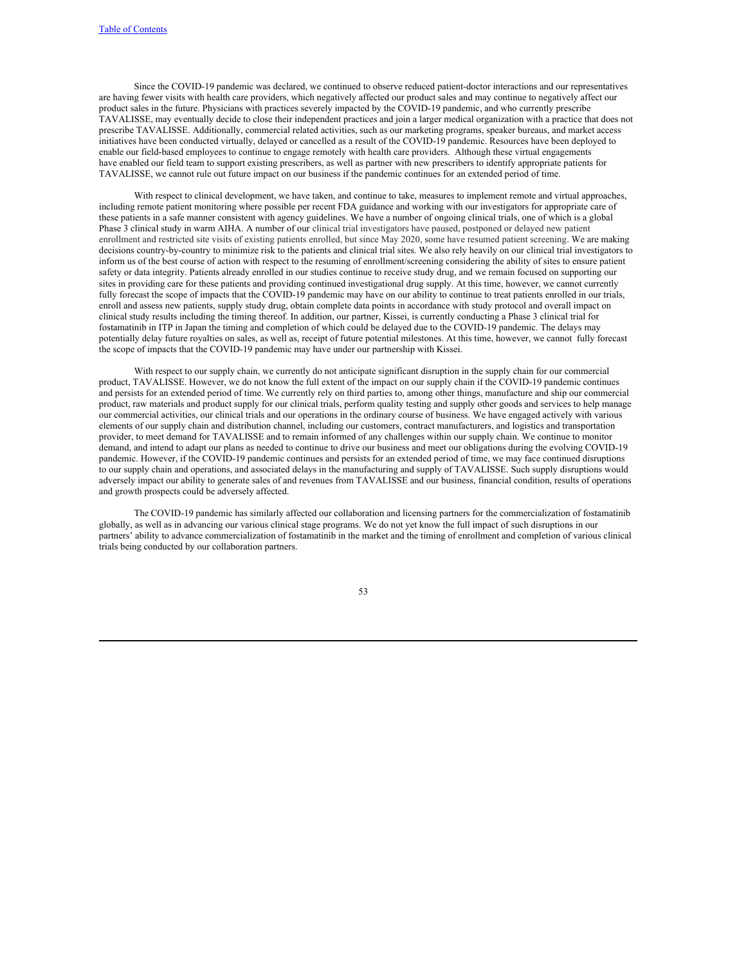Since the COVID-19 pandemic was declared, we continued to observe reduced patient-doctor interactions and our representatives are having fewer visits with health care providers, which negatively affected our product sales and may continue to negatively affect our product sales in the future. Physicians with practices severely impacted by the COVID-19 pandemic, and who currently prescribe TAVALISSE, may eventually decide to close their independent practices and join a larger medical organization with a practice that does not prescribe TAVALISSE. Additionally, commercial related activities, such as our marketing programs, speaker bureaus, and market access initiatives have been conducted virtually, delayed or cancelled as a result of the COVID-19 pandemic. Resources have been deployed to enable our field-based employees to continue to engage remotely with health care providers. Although these virtual engagements have enabled our field team to support existing prescribers, as well as partner with new prescribers to identify appropriate patients for TAVALISSE, we cannot rule out future impact on our business if the pandemic continues for an extended period of time.

With respect to clinical development, we have taken, and continue to take, measures to implement remote and virtual approaches, including remote patient monitoring where possible per recent FDA guidance and working with our investigators for appropriate care of these patients in a safe manner consistent with agency guidelines. We have a number of ongoing clinical trials, one of which is a global Phase 3 clinical study in warm AIHA. A number of our clinical trial investigators have paused, postponed or delayed new patient enrollment and restricted site visits of existing patients enrolled, but since May 2020, some have resumed patient screening. We are making decisions country-by-country to minimize risk to the patients and clinical trial sites. We also rely heavily on our clinical trial investigators to inform us of the best course of action with respect to the resuming of enrollment/screening considering the ability of sites to ensure patient safety or data integrity. Patients already enrolled in our studies continue to receive study drug, and we remain focused on supporting our sites in providing care for these patients and providing continued investigational drug supply. At this time, however, we cannot currently fully forecast the scope of impacts that the COVID-19 pandemic may have on our ability to continue to treat patients enrolled in our trials, enroll and assess new patients, supply study drug, obtain complete data points in accordance with study protocol and overall impact on clinical study results including the timing thereof. In addition, our partner, Kissei, is currently conducting a Phase 3 clinical trial for fostamatinib in ITP in Japan the timing and completion of which could be delayed due to the COVID-19 pandemic. The delays may potentially delay future royalties on sales, as well as, receipt of future potential milestones. At this time, however, we cannot fully forecast the scope of impacts that the COVID-19 pandemic may have under our partnership with Kissei.

With respect to our supply chain, we currently do not anticipate significant disruption in the supply chain for our commercial product, TAVALISSE. However, we do not know the full extent of the impact on our supply chain if the COVID-19 pandemic continues and persists for an extended period of time. We currently rely on third parties to, among other things, manufacture and ship our commercial product, raw materials and product supply for our clinical trials, perform quality testing and supply other goods and services to help manage our commercial activities, our clinical trials and our operations in the ordinary course of business. We have engaged actively with various elements of our supply chain and distribution channel, including our customers, contract manufacturers, and logistics and transportation provider, to meet demand for TAVALISSE and to remain informed of any challenges within our supply chain. We continue to monitor demand, and intend to adapt our plans as needed to continue to drive our business and meet our obligations during the evolving COVID-19 pandemic. However, if the COVID-19 pandemic continues and persists for an extended period of time, we may face continued disruptions to our supply chain and operations, and associated delays in the manufacturing and supply of TAVALISSE. Such supply disruptions would adversely impact our ability to generate sales of and revenues from TAVALISSE and our business, financial condition, results of operations and growth prospects could be adversely affected.

The COVID-19 pandemic has similarly affected our collaboration and licensing partners for the commercialization of fostamatinib globally, as well as in advancing our various clinical stage programs. We do not yet know the full impact of such disruptions in our partners' ability to advance commercialization of fostamatinib in the market and the timing of enrollment and completion of various clinical trials being conducted by our collaboration partners.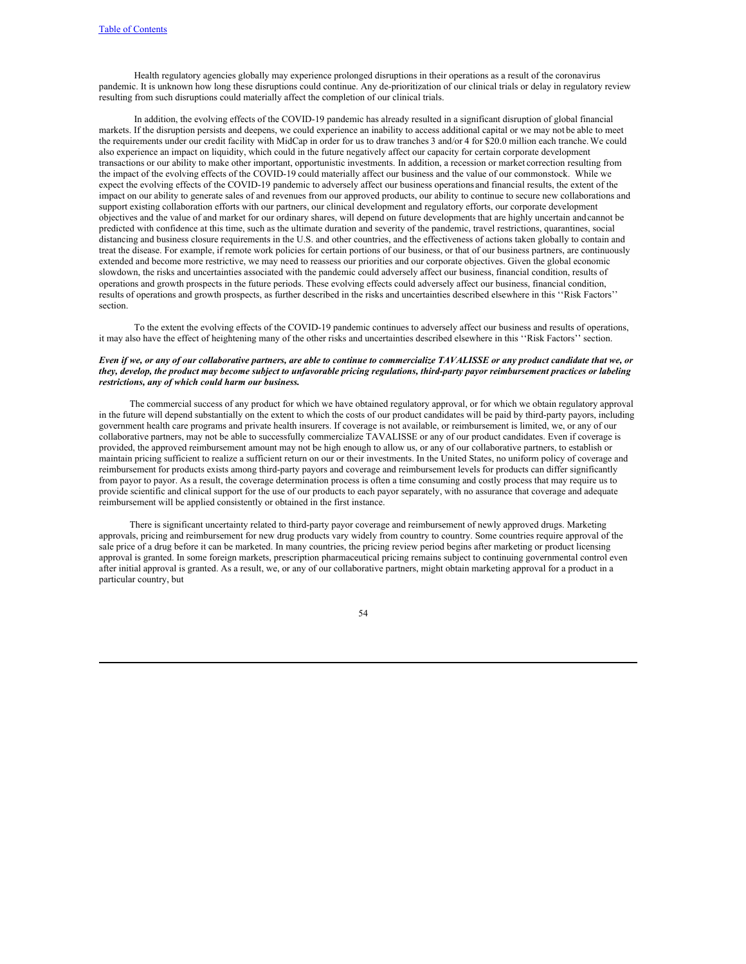Health regulatory agencies globally may experience prolonged disruptions in their operations as a result of the coronavirus pandemic. It is unknown how long these disruptions could continue. Any de-prioritization of our clinical trials or delay in regulatory review resulting from such disruptions could materially affect the completion of our clinical trials.

In addition, the evolving effects of the COVID-19 pandemic has already resulted in a significant disruption of global financial markets. If the disruption persists and deepens, we could experience an inability to access additional capital or we may not be able to meet the requirements under our credit facility with MidCap in order for us to draw tranches 3 and/or 4 for \$20.0 million each tranche. We could also experience an impact on liquidity, which could in the future negatively affect our capacity for certain corporate development transactions or our ability to make other important, opportunistic investments. In addition, a recession or market correction resulting from the impact of the evolving effects of the COVID-19 could materially affect our business and the value of our commonstock. While we expect the evolving effects of the COVID-19 pandemic to adversely affect our business operations and financial results, the extent of the impact on our ability to generate sales of and revenues from our approved products, our ability to continue to secure new collaborations and support existing collaboration efforts with our partners, our clinical development and regulatory efforts, our corporate development objectives and the value of and market for our ordinary shares, will depend on future developmentsthat are highly uncertain andcannot be predicted with confidence at this time, such as the ultimate duration and severity of the pandemic, travel restrictions, quarantines, social distancing and business closure requirements in the U.S. and other countries, and the effectiveness of actions taken globally to contain and treat the disease. For example, if remote work policies for certain portions of our business, or that of our business partners, are continuously extended and become more restrictive, we may need to reassess our priorities and our corporate objectives. Given the global economic slowdown, the risks and uncertainties associated with the pandemic could adversely affect our business, financial condition, results of operations and growth prospects in the future periods. These evolving effects could adversely affect our business, financial condition, results of operations and growth prospects, as further described in the risks and uncertainties described elsewhere in this ''Risk Factors'' section.

To the extent the evolving effects of the COVID-19 pandemic continues to adversely affect our business and results of operations, it may also have the effect of heightening many of the other risks and uncertainties described elsewhere in this ''Risk Factors'' section.

### Even if we, or any of our collaborative partners, are able to continue to commercialize TAVALISSE or any product candidate that we, or they, develop, the product may become subject to unfavorable pricing regulations, third-party payor reimbursement practices or labeling *restrictions, any of which could harm our business.*

The commercial success of any product for which we have obtained regulatory approval, or for which we obtain regulatory approval in the future will depend substantially on the extent to which the costs of our product candidates will be paid by third-party payors, including government health care programs and private health insurers. If coverage is not available, or reimbursement is limited, we, or any of our collaborative partners, may not be able to successfully commercialize TAVALISSE or any of our product candidates. Even if coverage is provided, the approved reimbursement amount may not be high enough to allow us, or any of our collaborative partners, to establish or maintain pricing sufficient to realize a sufficient return on our or their investments. In the United States, no uniform policy of coverage and reimbursement for products exists among third-party payors and coverage and reimbursement levels for products can differ significantly from payor to payor. As a result, the coverage determination process is often a time consuming and costly process that may require us to provide scientific and clinical support for the use of our products to each payor separately, with no assurance that coverage and adequate reimbursement will be applied consistently or obtained in the first instance.

There is significant uncertainty related to third-party payor coverage and reimbursement of newly approved drugs. Marketing approvals, pricing and reimbursement for new drug products vary widely from country to country. Some countries require approval of the sale price of a drug before it can be marketed. In many countries, the pricing review period begins after marketing or product licensing approval is granted. In some foreign markets, prescription pharmaceutical pricing remains subject to continuing governmental control even after initial approval is granted. As a result, we, or any of our collaborative partners, might obtain marketing approval for a product in a particular country, but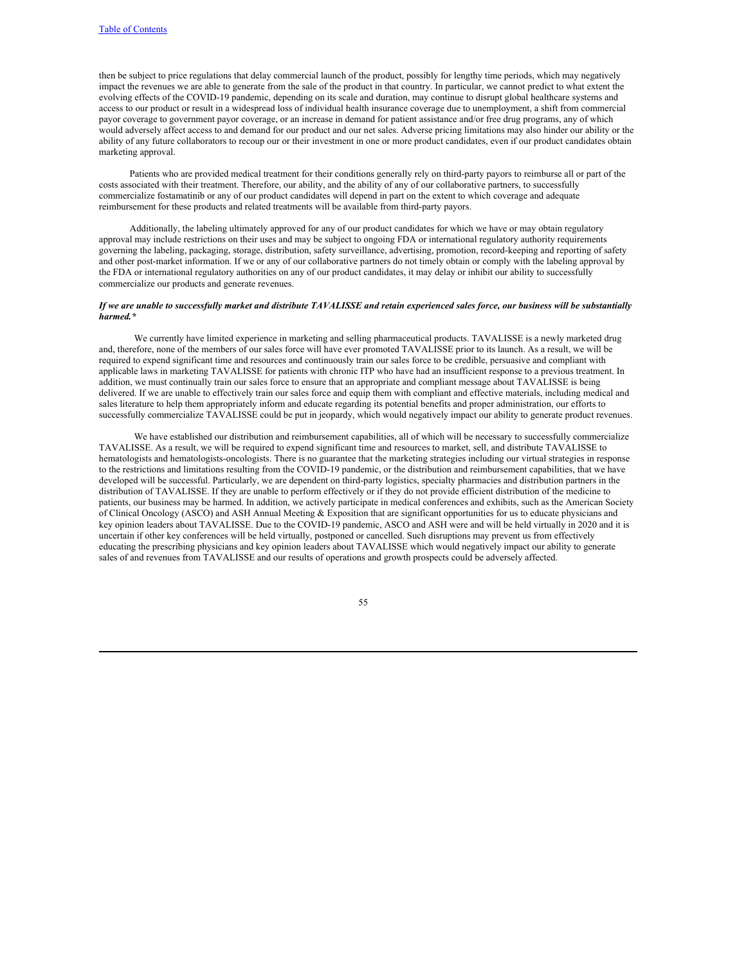then be subject to price regulations that delay commercial launch of the product, possibly for lengthy time periods, which may negatively impact the revenues we are able to generate from the sale of the product in that country. In particular, we cannot predict to what extent the evolving effects of the COVID-19 pandemic, depending on its scale and duration, may continue to disrupt global healthcare systems and access to our product or result in a widespread loss of individual health insurance coverage due to unemployment, a shift from commercial payor coverage to government payor coverage, or an increase in demand for patient assistance and/or free drug programs, any of which would adversely affect access to and demand for our product and our net sales. Adverse pricing limitations may also hinder our ability or the ability of any future collaborators to recoup our or their investment in one or more product candidates, even if our product candidates obtain marketing approval.

Patients who are provided medical treatment for their conditions generally rely on third-party payors to reimburse all or part of the costs associated with their treatment. Therefore, our ability, and the ability of any of our collaborative partners, to successfully commercialize fostamatinib or any of our product candidates will depend in part on the extent to which coverage and adequate reimbursement for these products and related treatments will be available from third-party payors.

Additionally, the labeling ultimately approved for any of our product candidates for which we have or may obtain regulatory approval may include restrictions on their uses and may be subject to ongoing FDA or international regulatory authority requirements governing the labeling, packaging, storage, distribution, safety surveillance, advertising, promotion, record-keeping and reporting of safety and other post-market information. If we or any of our collaborative partners do not timely obtain or comply with the labeling approval by the FDA or international regulatory authorities on any of our product candidates, it may delay or inhibit our ability to successfully commercialize our products and generate revenues.

### If we are unable to successfully market and distribute TAVALISSE and retain experienced sales force, our business will be substantially *harmed.\**

We currently have limited experience in marketing and selling pharmaceutical products. TAVALISSE is a newly marketed drug and, therefore, none of the members of our sales force will have ever promoted TAVALISSE prior to its launch. As a result, we will be required to expend significant time and resources and continuously train our sales force to be credible, persuasive and compliant with applicable laws in marketing TAVALISSE for patients with chronic ITP who have had an insufficient response to a previous treatment. In addition, we must continually train our sales force to ensure that an appropriate and compliant message about TAVALISSE is being delivered. If we are unable to effectively train our sales force and equip them with compliant and effective materials, including medical and sales literature to help them appropriately inform and educate regarding its potential benefits and proper administration, our efforts to successfully commercialize TAVALISSE could be put in jeopardy, which would negatively impact our ability to generate product revenues.

We have established our distribution and reimbursement capabilities, all of which will be necessary to successfully commercialize TAVALISSE. As a result, we will be required to expend significant time and resources to market, sell, and distribute TAVALISSE to hematologists and hematologists-oncologists. There is no guarantee that the marketing strategies including our virtual strategies in response to the restrictions and limitations resulting from the COVID-19 pandemic, or the distribution and reimbursement capabilities, that we have developed will be successful. Particularly, we are dependent on third-party logistics, specialty pharmacies and distribution partners in the distribution of TAVALISSE. If they are unable to perform effectively or if they do not provide efficient distribution of the medicine to patients, our business may be harmed. In addition, we actively participate in medical conferences and exhibits, such as the American Society of Clinical Oncology (ASCO) and ASH Annual Meeting & Exposition that are significant opportunities for us to educate physicians and key opinion leaders about TAVALISSE. Due to the COVID-19 pandemic, ASCO and ASH were and will be held virtually in 2020 and it is uncertain if other key conferences will be held virtually, postponed or cancelled. Such disruptions may prevent us from effectively educating the prescribing physicians and key opinion leaders about TAVALISSE which would negatively impact our ability to generate sales of and revenues from TAVALISSE and our results of operations and growth prospects could be adversely affected.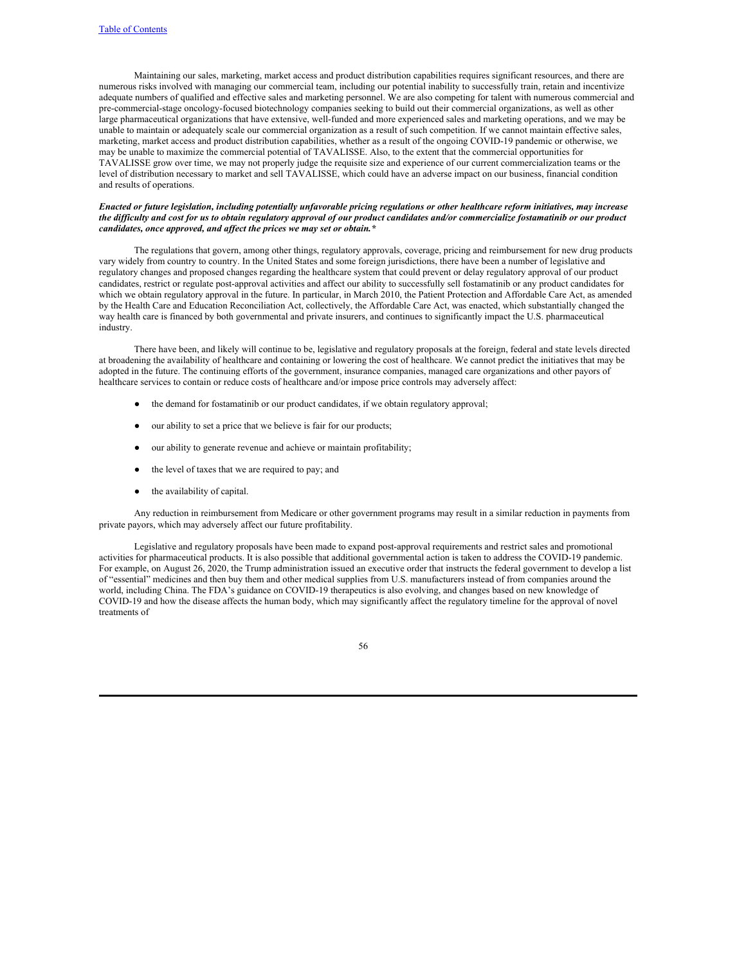Maintaining our sales, marketing, market access and product distribution capabilities requires significant resources, and there are numerous risks involved with managing our commercial team, including our potential inability to successfully train, retain and incentivize adequate numbers of qualified and effective sales and marketing personnel. We are also competing for talent with numerous commercial and pre-commercial-stage oncology-focused biotechnology companies seeking to build out their commercial organizations, as well as other large pharmaceutical organizations that have extensive, well-funded and more experienced sales and marketing operations, and we may be unable to maintain or adequately scale our commercial organization as a result of such competition. If we cannot maintain effective sales, marketing, market access and product distribution capabilities, whether as a result of the ongoing COVID-19 pandemic or otherwise, we may be unable to maximize the commercial potential of TAVALISSE. Also, to the extent that the commercial opportunities for TAVALISSE grow over time, we may not properly judge the requisite size and experience of our current commercialization teams or the level of distribution necessary to market and sell TAVALISSE, which could have an adverse impact on our business, financial condition and results of operations.

## Enacted or future legislation, including potentially unfavorable pricing regulations or other healthcare reform initiatives, may increase the difficulty and cost for us to obtain regulatory approval of our product candidates and/or commercialize fostamatinib or our product *candidates, once approved, and af ect the prices we may set or obtain.\**

The regulations that govern, among other things, regulatory approvals, coverage, pricing and reimbursement for new drug products vary widely from country to country. In the United States and some foreign jurisdictions, there have been a number of legislative and regulatory changes and proposed changes regarding the healthcare system that could prevent or delay regulatory approval of our product candidates, restrict or regulate post-approval activities and affect our ability to successfully sell fostamatinib or any product candidates for which we obtain regulatory approval in the future. In particular, in March 2010, the Patient Protection and Affordable Care Act, as amended by the Health Care and Education Reconciliation Act, collectively, the Affordable Care Act, was enacted, which substantially changed the way health care is financed by both governmental and private insurers, and continues to significantly impact the U.S. pharmaceutical industry.

There have been, and likely will continue to be, legislative and regulatory proposals at the foreign, federal and state levels directed at broadening the availability of healthcare and containing or lowering the cost of healthcare. We cannot predict the initiatives that may be adopted in the future. The continuing efforts of the government, insurance companies, managed care organizations and other payors of healthcare services to contain or reduce costs of healthcare and/or impose price controls may adversely affect:

- the demand for fostamatinib or our product candidates, if we obtain regulatory approval;
- our ability to set a price that we believe is fair for our products;
- our ability to generate revenue and achieve or maintain profitability;
- the level of taxes that we are required to pay; and
- the availability of capital.

Any reduction in reimbursement from Medicare or other government programs may result in a similar reduction in payments from private payors, which may adversely affect our future profitability.

Legislative and regulatory proposals have been made to expand post-approval requirements and restrict sales and promotional activities for pharmaceutical products. It is also possible that additional governmental action is taken to address the COVID-19 pandemic. For example, on August 26, 2020, the Trump administration issued an executive order that instructs the federal government to develop a list of "essential" medicines and then buy them and other medical supplies from U.S. manufacturers instead of from companies around the world, including China. The FDA's guidance on COVID-19 therapeutics is also evolving, and changes based on new knowledge of COVID-19 and how the disease affects the human body, which may significantly affect the regulatory timeline for the approval of novel treatments of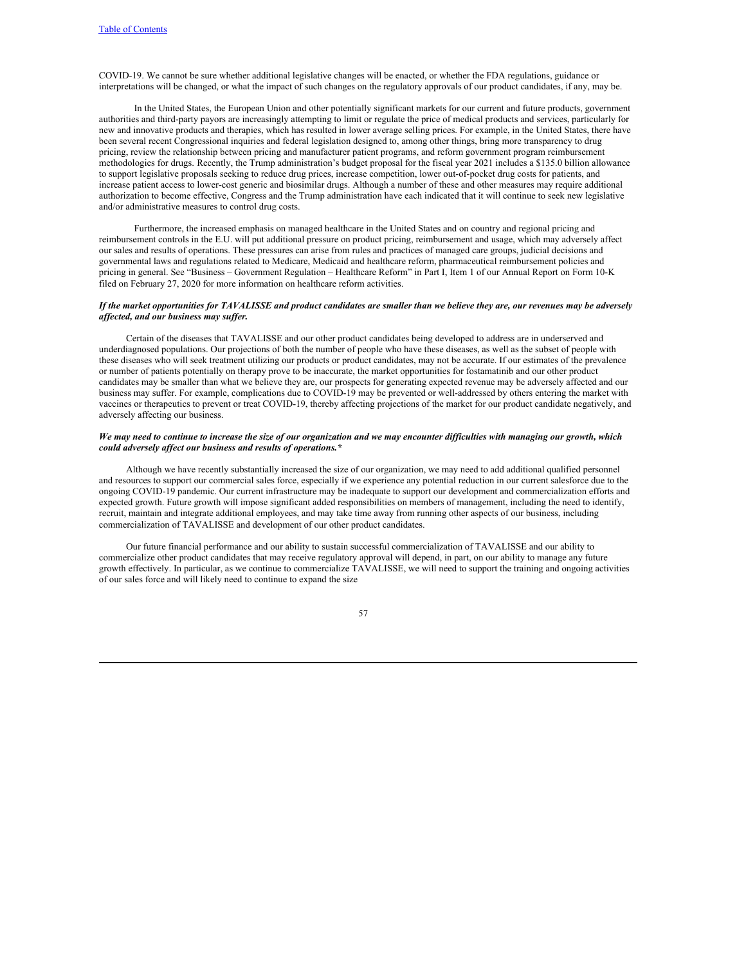COVID-19. We cannot be sure whether additional legislative changes will be enacted, or whether the FDA regulations, guidance or interpretations will be changed, or what the impact of such changes on the regulatory approvals of our product candidates, if any, may be.

In the United States, the European Union and other potentially significant markets for our current and future products, government authorities and third-party payors are increasingly attempting to limit or regulate the price of medical products and services, particularly for new and innovative products and therapies, which has resulted in lower average selling prices. For example, in the United States, there have been several recent Congressional inquiries and federal legislation designed to, among other things, bring more transparency to drug pricing, review the relationship between pricing and manufacturer patient programs, and reform government program reimbursement methodologies for drugs. Recently, the Trump administration's budget proposal for the fiscal year 2021 includes a \$135.0 billion allowance to support legislative proposals seeking to reduce drug prices, increase competition, lower out-of-pocket drug costs for patients, and increase patient access to lower-cost generic and biosimilar drugs. Although a number of these and other measures may require additional authorization to become effective, Congress and the Trump administration have each indicated that it will continue to seek new legislative and/or administrative measures to control drug costs.

Furthermore, the increased emphasis on managed healthcare in the United States and on country and regional pricing and reimbursement controls in the E.U. will put additional pressure on product pricing, reimbursement and usage, which may adversely affect our sales and results of operations. These pressures can arise from rules and practices of managed care groups, judicial decisions and governmental laws and regulations related to Medicare, Medicaid and healthcare reform, pharmaceutical reimbursement policies and pricing in general. See "Business – Government Regulation – Healthcare Reform" in Part I, Item 1 of our Annual Report on Form 10-K filed on February 27, 2020 for more information on healthcare reform activities.

### If the market opportunities for TAVALISSE and product candidates are smaller than we believe they are, our revenues may be adversely *af ected, and our business may suf er.*

Certain of the diseases that TAVALISSE and our other product candidates being developed to address are in underserved and underdiagnosed populations. Our projections of both the number of people who have these diseases, as well as the subset of people with these diseases who will seek treatment utilizing our products or product candidates, may not be accurate. If our estimates of the prevalence or number of patients potentially on therapy prove to be inaccurate, the market opportunities for fostamatinib and our other product candidates may be smaller than what we believe they are, our prospects for generating expected revenue may be adversely affected and our business may suffer. For example, complications due to COVID-19 may be prevented or well-addressed by others entering the market with vaccines or therapeutics to prevent or treat COVID-19, thereby affecting projections of the market for our product candidate negatively, and adversely affecting our business.

### We may need to continue to increase the size of our organization and we may encounter difficulties with managing our growth, which *could adversely af ect our business and results of operations.\**

Although we have recently substantially increased the size of our organization, we may need to add additional qualified personnel and resources to support our commercial sales force, especially if we experience any potential reduction in our current salesforce due to the ongoing COVID-19 pandemic. Our current infrastructure may be inadequate to support our development and commercialization efforts and expected growth. Future growth will impose significant added responsibilities on members of management, including the need to identify, recruit, maintain and integrate additional employees, and may take time away from running other aspects of our business, including commercialization of TAVALISSE and development of our other product candidates.

Our future financial performance and our ability to sustain successful commercialization of TAVALISSE and our ability to commercialize other product candidates that may receive regulatory approval will depend, in part, on our ability to manage any future growth effectively. In particular, as we continue to commercialize TAVALISSE, we will need to support the training and ongoing activities of our sales force and will likely need to continue to expand the size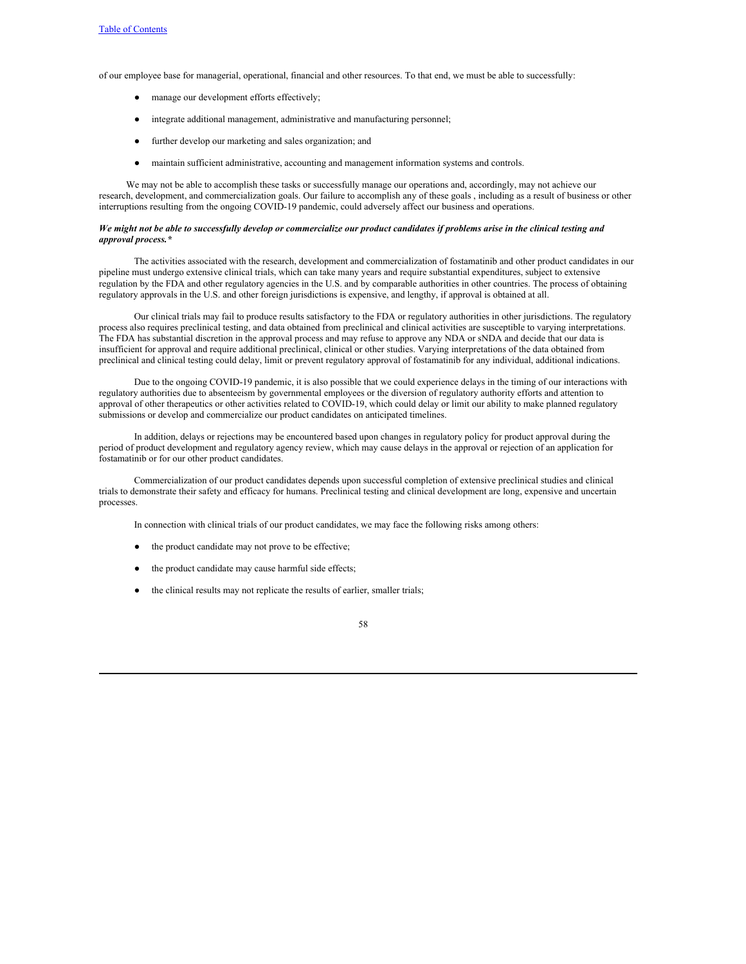of our employee base for managerial, operational, financial and other resources. To that end, we must be able to successfully:

- manage our development efforts effectively;
- integrate additional management, administrative and manufacturing personnel;
- further develop our marketing and sales organization; and
- maintain sufficient administrative, accounting and management information systems and controls.

We may not be able to accomplish these tasks or successfully manage our operations and, accordingly, may not achieve our research, development, and commercialization goals. Our failure to accomplish any of these goals , including as a result of business or other interruptions resulting from the ongoing COVID-19 pandemic, could adversely affect our business and operations.

## We might not be able to successfully develop or commercialize our product candidates if problems arise in the clinical testing and *approval process.\**

The activities associated with the research, development and commercialization of fostamatinib and other product candidates in our pipeline must undergo extensive clinical trials, which can take many years and require substantial expenditures, subject to extensive regulation by the FDA and other regulatory agencies in the U.S. and by comparable authorities in other countries. The process of obtaining regulatory approvals in the U.S. and other foreign jurisdictions is expensive, and lengthy, if approval is obtained at all.

Our clinical trials may fail to produce results satisfactory to the FDA or regulatory authorities in other jurisdictions. The regulatory process also requires preclinical testing, and data obtained from preclinical and clinical activities are susceptible to varying interpretations. The FDA has substantial discretion in the approval process and may refuse to approve any NDA or sNDA and decide that our data is insufficient for approval and require additional preclinical, clinical or other studies. Varying interpretations of the data obtained from preclinical and clinical testing could delay, limit or prevent regulatory approval of fostamatinib for any individual, additional indications.

Due to the ongoing COVID-19 pandemic, it is also possible that we could experience delays in the timing of our interactions with regulatory authorities due to absenteeism by governmental employees or the diversion of regulatory authority efforts and attention to approval of other therapeutics or other activities related to COVID-19, which could delay or limit our ability to make planned regulatory submissions or develop and commercialize our product candidates on anticipated timelines.

In addition, delays or rejections may be encountered based upon changes in regulatory policy for product approval during the period of product development and regulatory agency review, which may cause delays in the approval or rejection of an application for fostamatinib or for our other product candidates.

Commercialization of our product candidates depends upon successful completion of extensive preclinical studies and clinical trials to demonstrate their safety and efficacy for humans. Preclinical testing and clinical development are long, expensive and uncertain processes.

In connection with clinical trials of our product candidates, we may face the following risks among others:

- the product candidate may not prove to be effective;
- the product candidate may cause harmful side effects;
- the clinical results may not replicate the results of earlier, smaller trials;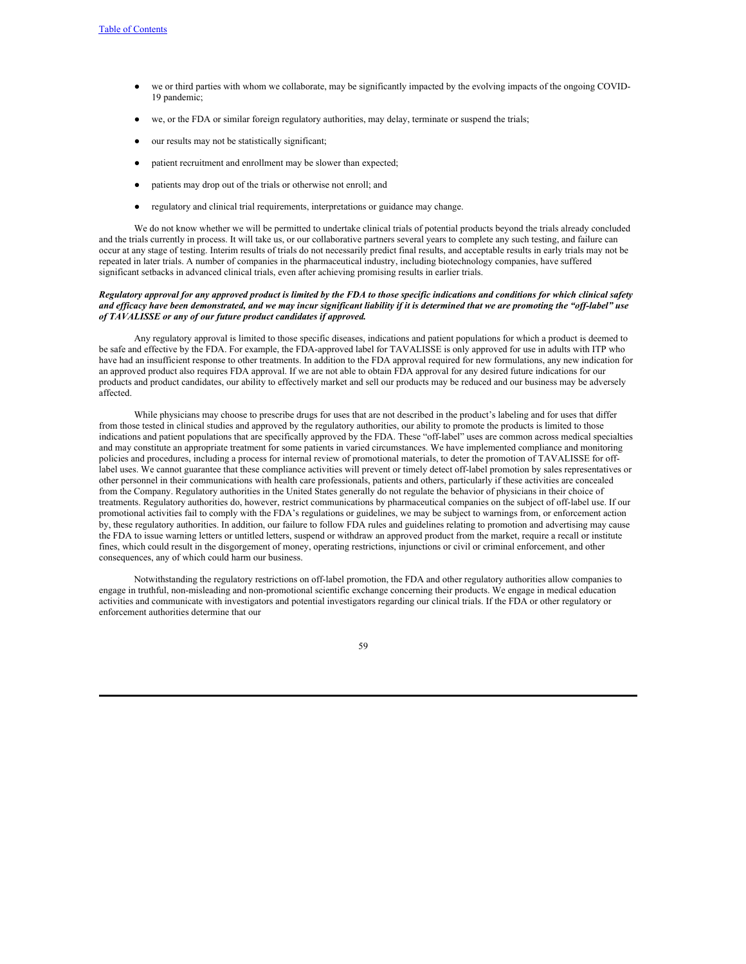- we or third parties with whom we collaborate, may be significantly impacted by the evolving impacts of the ongoing COVID-19 pandemic;
- we, or the FDA or similar foreign regulatory authorities, may delay, terminate or suspend the trials;
- our results may not be statistically significant;
- patient recruitment and enrollment may be slower than expected;
- patients may drop out of the trials or otherwise not enroll; and
- regulatory and clinical trial requirements, interpretations or guidance may change.

We do not know whether we will be permitted to undertake clinical trials of potential products beyond the trials already concluded and the trials currently in process. It will take us, or our collaborative partners several years to complete any such testing, and failure can occur at any stage of testing. Interim results of trials do not necessarily predict final results, and acceptable results in early trials may not be repeated in later trials. A number of companies in the pharmaceutical industry, including biotechnology companies, have suffered significant setbacks in advanced clinical trials, even after achieving promising results in earlier trials.

### Regulatory approval for any approved product is limited by the FDA to those specific indications and conditions for which clinical safety and efficacy have been demonstrated, and we may incur significant liability if it is determined that we are promoting the "off-label" use *of TAVALISSE or any of our future product candidates if approved.*

Any regulatory approval is limited to those specific diseases, indications and patient populations for which a product is deemed to be safe and effective by the FDA. For example, the FDA-approved label for TAVALISSE is only approved for use in adults with ITP who have had an insufficient response to other treatments. In addition to the FDA approval required for new formulations, any new indication for an approved product also requires FDA approval. If we are not able to obtain FDA approval for any desired future indications for our products and product candidates, our ability to effectively market and sell our products may be reduced and our business may be adversely affected.

While physicians may choose to prescribe drugs for uses that are not described in the product's labeling and for uses that differ from those tested in clinical studies and approved by the regulatory authorities, our ability to promote the products is limited to those indications and patient populations that are specifically approved by the FDA. These "off-label" uses are common across medical specialties and may constitute an appropriate treatment for some patients in varied circumstances. We have implemented compliance and monitoring policies and procedures, including a process for internal review of promotional materials, to deter the promotion of TAVALISSE for offlabel uses. We cannot guarantee that these compliance activities will prevent or timely detect off-label promotion by sales representatives or other personnel in their communications with health care professionals, patients and others, particularly if these activities are concealed from the Company. Regulatory authorities in the United States generally do not regulate the behavior of physicians in their choice of treatments. Regulatory authorities do, however, restrict communications by pharmaceutical companies on the subject of off-label use. If our promotional activities fail to comply with the FDA's regulations or guidelines, we may be subject to warnings from, or enforcement action by, these regulatory authorities. In addition, our failure to follow FDA rules and guidelines relating to promotion and advertising may cause the FDA to issue warning letters or untitled letters, suspend or withdraw an approved product from the market, require a recall or institute fines, which could result in the disgorgement of money, operating restrictions, injunctions or civil or criminal enforcement, and other consequences, any of which could harm our business.

Notwithstanding the regulatory restrictions on off-label promotion, the FDA and other regulatory authorities allow companies to engage in truthful, non-misleading and non-promotional scientific exchange concerning their products. We engage in medical education activities and communicate with investigators and potential investigators regarding our clinical trials. If the FDA or other regulatory or enforcement authorities determine that our

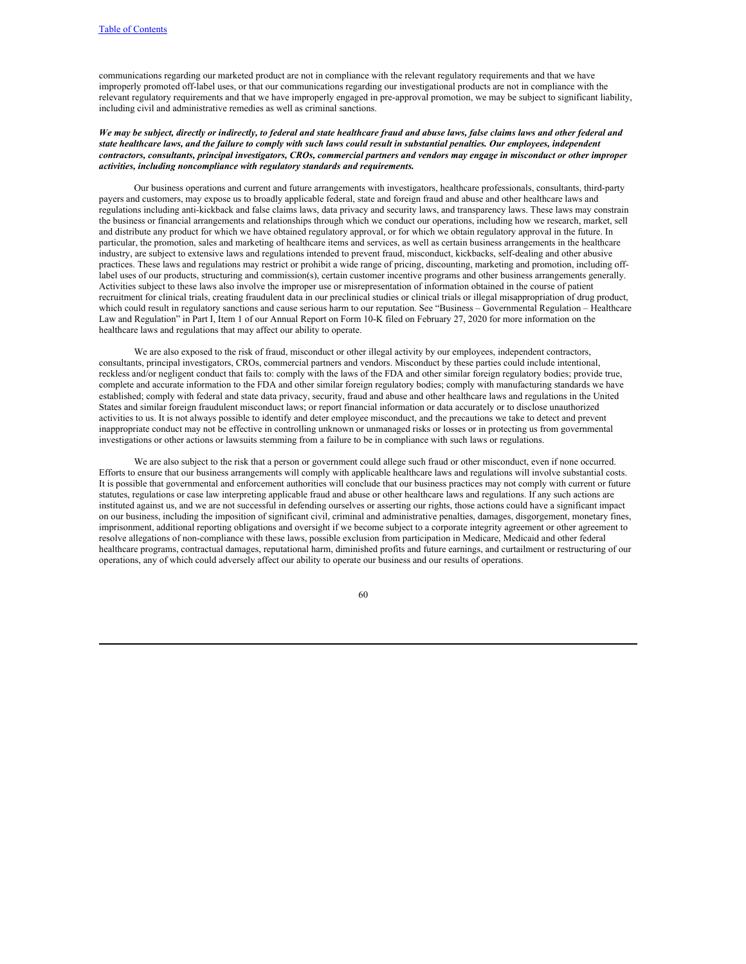communications regarding our marketed product are not in compliance with the relevant regulatory requirements and that we have improperly promoted off-label uses, or that our communications regarding our investigational products are not in compliance with the relevant regulatory requirements and that we have improperly engaged in pre-approval promotion, we may be subject to significant liability, including civil and administrative remedies as well as criminal sanctions.

### We may be subject, directly or indirectly, to federal and state healthcare fraud and abuse laws, false claims laws and other federal and state healthcare laws, and the failure to comply with such laws could result in substantial penalties. Our employees, independent contractors, consultants, principal investigators, CROs, commercial partners and vendors may engage in misconduct or other improper *activities, including noncompliance with regulatory standards and requirements.*

Our business operations and current and future arrangements with investigators, healthcare professionals, consultants, third-party payers and customers, may expose us to broadly applicable federal, state and foreign fraud and abuse and other healthcare laws and regulations including anti-kickback and false claims laws, data privacy and security laws, and transparency laws. These laws may constrain the business or financial arrangements and relationships through which we conduct our operations, including how we research, market, sell and distribute any product for which we have obtained regulatory approval, or for which we obtain regulatory approval in the future. In particular, the promotion, sales and marketing of healthcare items and services, as well as certain business arrangements in the healthcare industry, are subject to extensive laws and regulations intended to prevent fraud, misconduct, kickbacks, self-dealing and other abusive practices. These laws and regulations may restrict or prohibit a wide range of pricing, discounting, marketing and promotion, including offlabel uses of our products, structuring and commission(s), certain customer incentive programs and other business arrangements generally. Activities subject to these laws also involve the improper use or misrepresentation of information obtained in the course of patient recruitment for clinical trials, creating fraudulent data in our preclinical studies or clinical trials or illegal misappropriation of drug product, which could result in regulatory sanctions and cause serious harm to our reputation. See "Business – Governmental Regulation – Healthcare Law and Regulation" in Part I, Item 1 of our Annual Report on Form 10-K filed on February 27, 2020 for more information on the healthcare laws and regulations that may affect our ability to operate.

We are also exposed to the risk of fraud, misconduct or other illegal activity by our employees, independent contractors, consultants, principal investigators, CROs, commercial partners and vendors. Misconduct by these parties could include intentional, reckless and/or negligent conduct that fails to: comply with the laws of the FDA and other similar foreign regulatory bodies; provide true, complete and accurate information to the FDA and other similar foreign regulatory bodies; comply with manufacturing standards we have established; comply with federal and state data privacy, security, fraud and abuse and other healthcare laws and regulations in the United States and similar foreign fraudulent misconduct laws; or report financial information or data accurately or to disclose unauthorized activities to us. It is not always possible to identify and deter employee misconduct, and the precautions we take to detect and prevent inappropriate conduct may not be effective in controlling unknown or unmanaged risks or losses or in protecting us from governmental investigations or other actions or lawsuits stemming from a failure to be in compliance with such laws or regulations.

We are also subject to the risk that a person or government could allege such fraud or other misconduct, even if none occurred. Efforts to ensure that our business arrangements will comply with applicable healthcare laws and regulations will involve substantial costs. It is possible that governmental and enforcement authorities will conclude that our business practices may not comply with current or future statutes, regulations or case law interpreting applicable fraud and abuse or other healthcare laws and regulations. If any such actions are instituted against us, and we are not successful in defending ourselves or asserting our rights, those actions could have a significant impact on our business, including the imposition of significant civil, criminal and administrative penalties, damages, disgorgement, monetary fines, imprisonment, additional reporting obligations and oversight if we become subject to a corporate integrity agreement or other agreement to resolve allegations of non-compliance with these laws, possible exclusion from participation in Medicare, Medicaid and other federal healthcare programs, contractual damages, reputational harm, diminished profits and future earnings, and curtailment or restructuring of our operations, any of which could adversely affect our ability to operate our business and our results of operations.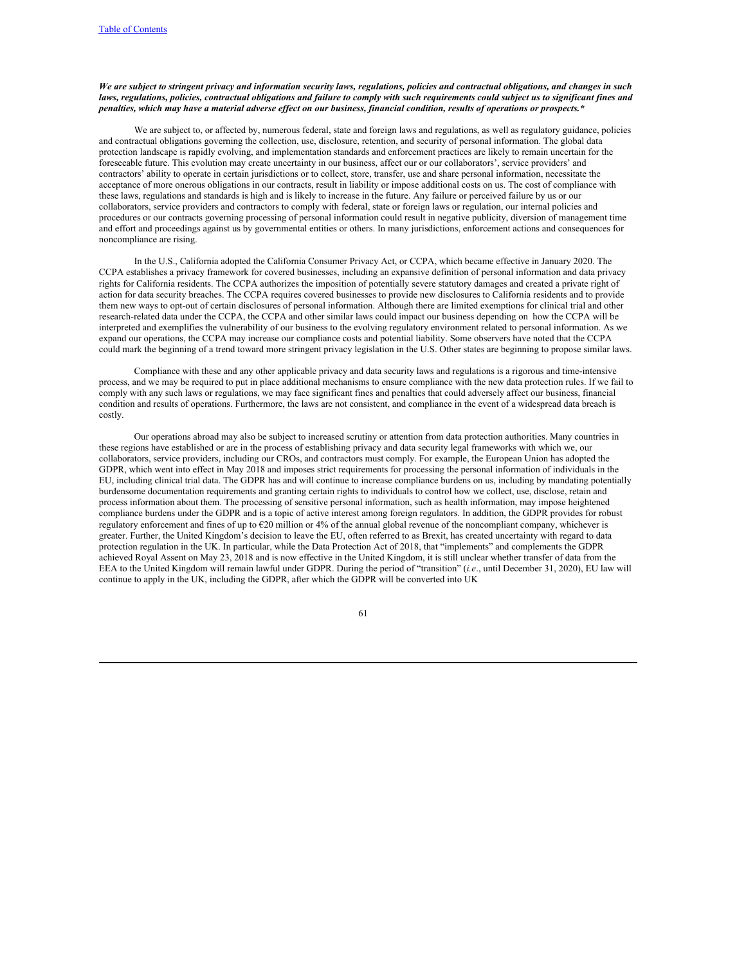# We are subject to stringent privacy and information security laws, regulations, policies and contractual obligations, and changes in such laws, regulations, policies, contractual obligations and failure to comply with such requirements could subject us to significant fines and penalties, which may have a material adverse effect on our business, financial condition, results of operations or prospects.\*

We are subject to, or affected by, numerous federal, state and foreign laws and regulations, as well as regulatory guidance, policies and contractual obligations governing the collection, use, disclosure, retention, and security of personal information. The global data protection landscape is rapidly evolving, and implementation standards and enforcement practices are likely to remain uncertain for the foreseeable future. This evolution may create uncertainty in our business, affect our or our collaborators', service providers' and contractors' ability to operate in certain jurisdictions or to collect, store, transfer, use and share personal information, necessitate the acceptance of more onerous obligations in our contracts, result in liability or impose additional costs on us. The cost of compliance with these laws, regulations and standards is high and is likely to increase in the future. Any failure or perceived failure by us or our collaborators, service providers and contractors to comply with federal, state or foreign laws or regulation, our internal policies and procedures or our contracts governing processing of personal information could result in negative publicity, diversion of management time and effort and proceedings against us by governmental entities or others. In many jurisdictions, enforcement actions and consequences for noncompliance are rising.

In the U.S., California adopted the California Consumer Privacy Act, or CCPA, which became effective in January 2020. The CCPA establishes a privacy framework for covered businesses, including an expansive definition of personal information and data privacy rights for California residents. The CCPA authorizes the imposition of potentially severe statutory damages and created a private right of action for data security breaches. The CCPA requires covered businesses to provide new disclosures to California residents and to provide them new ways to opt-out of certain disclosures of personal information. Although there are limited exemptions for clinical trial and other research-related data under the CCPA, the CCPA and other similar laws could impact our business depending on how the CCPA will be interpreted and exemplifies the vulnerability of our business to the evolving regulatory environment related to personal information. As we expand our operations, the CCPA may increase our compliance costs and potential liability. Some observers have noted that the CCPA could mark the beginning of a trend toward more stringent privacy legislation in the U.S. Other states are beginning to propose similar laws.

Compliance with these and any other applicable privacy and data security laws and regulations is a rigorous and time-intensive process, and we may be required to put in place additional mechanisms to ensure compliance with the new data protection rules. If we fail to comply with any such laws or regulations, we may face significant fines and penalties that could adversely affect our business, financial condition and results of operations. Furthermore, the laws are not consistent, and compliance in the event of a widespread data breach is costly.

Our operations abroad may also be subject to increased scrutiny or attention from data protection authorities. Many countries in these regions have established or are in the process of establishing privacy and data security legal frameworks with which we, our collaborators, service providers, including our CROs, and contractors must comply. For example, the European Union has adopted the GDPR, which went into effect in May 2018 and imposes strict requirements for processing the personal information of individuals in the EU, including clinical trial data. The GDPR has and will continue to increase compliance burdens on us, including by mandating potentially burdensome documentation requirements and granting certain rights to individuals to control how we collect, use, disclose, retain and process information about them. The processing of sensitive personal information, such as health information, may impose heightened compliance burdens under the GDPR and is a topic of active interest among foreign regulators. In addition, the GDPR provides for robust regulatory enforcement and fines of up to €20 million or 4% of the annual global revenue of the noncompliant company, whichever is greater. Further, the United Kingdom's decision to leave the EU, often referred to as Brexit, has created uncertainty with regard to data protection regulation in the UK. In particular, while the Data Protection Act of 2018, that "implements" and complements the GDPR achieved Royal Assent on May 23, 2018 and is now effective in the United Kingdom, it is still unclear whether transfer of data from the EEA to the United Kingdom will remain lawful under GDPR. During the period of "transition" (*i.e*., until December 31, 2020), EU law will continue to apply in the UK, including the GDPR, after which the GDPR will be converted into UK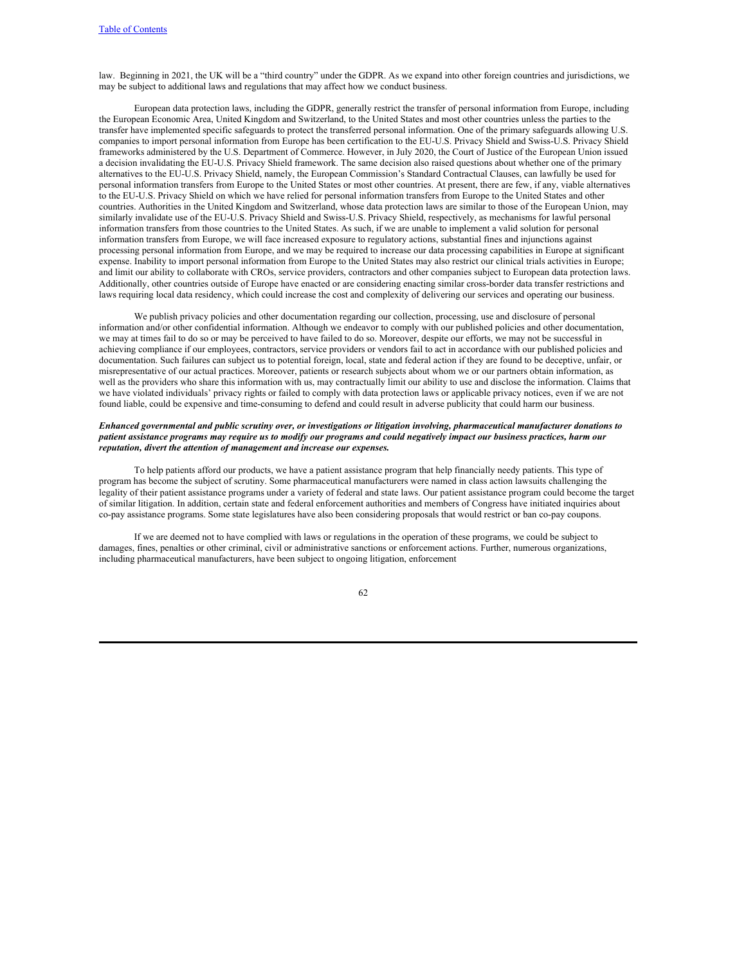law. Beginning in 2021, the UK will be a "third country" under the GDPR. As we expand into other foreign countries and jurisdictions, we may be subject to additional laws and regulations that may affect how we conduct business.

European data protection laws, including the GDPR, generally restrict the transfer of personal information from Europe, including the European Economic Area, United Kingdom and Switzerland, to the United States and most other countries unless the parties to the transfer have implemented specific safeguards to protect the transferred personal information. One of the primary safeguards allowing U.S. companies to import personal information from Europe has been certification to the EU-U.S. Privacy Shield and Swiss-U.S. Privacy Shield frameworks administered by the U.S. Department of Commerce. However, in July 2020, the Court of Justice of the European Union issued a decision invalidating the EU-U.S. Privacy Shield framework. The same decision also raised questions about whether one of the primary alternatives to the EU-U.S. Privacy Shield, namely, the European Commission's Standard Contractual Clauses, can lawfully be used for personal information transfers from Europe to the United States or most other countries. At present, there are few, if any, viable alternatives to the EU-U.S. Privacy Shield on which we have relied for personal information transfers from Europe to the United States and other countries. Authorities in the United Kingdom and Switzerland, whose data protection laws are similar to those of the European Union, may similarly invalidate use of the EU-U.S. Privacy Shield and Swiss-U.S. Privacy Shield, respectively, as mechanisms for lawful personal information transfers from those countries to the United States. As such, if we are unable to implement a valid solution for personal information transfers from Europe, we will face increased exposure to regulatory actions, substantial fines and injunctions against processing personal information from Europe, and we may be required to increase our data processing capabilities in Europe at significant expense. Inability to import personal information from Europe to the United States may also restrict our clinical trials activities in Europe; and limit our ability to collaborate with CROs, service providers, contractors and other companies subject to European data protection laws. Additionally, other countries outside of Europe have enacted or are considering enacting similar cross-border data transfer restrictions and laws requiring local data residency, which could increase the cost and complexity of delivering our services and operating our business.

We publish privacy policies and other documentation regarding our collection, processing, use and disclosure of personal information and/or other confidential information. Although we endeavor to comply with our published policies and other documentation, we may at times fail to do so or may be perceived to have failed to do so. Moreover, despite our efforts, we may not be successful in achieving compliance if our employees, contractors, service providers or vendors fail to act in accordance with our published policies and documentation. Such failures can subject us to potential foreign, local, state and federal action if they are found to be deceptive, unfair, or misrepresentative of our actual practices. Moreover, patients or research subjects about whom we or our partners obtain information, as well as the providers who share this information with us, may contractually limit our ability to use and disclose the information. Claims that we have violated individuals' privacy rights or failed to comply with data protection laws or applicable privacy notices, even if we are not found liable, could be expensive and time-consuming to defend and could result in adverse publicity that could harm our business.

### Enhanced governmental and public scrutiny over, or investigations or litigation involving, pharmaceutical manufacturer donations to patient assistance programs may require us to modify our programs and could negatively impact our business practices, harm our *reputation, divert the attention of management and increase our expenses.*

To help patients afford our products, we have a patient assistance program that help financially needy patients. This type of program has become the subject of scrutiny. Some pharmaceutical manufacturers were named in class action lawsuits challenging the legality of their patient assistance programs under a variety of federal and state laws. Our patient assistance program could become the target of similar litigation. In addition, certain state and federal enforcement authorities and members of Congress have initiated inquiries about co-pay assistance programs. Some state legislatures have also been considering proposals that would restrict or ban co-pay coupons.

If we are deemed not to have complied with laws or regulations in the operation of these programs, we could be subject to damages, fines, penalties or other criminal, civil or administrative sanctions or enforcement actions. Further, numerous organizations, including pharmaceutical manufacturers, have been subject to ongoing litigation, enforcement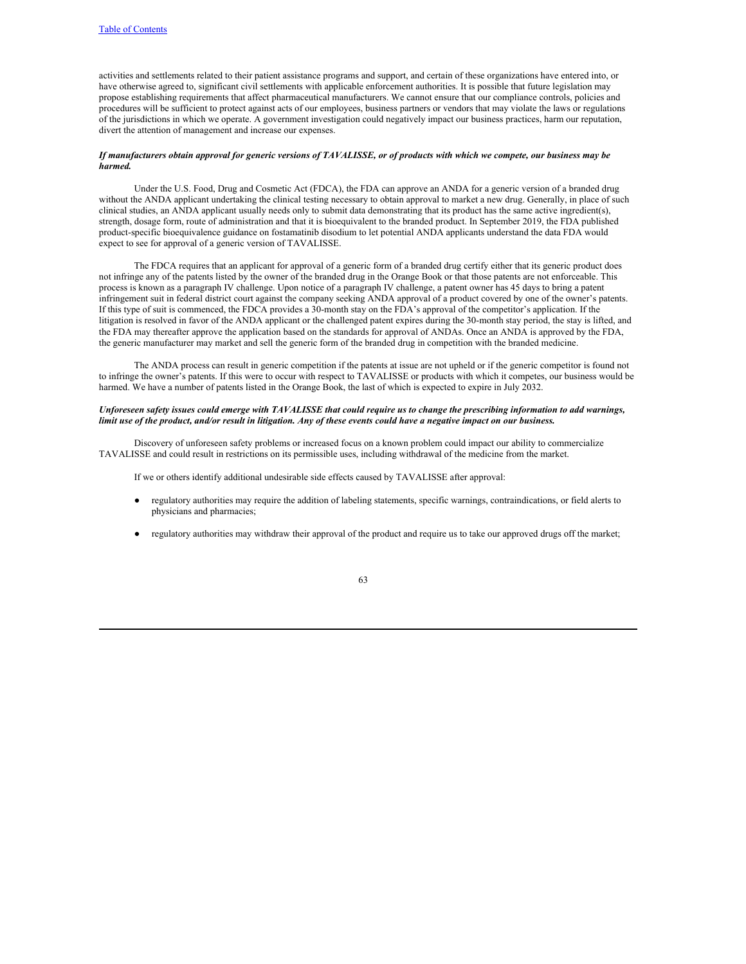activities and settlements related to their patient assistance programs and support, and certain of these organizations have entered into, or have otherwise agreed to, significant civil settlements with applicable enforcement authorities. It is possible that future legislation may propose establishing requirements that affect pharmaceutical manufacturers. We cannot ensure that our compliance controls, policies and procedures will be sufficient to protect against acts of our employees, business partners or vendors that may violate the laws or regulations of the jurisdictions in which we operate. A government investigation could negatively impact our business practices, harm our reputation, divert the attention of management and increase our expenses.

# If manufacturers obtain approval for generic versions of TAVALISSE, or of products with which we compete, our business may be *harmed.*

Under the U.S. Food, Drug and Cosmetic Act (FDCA), the FDA can approve an ANDA for a generic version of a branded drug without the ANDA applicant undertaking the clinical testing necessary to obtain approval to market a new drug. Generally, in place of such clinical studies, an ANDA applicant usually needs only to submit data demonstrating that its product has the same active ingredient(s), strength, dosage form, route of administration and that it is bioequivalent to the branded product. In September 2019, the FDA published product-specific bioequivalence guidance on fostamatinib disodium to let potential ANDA applicants understand the data FDA would expect to see for approval of a generic version of TAVALISSE.

The FDCA requires that an applicant for approval of a generic form of a branded drug certify either that its generic product does not infringe any of the patents listed by the owner of the branded drug in the Orange Book or that those patents are not enforceable. This process is known as a paragraph IV challenge. Upon notice of a paragraph IV challenge, a patent owner has 45 days to bring a patent infringement suit in federal district court against the company seeking ANDA approval of a product covered by one of the owner's patents. If this type of suit is commenced, the FDCA provides a 30-month stay on the FDA's approval of the competitor's application. If the litigation is resolved in favor of the ANDA applicant or the challenged patent expires during the 30-month stay period, the stay is lifted, and the FDA may thereafter approve the application based on the standards for approval of ANDAs. Once an ANDA is approved by the FDA, the generic manufacturer may market and sell the generic form of the branded drug in competition with the branded medicine.

The ANDA process can result in generic competition if the patents at issue are not upheld or if the generic competitor is found not to infringe the owner's patents. If this were to occur with respect to TAVALISSE or products with which it competes, our business would be harmed. We have a number of patents listed in the Orange Book, the last of which is expected to expire in July 2032.

# Unforeseen safety issues could emerge with TAVALISSE that could require us to change the prescribing information to add warnings, limit use of the product, and/or result in litigation. Any of these events could have a negative impact on our business.

Discovery of unforeseen safety problems or increased focus on a known problem could impact our ability to commercialize TAVALISSE and could result in restrictions on its permissible uses, including withdrawal of the medicine from the market.

If we or others identify additional undesirable side effects caused by TAVALISSE after approval:

- regulatory authorities may require the addition of labeling statements, specific warnings, contraindications, or field alerts to physicians and pharmacies;
- regulatory authorities may withdraw their approval of the product and require us to take our approved drugs off the market;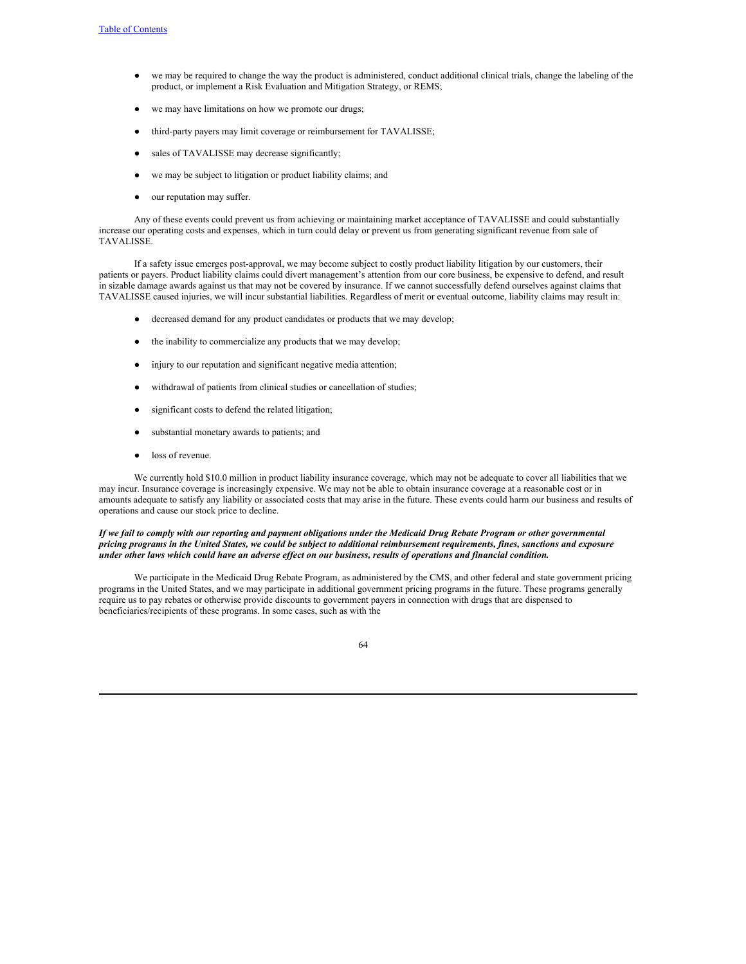- we may be required to change the way the product is administered, conduct additional clinical trials, change the labeling of the product, or implement a Risk Evaluation and Mitigation Strategy, or REMS;
- we may have limitations on how we promote our drugs;
- third-party payers may limit coverage or reimbursement for TAVALISSE;
- sales of TAVALISSE may decrease significantly;
- we may be subject to litigation or product liability claims; and
- our reputation may suffer.

Any of these events could prevent us from achieving or maintaining market acceptance of TAVALISSE and could substantially increase our operating costs and expenses, which in turn could delay or prevent us from generating significant revenue from sale of TAVALISSE.

If a safety issue emerges post-approval, we may become subject to costly product liability litigation by our customers, their patients or payers. Product liability claims could divert management's attention from our core business, be expensive to defend, and result in sizable damage awards against us that may not be covered by insurance. If we cannot successfully defend ourselves against claims that TAVALISSE caused injuries, we will incur substantial liabilities. Regardless of merit or eventual outcome, liability claims may result in:

- decreased demand for any product candidates or products that we may develop;
- the inability to commercialize any products that we may develop;
- injury to our reputation and significant negative media attention;
- withdrawal of patients from clinical studies or cancellation of studies;
- significant costs to defend the related litigation;
- substantial monetary awards to patients; and
- loss of revenue.

We currently hold \$10.0 million in product liability insurance coverage, which may not be adequate to cover all liabilities that we may incur. Insurance coverage is increasingly expensive. We may not be able to obtain insurance coverage at a reasonable cost or in amounts adequate to satisfy any liability or associated costs that may arise in the future. These events could harm our business and results of operations and cause our stock price to decline.

If we fail to comply with our reporting and payment obligations under the Medicaid Drug Rebate Program or other governmental pricing programs in the United States, we could be subject to additional reimbursement requirements, fines, sanctions and exposure under other laws which could have an adverse effect on our business, results of operations and financial condition.

We participate in the Medicaid Drug Rebate Program, as administered by the CMS, and other federal and state government pricing programs in the United States, and we may participate in additional government pricing programs in the future. These programs generally require us to pay rebates or otherwise provide discounts to government payers in connection with drugs that are dispensed to beneficiaries/recipients of these programs. In some cases, such as with the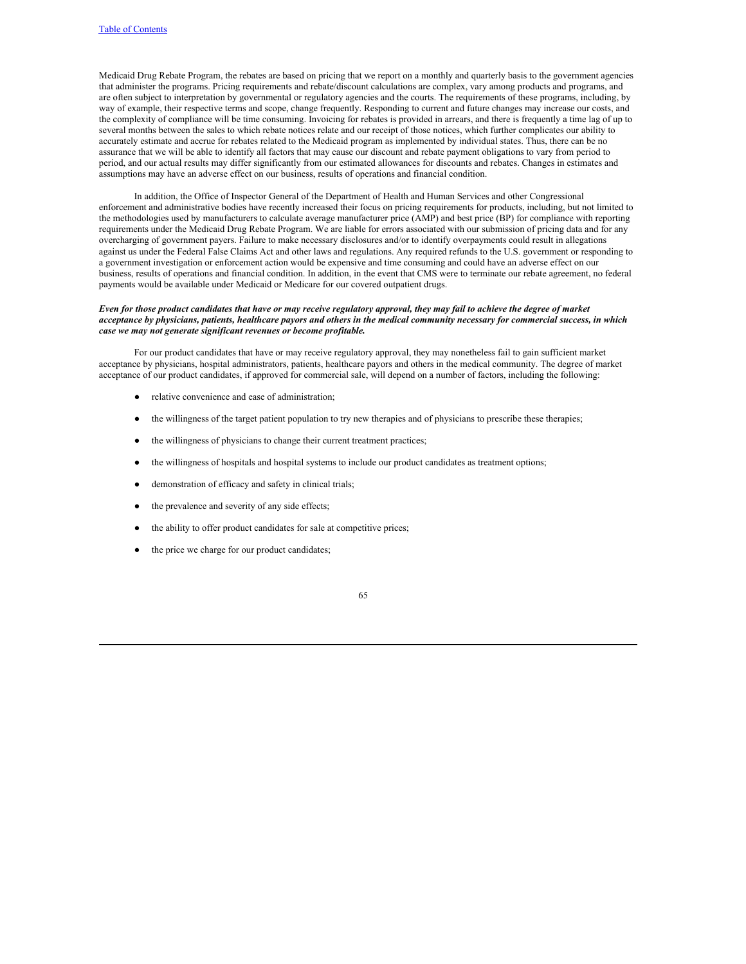Medicaid Drug Rebate Program, the rebates are based on pricing that we report on a monthly and quarterly basis to the government agencies that administer the programs. Pricing requirements and rebate/discount calculations are complex, vary among products and programs, and are often subject to interpretation by governmental or regulatory agencies and the courts. The requirements of these programs, including, by way of example, their respective terms and scope, change frequently. Responding to current and future changes may increase our costs, and the complexity of compliance will be time consuming. Invoicing for rebates is provided in arrears, and there is frequently a time lag of up to several months between the sales to which rebate notices relate and our receipt of those notices, which further complicates our ability to accurately estimate and accrue for rebates related to the Medicaid program as implemented by individual states. Thus, there can be no assurance that we will be able to identify all factors that may cause our discount and rebate payment obligations to vary from period to period, and our actual results may differ significantly from our estimated allowances for discounts and rebates. Changes in estimates and assumptions may have an adverse effect on our business, results of operations and financial condition.

In addition, the Office of Inspector General of the Department of Health and Human Services and other Congressional enforcement and administrative bodies have recently increased their focus on pricing requirements for products, including, but not limited to the methodologies used by manufacturers to calculate average manufacturer price (AMP) and best price (BP) for compliance with reporting requirements under the Medicaid Drug Rebate Program. We are liable for errors associated with our submission of pricing data and for any overcharging of government payers. Failure to make necessary disclosures and/or to identify overpayments could result in allegations against us under the Federal False Claims Act and other laws and regulations. Any required refunds to the U.S. government or responding to a government investigation or enforcement action would be expensive and time consuming and could have an adverse effect on our business, results of operations and financial condition. In addition, in the event that CMS were to terminate our rebate agreement, no federal payments would be available under Medicaid or Medicare for our covered outpatient drugs.

## Even for those product candidates that have or may receive regulatory approval, they may fail to achieve the degree of market acceptance by physicians, patients, healthcare payors and others in the medical community necessary for commercial success, in which *case we may not generate significant revenues or become profitable.*

For our product candidates that have or may receive regulatory approval, they may nonetheless fail to gain sufficient market acceptance by physicians, hospital administrators, patients, healthcare payors and others in the medical community. The degree of market acceptance of our product candidates, if approved for commercial sale, will depend on a number of factors, including the following:

- relative convenience and ease of administration;
- the willingness of the target patient population to try new therapies and of physicians to prescribe these therapies;
- the willingness of physicians to change their current treatment practices;
- the willingness of hospitals and hospital systems to include our product candidates as treatment options;
- demonstration of efficacy and safety in clinical trials;
- the prevalence and severity of any side effects;
- the ability to offer product candidates for sale at competitive prices;
- the price we charge for our product candidates;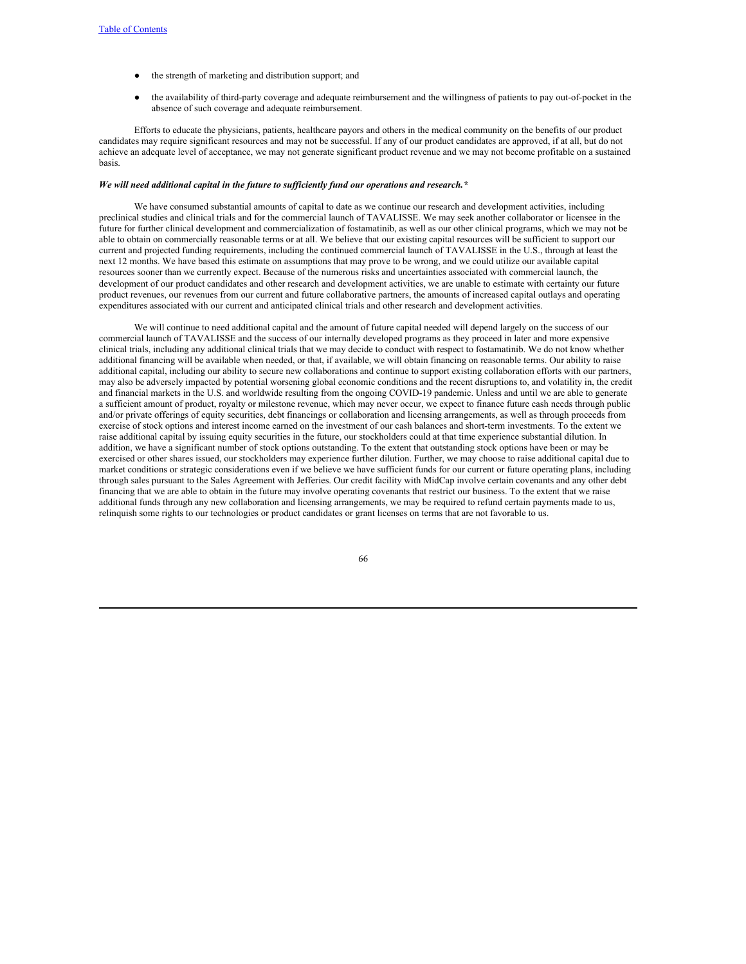- the strength of marketing and distribution support; and
- the availability of third-party coverage and adequate reimbursement and the willingness of patients to pay out-of-pocket in the absence of such coverage and adequate reimbursement.

Efforts to educate the physicians, patients, healthcare payors and others in the medical community on the benefits of our product candidates may require significant resources and may not be successful. If any of our product candidates are approved, if at all, but do not achieve an adequate level of acceptance, we may not generate significant product revenue and we may not become profitable on a sustained basis.

#### *We will need additional capital in the future to suf iciently fund our operations and research.\**

We have consumed substantial amounts of capital to date as we continue our research and development activities, including preclinical studies and clinical trials and for the commercial launch of TAVALISSE. We may seek another collaborator or licensee in the future for further clinical development and commercialization of fostamatinib, as well as our other clinical programs, which we may not be able to obtain on commercially reasonable terms or at all. We believe that our existing capital resources will be sufficient to support our current and projected funding requirements, including the continued commercial launch of TAVALISSE in the U.S., through at least the next 12 months. We have based this estimate on assumptions that may prove to be wrong, and we could utilize our available capital resources sooner than we currently expect. Because of the numerous risks and uncertainties associated with commercial launch, the development of our product candidates and other research and development activities, we are unable to estimate with certainty our future product revenues, our revenues from our current and future collaborative partners, the amounts of increased capital outlays and operating expenditures associated with our current and anticipated clinical trials and other research and development activities.

We will continue to need additional capital and the amount of future capital needed will depend largely on the success of our commercial launch of TAVALISSE and the success of our internally developed programs as they proceed in later and more expensive clinical trials, including any additional clinical trials that we may decide to conduct with respect to fostamatinib. We do not know whether additional financing will be available when needed, or that, if available, we will obtain financing on reasonable terms. Our ability to raise additional capital, including our ability to secure new collaborations and continue to support existing collaboration efforts with our partners, may also be adversely impacted by potential worsening global economic conditions and the recent disruptions to, and volatility in, the credit and financial markets in the U.S. and worldwide resulting from the ongoing COVID-19 pandemic. Unless and until we are able to generate a sufficient amount of product, royalty or milestone revenue, which may never occur, we expect to finance future cash needs through public and/or private offerings of equity securities, debt financings or collaboration and licensing arrangements, as well as through proceeds from exercise of stock options and interest income earned on the investment of our cash balances and short-term investments. To the extent we raise additional capital by issuing equity securities in the future, our stockholders could at that time experience substantial dilution. In addition, we have a significant number of stock options outstanding. To the extent that outstanding stock options have been or may be exercised or other shares issued, our stockholders may experience further dilution. Further, we may choose to raise additional capital due to market conditions or strategic considerations even if we believe we have sufficient funds for our current or future operating plans, including through sales pursuant to the Sales Agreement with Jefferies. Our credit facility with MidCap involve certain covenants and any other debt financing that we are able to obtain in the future may involve operating covenants that restrict our business. To the extent that we raise additional funds through any new collaboration and licensing arrangements, we may be required to refund certain payments made to us, relinquish some rights to our technologies or product candidates or grant licenses on terms that are not favorable to us.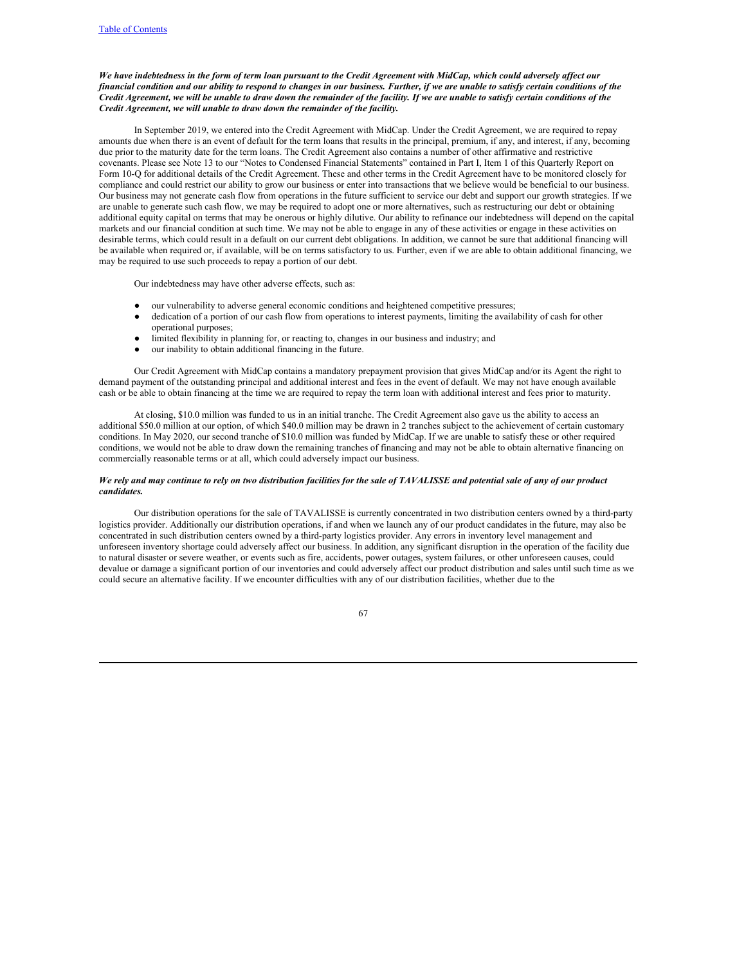## We have indebtedness in the form of term loan pursuant to the Credit Agreement with MidCap, which could adversely affect our financial condition and our ability to respond to changes in our business. Further, if we are unable to satisfy certain conditions of the Credit Agreement, we will be unable to draw down the remainder of the facility. If we are unable to satisfy certain conditions of the *Credit Agreement, we will unable to draw down the remainder of the facility.*

In September 2019, we entered into the Credit Agreement with MidCap. Under the Credit Agreement, we are required to repay amounts due when there is an event of default for the term loans that results in the principal, premium, if any, and interest, if any, becoming due prior to the maturity date for the term loans. The Credit Agreement also contains a number of other affirmative and restrictive covenants. Please see Note 13 to our "Notes to Condensed Financial Statements" contained in Part I, Item 1 of this Quarterly Report on Form 10-Q for additional details of the Credit Agreement. These and other terms in the Credit Agreement have to be monitored closely for compliance and could restrict our ability to grow our business or enter into transactions that we believe would be beneficial to our business. Our business may not generate cash flow from operations in the future sufficient to service our debt and support our growth strategies. If we are unable to generate such cash flow, we may be required to adopt one or more alternatives, such as restructuring our debt or obtaining additional equity capital on terms that may be onerous or highly dilutive. Our ability to refinance our indebtedness will depend on the capital markets and our financial condition at such time. We may not be able to engage in any of these activities or engage in these activities on desirable terms, which could result in a default on our current debt obligations. In addition, we cannot be sure that additional financing will be available when required or, if available, will be on terms satisfactory to us. Further, even if we are able to obtain additional financing, we may be required to use such proceeds to repay a portion of our debt.

Our indebtedness may have other adverse effects, such as:

- our vulnerability to adverse general economic conditions and heightened competitive pressures;
- dedication of a portion of our cash flow from operations to interest payments, limiting the availability of cash for other operational purposes;
- limited flexibility in planning for, or reacting to, changes in our business and industry; and
- our inability to obtain additional financing in the future.

Our Credit Agreement with MidCap contains a mandatory prepayment provision that gives MidCap and/or its Agent the right to demand payment of the outstanding principal and additional interest and fees in the event of default. We may not have enough available cash or be able to obtain financing at the time we are required to repay the term loan with additional interest and fees prior to maturity.

At closing, \$10.0 million was funded to us in an initial tranche. The Credit Agreement also gave us the ability to access an additional \$50.0 million at our option, of which \$40.0 million may be drawn in 2 tranches subject to the achievement of certain customary conditions. In May 2020, our second tranche of \$10.0 million was funded by MidCap. If we are unable to satisfy these or other required conditions, we would not be able to draw down the remaining tranches of financing and may not be able to obtain alternative financing on commercially reasonable terms or at all, which could adversely impact our business.

# We rely and may continue to rely on two distribution facilities for the sale of TAVALISSE and potential sale of any of our product *candidates.*

Our distribution operations for the sale of TAVALISSE is currently concentrated in two distribution centers owned by a third-party logistics provider. Additionally our distribution operations, if and when we launch any of our product candidates in the future, may also be concentrated in such distribution centers owned by a third-party logistics provider. Any errors in inventory level management and unforeseen inventory shortage could adversely affect our business. In addition, any significant disruption in the operation of the facility due to natural disaster or severe weather, or events such as fire, accidents, power outages, system failures, or other unforeseen causes, could devalue or damage a significant portion of our inventories and could adversely affect our product distribution and sales until such time as we could secure an alternative facility. If we encounter difficulties with any of our distribution facilities, whether due to the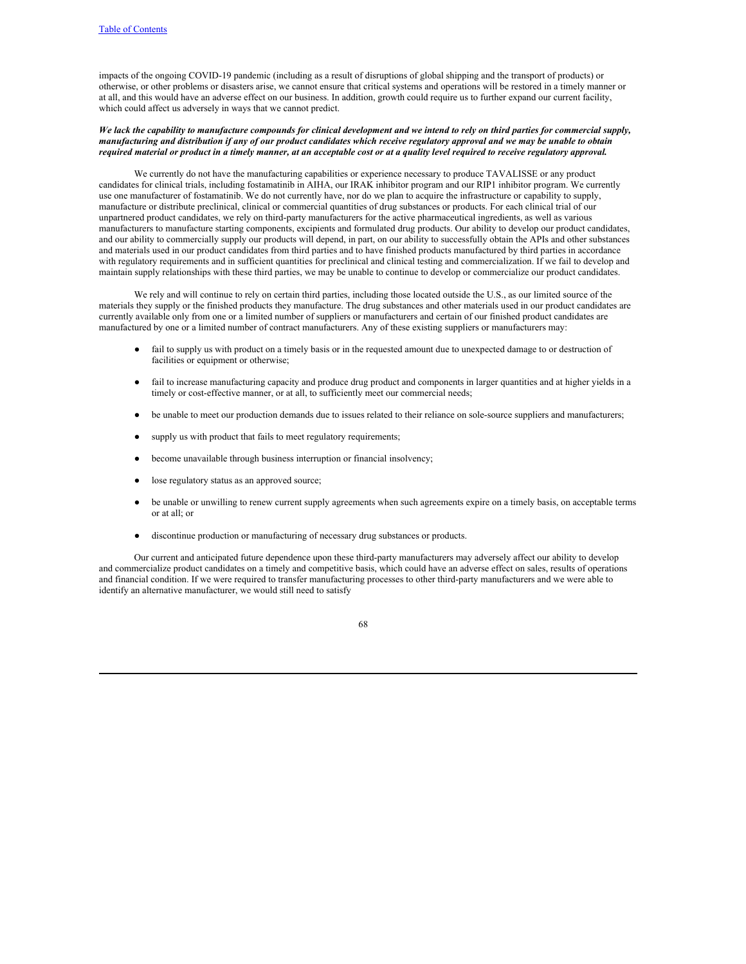impacts of the ongoing COVID-19 pandemic (including as a result of disruptions of global shipping and the transport of products) or otherwise, or other problems or disasters arise, we cannot ensure that critical systems and operations will be restored in a timely manner or at all, and this would have an adverse effect on our business. In addition, growth could require us to further expand our current facility, which could affect us adversely in ways that we cannot predict.

## We lack the capability to manufacture compounds for clinical development and we intend to rely on third parties for commercial supply, manufacturing and distribution if any of our product candidates which receive regulatory approval and we may be unable to obtain required material or product in a timely manner, at an acceptable cost or at a quality level required to receive regulatory approval.

We currently do not have the manufacturing capabilities or experience necessary to produce TAVALISSE or any product candidates for clinical trials, including fostamatinib in AIHA, our IRAK inhibitor program and our RIP1 inhibitor program. We currently use one manufacturer of fostamatinib. We do not currently have, nor do we plan to acquire the infrastructure or capability to supply, manufacture or distribute preclinical, clinical or commercial quantities of drug substances or products. For each clinical trial of our unpartnered product candidates, we rely on third-party manufacturers for the active pharmaceutical ingredients, as well as various manufacturers to manufacture starting components, excipients and formulated drug products. Our ability to develop our product candidates, and our ability to commercially supply our products will depend, in part, on our ability to successfully obtain the APIs and other substances and materials used in our product candidates from third parties and to have finished products manufactured by third parties in accordance with regulatory requirements and in sufficient quantities for preclinical and clinical testing and commercialization. If we fail to develop and maintain supply relationships with these third parties, we may be unable to continue to develop or commercialize our product candidates.

We rely and will continue to rely on certain third parties, including those located outside the U.S., as our limited source of the materials they supply or the finished products they manufacture. The drug substances and other materials used in our product candidates are currently available only from one or a limited number of suppliers or manufacturers and certain of our finished product candidates are manufactured by one or a limited number of contract manufacturers. Any of these existing suppliers or manufacturers may:

- fail to supply us with product on a timely basis or in the requested amount due to unexpected damage to or destruction of facilities or equipment or otherwise;
- fail to increase manufacturing capacity and produce drug product and components in larger quantities and at higher yields in a timely or cost-effective manner, or at all, to sufficiently meet our commercial needs;
- be unable to meet our production demands due to issues related to their reliance on sole-source suppliers and manufacturers;
- supply us with product that fails to meet regulatory requirements;
- become unavailable through business interruption or financial insolvency;
- lose regulatory status as an approved source;
- be unable or unwilling to renew current supply agreements when such agreements expire on a timely basis, on acceptable terms or at all; or
- discontinue production or manufacturing of necessary drug substances or products.

Our current and anticipated future dependence upon these third-party manufacturers may adversely affect our ability to develop and commercialize product candidates on a timely and competitive basis, which could have an adverse effect on sales, results of operations and financial condition. If we were required to transfer manufacturing processes to other third-party manufacturers and we were able to identify an alternative manufacturer, we would still need to satisfy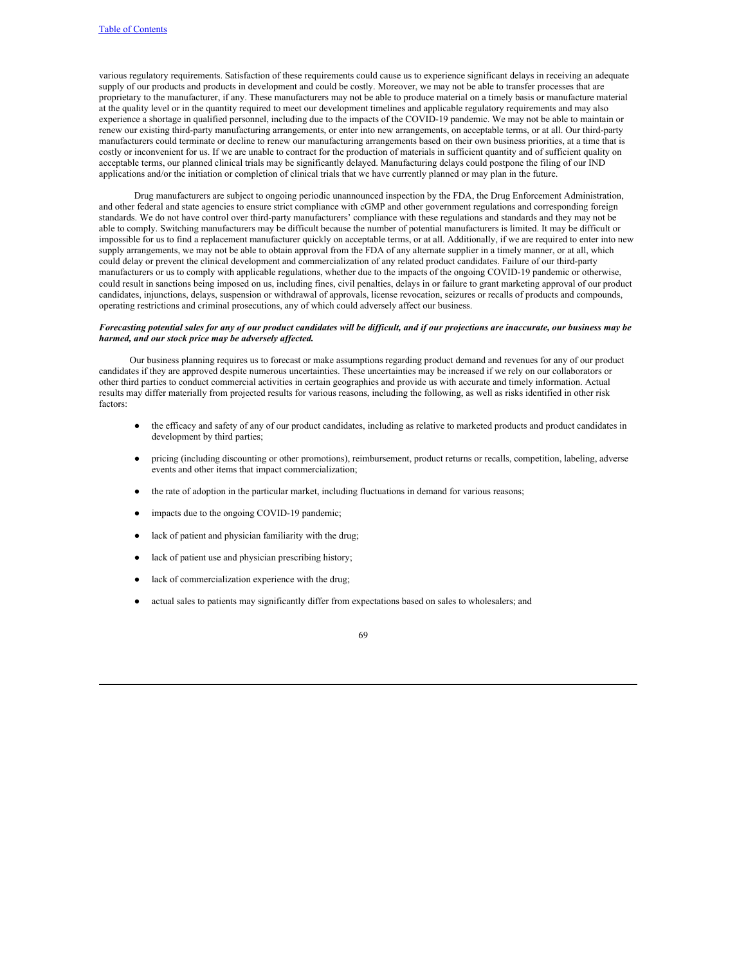various regulatory requirements. Satisfaction of these requirements could cause us to experience significant delays in receiving an adequate supply of our products and products in development and could be costly. Moreover, we may not be able to transfer processes that are proprietary to the manufacturer, if any. These manufacturers may not be able to produce material on a timely basis or manufacture material at the quality level or in the quantity required to meet our development timelines and applicable regulatory requirements and may also experience a shortage in qualified personnel, including due to the impacts of the COVID-19 pandemic. We may not be able to maintain or renew our existing third-party manufacturing arrangements, or enter into new arrangements, on acceptable terms, or at all. Our third-party manufacturers could terminate or decline to renew our manufacturing arrangements based on their own business priorities, at a time that is costly or inconvenient for us. If we are unable to contract for the production of materials in sufficient quantity and of sufficient quality on acceptable terms, our planned clinical trials may be significantly delayed. Manufacturing delays could postpone the filing of our IND applications and/or the initiation or completion of clinical trials that we have currently planned or may plan in the future.

Drug manufacturers are subject to ongoing periodic unannounced inspection by the FDA, the Drug Enforcement Administration, and other federal and state agencies to ensure strict compliance with cGMP and other government regulations and corresponding foreign standards. We do not have control over third-party manufacturers' compliance with these regulations and standards and they may not be able to comply. Switching manufacturers may be difficult because the number of potential manufacturers is limited. It may be difficult or impossible for us to find a replacement manufacturer quickly on acceptable terms, or at all. Additionally, if we are required to enter into new supply arrangements, we may not be able to obtain approval from the FDA of any alternate supplier in a timely manner, or at all, which could delay or prevent the clinical development and commercialization of any related product candidates. Failure of our third-party manufacturers or us to comply with applicable regulations, whether due to the impacts of the ongoing COVID-19 pandemic or otherwise, could result in sanctions being imposed on us, including fines, civil penalties, delays in or failure to grant marketing approval of our product candidates, injunctions, delays, suspension or withdrawal of approvals, license revocation, seizures or recalls of products and compounds, operating restrictions and criminal prosecutions, any of which could adversely affect our business.

### Forecasting potential sales for any of our product candidates will be difficult, and if our projections are inaccurate, our business may be *harmed, and our stock price may be adversely af ected.*

Our business planning requires us to forecast or make assumptions regarding product demand and revenues for any of our product candidates if they are approved despite numerous uncertainties. These uncertainties may be increased if we rely on our collaborators or other third parties to conduct commercial activities in certain geographies and provide us with accurate and timely information. Actual results may differ materially from projected results for various reasons, including the following, as well as risks identified in other risk factors:

- the efficacy and safety of any of our product candidates, including as relative to marketed products and product candidates in development by third parties;
- pricing (including discounting or other promotions), reimbursement, product returns or recalls, competition, labeling, adverse events and other items that impact commercialization;
- the rate of adoption in the particular market, including fluctuations in demand for various reasons;
- impacts due to the ongoing COVID-19 pandemic;
- lack of patient and physician familiarity with the drug;
- lack of patient use and physician prescribing history;
- lack of commercialization experience with the drug;
- actual sales to patients may significantly differ from expectations based on sales to wholesalers; and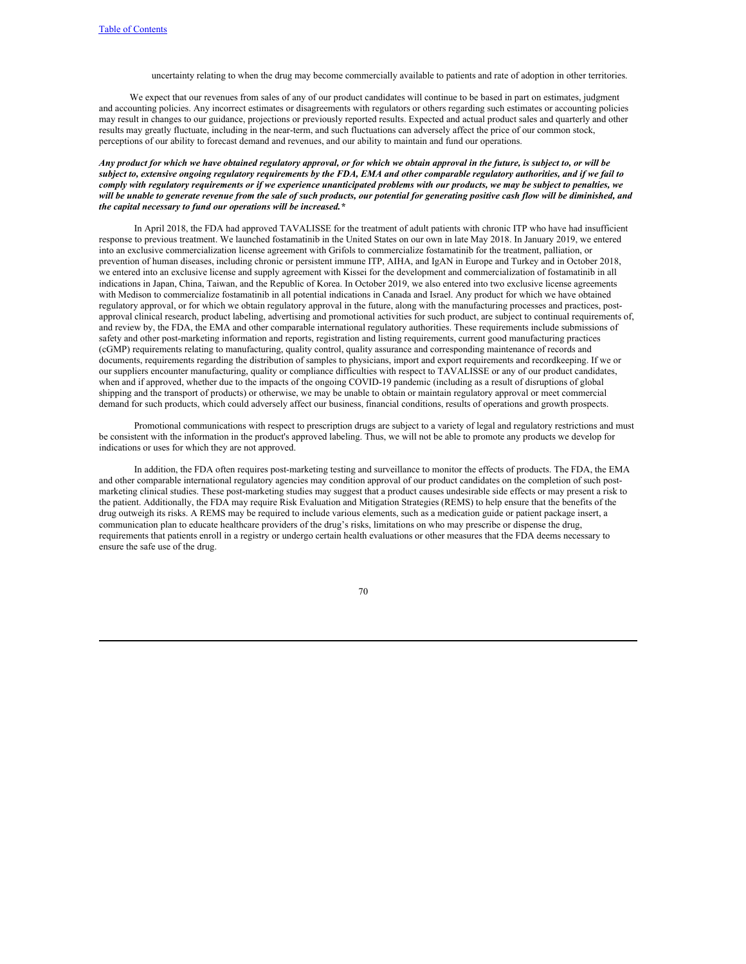uncertainty relating to when the drug may become commercially available to patients and rate of adoption in other territories.

We expect that our revenues from sales of any of our product candidates will continue to be based in part on estimates, judgment and accounting policies. Any incorrect estimates or disagreements with regulators or others regarding such estimates or accounting policies may result in changes to our guidance, projections or previously reported results. Expected and actual product sales and quarterly and other results may greatly fluctuate, including in the near-term, and such fluctuations can adversely affect the price of our common stock, perceptions of our ability to forecast demand and revenues, and our ability to maintain and fund our operations.

### Any product for which we have obtained regulatory approval, or for which we obtain approval in the future, is subject to, or will be subject to, extensive ongoing regulatory requirements by the FDA, EMA and other comparable regulatory authorities, and if we fail to comply with regulatory requirements or if we experience unanticipated problems with our products, we may be subject to penalties, we will be unable to generate revenue from the sale of such products, our potential for generating positive cash flow will be diminished, and *the capital necessary to fund our operations will be increased.\**

In April 2018, the FDA had approved TAVALISSE for the treatment of adult patients with chronic ITP who have had insufficient response to previous treatment. We launched fostamatinib in the United States on our own in late May 2018. In January 2019, we entered into an exclusive commercialization license agreement with Grifols to commercialize fostamatinib for the treatment, palliation, or prevention of human diseases, including chronic or persistent immune ITP, AIHA, and IgAN in Europe and Turkey and in October 2018, we entered into an exclusive license and supply agreement with Kissei for the development and commercialization of fostamatinib in all indications in Japan, China, Taiwan, and the Republic of Korea. In October 2019, we also entered into two exclusive license agreements with Medison to commercialize fostamatinib in all potential indications in Canada and Israel. Any product for which we have obtained regulatory approval, or for which we obtain regulatory approval in the future, along with the manufacturing processes and practices, postapproval clinical research, product labeling, advertising and promotional activities for such product, are subject to continual requirements of, and review by, the FDA, the EMA and other comparable international regulatory authorities. These requirements include submissions of safety and other post-marketing information and reports, registration and listing requirements, current good manufacturing practices (cGMP) requirements relating to manufacturing, quality control, quality assurance and corresponding maintenance of records and documents, requirements regarding the distribution of samples to physicians, import and export requirements and recordkeeping. If we or our suppliers encounter manufacturing, quality or compliance difficulties with respect to TAVALISSE or any of our product candidates, when and if approved, whether due to the impacts of the ongoing COVID-19 pandemic (including as a result of disruptions of global shipping and the transport of products) or otherwise, we may be unable to obtain or maintain regulatory approval or meet commercial demand for such products, which could adversely affect our business, financial conditions, results of operations and growth prospects.

Promotional communications with respect to prescription drugs are subject to a variety of legal and regulatory restrictions and must be consistent with the information in the product's approved labeling. Thus, we will not be able to promote any products we develop for indications or uses for which they are not approved.

In addition, the FDA often requires post-marketing testing and surveillance to monitor the effects of products. The FDA, the EMA and other comparable international regulatory agencies may condition approval of our product candidates on the completion of such postmarketing clinical studies. These post-marketing studies may suggest that a product causes undesirable side effects or may present a risk to the patient. Additionally, the FDA may require Risk Evaluation and Mitigation Strategies (REMS) to help ensure that the benefits of the drug outweigh its risks. A REMS may be required to include various elements, such as a medication guide or patient package insert, a communication plan to educate healthcare providers of the drug's risks, limitations on who may prescribe or dispense the drug, requirements that patients enroll in a registry or undergo certain health evaluations or other measures that the FDA deems necessary to ensure the safe use of the drug.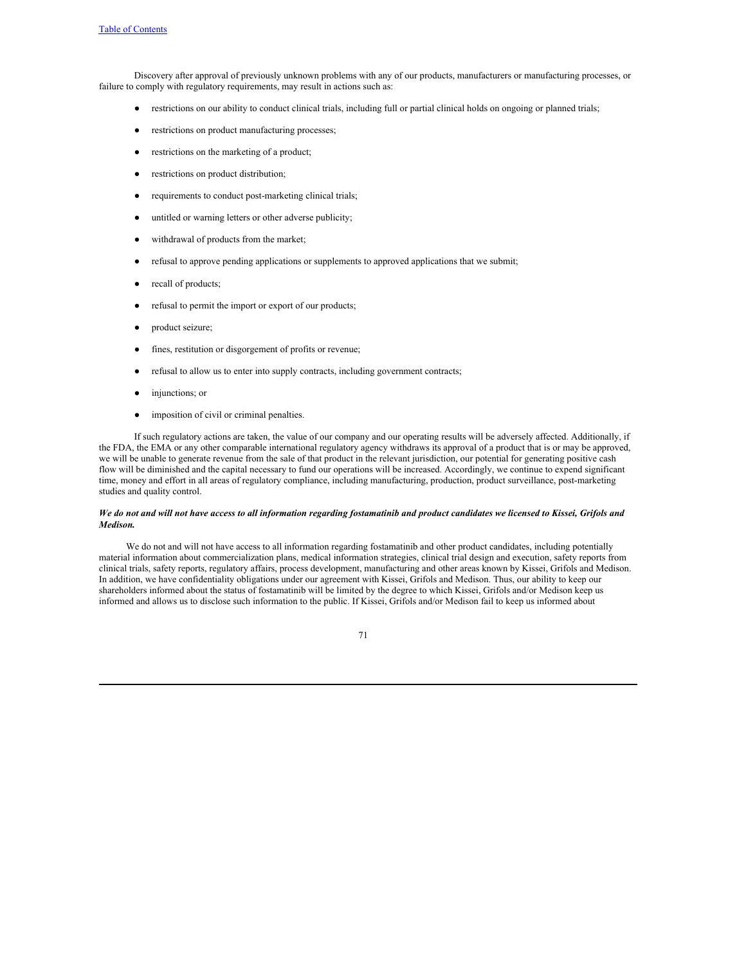Discovery after approval of previously unknown problems with any of our products, manufacturers or manufacturing processes, or failure to comply with regulatory requirements, may result in actions such as:

- restrictions on our ability to conduct clinical trials, including full or partial clinical holds on ongoing or planned trials;
- restrictions on product manufacturing processes;
- restrictions on the marketing of a product;
- restrictions on product distribution;
- requirements to conduct post-marketing clinical trials;
- untitled or warning letters or other adverse publicity;
- withdrawal of products from the market;
- refusal to approve pending applications or supplements to approved applications that we submit;
- recall of products;
- refusal to permit the import or export of our products;
- product seizure;
- fines, restitution or disgorgement of profits or revenue;
- refusal to allow us to enter into supply contracts, including government contracts;
- injunctions; or
- imposition of civil or criminal penalties.

If such regulatory actions are taken, the value of our company and our operating results will be adversely affected. Additionally, if the FDA, the EMA or any other comparable international regulatory agency withdraws its approval of a product that is or may be approved, we will be unable to generate revenue from the sale of that product in the relevant jurisdiction, our potential for generating positive cash flow will be diminished and the capital necessary to fund our operations will be increased. Accordingly, we continue to expend significant time, money and effort in all areas of regulatory compliance, including manufacturing, production, product surveillance, post-marketing studies and quality control.

### We do not and will not have access to all information regarding fostamatinib and product candidates we licensed to Kissei, Grifols and *Medison.*

We do not and will not have access to all information regarding fostamatinib and other product candidates, including potentially material information about commercialization plans, medical information strategies, clinical trial design and execution, safety reports from clinical trials, safety reports, regulatory affairs, process development, manufacturing and other areas known by Kissei, Grifols and Medison. In addition, we have confidentiality obligations under our agreement with Kissei, Grifols and Medison. Thus, our ability to keep our shareholders informed about the status of fostamatinib will be limited by the degree to which Kissei, Grifols and/or Medison keep us informed and allows us to disclose such information to the public. If Kissei, Grifols and/or Medison fail to keep us informed about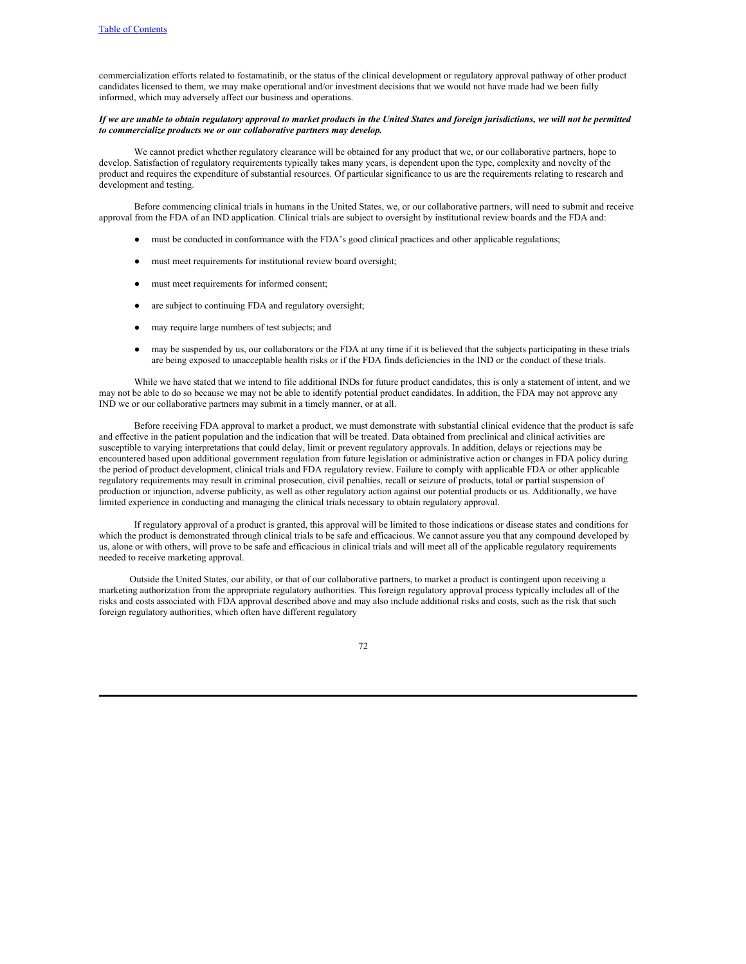commercialization efforts related to fostamatinib, or the status of the clinical development or regulatory approval pathway of other product candidates licensed to them, we may make operational and/or investment decisions that we would not have made had we been fully informed, which may adversely affect our business and operations.

### If we are unable to obtain regulatory approval to market products in the United States and foreign jurisdictions, we will not be permitted *to commercialize products we or our collaborative partners may develop.*

We cannot predict whether regulatory clearance will be obtained for any product that we, or our collaborative partners, hope to develop. Satisfaction of regulatory requirements typically takes many years, is dependent upon the type, complexity and novelty of the product and requires the expenditure of substantial resources. Of particular significance to us are the requirements relating to research and development and testing.

Before commencing clinical trials in humans in the United States, we, or our collaborative partners, will need to submit and receive approval from the FDA of an IND application. Clinical trials are subject to oversight by institutional review boards and the FDA and:

- must be conducted in conformance with the FDA's good clinical practices and other applicable regulations;
- must meet requirements for institutional review board oversight;
- must meet requirements for informed consent;
- are subject to continuing FDA and regulatory oversight;
- may require large numbers of test subjects; and
- may be suspended by us, our collaborators or the FDA at any time if it is believed that the subjects participating in these trials are being exposed to unacceptable health risks or if the FDA finds deficiencies in the IND or the conduct of these trials.

While we have stated that we intend to file additional INDs for future product candidates, this is only a statement of intent, and we may not be able to do so because we may not be able to identify potential product candidates. In addition, the FDA may not approve any IND we or our collaborative partners may submit in a timely manner, or at all.

Before receiving FDA approval to market a product, we must demonstrate with substantial clinical evidence that the product is safe and effective in the patient population and the indication that will be treated. Data obtained from preclinical and clinical activities are susceptible to varying interpretations that could delay, limit or prevent regulatory approvals. In addition, delays or rejections may be encountered based upon additional government regulation from future legislation or administrative action or changes in FDA policy during the period of product development, clinical trials and FDA regulatory review. Failure to comply with applicable FDA or other applicable regulatory requirements may result in criminal prosecution, civil penalties, recall or seizure of products, total or partial suspension of production or injunction, adverse publicity, as well as other regulatory action against our potential products or us. Additionally, we have limited experience in conducting and managing the clinical trials necessary to obtain regulatory approval.

If regulatory approval of a product is granted, this approval will be limited to those indications or disease states and conditions for which the product is demonstrated through clinical trials to be safe and efficacious. We cannot assure you that any compound developed by us, alone or with others, will prove to be safe and efficacious in clinical trials and will meet all of the applicable regulatory requirements needed to receive marketing approval.

Outside the United States, our ability, or that of our collaborative partners, to market a product is contingent upon receiving a marketing authorization from the appropriate regulatory authorities. This foreign regulatory approval process typically includes all of the risks and costs associated with FDA approval described above and may also include additional risks and costs, such as the risk that such foreign regulatory authorities, which often have different regulatory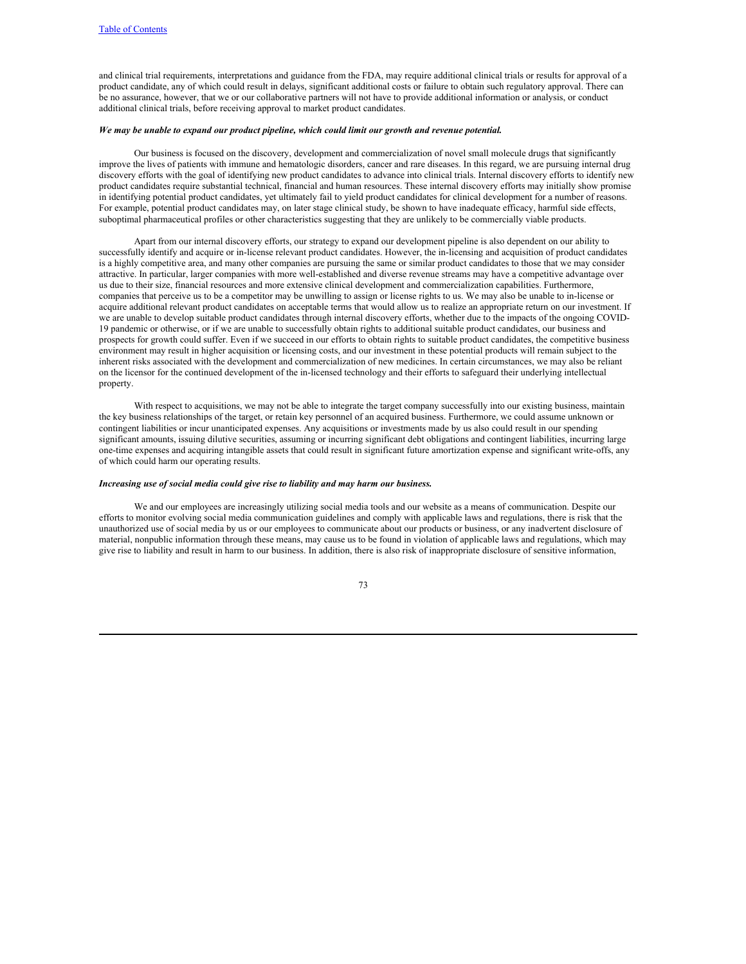and clinical trial requirements, interpretations and guidance from the FDA, may require additional clinical trials or results for approval of a product candidate, any of which could result in delays, significant additional costs or failure to obtain such regulatory approval. There can be no assurance, however, that we or our collaborative partners will not have to provide additional information or analysis, or conduct additional clinical trials, before receiving approval to market product candidates.

#### *We may be unable to expand our product pipeline, which could limit our growth and revenue potential.*

Our business is focused on the discovery, development and commercialization of novel small molecule drugs that significantly improve the lives of patients with immune and hematologic disorders, cancer and rare diseases. In this regard, we are pursuing internal drug discovery efforts with the goal of identifying new product candidates to advance into clinical trials. Internal discovery efforts to identify new product candidates require substantial technical, financial and human resources. These internal discovery efforts may initially show promise in identifying potential product candidates, yet ultimately fail to yield product candidates for clinical development for a number of reasons. For example, potential product candidates may, on later stage clinical study, be shown to have inadequate efficacy, harmful side effects, suboptimal pharmaceutical profiles or other characteristics suggesting that they are unlikely to be commercially viable products.

Apart from our internal discovery efforts, our strategy to expand our development pipeline is also dependent on our ability to successfully identify and acquire or in-license relevant product candidates. However, the in-licensing and acquisition of product candidates is a highly competitive area, and many other companies are pursuing the same or similar product candidates to those that we may consider attractive. In particular, larger companies with more well-established and diverse revenue streams may have a competitive advantage over us due to their size, financial resources and more extensive clinical development and commercialization capabilities. Furthermore, companies that perceive us to be a competitor may be unwilling to assign or license rights to us. We may also be unable to in-license or acquire additional relevant product candidates on acceptable terms that would allow us to realize an appropriate return on our investment. If we are unable to develop suitable product candidates through internal discovery efforts, whether due to the impacts of the ongoing COVID-19 pandemic or otherwise, or if we are unable to successfully obtain rights to additional suitable product candidates, our business and prospects for growth could suffer. Even if we succeed in our efforts to obtain rights to suitable product candidates, the competitive business environment may result in higher acquisition or licensing costs, and our investment in these potential products will remain subject to the inherent risks associated with the development and commercialization of new medicines. In certain circumstances, we may also be reliant on the licensor for the continued development of the in-licensed technology and their efforts to safeguard their underlying intellectual property.

With respect to acquisitions, we may not be able to integrate the target company successfully into our existing business, maintain the key business relationships of the target, or retain key personnel of an acquired business. Furthermore, we could assume unknown or contingent liabilities or incur unanticipated expenses. Any acquisitions or investments made by us also could result in our spending significant amounts, issuing dilutive securities, assuming or incurring significant debt obligations and contingent liabilities, incurring large one-time expenses and acquiring intangible assets that could result in significant future amortization expense and significant write-offs, any of which could harm our operating results.

## *Increasing use of social media could give rise to liability and may harm our business.*

We and our employees are increasingly utilizing social media tools and our website as a means of communication. Despite our efforts to monitor evolving social media communication guidelines and comply with applicable laws and regulations, there is risk that the unauthorized use of social media by us or our employees to communicate about our products or business, or any inadvertent disclosure of material, nonpublic information through these means, may cause us to be found in violation of applicable laws and regulations, which may give rise to liability and result in harm to our business. In addition, there is also risk of inappropriate disclosure of sensitive information,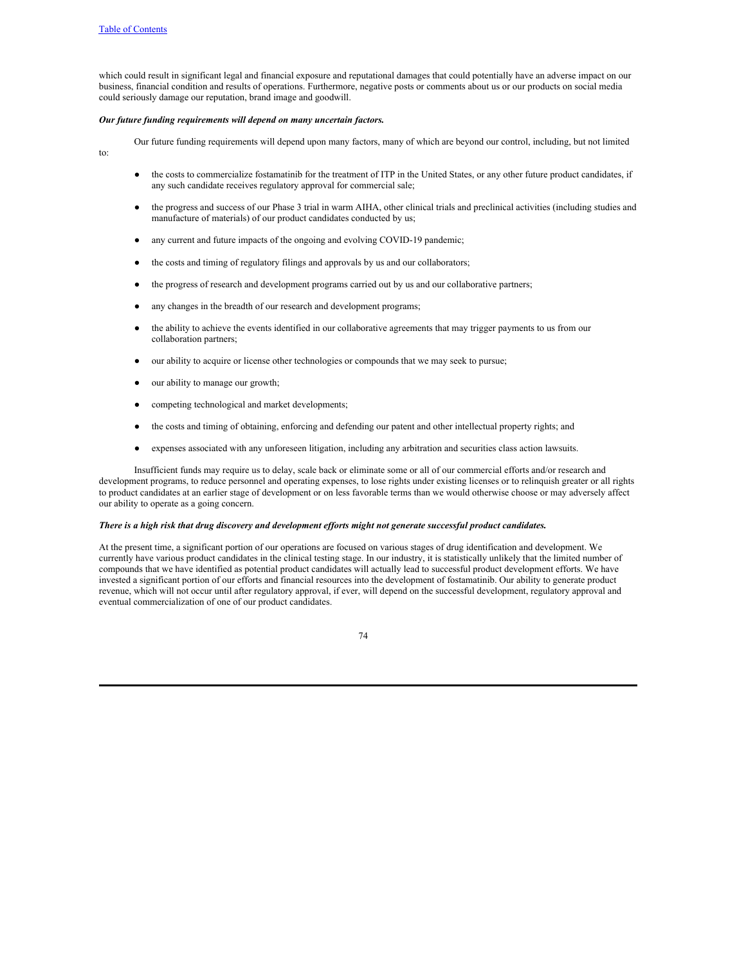which could result in significant legal and financial exposure and reputational damages that could potentially have an adverse impact on our business, financial condition and results of operations. Furthermore, negative posts or comments about us or our products on social media could seriously damage our reputation, brand image and goodwill.

## *Our future funding requirements will depend on many uncertain factors.*

- Our future funding requirements will depend upon many factors, many of which are beyond our control, including, but not limited
- to:
- the costs to commercialize fostamatinib for the treatment of ITP in the United States, or any other future product candidates, if any such candidate receives regulatory approval for commercial sale;
- the progress and success of our Phase 3 trial in warm AIHA, other clinical trials and preclinical activities (including studies and manufacture of materials) of our product candidates conducted by us;
- any current and future impacts of the ongoing and evolving COVID-19 pandemic;
- the costs and timing of regulatory filings and approvals by us and our collaborators;
- the progress of research and development programs carried out by us and our collaborative partners;
- any changes in the breadth of our research and development programs;
- the ability to achieve the events identified in our collaborative agreements that may trigger payments to us from our collaboration partners;
- our ability to acquire or license other technologies or compounds that we may seek to pursue;
- our ability to manage our growth;
- competing technological and market developments;
- the costs and timing of obtaining, enforcing and defending our patent and other intellectual property rights; and
- expenses associated with any unforeseen litigation, including any arbitration and securities class action lawsuits.

Insufficient funds may require us to delay, scale back or eliminate some or all of our commercial efforts and/or research and development programs, to reduce personnel and operating expenses, to lose rights under existing licenses or to relinquish greater or all rights to product candidates at an earlier stage of development or on less favorable terms than we would otherwise choose or may adversely affect our ability to operate as a going concern.

#### There is a high risk that drug discovery and development efforts might not generate successful product candidates.

At the present time, a significant portion of our operations are focused on various stages of drug identification and development. We currently have various product candidates in the clinical testing stage. In our industry, it is statistically unlikely that the limited number of compounds that we have identified as potential product candidates will actually lead to successful product development efforts. We have invested a significant portion of our efforts and financial resources into the development of fostamatinib. Our ability to generate product revenue, which will not occur until after regulatory approval, if ever, will depend on the successful development, regulatory approval and eventual commercialization of one of our product candidates.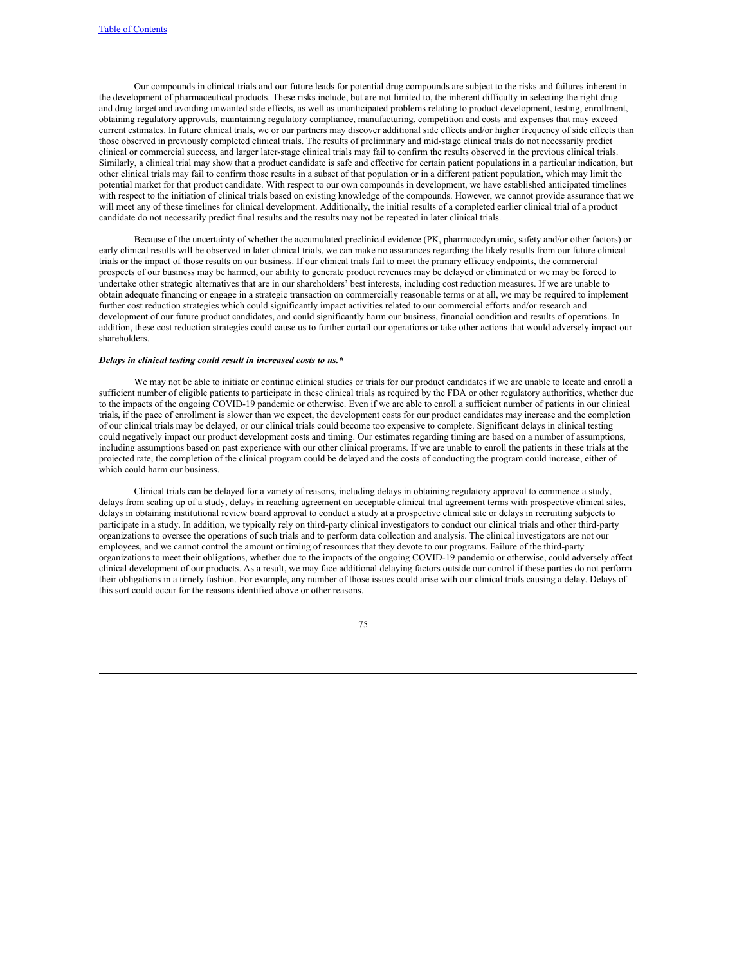Our compounds in clinical trials and our future leads for potential drug compounds are subject to the risks and failures inherent in the development of pharmaceutical products. These risks include, but are not limited to, the inherent difficulty in selecting the right drug and drug target and avoiding unwanted side effects, as well as unanticipated problems relating to product development, testing, enrollment, obtaining regulatory approvals, maintaining regulatory compliance, manufacturing, competition and costs and expenses that may exceed current estimates. In future clinical trials, we or our partners may discover additional side effects and/or higher frequency of side effects than those observed in previously completed clinical trials. The results of preliminary and mid-stage clinical trials do not necessarily predict clinical or commercial success, and larger later-stage clinical trials may fail to confirm the results observed in the previous clinical trials. Similarly, a clinical trial may show that a product candidate is safe and effective for certain patient populations in a particular indication, but other clinical trials may fail to confirm those results in a subset of that population or in a different patient population, which may limit the potential market for that product candidate. With respect to our own compounds in development, we have established anticipated timelines with respect to the initiation of clinical trials based on existing knowledge of the compounds. However, we cannot provide assurance that we will meet any of these timelines for clinical development. Additionally, the initial results of a completed earlier clinical trial of a product candidate do not necessarily predict final results and the results may not be repeated in later clinical trials.

Because of the uncertainty of whether the accumulated preclinical evidence (PK, pharmacodynamic, safety and/or other factors) or early clinical results will be observed in later clinical trials, we can make no assurances regarding the likely results from our future clinical trials or the impact of those results on our business. If our clinical trials fail to meet the primary efficacy endpoints, the commercial prospects of our business may be harmed, our ability to generate product revenues may be delayed or eliminated or we may be forced to undertake other strategic alternatives that are in our shareholders' best interests, including cost reduction measures. If we are unable to obtain adequate financing or engage in a strategic transaction on commercially reasonable terms or at all, we may be required to implement further cost reduction strategies which could significantly impact activities related to our commercial efforts and/or research and development of our future product candidates, and could significantly harm our business, financial condition and results of operations. In addition, these cost reduction strategies could cause us to further curtail our operations or take other actions that would adversely impact our shareholders.

## *Delays in clinical testing could result in increased costs to us.\**

We may not be able to initiate or continue clinical studies or trials for our product candidates if we are unable to locate and enroll a sufficient number of eligible patients to participate in these clinical trials as required by the FDA or other regulatory authorities, whether due to the impacts of the ongoing COVID-19 pandemic or otherwise. Even if we are able to enroll a sufficient number of patients in our clinical trials, if the pace of enrollment is slower than we expect, the development costs for our product candidates may increase and the completion of our clinical trials may be delayed, or our clinical trials could become too expensive to complete. Significant delays in clinical testing could negatively impact our product development costs and timing. Our estimates regarding timing are based on a number of assumptions, including assumptions based on past experience with our other clinical programs. If we are unable to enroll the patients in these trials at the projected rate, the completion of the clinical program could be delayed and the costs of conducting the program could increase, either of which could harm our business.

Clinical trials can be delayed for a variety of reasons, including delays in obtaining regulatory approval to commence a study, delays from scaling up of a study, delays in reaching agreement on acceptable clinical trial agreement terms with prospective clinical sites, delays in obtaining institutional review board approval to conduct a study at a prospective clinical site or delays in recruiting subjects to participate in a study. In addition, we typically rely on third-party clinical investigators to conduct our clinical trials and other third-party organizations to oversee the operations of such trials and to perform data collection and analysis. The clinical investigators are not our employees, and we cannot control the amount or timing of resources that they devote to our programs. Failure of the third-party organizations to meet their obligations, whether due to the impacts of the ongoing COVID-19 pandemic or otherwise, could adversely affect clinical development of our products. As a result, we may face additional delaying factors outside our control if these parties do not perform their obligations in a timely fashion. For example, any number of those issues could arise with our clinical trials causing a delay. Delays of this sort could occur for the reasons identified above or other reasons.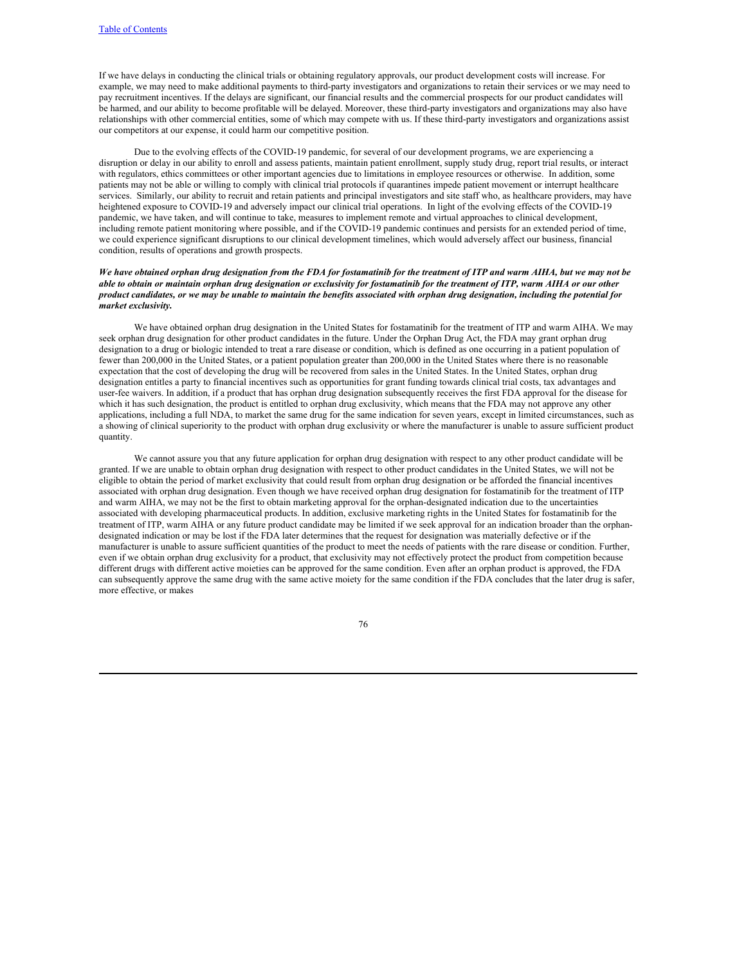If we have delays in conducting the clinical trials or obtaining regulatory approvals, our product development costs will increase. For example, we may need to make additional payments to third-party investigators and organizations to retain their services or we may need to pay recruitment incentives. If the delays are significant, our financial results and the commercial prospects for our product candidates will be harmed, and our ability to become profitable will be delayed. Moreover, these third-party investigators and organizations may also have relationships with other commercial entities, some of which may compete with us. If these third-party investigators and organizations assist our competitors at our expense, it could harm our competitive position.

Due to the evolving effects of the COVID-19 pandemic, for several of our development programs, we are experiencing a disruption or delay in our ability to enroll and assess patients, maintain patient enrollment, supply study drug, report trial results, or interact with regulators, ethics committees or other important agencies due to limitations in employee resources or otherwise. In addition, some patients may not be able or willing to comply with clinical trial protocols if quarantines impede patient movement or interrupt healthcare services. Similarly, our ability to recruit and retain patients and principal investigators and site staff who, as healthcare providers, may have heightened exposure to COVID-19 and adversely impact our clinical trial operations. In light of the evolving effects of the COVID-19 pandemic, we have taken, and will continue to take, measures to implement remote and virtual approaches to clinical development, including remote patient monitoring where possible, and if the COVID-19 pandemic continues and persists for an extended period of time, we could experience significant disruptions to our clinical development timelines, which would adversely affect our business, financial condition, results of operations and growth prospects.

## We have obtained orphan drug designation from the FDA for fostamatinib for the treatment of ITP and warm AIHA, but we may not be able to obtain or maintain orphan drug designation or exclusivity for fostamatinib for the treatment of ITP, warm AIHA or our other product candidates, or we may be unable to maintain the benefits associated with orphan drug designation, including the potential for *market exclusivity.*

We have obtained orphan drug designation in the United States for fostamatinib for the treatment of ITP and warm AIHA. We may seek orphan drug designation for other product candidates in the future. Under the Orphan Drug Act, the FDA may grant orphan drug designation to a drug or biologic intended to treat a rare disease or condition, which is defined as one occurring in a patient population of fewer than 200,000 in the United States, or a patient population greater than 200,000 in the United States where there is no reasonable expectation that the cost of developing the drug will be recovered from sales in the United States. In the United States, orphan drug designation entitles a party to financial incentives such as opportunities for grant funding towards clinical trial costs, tax advantages and user-fee waivers. In addition, if a product that has orphan drug designation subsequently receives the first FDA approval for the disease for which it has such designation, the product is entitled to orphan drug exclusivity, which means that the FDA may not approve any other applications, including a full NDA, to market the same drug for the same indication for seven years, except in limited circumstances, such as a showing of clinical superiority to the product with orphan drug exclusivity or where the manufacturer is unable to assure sufficient product quantity.

We cannot assure you that any future application for orphan drug designation with respect to any other product candidate will be granted. If we are unable to obtain orphan drug designation with respect to other product candidates in the United States, we will not be eligible to obtain the period of market exclusivity that could result from orphan drug designation or be afforded the financial incentives associated with orphan drug designation. Even though we have received orphan drug designation for fostamatinib for the treatment of ITP and warm AIHA, we may not be the first to obtain marketing approval for the orphan-designated indication due to the uncertainties associated with developing pharmaceutical products. In addition, exclusive marketing rights in the United States for fostamatinib for the treatment of ITP, warm AIHA or any future product candidate may be limited if we seek approval for an indication broader than the orphandesignated indication or may be lost if the FDA later determines that the request for designation was materially defective or if the manufacturer is unable to assure sufficient quantities of the product to meet the needs of patients with the rare disease or condition. Further, even if we obtain orphan drug exclusivity for a product, that exclusivity may not effectively protect the product from competition because different drugs with different active moieties can be approved for the same condition. Even after an orphan product is approved, the FDA can subsequently approve the same drug with the same active moiety for the same condition if the FDA concludes that the later drug is safer, more effective, or makes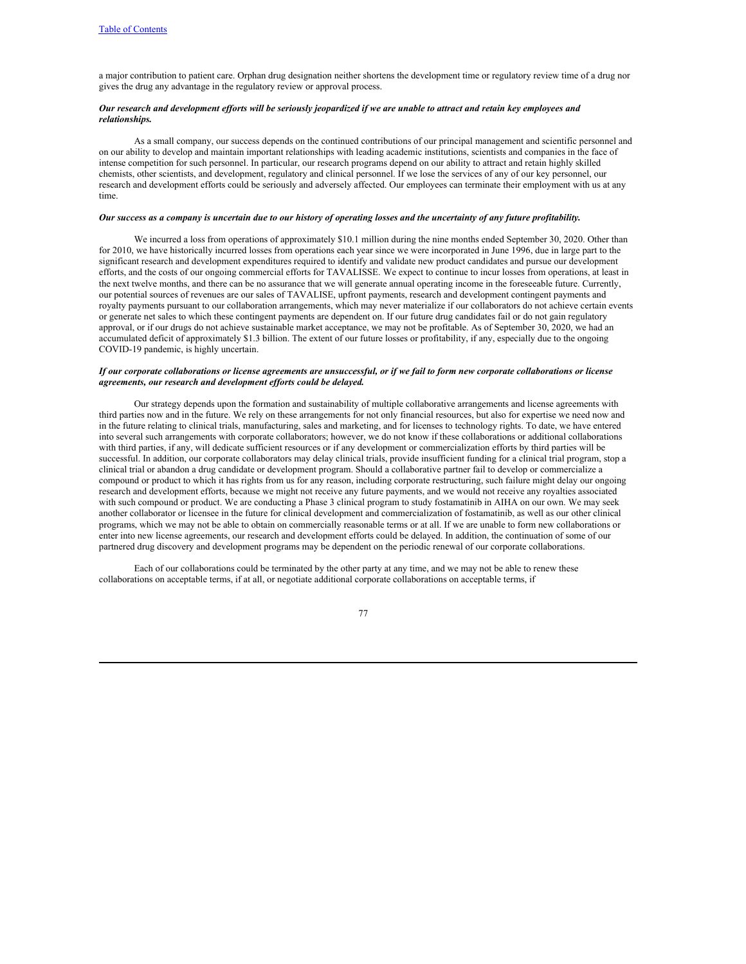a major contribution to patient care. Orphan drug designation neither shortens the development time or regulatory review time of a drug nor gives the drug any advantage in the regulatory review or approval process.

## Our research and development efforts will be seriously jeopardized if we are unable to attract and retain key employees and *relationships.*

As a small company, our success depends on the continued contributions of our principal management and scientific personnel and on our ability to develop and maintain important relationships with leading academic institutions, scientists and companies in the face of intense competition for such personnel. In particular, our research programs depend on our ability to attract and retain highly skilled chemists, other scientists, and development, regulatory and clinical personnel. If we lose the services of any of our key personnel, our research and development efforts could be seriously and adversely affected. Our employees can terminate their employment with us at any time.

#### Our success as a company is uncertain due to our history of operating losses and the uncertainty of any future profitability.

We incurred a loss from operations of approximately \$10.1 million during the nine months ended September 30, 2020. Other than for 2010, we have historically incurred losses from operations each year since we were incorporated in June 1996, due in large part to the significant research and development expenditures required to identify and validate new product candidates and pursue our development efforts, and the costs of our ongoing commercial efforts for TAVALISSE. We expect to continue to incur losses from operations, at least in the next twelve months, and there can be no assurance that we will generate annual operating income in the foreseeable future. Currently, our potential sources of revenues are our sales of TAVALISE, upfront payments, research and development contingent payments and royalty payments pursuant to our collaboration arrangements, which may never materialize if our collaborators do not achieve certain events or generate net sales to which these contingent payments are dependent on. If our future drug candidates fail or do not gain regulatory approval, or if our drugs do not achieve sustainable market acceptance, we may not be profitable. As of September 30, 2020, we had an accumulated deficit of approximately \$1.3 billion. The extent of our future losses or profitability, if any, especially due to the ongoing COVID-19 pandemic, is highly uncertain.

#### If our corporate collaborations or license agreements are unsuccessful, or if we fail to form new corporate collaborations or license *agreements, our research and development ef orts could be delayed.*

Our strategy depends upon the formation and sustainability of multiple collaborative arrangements and license agreements with third parties now and in the future. We rely on these arrangements for not only financial resources, but also for expertise we need now and in the future relating to clinical trials, manufacturing, sales and marketing, and for licenses to technology rights. To date, we have entered into several such arrangements with corporate collaborators; however, we do not know if these collaborations or additional collaborations with third parties, if any, will dedicate sufficient resources or if any development or commercialization efforts by third parties will be successful. In addition, our corporate collaborators may delay clinical trials, provide insufficient funding for a clinical trial program, stop a clinical trial or abandon a drug candidate or development program. Should a collaborative partner fail to develop or commercialize a compound or product to which it has rights from us for any reason, including corporate restructuring, such failure might delay our ongoing research and development efforts, because we might not receive any future payments, and we would not receive any royalties associated with such compound or product. We are conducting a Phase 3 clinical program to study fostamatinib in AIHA on our own. We may seek another collaborator or licensee in the future for clinical development and commercialization of fostamatinib, as well as our other clinical programs, which we may not be able to obtain on commercially reasonable terms or at all. If we are unable to form new collaborations or enter into new license agreements, our research and development efforts could be delayed. In addition, the continuation of some of our partnered drug discovery and development programs may be dependent on the periodic renewal of our corporate collaborations.

Each of our collaborations could be terminated by the other party at any time, and we may not be able to renew these collaborations on acceptable terms, if at all, or negotiate additional corporate collaborations on acceptable terms, if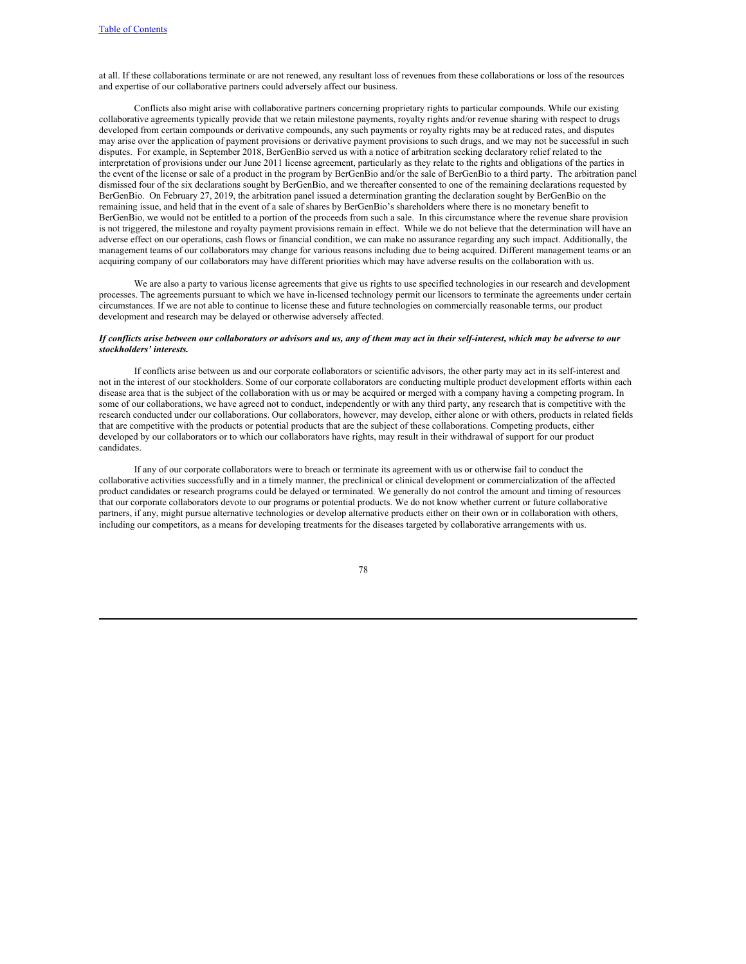at all. If these collaborations terminate or are not renewed, any resultant loss of revenues from these collaborations or loss of the resources and expertise of our collaborative partners could adversely affect our business.

Conflicts also might arise with collaborative partners concerning proprietary rights to particular compounds. While our existing collaborative agreements typically provide that we retain milestone payments, royalty rights and/or revenue sharing with respect to drugs developed from certain compounds or derivative compounds, any such payments or royalty rights may be at reduced rates, and disputes may arise over the application of payment provisions or derivative payment provisions to such drugs, and we may not be successful in such disputes. For example, in September 2018, BerGenBio served us with a notice of arbitration seeking declaratory relief related to the interpretation of provisions under our June 2011 license agreement, particularly as they relate to the rights and obligations of the parties in the event of the license or sale of a product in the program by BerGenBio and/or the sale of BerGenBio to a third party. The arbitration panel dismissed four of the six declarations sought by BerGenBio, and we thereafter consented to one of the remaining declarations requested by BerGenBio. On February 27, 2019, the arbitration panel issued a determination granting the declaration sought by BerGenBio on the remaining issue, and held that in the event of a sale of shares by BerGenBio's shareholders where there is no monetary benefit to BerGenBio, we would not be entitled to a portion of the proceeds from such a sale. In this circumstance where the revenue share provision is not triggered, the milestone and royalty payment provisions remain in effect. While we do not believe that the determination will have an adverse effect on our operations, cash flows or financial condition, we can make no assurance regarding any such impact. Additionally, the management teams of our collaborators may change for various reasons including due to being acquired. Different management teams or an acquiring company of our collaborators may have different priorities which may have adverse results on the collaboration with us.

We are also a party to various license agreements that give us rights to use specified technologies in our research and development processes. The agreements pursuant to which we have in-licensed technology permit our licensors to terminate the agreements under certain circumstances. If we are not able to continue to license these and future technologies on commercially reasonable terms, our product development and research may be delayed or otherwise adversely affected.

## If conflicts arise between our collaborators or advisors and us, any of them may act in their self-interest, which may be adverse to our *stockholders' interests.*

If conflicts arise between us and our corporate collaborators or scientific advisors, the other party may act in its self-interest and not in the interest of our stockholders. Some of our corporate collaborators are conducting multiple product development efforts within each disease area that is the subject of the collaboration with us or may be acquired or merged with a company having a competing program. In some of our collaborations, we have agreed not to conduct, independently or with any third party, any research that is competitive with the research conducted under our collaborations. Our collaborators, however, may develop, either alone or with others, products in related fields that are competitive with the products or potential products that are the subject of these collaborations. Competing products, either developed by our collaborators or to which our collaborators have rights, may result in their withdrawal of support for our product candidates.

If any of our corporate collaborators were to breach or terminate its agreement with us or otherwise fail to conduct the collaborative activities successfully and in a timely manner, the preclinical or clinical development or commercialization of the affected product candidates or research programs could be delayed or terminated. We generally do not control the amount and timing of resources that our corporate collaborators devote to our programs or potential products. We do not know whether current or future collaborative partners, if any, might pursue alternative technologies or develop alternative products either on their own or in collaboration with others, including our competitors, as a means for developing treatments for the diseases targeted by collaborative arrangements with us.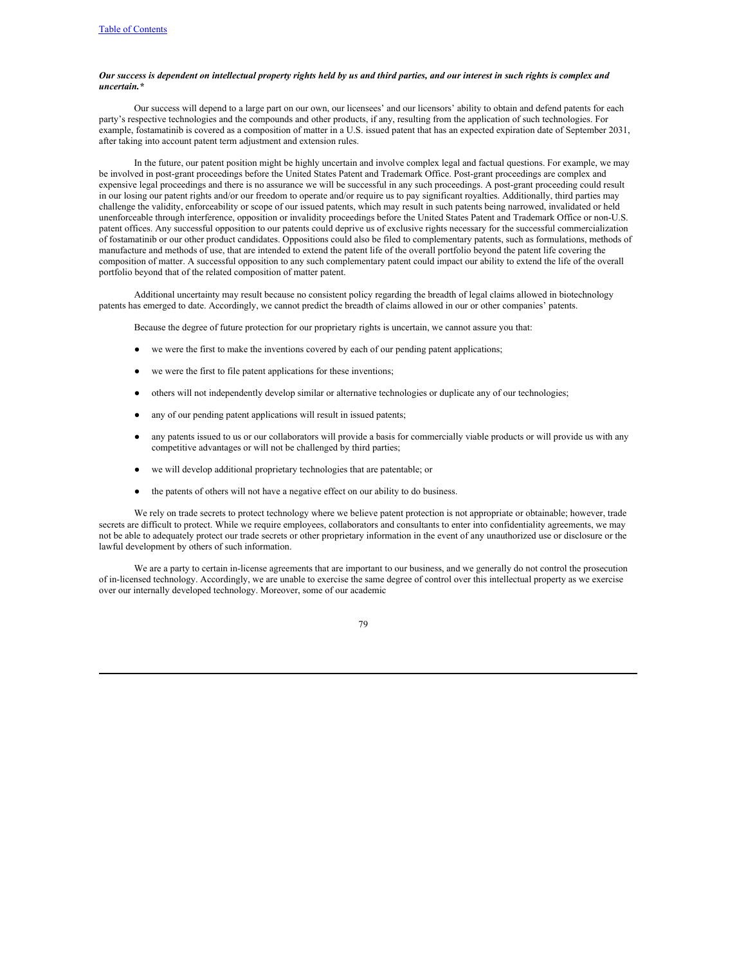## Our success is dependent on intellectual property rights held by us and third parties, and our interest in such rights is complex and *uncertain.\**

Our success will depend to a large part on our own, our licensees' and our licensors' ability to obtain and defend patents for each party's respective technologies and the compounds and other products, if any, resulting from the application of such technologies. For example, fostamatinib is covered as a composition of matter in a U.S. issued patent that has an expected expiration date of September 2031, after taking into account patent term adjustment and extension rules.

In the future, our patent position might be highly uncertain and involve complex legal and factual questions. For example, we may be involved in post-grant proceedings before the United States Patent and Trademark Office. Post-grant proceedings are complex and expensive legal proceedings and there is no assurance we will be successful in any such proceedings. A post-grant proceeding could result in our losing our patent rights and/or our freedom to operate and/or require us to pay significant royalties. Additionally, third parties may challenge the validity, enforceability or scope of our issued patents, which may result in such patents being narrowed, invalidated or held unenforceable through interference, opposition or invalidity proceedings before the United States Patent and Trademark Office or non-U.S. patent offices. Any successful opposition to our patents could deprive us of exclusive rights necessary for the successful commercialization of fostamatinib or our other product candidates. Oppositions could also be filed to complementary patents, such as formulations, methods of manufacture and methods of use, that are intended to extend the patent life of the overall portfolio beyond the patent life covering the composition of matter. A successful opposition to any such complementary patent could impact our ability to extend the life of the overall portfolio beyond that of the related composition of matter patent.

Additional uncertainty may result because no consistent policy regarding the breadth of legal claims allowed in biotechnology patents has emerged to date. Accordingly, we cannot predict the breadth of claims allowed in our or other companies' patents.

Because the degree of future protection for our proprietary rights is uncertain, we cannot assure you that:

- we were the first to make the inventions covered by each of our pending patent applications;
- we were the first to file patent applications for these inventions;
- others will not independently develop similar or alternative technologies or duplicate any of our technologies;
- any of our pending patent applications will result in issued patents;
- any patents issued to us or our collaborators will provide a basis for commercially viable products or will provide us with any competitive advantages or will not be challenged by third parties;
- we will develop additional proprietary technologies that are patentable; or
- the patents of others will not have a negative effect on our ability to do business.

We rely on trade secrets to protect technology where we believe patent protection is not appropriate or obtainable; however, trade secrets are difficult to protect. While we require employees, collaborators and consultants to enter into confidentiality agreements, we may not be able to adequately protect our trade secrets or other proprietary information in the event of any unauthorized use or disclosure or the lawful development by others of such information.

We are a party to certain in-license agreements that are important to our business, and we generally do not control the prosecution of in-licensed technology. Accordingly, we are unable to exercise the same degree of control over this intellectual property as we exercise over our internally developed technology. Moreover, some of our academic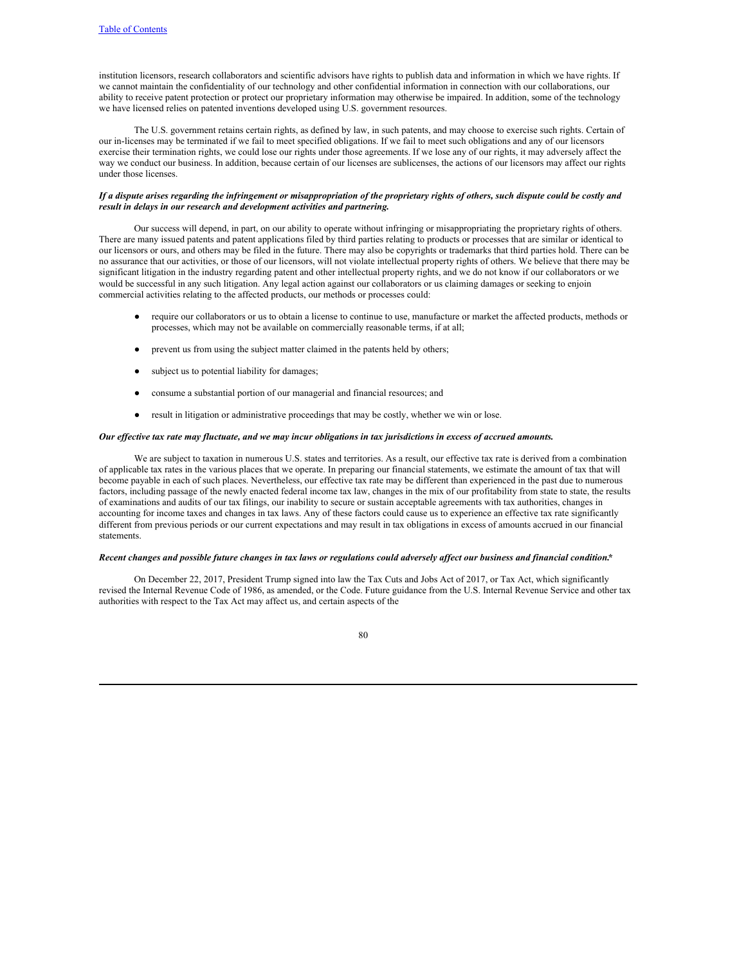institution licensors, research collaborators and scientific advisors have rights to publish data and information in which we have rights. If we cannot maintain the confidentiality of our technology and other confidential information in connection with our collaborations, our ability to receive patent protection or protect our proprietary information may otherwise be impaired. In addition, some of the technology we have licensed relies on patented inventions developed using U.S. government resources.

The U.S. government retains certain rights, as defined by law, in such patents, and may choose to exercise such rights. Certain of our in-licenses may be terminated if we fail to meet specified obligations. If we fail to meet such obligations and any of our licensors exercise their termination rights, we could lose our rights under those agreements. If we lose any of our rights, it may adversely affect the way we conduct our business. In addition, because certain of our licenses are sublicenses, the actions of our licensors may affect our rights under those licenses.

## If a dispute arises regarding the infringement or misappropriation of the proprietary rights of others, such dispute could be costly and *result in delays in our research and development activities and partnering.*

Our success will depend, in part, on our ability to operate without infringing or misappropriating the proprietary rights of others. There are many issued patents and patent applications filed by third parties relating to products or processes that are similar or identical to our licensors or ours, and others may be filed in the future. There may also be copyrights or trademarks that third parties hold. There can be no assurance that our activities, or those of our licensors, will not violate intellectual property rights of others. We believe that there may be significant litigation in the industry regarding patent and other intellectual property rights, and we do not know if our collaborators or we would be successful in any such litigation. Any legal action against our collaborators or us claiming damages or seeking to enjoin commercial activities relating to the affected products, our methods or processes could:

- require our collaborators or us to obtain a license to continue to use, manufacture or market the affected products, methods or processes, which may not be available on commercially reasonable terms, if at all;
- prevent us from using the subject matter claimed in the patents held by others;
- subject us to potential liability for damages;
- consume a substantial portion of our managerial and financial resources; and
- result in litigation or administrative proceedings that may be costly, whether we win or lose.

#### Our effective tax rate may fluctuate, and we may incur obligations in tax jurisdictions in excess of accrued amounts.

We are subject to taxation in numerous U.S. states and territories. As a result, our effective tax rate is derived from a combination of applicable tax rates in the various places that we operate. In preparing our financial statements, we estimate the amount of tax that will become payable in each of such places. Nevertheless, our effective tax rate may be different than experienced in the past due to numerous factors, including passage of the newly enacted federal income tax law, changes in the mix of our profitability from state to state, the results of examinations and audits of our tax filings, our inability to secure or sustain acceptable agreements with tax authorities, changes in accounting for income taxes and changes in tax laws. Any of these factors could cause us to experience an effective tax rate significantly different from previous periods or our current expectations and may result in tax obligations in excess of amounts accrued in our financial statements.

#### Recent changes and possible future changes in tax laws or regulations could adversely affect our business and financial condition.\*

On December 22, 2017, President Trump signed into law the Tax Cuts and Jobs Act of 2017, or Tax Act, which significantly revised the Internal Revenue Code of 1986, as amended, or the Code. Future guidance from the U.S. Internal Revenue Service and other tax authorities with respect to the Tax Act may affect us, and certain aspects of the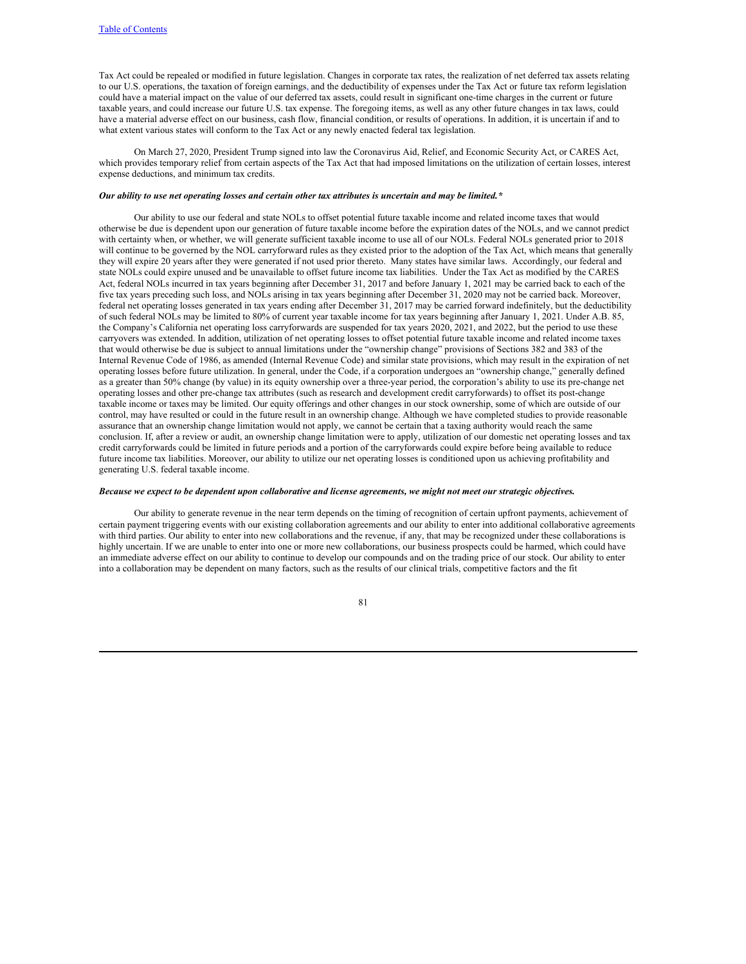Tax Act could be repealed or modified in future legislation. Changes in corporate tax rates, the realization of net deferred tax assets relating to our U.S. operations, the taxation of foreign earnings, and the deductibility of expenses under the Tax Act or future tax reform legislation could have a material impact on the value of our deferred tax assets, could result in significant one-time charges in the current or future taxable years, and could increase our future U.S. tax expense. The foregoing items, as well as any other future changes in tax laws, could have a material adverse effect on our business, cash flow, financial condition, or results of operations. In addition, it is uncertain if and to what extent various states will conform to the Tax Act or any newly enacted federal tax legislation.

On March 27, 2020, President Trump signed into law the Coronavirus Aid, Relief, and Economic Security Act, or CARES Act, which provides temporary relief from certain aspects of the Tax Act that had imposed limitations on the utilization of certain losses, interest expense deductions, and minimum tax credits.

#### Our ability to use net operating losses and certain other tax attributes is uncertain and may be limited.\*

Our ability to use our federal and state NOLs to offset potential future taxable income and related income taxes that would otherwise be due is dependent upon our generation of future taxable income before the expiration dates of the NOLs, and we cannot predict with certainty when, or whether, we will generate sufficient taxable income to use all of our NOLs. Federal NOLs generated prior to 2018 will continue to be governed by the NOL carryforward rules as they existed prior to the adoption of the Tax Act, which means that generally they will expire 20 years after they were generated if not used prior thereto. Many states have similar laws. Accordingly, our federal and state NOLs could expire unused and be unavailable to offset future income tax liabilities. Under the Tax Act as modified by the CARES Act, federal NOLs incurred in tax years beginning after December 31, 2017 and before January 1, 2021 may be carried back to each of the five tax years preceding such loss, and NOLs arising in tax years beginning after December 31, 2020 may not be carried back. Moreover, federal net operating losses generated in tax years ending after December 31, 2017 may be carried forward indefinitely, but the deductibility of such federal NOLs may be limited to 80% of current year taxable income for tax years beginning after January 1, 2021. Under A.B. 85, the Company's California net operating loss carryforwards are suspended for tax years 2020, 2021, and 2022, but the period to use these carryovers was extended. In addition, utilization of net operating losses to offset potential future taxable income and related income taxes that would otherwise be due is subject to annual limitations under the "ownership change" provisions of Sections 382 and 383 of the Internal Revenue Code of 1986, as amended (Internal Revenue Code) and similar state provisions, which may result in the expiration of net operating losses before future utilization. In general, under the Code, if a corporation undergoes an "ownership change," generally defined as a greater than 50% change (by value) in its equity ownership over a three-year period, the corporation's ability to use its pre-change net operating losses and other pre-change tax attributes (such as research and development credit carryforwards) to offset its post-change taxable income or taxes may be limited. Our equity offerings and other changes in our stock ownership, some of which are outside of our control, may have resulted or could in the future result in an ownership change. Although we have completed studies to provide reasonable assurance that an ownership change limitation would not apply, we cannot be certain that a taxing authority would reach the same conclusion. If, after a review or audit, an ownership change limitation were to apply, utilization of our domestic net operating losses and tax credit carryforwards could be limited in future periods and a portion of the carryforwards could expire before being available to reduce future income tax liabilities. Moreover, our ability to utilize our net operating losses is conditioned upon us achieving profitability and generating U.S. federal taxable income.

#### Because we expect to be dependent upon collaborative and license agreements, we might not meet our strategic objectives.

Our ability to generate revenue in the near term depends on the timing of recognition of certain upfront payments, achievement of certain payment triggering events with our existing collaboration agreements and our ability to enter into additional collaborative agreements with third parties. Our ability to enter into new collaborations and the revenue, if any, that may be recognized under these collaborations is highly uncertain. If we are unable to enter into one or more new collaborations, our business prospects could be harmed, which could have an immediate adverse effect on our ability to continue to develop our compounds and on the trading price of our stock. Our ability to enter into a collaboration may be dependent on many factors, such as the results of our clinical trials, competitive factors and the fit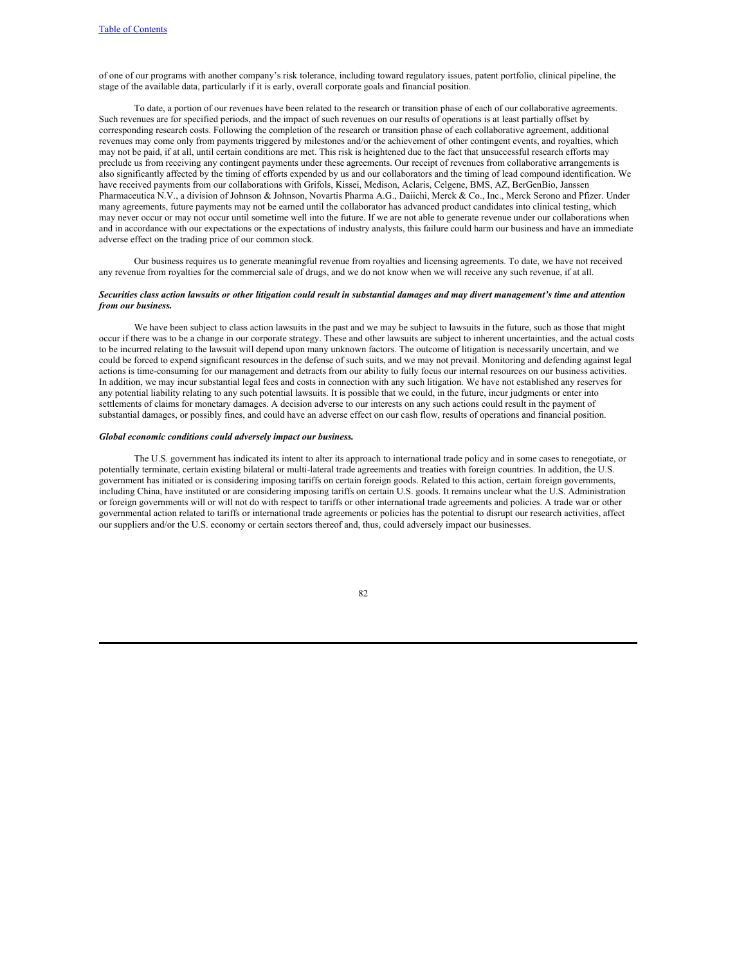of one of our programs with another company's risk tolerance, including toward regulatory issues, patent portfolio, clinical pipeline, the stage of the available data, particularly if it is early, overall corporate goals and financial position.

To date, a portion of our revenues have been related to the research or transition phase of each of our collaborative agreements. Such revenues are for specified periods, and the impact of such revenues on our results of operations is at least partially offset by corresponding research costs. Following the completion of the research or transition phase of each collaborative agreement, additional revenues may come only from payments triggered by milestones and/or the achievement of other contingent events, and royalties, which may not be paid, if at all, until certain conditions are met. This risk is heightened due to the fact that unsuccessful research efforts may preclude us from receiving any contingent payments under these agreements. Our receipt of revenues from collaborative arrangements is also significantly affected by the timing of efforts expended by us and our collaborators and the timing of lead compound identification. We have received payments from our collaborations with Grifols, Kissei, Medison, Aclaris, Celgene, BMS, AZ, BerGenBio, Janssen Pharmaceutica N.V., a division of Johnson & Johnson, Novartis Pharma A.G., Daiichi, Merck & Co., Inc., Merck Serono and Pfizer. Under many agreements, future payments may not be earned until the collaborator has advanced product candidates into clinical testing, which may never occur or may not occur until sometime well into the future. If we are not able to generate revenue under our collaborations when and in accordance with our expectations or the expectations of industry analysts, this failure could harm our business and have an immediate adverse effect on the trading price of our common stock.

Our business requires us to generate meaningful revenue from royalties and licensing agreements. To date, we have not received any revenue from royalties for the commercial sale of drugs, and we do not know when we will receive any such revenue, if at all.

#### Securities class action lawsuits or other litigation could result in substantial damages and may divert management's time and attention *from our business.*

We have been subject to class action lawsuits in the past and we may be subject to lawsuits in the future, such as those that might occur if there was to be a change in our corporate strategy. These and other lawsuits are subject to inherent uncertainties, and the actual costs to be incurred relating to the lawsuit will depend upon many unknown factors. The outcome of litigation is necessarily uncertain, and we could be forced to expend significant resources in the defense of such suits, and we may not prevail. Monitoring and defending against legal actions is time-consuming for our management and detracts from our ability to fully focus our internal resources on our business activities. In addition, we may incur substantial legal fees and costs in connection with any such litigation. We have not established any reserves for any potential liability relating to any such potential lawsuits. It is possible that we could, in the future, incur judgments or enter into settlements of claims for monetary damages. A decision adverse to our interests on any such actions could result in the payment of substantial damages, or possibly fines, and could have an adverse effect on our cash flow, results of operations and financial position.

#### *Global economic conditions could adversely impact our business.*

The U.S. government has indicated its intent to alter its approach to international trade policy and in some cases to renegotiate, or potentially terminate, certain existing bilateral or multi-lateral trade agreements and treaties with foreign countries. In addition, the U.S. government has initiated or is considering imposing tariffs on certain foreign goods. Related to this action, certain foreign governments, including China, have instituted or are considering imposing tariffs on certain U.S. goods. It remains unclear what the U.S. Administration or foreign governments will or will not do with respect to tariffs or other international trade agreements and policies. A trade war or other governmental action related to tariffs or international trade agreements or policies has the potential to disrupt our research activities, affect our suppliers and/or the U.S. economy or certain sectors thereof and, thus, could adversely impact our businesses.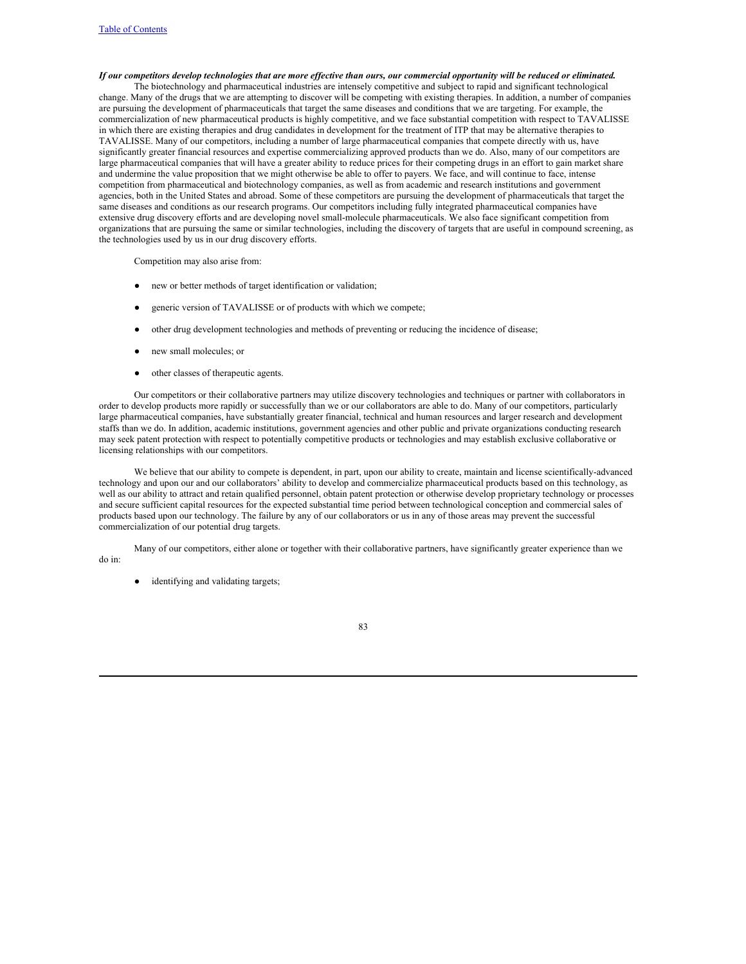If our competitors develop technologies that are more effective than ours, our commercial opportunity will be reduced or eliminated. The biotechnology and pharmaceutical industries are intensely competitive and subject to rapid and significant technological change. Many of the drugs that we are attempting to discover will be competing with existing therapies. In addition, a number of companies are pursuing the development of pharmaceuticals that target the same diseases and conditions that we are targeting. For example, the commercialization of new pharmaceutical products is highly competitive, and we face substantial competition with respect to TAVALISSE in which there are existing therapies and drug candidates in development for the treatment of ITP that may be alternative therapies to TAVALISSE. Many of our competitors, including a number of large pharmaceutical companies that compete directly with us, have significantly greater financial resources and expertise commercializing approved products than we do. Also, many of our competitors are large pharmaceutical companies that will have a greater ability to reduce prices for their competing drugs in an effort to gain market share and undermine the value proposition that we might otherwise be able to offer to payers. We face, and will continue to face, intense competition from pharmaceutical and biotechnology companies, as well as from academic and research institutions and government agencies, both in the United States and abroad. Some of these competitors are pursuing the development of pharmaceuticals that target the same diseases and conditions as our research programs. Our competitors including fully integrated pharmaceutical companies have extensive drug discovery efforts and are developing novel small-molecule pharmaceuticals. We also face significant competition from organizations that are pursuing the same or similar technologies, including the discovery of targets that are useful in compound screening, as the technologies used by us in our drug discovery efforts.

Competition may also arise from:

- new or better methods of target identification or validation;
- generic version of TAVALISSE or of products with which we compete;
- other drug development technologies and methods of preventing or reducing the incidence of disease;
- new small molecules; or
- other classes of the rapeutic agents.

Our competitors or their collaborative partners may utilize discovery technologies and techniques or partner with collaborators in order to develop products more rapidly or successfully than we or our collaborators are able to do. Many of our competitors, particularly large pharmaceutical companies, have substantially greater financial, technical and human resources and larger research and development staffs than we do. In addition, academic institutions, government agencies and other public and private organizations conducting research may seek patent protection with respect to potentially competitive products or technologies and may establish exclusive collaborative or licensing relationships with our competitors.

We believe that our ability to compete is dependent, in part, upon our ability to create, maintain and license scientifically-advanced technology and upon our and our collaborators' ability to develop and commercialize pharmaceutical products based on this technology, as well as our ability to attract and retain qualified personnel, obtain patent protection or otherwise develop proprietary technology or processes and secure sufficient capital resources for the expected substantial time period between technological conception and commercial sales of products based upon our technology. The failure by any of our collaborators or us in any of those areas may prevent the successful commercialization of our potential drug targets.

Many of our competitors, either alone or together with their collaborative partners, have significantly greater experience than we do in:

identifying and validating targets;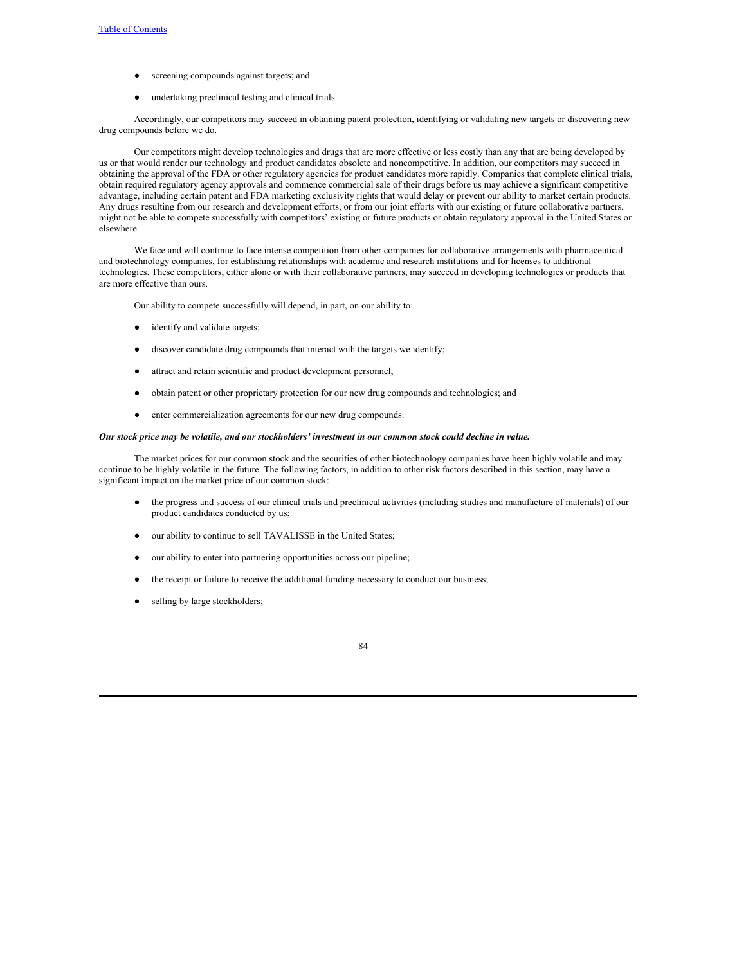- screening compounds against targets; and
- undertaking preclinical testing and clinical trials.

Accordingly, our competitors may succeed in obtaining patent protection, identifying or validating new targets or discovering new drug compounds before we do.

Our competitors might develop technologies and drugs that are more effective or less costly than any that are being developed by us or that would render our technology and product candidates obsolete and noncompetitive. In addition, our competitors may succeed in obtaining the approval of the FDA or other regulatory agencies for product candidates more rapidly. Companies that complete clinical trials, obtain required regulatory agency approvals and commence commercial sale of their drugs before us may achieve a significant competitive advantage, including certain patent and FDA marketing exclusivity rights that would delay or prevent our ability to market certain products. Any drugs resulting from our research and development efforts, or from our joint efforts with our existing or future collaborative partners, might not be able to compete successfully with competitors' existing or future products or obtain regulatory approval in the United States or elsewhere.

We face and will continue to face intense competition from other companies for collaborative arrangements with pharmaceutical and biotechnology companies, for establishing relationships with academic and research institutions and for licenses to additional technologies. These competitors, either alone or with their collaborative partners, may succeed in developing technologies or products that are more effective than ours.

Our ability to compete successfully will depend, in part, on our ability to:

- identify and validate targets;
- discover candidate drug compounds that interact with the targets we identify;
- attract and retain scientific and product development personnel;
- obtain patent or other proprietary protection for our new drug compounds and technologies; and
- enter commercialization agreements for our new drug compounds.

## Our stock price may be volatile, and our stockholders' investment in our common stock could decline in value.

The market prices for our common stock and the securities of other biotechnology companies have been highly volatile and may continue to be highly volatile in the future. The following factors, in addition to other risk factors described in this section, may have a significant impact on the market price of our common stock:

- the progress and success of our clinical trials and preclinical activities (including studies and manufacture of materials) of our product candidates conducted by us;
- our ability to continue to sell TAVALISSE in the United States;
- our ability to enter into partnering opportunities across our pipeline;
- the receipt or failure to receive the additional funding necessary to conduct our business;
- selling by large stockholders;

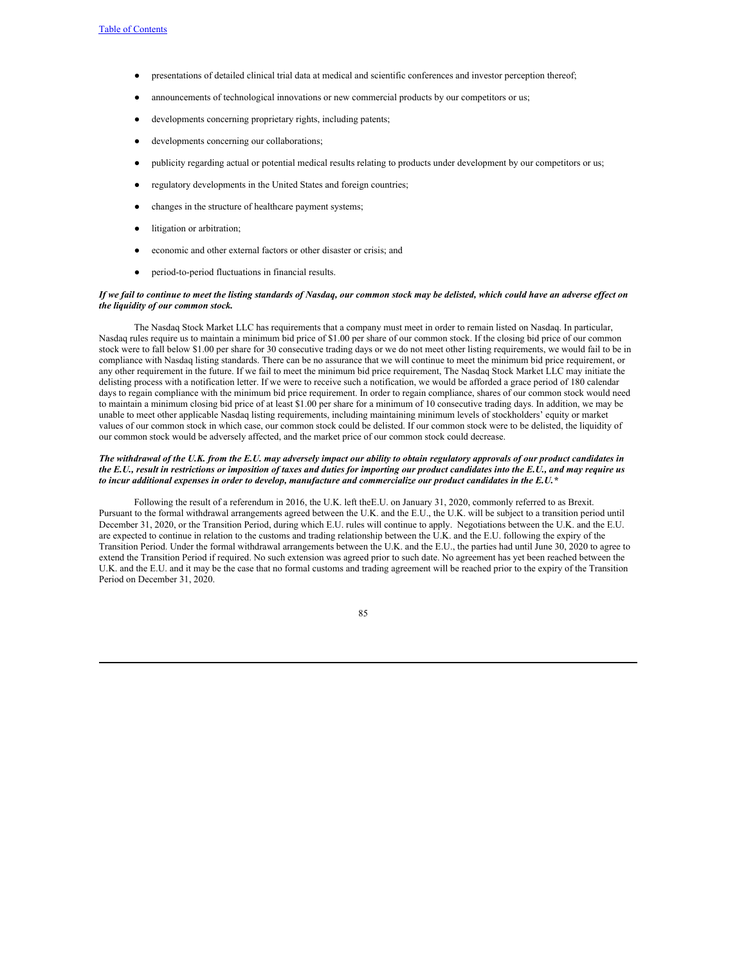- presentations of detailed clinical trial data at medical and scientific conferences and investor perception thereof;
- announcements of technological innovations or new commercial products by our competitors or us;
- developments concerning proprietary rights, including patents;
- developments concerning our collaborations;
- publicity regarding actual or potential medical results relating to products under development by our competitors or us;
- regulatory developments in the United States and foreign countries;
- changes in the structure of healthcare payment systems;
- litigation or arbitration;
- economic and other external factors or other disaster or crisis; and
- period-to-period fluctuations in financial results.

#### If we fail to continue to meet the listing standards of Nasdaq, our common stock may be delisted, which could have an adverse effect on *the liquidity of our common stock.*

The Nasdaq Stock Market LLC has requirements that a company must meet in order to remain listed on Nasdaq. In particular, Nasdaq rules require us to maintain a minimum bid price of \$1.00 per share of our common stock. If the closing bid price of our common stock were to fall below \$1.00 per share for 30 consecutive trading days or we do not meet other listing requirements, we would fail to be in compliance with Nasdaq listing standards. There can be no assurance that we will continue to meet the minimum bid price requirement, or any other requirement in the future. If we fail to meet the minimum bid price requirement, The Nasdaq Stock Market LLC may initiate the delisting process with a notification letter. If we were to receive such a notification, we would be afforded a grace period of 180 calendar days to regain compliance with the minimum bid price requirement. In order to regain compliance, shares of our common stock would need to maintain a minimum closing bid price of at least \$1.00 per share for a minimum of 10 consecutive trading days. In addition, we may be unable to meet other applicable Nasdaq listing requirements, including maintaining minimum levels of stockholders' equity or market values of our common stock in which case, our common stock could be delisted. If our common stock were to be delisted, the liquidity of our common stock would be adversely affected, and the market price of our common stock could decrease.

## The withdrawal of the U.K. from the E.U. may adversely impact our ability to obtain regulatory approvals of our product candidates in the E.U., result in restrictions or imposition of taxes and duties for importing our product candidates into the E.U., and may require us to incur additional expenses in order to develop, manufacture and commercialize our product candidates in the  $E.U.*$

Following the result of a referendum in 2016, the U.K. left theE.U. on January 31, 2020, commonly referred to as Brexit. Pursuant to the formal withdrawal arrangements agreed between the U.K. and the E.U., the U.K. will be subject to a transition period until December 31, 2020, or the Transition Period, during which E.U. rules will continue to apply. Negotiations between the U.K. and the E.U. are expected to continue in relation to the customs and trading relationship between the U.K. and the E.U. following the expiry of the Transition Period. Under the formal withdrawal arrangements between the U.K. and the E.U., the parties had until June 30, 2020 to agree to extend the Transition Period if required. No such extension was agreed prior to such date. No agreement has yet been reached between the U.K. and the E.U. and it may be the case that no formal customs and trading agreement will be reached prior to the expiry of the Transition Period on December 31, 2020.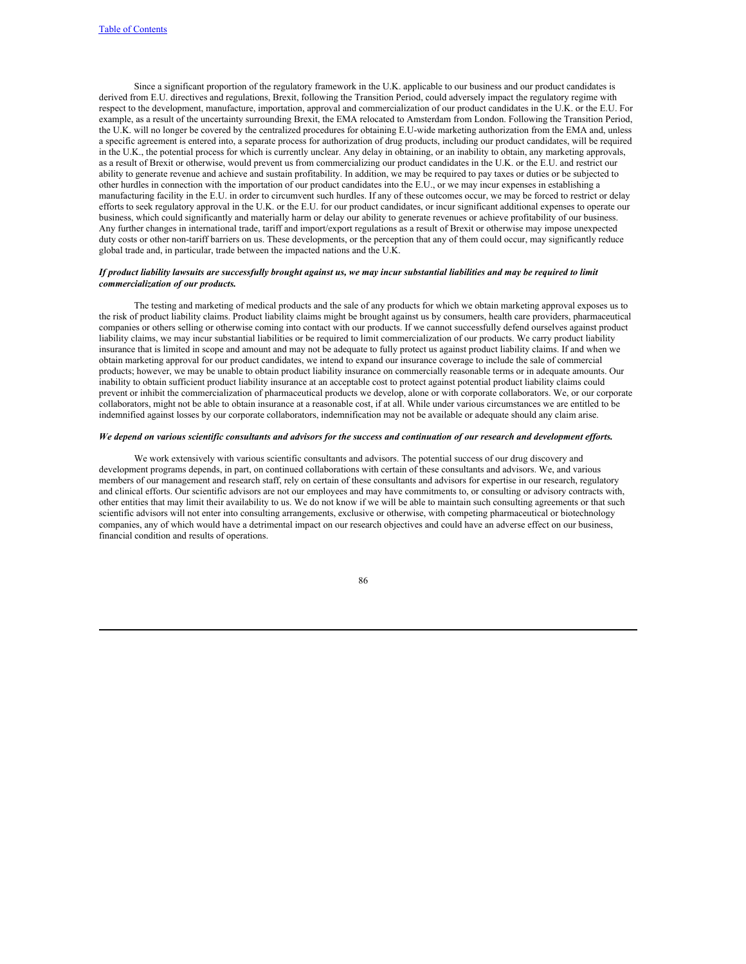Since a significant proportion of the regulatory framework in the U.K. applicable to our business and our product candidates is derived from E.U. directives and regulations, Brexit, following the Transition Period, could adversely impact the regulatory regime with respect to the development, manufacture, importation, approval and commercialization of our product candidates in the U.K. or the E.U. For example, as a result of the uncertainty surrounding Brexit, the EMA relocated to Amsterdam from London. Following the Transition Period, the U.K. will no longer be covered by the centralized procedures for obtaining E.U-wide marketing authorization from the EMA and, unless a specific agreement is entered into, a separate process for authorization of drug products, including our product candidates, will be required in the U.K., the potential process for which is currently unclear. Any delay in obtaining, or an inability to obtain, any marketing approvals, as a result of Brexit or otherwise, would prevent us from commercializing our product candidates in the U.K. or the E.U. and restrict our ability to generate revenue and achieve and sustain profitability. In addition, we may be required to pay taxes or duties or be subjected to other hurdles in connection with the importation of our product candidates into the E.U., or we may incur expenses in establishing a manufacturing facility in the E.U. in order to circumvent such hurdles. If any of these outcomes occur, we may be forced to restrict or delay efforts to seek regulatory approval in the U.K. or the E.U. for our product candidates, or incur significant additional expenses to operate our business, which could significantly and materially harm or delay our ability to generate revenues or achieve profitability of our business. Any further changes in international trade, tariff and import/export regulations as a result of Brexit or otherwise may impose unexpected duty costs or other non-tariff barriers on us. These developments, or the perception that any of them could occur, may significantly reduce global trade and, in particular, trade between the impacted nations and the U.K.

## If product liability lawsuits are successfully brought against us, we may incur substantial liabilities and may be required to limit *commercialization of our products.*

The testing and marketing of medical products and the sale of any products for which we obtain marketing approval exposes us to the risk of product liability claims. Product liability claims might be brought against us by consumers, health care providers, pharmaceutical companies or others selling or otherwise coming into contact with our products. If we cannot successfully defend ourselves against product liability claims, we may incur substantial liabilities or be required to limit commercialization of our products. We carry product liability insurance that is limited in scope and amount and may not be adequate to fully protect us against product liability claims. If and when we obtain marketing approval for our product candidates, we intend to expand our insurance coverage to include the sale of commercial products; however, we may be unable to obtain product liability insurance on commercially reasonable terms or in adequate amounts. Our inability to obtain sufficient product liability insurance at an acceptable cost to protect against potential product liability claims could prevent or inhibit the commercialization of pharmaceutical products we develop, alone or with corporate collaborators. We, or our corporate collaborators, might not be able to obtain insurance at a reasonable cost, if at all. While under various circumstances we are entitled to be indemnified against losses by our corporate collaborators, indemnification may not be available or adequate should any claim arise.

#### We depend on various scientific consultants and advisors for the success and continuation of our research and development efforts.

We work extensively with various scientific consultants and advisors. The potential success of our drug discovery and development programs depends, in part, on continued collaborations with certain of these consultants and advisors. We, and various members of our management and research staff, rely on certain of these consultants and advisors for expertise in our research, regulatory and clinical efforts. Our scientific advisors are not our employees and may have commitments to, or consulting or advisory contracts with, other entities that may limit their availability to us. We do not know if we will be able to maintain such consulting agreements or that such scientific advisors will not enter into consulting arrangements, exclusive or otherwise, with competing pharmaceutical or biotechnology companies, any of which would have a detrimental impact on our research objectives and could have an adverse effect on our business, financial condition and results of operations.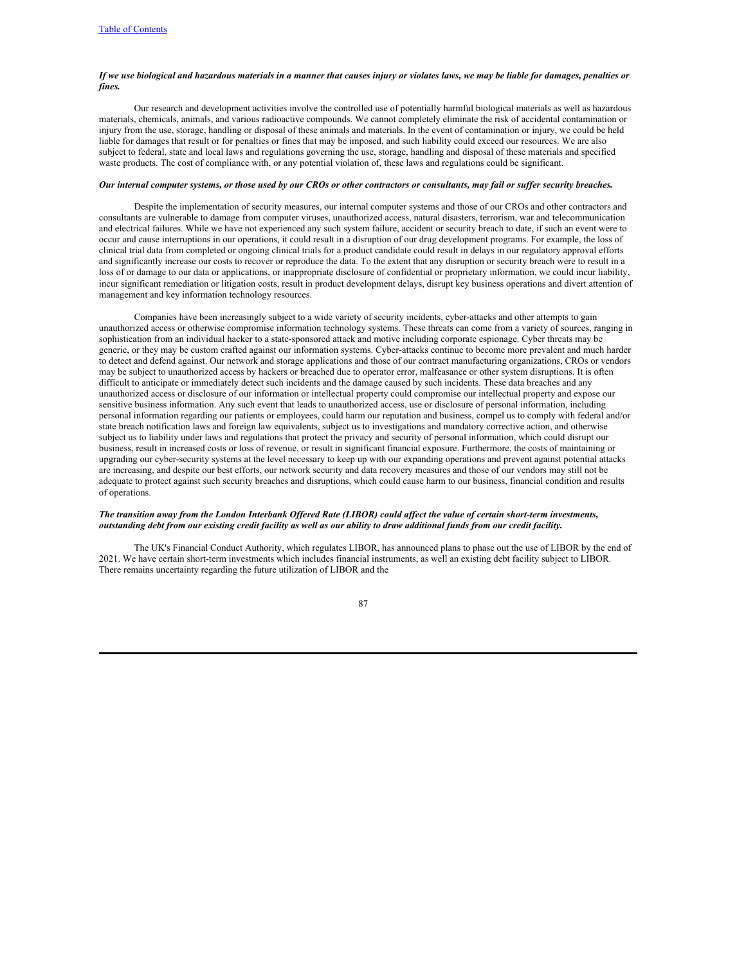## If we use biological and hazardous materials in a manner that causes injury or violates laws, we may be liable for damages, penalties or *fines.*

Our research and development activities involve the controlled use of potentially harmful biological materials as well as hazardous materials, chemicals, animals, and various radioactive compounds. We cannot completely eliminate the risk of accidental contamination or injury from the use, storage, handling or disposal of these animals and materials. In the event of contamination or injury, we could be held liable for damages that result or for penalties or fines that may be imposed, and such liability could exceed our resources. We are also subject to federal, state and local laws and regulations governing the use, storage, handling and disposal of these materials and specified waste products. The cost of compliance with, or any potential violation of, these laws and regulations could be significant.

## Our internal computer systems, or those used by our CROs or other contractors or consultants, may fail or suffer security breaches.

Despite the implementation of security measures, our internal computer systems and those of our CROs and other contractors and consultants are vulnerable to damage from computer viruses, unauthorized access, natural disasters, terrorism, war and telecommunication and electrical failures. While we have not experienced any such system failure, accident or security breach to date, if such an event were to occur and cause interruptions in our operations, it could result in a disruption of our drug development programs. For example, the loss of clinical trial data from completed or ongoing clinical trials for a product candidate could result in delays in our regulatory approval efforts and significantly increase our costs to recover or reproduce the data. To the extent that any disruption or security breach were to result in a loss of or damage to our data or applications, or inappropriate disclosure of confidential or proprietary information, we could incur liability, incur significant remediation or litigation costs, result in product development delays, disrupt key business operations and divert attention of management and key information technology resources.

Companies have been increasingly subject to a wide variety of security incidents, cyber-attacks and other attempts to gain unauthorized access or otherwise compromise information technology systems. These threats can come from a variety of sources, ranging in sophistication from an individual hacker to a state-sponsored attack and motive including corporate espionage. Cyber threats may be generic, or they may be custom crafted against our information systems. Cyber-attacks continue to become more prevalent and much harder to detect and defend against. Our network and storage applications and those of our contract manufacturing organizations, CROs or vendors may be subject to unauthorized access by hackers or breached due to operator error, malfeasance or other system disruptions. It is often difficult to anticipate or immediately detect such incidents and the damage caused by such incidents. These data breaches and any unauthorized access or disclosure of our information or intellectual property could compromise our intellectual property and expose our sensitive business information. Any such event that leads to unauthorized access, use or disclosure of personal information, including personal information regarding our patients or employees, could harm our reputation and business, compel us to comply with federal and/or state breach notification laws and foreign law equivalents, subject us to investigations and mandatory corrective action, and otherwise subject us to liability under laws and regulations that protect the privacy and security of personal information, which could disrupt our business, result in increased costs or loss of revenue, or result in significant financial exposure. Furthermore, the costs of maintaining or upgrading our cyber-security systems at the level necessary to keep up with our expanding operations and prevent against potential attacks are increasing, and despite our best efforts, our network security and data recovery measures and those of our vendors may still not be adequate to protect against such security breaches and disruptions, which could cause harm to our business, financial condition and results of operations.

## The transition away from the London Interbank Offered Rate (LIBOR) could affect the value of certain short-term investments, outstanding debt from our existing credit facility as well as our ability to draw additional funds from our credit facility.

The UK's Financial Conduct Authority, which regulates LIBOR, has announced plans to phase out the use of LIBOR by the end of 2021. We have certain short-term investments which includes financial instruments, as well an existing debt facility subject to LIBOR. There remains uncertainty regarding the future utilization of LIBOR and the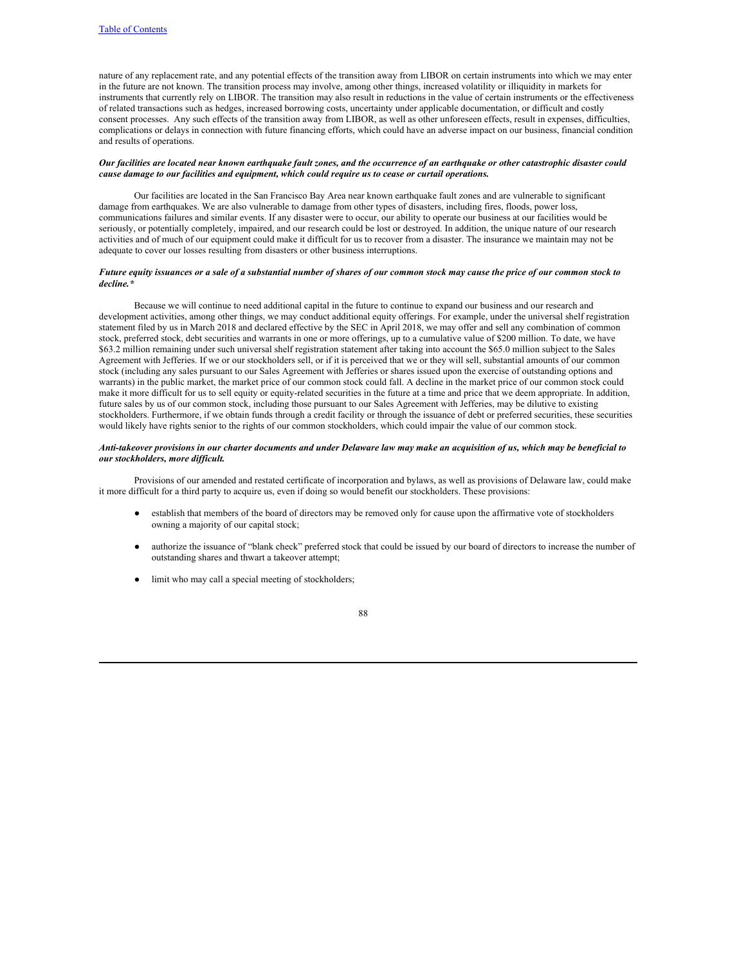nature of any replacement rate, and any potential effects of the transition away from LIBOR on certain instruments into which we may enter in the future are not known. The transition process may involve, among other things, increased volatility or illiquidity in markets for instruments that currently rely on LIBOR. The transition may also result in reductions in the value of certain instruments or the effectiveness of related transactions such as hedges, increased borrowing costs, uncertainty under applicable documentation, or difficult and costly consent processes. Any such effects of the transition away from LIBOR, as well as other unforeseen effects, result in expenses, difficulties, complications or delays in connection with future financing efforts, which could have an adverse impact on our business, financial condition and results of operations.

#### Our facilities are located near known earthquake fault zones, and the occurrence of an earthquake or other catastrophic disaster could *cause damage to our facilities and equipment, which could require us to cease or curtail operations.*

Our facilities are located in the San Francisco Bay Area near known earthquake fault zones and are vulnerable to significant damage from earthquakes. We are also vulnerable to damage from other types of disasters, including fires, floods, power loss, communications failures and similar events. If any disaster were to occur, our ability to operate our business at our facilities would be seriously, or potentially completely, impaired, and our research could be lost or destroyed. In addition, the unique nature of our research activities and of much of our equipment could make it difficult for us to recover from a disaster. The insurance we maintain may not be adequate to cover our losses resulting from disasters or other business interruptions.

## Future equity issuances or a sale of a substantial number of shares of our common stock may cause the price of our common stock to *decline.\**

Because we will continue to need additional capital in the future to continue to expand our business and our research and development activities, among other things, we may conduct additional equity offerings. For example, under the universal shelf registration statement filed by us in March 2018 and declared effective by the SEC in April 2018, we may offer and sell any combination of common stock, preferred stock, debt securities and warrants in one or more offerings, up to a cumulative value of \$200 million. To date, we have \$63.2 million remaining under such universal shelf registration statement after taking into account the \$65.0 million subject to the Sales Agreement with Jefferies. If we or our stockholders sell, or if it is perceived that we or they will sell, substantial amounts of our common stock (including any sales pursuant to our Sales Agreement with Jefferies or shares issued upon the exercise of outstanding options and warrants) in the public market, the market price of our common stock could fall. A decline in the market price of our common stock could make it more difficult for us to sell equity or equity-related securities in the future at a time and price that we deem appropriate. In addition, future sales by us of our common stock, including those pursuant to our Sales Agreement with Jefferies, may be dilutive to existing stockholders. Furthermore, if we obtain funds through a credit facility or through the issuance of debt or preferred securities, these securities would likely have rights senior to the rights of our common stockholders, which could impair the value of our common stock.

## Anti-takeover provisions in our charter documents and under Delaware law may make an acquisition of us, which may be beneficial to *our stockholders, more dif icult.*

Provisions of our amended and restated certificate of incorporation and bylaws, as well as provisions of Delaware law, could make it more difficult for a third party to acquire us, even if doing so would benefit our stockholders. These provisions:

- establish that members of the board of directors may be removed only for cause upon the affirmative vote of stockholders owning a majority of our capital stock;
- authorize the issuance of "blank check" preferred stock that could be issued by our board of directors to increase the number of outstanding shares and thwart a takeover attempt;
- limit who may call a special meeting of stockholders;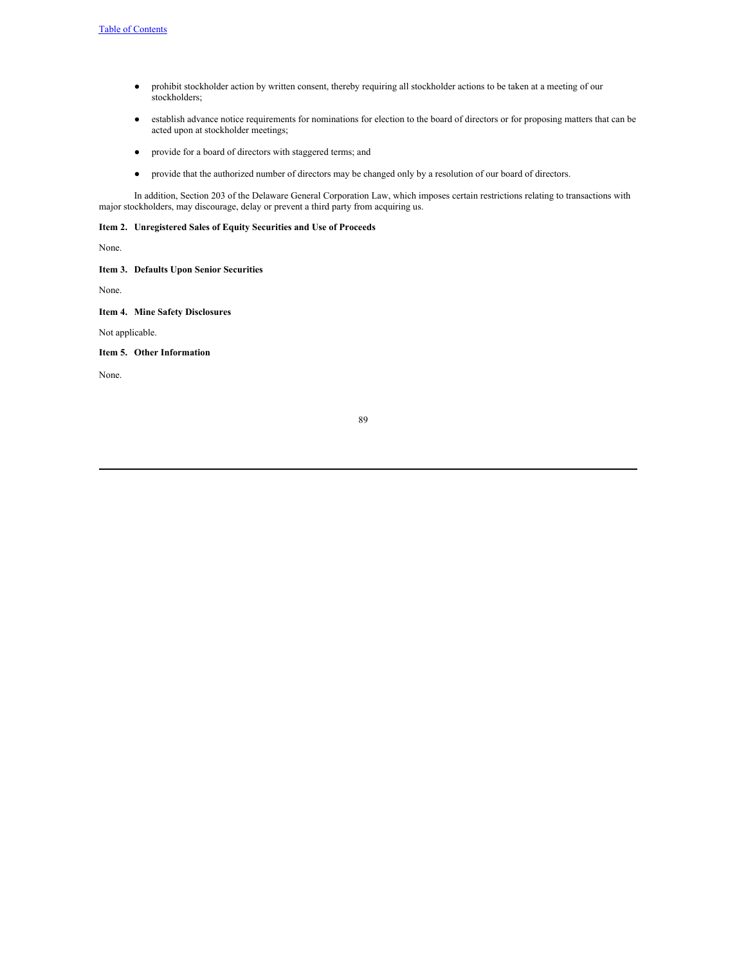- prohibit stockholder action by written consent, thereby requiring all stockholder actions to be taken at a meeting of our stockholders;
- establish advance notice requirements for nominations for election to the board of directors or for proposing matters that can be acted upon at stockholder meetings;
- provide for a board of directors with staggered terms; and
- provide that the authorized number of directors may be changed only by a resolution of our board of directors.

In addition, Section 203 of the Delaware General Corporation Law, which imposes certain restrictions relating to transactions with major stockholders, may discourage, delay or prevent a third party from acquiring us.

## **Item 2. Unregistered Sales of Equity Securities and Use of Proceeds**

None.

## **Item 3. Defaults Upon Senior Securities**

None.

## **Item 4. Mine Safety Disclosures**

Not applicable.

**Item 5. Other Information**

None.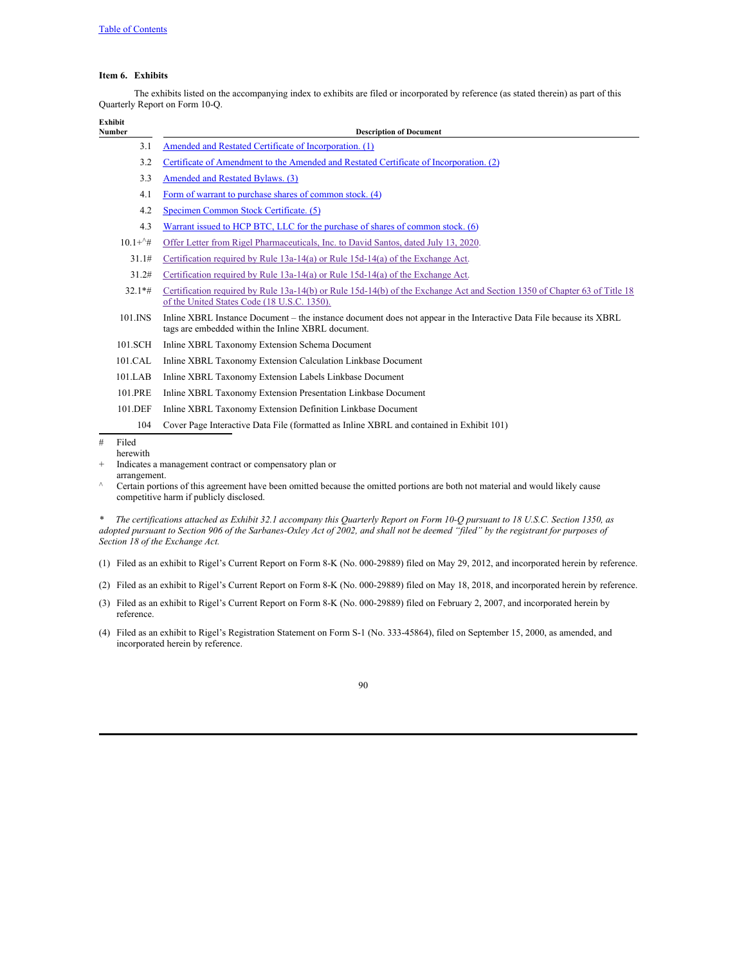## **Item 6. Exhibits**

The exhibits listed on the accompanying index to exhibits are filed or incorporated by reference (as stated therein) as part of this Quarterly Report on Form 10-Q.

| Exhibit<br>Number | <b>Description of Document</b>                                                                                                                                            |  |
|-------------------|---------------------------------------------------------------------------------------------------------------------------------------------------------------------------|--|
| 3.1               | Amended and Restated Certificate of Incorporation. (1)                                                                                                                    |  |
| 3.2               | Certificate of Amendment to the Amended and Restated Certificate of Incorporation. (2)                                                                                    |  |
| 3.3               | Amended and Restated Bylaws. (3)                                                                                                                                          |  |
| 4.1               | Form of warrant to purchase shares of common stock. (4)                                                                                                                   |  |
| 4.2               | Specimen Common Stock Certificate. (5)                                                                                                                                    |  |
| 4.3               | Warrant issued to HCP BTC, LLC for the purchase of shares of common stock. (6)                                                                                            |  |
| $10.1 + ^{4}$     | Offer Letter from Rigel Pharmaceuticals, Inc. to David Santos, dated July 13, 2020.                                                                                       |  |
| 31.1#             | Certification required by Rule 13a-14(a) or Rule 15d-14(a) of the Exchange Act.                                                                                           |  |
| 31.2#             | Certification required by Rule $13a-14(a)$ or Rule $15d-14(a)$ of the Exchange Act.                                                                                       |  |
| $32.1*$ #         | Certification required by Rule 13a-14(b) or Rule 15d-14(b) of the Exchange Act and Section 1350 of Chapter 63 of Title 18<br>of the United States Code (18 U.S.C. 1350).  |  |
| 101.INS           | Inline XBRL Instance Document – the instance document does not appear in the Interactive Data File because its XBRL<br>tags are embedded within the Inline XBRL document. |  |
| 101.SCH           | Inline XBRL Taxonomy Extension Schema Document                                                                                                                            |  |
| 101.CAL           | Inline XBRL Taxonomy Extension Calculation Linkbase Document                                                                                                              |  |
| 101.LAB           | Inline XBRL Taxonomy Extension Labels Linkbase Document                                                                                                                   |  |
| 101.PRE           | Inline XBRL Taxonomy Extension Presentation Linkbase Document                                                                                                             |  |
| 101.DEF           | Inline XBRL Taxonomy Extension Definition Linkbase Document                                                                                                               |  |
| 104               | Cover Page Interactive Data File (formatted as Inline XBRL and contained in Exhibit 101)                                                                                  |  |

# Filed

- herewith
- + Indicates a management contract or compensatory plan or arrangement.

 $\wedge$  Certain portions of this agreement have been omitted because the omitted portions are both not material and would likely cause competitive harm if publicly disclosed.

\* The certifications attached as Exhibit 32.1 accompany this Quarterly Report on Form 10-Q pursuant to 18 U.S.C. Section 1350, as adopted pursuant to Section 906 of the Sarbanes-Oxley Act of 2002, and shall not be deemed "filed" by the registrant for purposes of *Section 18 of the Exchange Act.*

(1) Filed as an exhibit to Rigel's Current Report on Form 8-K (No. 000-29889) filed on May 29, 2012, and incorporated herein by reference.

(2) Filed as an exhibit to Rigel's Current Report on Form 8-K (No. 000-29889) filed on May 18, 2018, and incorporated herein by reference.

- (3) Filed as an exhibit to Rigel's Current Report on Form 8-K (No. 000-29889) filed on February 2, 2007, and incorporated herein by reference.
- (4) Filed as an exhibit to Rigel's Registration Statement on Form S-1 (No. 333-45864), filed on September 15, 2000, as amended, and incorporated herein by reference.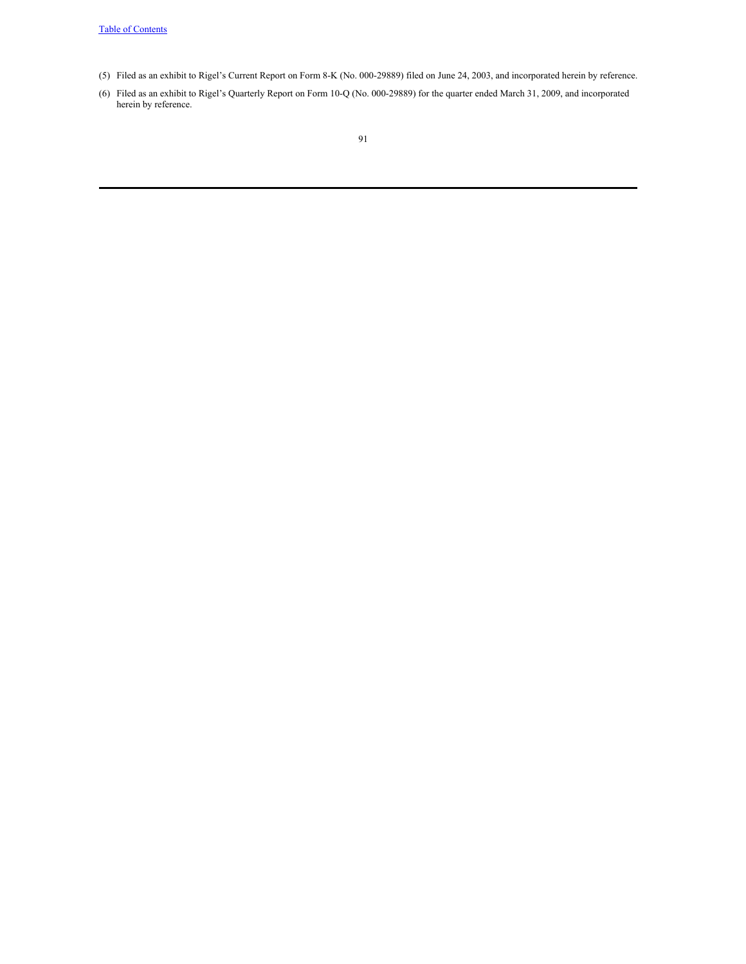## Table of [Contents](#page-0-0)

- (5) Filed as an exhibit to Rigel's Current Report on Form 8-K (No. 000-29889) filed on June 24, 2003, and incorporated herein by reference.
- (6) Filed as an exhibit to Rigel's Quarterly Report on Form 10-Q (No. 000-29889) for the quarter ended March 31, 2009, and incorporated herein by reference.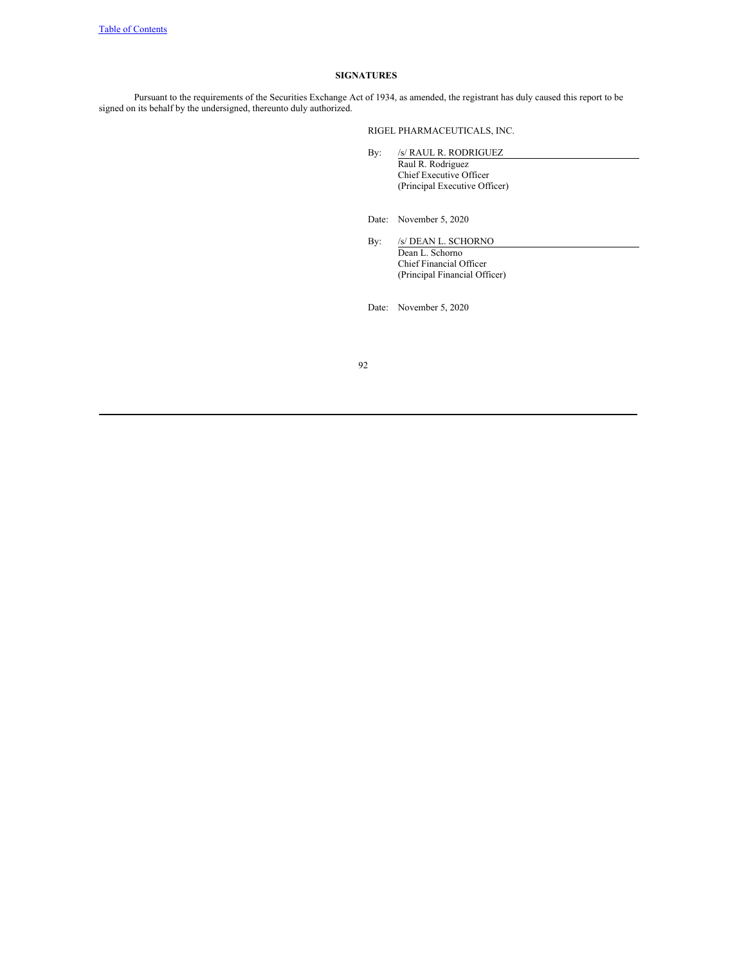# **SIGNATURES**

Pursuant to the requirements of the Securities Exchange Act of 1934, as amended, the registrant has duly caused this report to be signed on its behalf by the undersigned, thereunto duly authorized.

RIGEL PHARMACEUTICALS, INC.

By: /s/ RAUL R. RODRIGUEZ Raul R. Rodriguez Chief Executive Officer (Principal Executive Officer)

Date: November 5, 2020

By: /s/ DEAN L. SCHORNO Dean L. Schorno Chief Financial Officer (Principal Financial Officer)

Date: November 5, 2020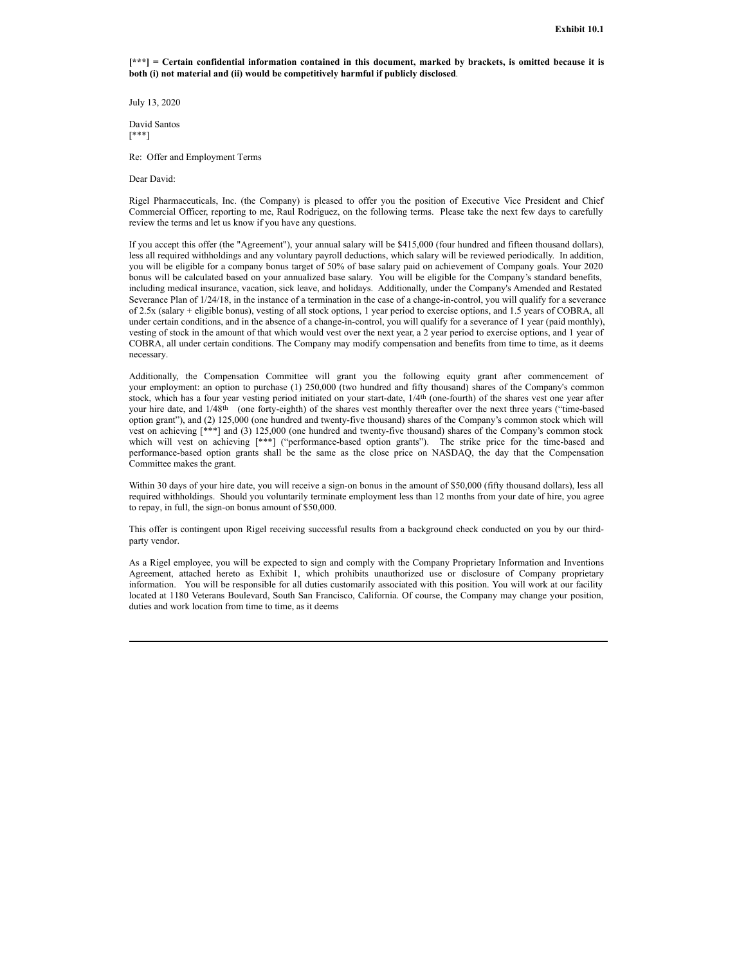<span id="page-92-0"></span> $\vert$ \*\*\*] = Certain confidential information contained in this document, marked by brackets, is omitted because it is **both (i) not material and (ii) would be competitively harmful if publicly disclosed**.

July 13, 2020

David Santos [\*\*\*]

Re: Offer and Employment Terms

Dear David:

Rigel Pharmaceuticals, Inc. (the Company) is pleased to offer you the position of Executive Vice President and Chief Commercial Officer, reporting to me, Raul Rodriguez, on the following terms. Please take the next few days to carefully review the terms and let us know if you have any questions.

If you accept this offer (the "Agreement"), your annual salary will be \$415,000 (four hundred and fifteen thousand dollars), less all required withholdings and any voluntary payroll deductions, which salary will be reviewed periodically. In addition, you will be eligible for a company bonus target of 50% of base salary paid on achievement of Company goals. Your 2020 bonus will be calculated based on your annualized base salary. You will be eligible for the Company's standard benefits, including medical insurance, vacation, sick leave, and holidays. Additionally, under the Company's Amended and Restated Severance Plan of 1/24/18, in the instance of a termination in the case of a change-in-control, you will qualify for a severance of 2.5x (salary + eligible bonus), vesting of all stock options, 1 year period to exercise options, and 1.5 years of COBRA, all under certain conditions, and in the absence of a change-in-control, you will qualify for a severance of 1 year (paid monthly), vesting of stock in the amount of that which would vest over the next year, a 2 year period to exercise options, and 1 year of COBRA, all under certain conditions. The Company may modify compensation and benefits from time to time, as it deems necessary.

Additionally, the Compensation Committee will grant you the following equity grant after commencement of your employment: an option to purchase (1) 250,000 (two hundred and fifty thousand) shares of the Company's common stock, which has a four year vesting period initiated on your start-date, 1/4th (one-fourth) of the shares vest one year after your hire date, and  $1/48$ <sup>th</sup> (one forty-eighth) of the shares vest monthly thereafter over the next three years ("time-based option grant"), and (2) 125,000 (one hundred and twenty-five thousand) shares of the Company's common stock which will vest on achieving [\*\*\*] and (3) 125,000 (one hundred and twenty-five thousand) shares of the Company's common stock which will vest on achieving [\*\*\*] ("performance-based option grants"). The strike price for the time-based and performance-based option grants shall be the same as the close price on NASDAQ, the day that the Compensation Committee makes the grant.

Within 30 days of your hire date, you will receive a sign-on bonus in the amount of \$50,000 (fifty thousand dollars), less all required withholdings. Should you voluntarily terminate employment less than 12 months from your date of hire, you agree to repay, in full, the sign-on bonus amount of \$50,000.

This offer is contingent upon Rigel receiving successful results from a background check conducted on you by our thirdparty vendor.

As a Rigel employee, you will be expected to sign and comply with the Company Proprietary Information and Inventions Agreement, attached hereto as Exhibit 1, which prohibits unauthorized use or disclosure of Company proprietary information. You will be responsible for all duties customarily associated with this position. You will work at our facility located at 1180 Veterans Boulevard, South San Francisco, California. Of course, the Company may change your position, duties and work location from time to time, as it deems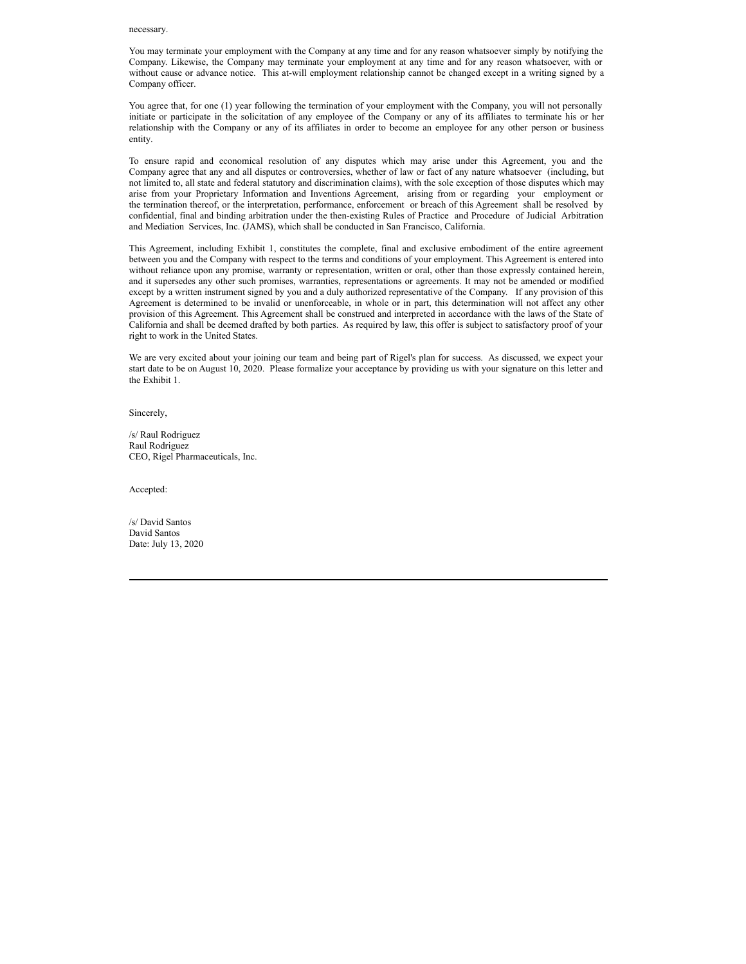necessary.

You may terminate your employment with the Company at any time and for any reason whatsoever simply by notifying the Company. Likewise, the Company may terminate your employment at any time and for any reason whatsoever, with or without cause or advance notice. This at-will employment relationship cannot be changed except in a writing signed by a Company officer.

You agree that, for one (1) year following the termination of your employment with the Company, you will not personally initiate or participate in the solicitation of any employee of the Company or any of its affiliates to terminate his or her relationship with the Company or any of its affiliates in order to become an employee for any other person or business entity.

To ensure rapid and economical resolution of any disputes which may arise under this Agreement, you and the Company agree that any and all disputes or controversies, whether of law or fact of any nature whatsoever (including, but not limited to, all state and federal statutory and discrimination claims), with the sole exception of those disputes which may arise from your Proprietary Information and Inventions Agreement, arising from or regarding your employment or the termination thereof, or the interpretation, performance, enforcement or breach of this Agreement shall be resolved by confidential, final and binding arbitration under the then-existing Rules of Practice and Procedure of Judicial Arbitration and Mediation Services, Inc. (JAMS), which shall be conducted in San Francisco, California.

This Agreement, including Exhibit 1, constitutes the complete, final and exclusive embodiment of the entire agreement between you and the Company with respect to the terms and conditions of your employment. This Agreement is entered into without reliance upon any promise, warranty or representation, written or oral, other than those expressly contained herein, and it supersedes any other such promises, warranties, representations or agreements. It may not be amended or modified except by a written instrument signed by you and a duly authorized representative of the Company. If any provision of this Agreement is determined to be invalid or unenforceable, in whole or in part, this determination will not affect any other provision of this Agreement. This Agreement shall be construed and interpreted in accordance with the laws of the State of California and shall be deemed drafted by both parties. As required by law, this offer is subject to satisfactory proof of your right to work in the United States.

We are very excited about your joining our team and being part of Rigel's plan for success. As discussed, we expect your start date to be on August 10, 2020. Please formalize your acceptance by providing us with your signature on this letter and the Exhibit 1.

Sincerely,

/s/ Raul Rodriguez Raul Rodriguez CEO, Rigel Pharmaceuticals, Inc.

Accepted:

/s/ David Santos David Santos Date: July 13, 2020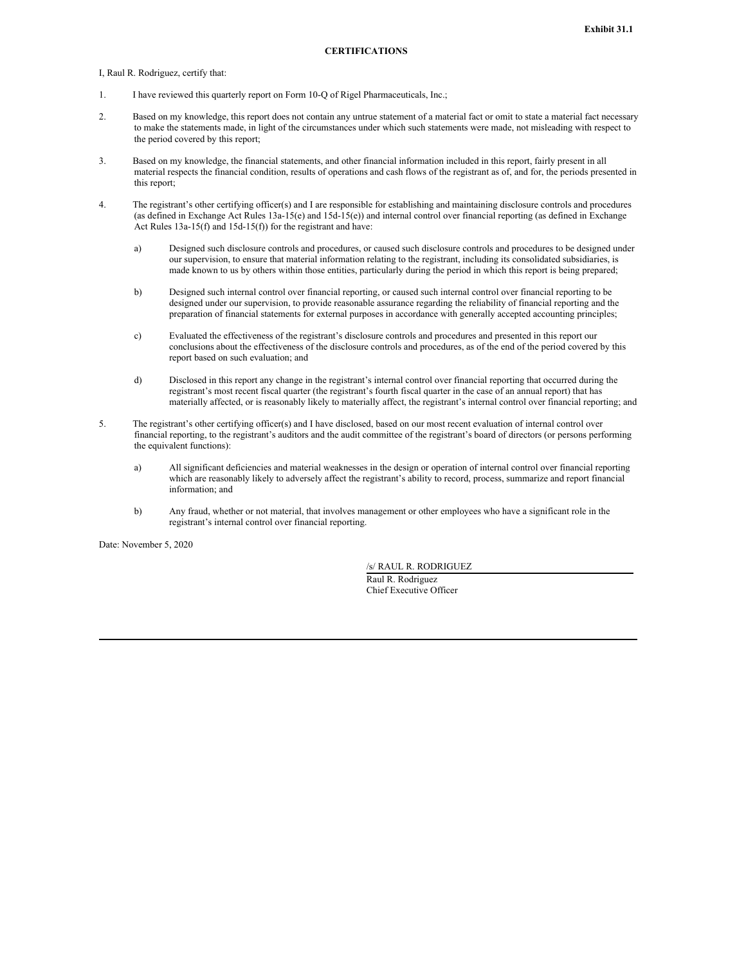<span id="page-94-0"></span>I, Raul R. Rodriguez, certify that:

- 1. I have reviewed this quarterly report on Form 10-Q of Rigel Pharmaceuticals, Inc.;
- 2. Based on my knowledge, this report does not contain any untrue statement of a material fact or omit to state a material fact necessary to make the statements made, in light of the circumstances under which such statements were made, not misleading with respect to the period covered by this report;
- 3. Based on my knowledge, the financial statements, and other financial information included in this report, fairly present in all material respects the financial condition, results of operations and cash flows of the registrant as of, and for, the periods presented in this report;
- 4. The registrant's other certifying officer(s) and I are responsible for establishing and maintaining disclosure controls and procedures (as defined in Exchange Act Rules 13a-15(e) and 15d-15(e)) and internal control over financial reporting (as defined in Exchange Act Rules 13a-15(f) and 15d-15(f)) for the registrant and have:
	- a) Designed such disclosure controls and procedures, or caused such disclosure controls and procedures to be designed under our supervision, to ensure that material information relating to the registrant, including its consolidated subsidiaries, is made known to us by others within those entities, particularly during the period in which this report is being prepared;
	- b) Designed such internal control over financial reporting, or caused such internal control over financial reporting to be designed under our supervision, to provide reasonable assurance regarding the reliability of financial reporting and the preparation of financial statements for external purposes in accordance with generally accepted accounting principles;
	- c) Evaluated the effectiveness of the registrant's disclosure controls and procedures and presented in this report our conclusions about the effectiveness of the disclosure controls and procedures, as of the end of the period covered by this report based on such evaluation; and
	- d) Disclosed in this report any change in the registrant's internal control over financial reporting that occurred during the registrant's most recent fiscal quarter (the registrant's fourth fiscal quarter in the case of an annual report) that has materially affected, or is reasonably likely to materially affect, the registrant's internal control over financial reporting; and
- 5. The registrant's other certifying officer(s) and I have disclosed, based on our most recent evaluation of internal control over financial reporting, to the registrant's auditors and the audit committee of the registrant's board of directors (or persons performing the equivalent functions):
	- a) All significant deficiencies and material weaknesses in the design or operation of internal control over financial reporting which are reasonably likely to adversely affect the registrant's ability to record, process, summarize and report financial information; and
	- b) Any fraud, whether or not material, that involves management or other employees who have a significant role in the registrant's internal control over financial reporting.

Date: November 5, 2020

/s/ RAUL R. RODRIGUEZ Raul R. Rodriguez Chief Executive Officer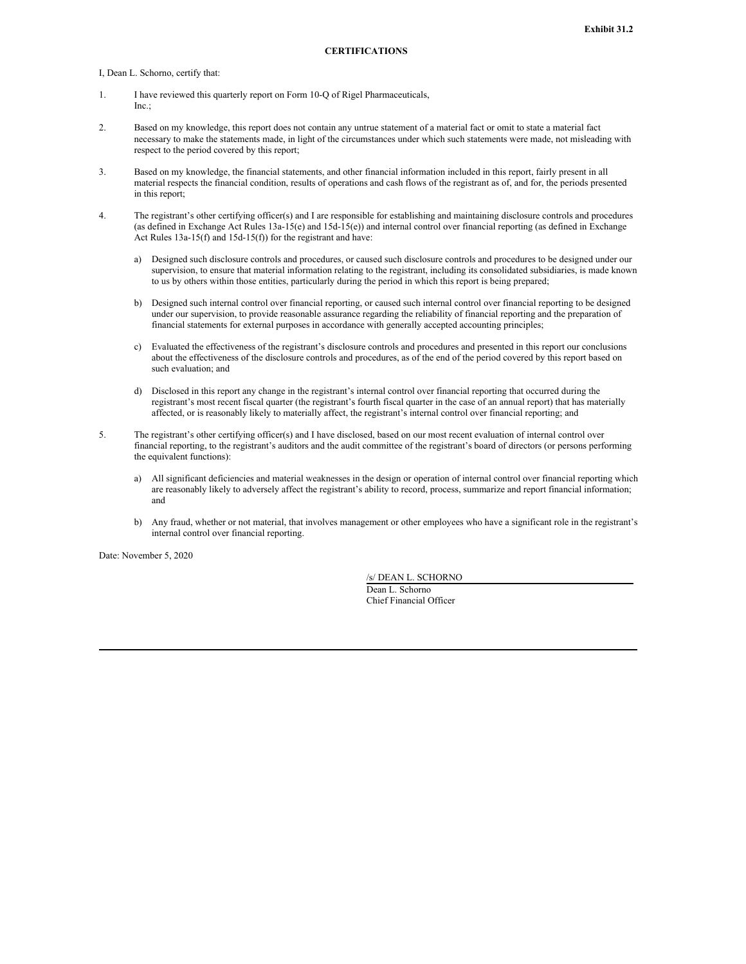## <span id="page-95-0"></span>I, Dean L. Schorno, certify that:

- 1. I have reviewed this quarterly report on Form 10-Q of Rigel Pharmaceuticals, Inc.;
- 2. Based on my knowledge, this report does not contain any untrue statement of a material fact or omit to state a material fact necessary to make the statements made, in light of the circumstances under which such statements were made, not misleading with respect to the period covered by this report;
- 3. Based on my knowledge, the financial statements, and other financial information included in this report, fairly present in all material respects the financial condition, results of operations and cash flows of the registrant as of, and for, the periods presented in this report;
- 4. The registrant's other certifying officer(s) and I are responsible for establishing and maintaining disclosure controls and procedures (as defined in Exchange Act Rules 13a-15(e) and 15d-15(e)) and internal control over financial reporting (as defined in Exchange Act Rules 13a-15(f) and 15d-15(f)) for the registrant and have:
	- a) Designed such disclosure controls and procedures, or caused such disclosure controls and procedures to be designed under our supervision, to ensure that material information relating to the registrant, including its consolidated subsidiaries, is made known to us by others within those entities, particularly during the period in which this report is being prepared;
	- b) Designed such internal control over financial reporting, or caused such internal control over financial reporting to be designed under our supervision, to provide reasonable assurance regarding the reliability of financial reporting and the preparation of financial statements for external purposes in accordance with generally accepted accounting principles;
	- c) Evaluated the effectiveness of the registrant's disclosure controls and procedures and presented in this report our conclusions about the effectiveness of the disclosure controls and procedures, as of the end of the period covered by this report based on such evaluation; and
	- d) Disclosed in this report any change in the registrant's internal control over financial reporting that occurred during the registrant's most recent fiscal quarter (the registrant's fourth fiscal quarter in the case of an annual report) that has materially affected, or is reasonably likely to materially affect, the registrant's internal control over financial reporting; and
- 5. The registrant's other certifying officer(s) and I have disclosed, based on our most recent evaluation of internal control over financial reporting, to the registrant's auditors and the audit committee of the registrant's board of directors (or persons performing the equivalent functions):
	- a) All significant deficiencies and material weaknesses in the design or operation of internal control over financial reporting which are reasonably likely to adversely affect the registrant's ability to record, process, summarize and report financial information; and
	- b) Any fraud, whether or not material, that involves management or other employees who have a significant role in the registrant's internal control over financial reporting.

Date: November 5, 2020

/s/ DEAN L. SCHORNO

Dean L. Schorno Chief Financial Officer